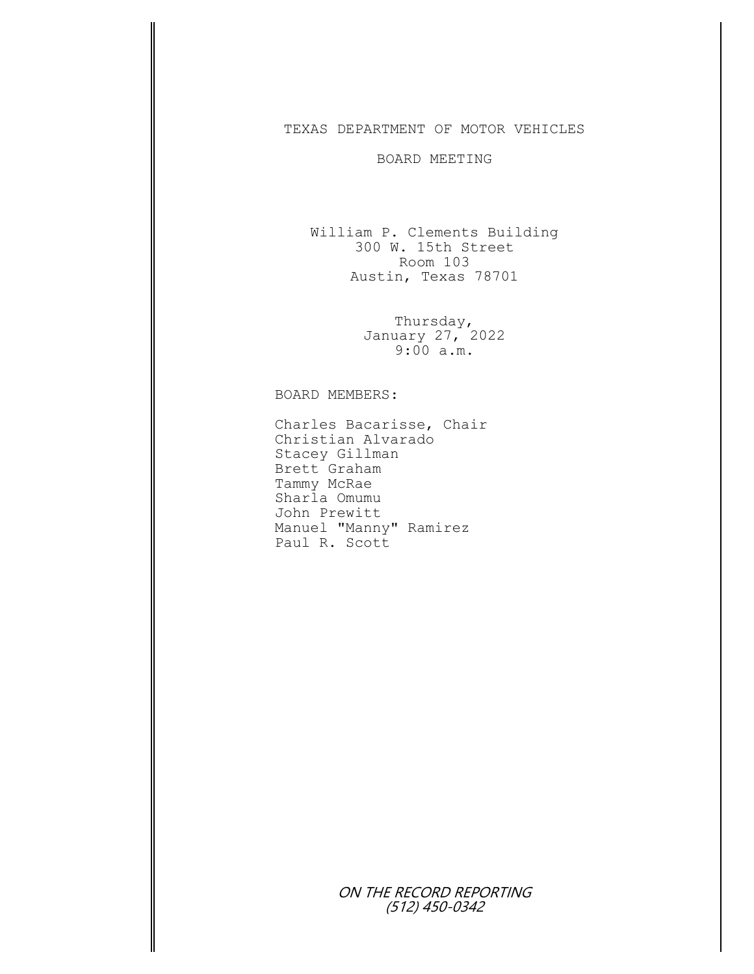## TEXAS DEPARTMENT OF MOTOR VEHICLES

## BOARD MEETING

William P. Clements Building 300 W. 15th Street Room 103 Austin, Texas 78701

> Thursday, January 27, 2022 9:00 a.m.

## BOARD MEMBERS:

Charles Bacarisse, Chair Christian Alvarado Stacey Gillman Brett Graham Tammy McRae Sharla Omumu John Prewitt Manuel "Manny" Ramirez Paul R. Scott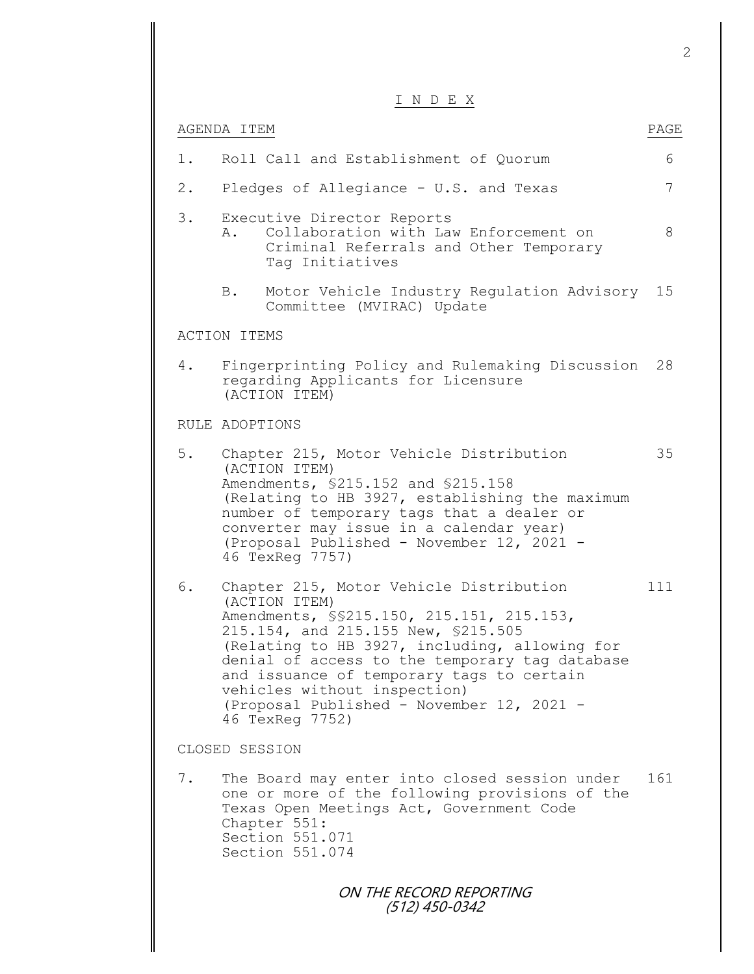|       | INDEX                                                                                                                                                                                                                                                                                                                                                                                         |      |
|-------|-----------------------------------------------------------------------------------------------------------------------------------------------------------------------------------------------------------------------------------------------------------------------------------------------------------------------------------------------------------------------------------------------|------|
|       | AGENDA ITEM                                                                                                                                                                                                                                                                                                                                                                                   | PAGE |
| $1$ . | Roll Call and Establishment of Quorum                                                                                                                                                                                                                                                                                                                                                         | 6    |
| $2$ . | Pledges of Allegiance - U.S. and Texas                                                                                                                                                                                                                                                                                                                                                        | 7    |
| 3.    | Executive Director Reports<br>Collaboration with Law Enforcement on<br>Α.<br>Criminal Referrals and Other Temporary<br>Tag Initiatives                                                                                                                                                                                                                                                        | 8    |
|       | Motor Vehicle Industry Regulation Advisory 15<br>B.<br>Committee (MVIRAC) Update                                                                                                                                                                                                                                                                                                              |      |
|       | <b>ACTION ITEMS</b>                                                                                                                                                                                                                                                                                                                                                                           |      |
| 4.    | Fingerprinting Policy and Rulemaking Discussion<br>regarding Applicants for Licensure<br>(ACTION ITEM)                                                                                                                                                                                                                                                                                        | 28   |
|       | RULE ADOPTIONS                                                                                                                                                                                                                                                                                                                                                                                |      |
| 5.    | Chapter 215, Motor Vehicle Distribution<br>(ACTION ITEM)<br>Amendments, \$215.152 and \$215.158<br>(Relating to HB 3927, establishing the maximum<br>number of temporary tags that a dealer or<br>converter may issue in a calendar year)<br>(Proposal Published - November 12, 2021 -<br>46 TexReq 7757)                                                                                     | 35   |
| 6.    | Chapter 215, Motor Vehicle Distribution<br>(ACTION ITEM)<br>Amendments, \$\$215.150, 215.151, 215.153,<br>215.154, and 215.155 New, \$215.505<br>(Relating to HB 3927, including, allowing for<br>denial of access to the temporary tag database<br>and issuance of temporary tags to certain<br>vehicles without inspection)<br>(Proposal Published - November 12, 2021 -<br>46 TexReq 7752) | 111  |
|       | CLOSED SESSION                                                                                                                                                                                                                                                                                                                                                                                |      |
| 7.    | The Board may enter into closed session under<br>one or more of the following provisions of the<br>Texas Open Meetings Act, Government Code<br>Chapter 551:<br>Section 551.071<br>Section 551.074                                                                                                                                                                                             | 161  |
|       | ON THE RECORD REPORTING<br>(512) 450-0342                                                                                                                                                                                                                                                                                                                                                     |      |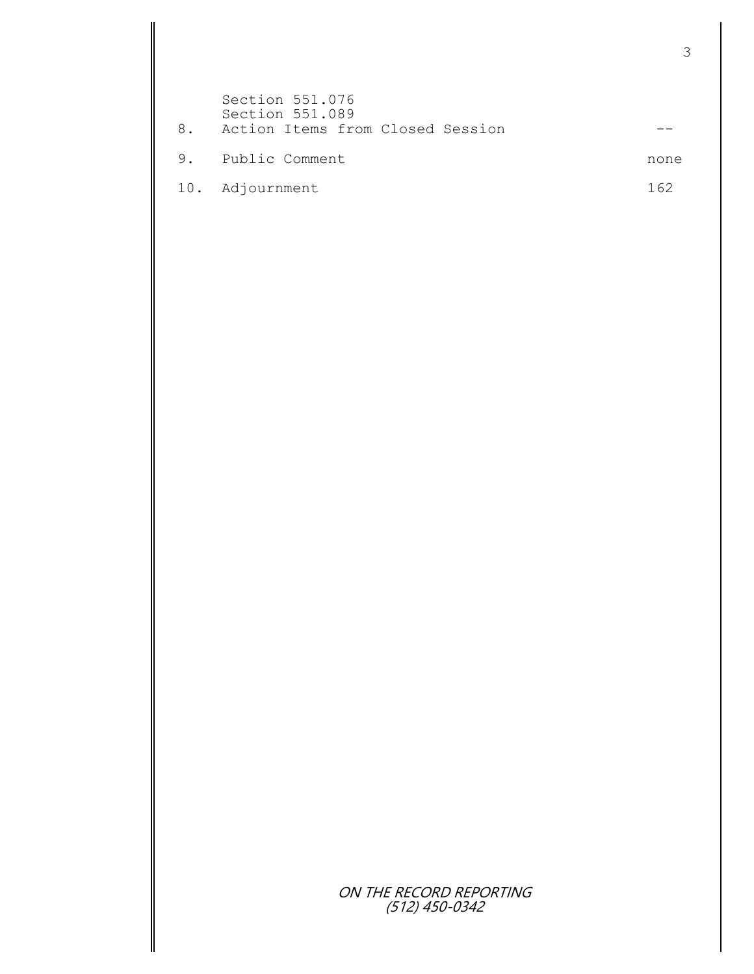| 8. | Section 551.076<br>Section 551.089<br>Action Items from Closed Session |      |
|----|------------------------------------------------------------------------|------|
| 9. | Public Comment                                                         | none |
|    | 10. Adjournment                                                        | 162  |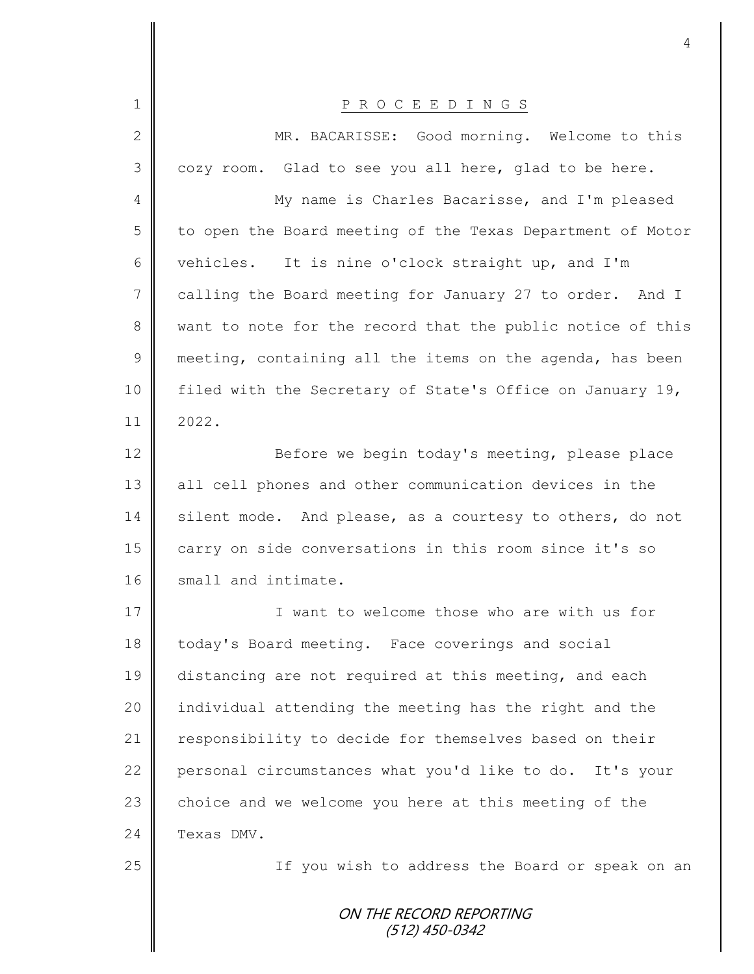|               | 4                                                          |
|---------------|------------------------------------------------------------|
|               |                                                            |
| 1             | P R O C E E D I N G S                                      |
| $\mathbf{2}$  | MR. BACARISSE: Good morning. Welcome to this               |
| 3             | cozy room. Glad to see you all here, glad to be here.      |
| 4             | My name is Charles Bacarisse, and I'm pleased              |
| 5             | to open the Board meeting of the Texas Department of Motor |
| 6             | vehicles. It is nine o'clock straight up, and I'm          |
| 7             | calling the Board meeting for January 27 to order. And I   |
| 8             | want to note for the record that the public notice of this |
| $\mathcal{G}$ | meeting, containing all the items on the agenda, has been  |
| 10            | filed with the Secretary of State's Office on January 19,  |
| 11            | 2022.                                                      |
| 12            | Before we begin today's meeting, please place              |
| 13            | all cell phones and other communication devices in the     |
| 14            | silent mode. And please, as a courtesy to others, do not   |
| 15            | carry on side conversations in this room since it's so     |
| 16            | small and intimate.                                        |
| 17            | I want to welcome those who are with us for                |
| 18            | today's Board meeting. Face coverings and social           |
| 19            | distancing are not required at this meeting, and each      |
| 20            | individual attending the meeting has the right and the     |
| 21            | responsibility to decide for themselves based on their     |
| 22            | personal circumstances what you'd like to do. It's your    |
| 23            | choice and we welcome you here at this meeting of the      |
| 24            | Texas DMV.                                                 |
| 25            | If you wish to address the Board or speak on an            |
|               | ON THE RECORD REPORTING<br>(512) 450-0342                  |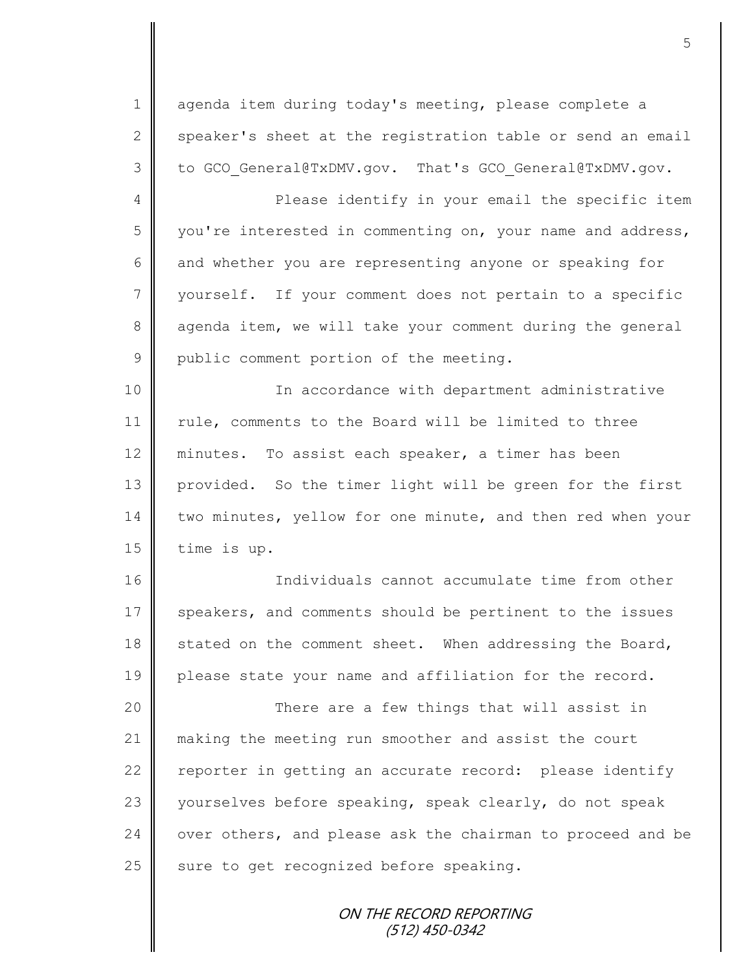1 agenda item during today's meeting, please complete a 2 speaker's sheet at the registration table or send an email 3 to GCO General@TxDMV.gov. That's GCO General@TxDMV.gov.

4 || Please identify in your email the specific item 5 you're interested in commenting on, your name and address, 6 and whether you are representing anyone or speaking for 7 || yourself. If your comment does not pertain to a specific 8 agenda item, we will take your comment during the general 9 public comment portion of the meeting.

10 || In accordance with department administrative 11 | rule, comments to the Board will be limited to three 12 minutes. To assist each speaker, a timer has been 13 provided. So the timer light will be green for the first 14 two minutes, yellow for one minute, and then red when your  $15$  | time is up.

16 Individuals cannot accumulate time from other 17 speakers, and comments should be pertinent to the issues 18 stated on the comment sheet. When addressing the Board, 19 please state your name and affiliation for the record.

20 || There are a few things that will assist in making the meeting run smoother and assist the court  $\parallel$  reporter in getting an accurate record: please identify 23 yourselves before speaking, speak clearly, do not speak  $\parallel$  over others, and please ask the chairman to proceed and be sure to get recognized before speaking.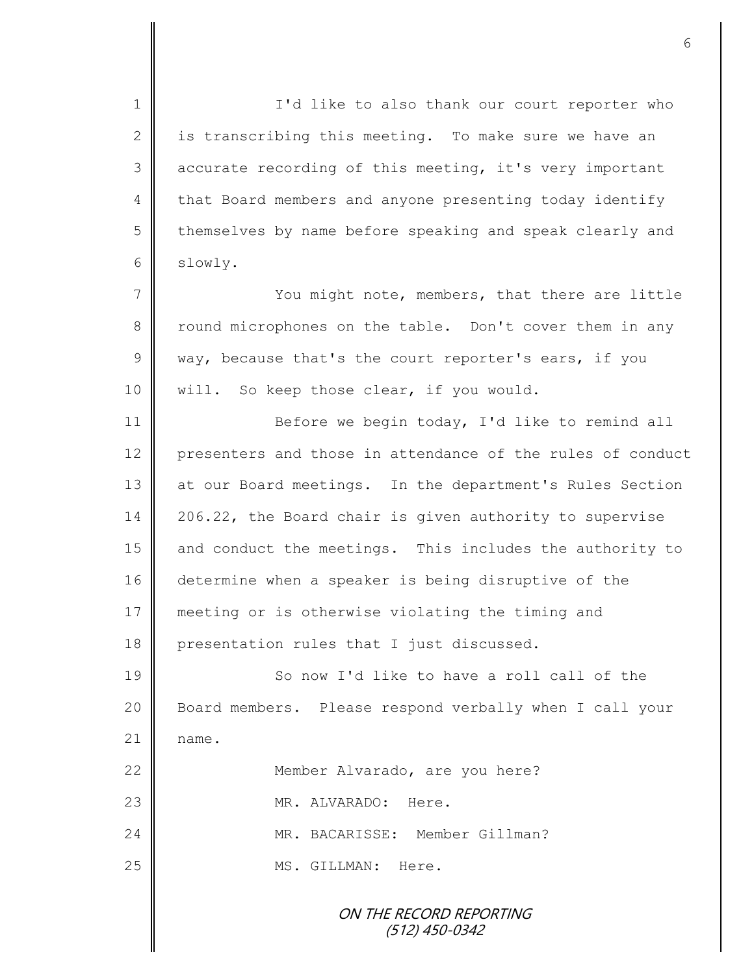ON THE RECORD REPORTING (512) 450-0342 1 || I'd like to also thank our court reporter who 2  $\parallel$  is transcribing this meeting. To make sure we have an 3 accurate recording of this meeting, it's very important 4 that Board members and anyone presenting today identify 5 | themselves by name before speaking and speak clearly and 6 slowly. 7 You might note, members, that there are little 8 round microphones on the table. Don't cover them in any 9 way, because that's the court reporter's ears, if you 10 | will. So keep those clear, if you would. 11 | Before we begin today, I'd like to remind all 12 presenters and those in attendance of the rules of conduct 13 at our Board meetings. In the department's Rules Section 14 206.22, the Board chair is given authority to supervise 15 and conduct the meetings. This includes the authority to 16 determine when a speaker is being disruptive of the 17 meeting or is otherwise violating the timing and 18 presentation rules that I just discussed. 19 So now I'd like to have a roll call of the 20 | Board members. Please respond verbally when I call your  $21$  name. 22 **| Member Alvarado, are you here?** 23 || MR. ALVARADO: Here. 24 MR. BACARISSE: Member Gillman? 25 | MS. GILLMAN: Here.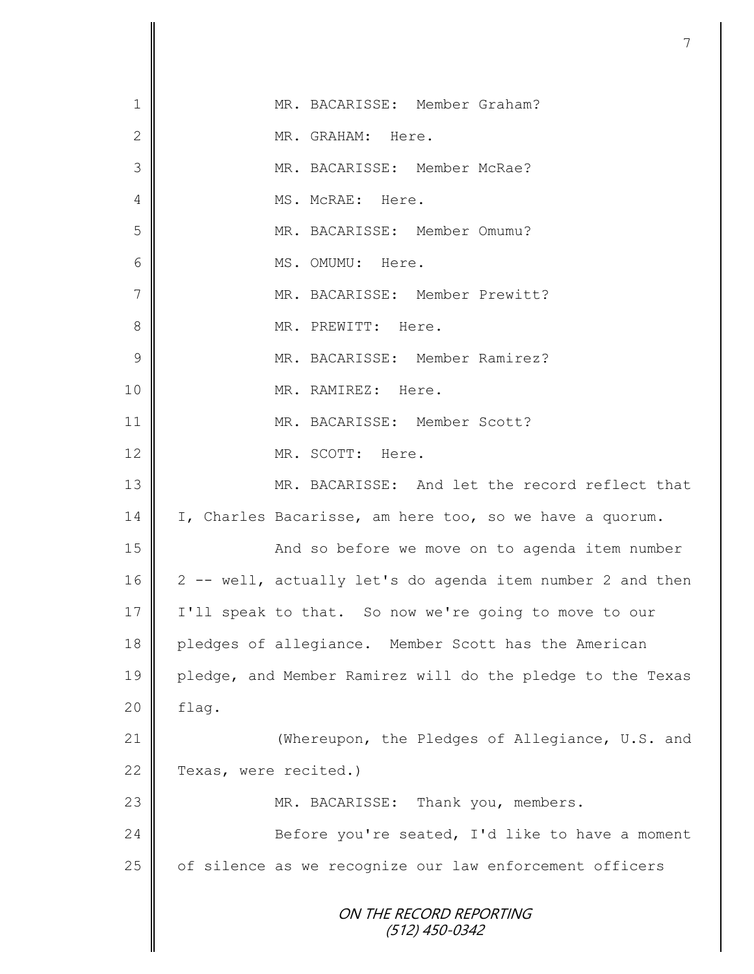|                | 7                                                          |
|----------------|------------------------------------------------------------|
|                |                                                            |
| 1              | MR. BACARISSE: Member Graham?                              |
| $\mathbf{2}$   | MR. GRAHAM: Here.                                          |
| 3              | MR. BACARISSE: Member McRae?                               |
| 4              | MS. McRAE: Here.                                           |
| 5              | MR. BACARISSE: Member Omumu?                               |
| 6              | MS. OMUMU: Here.                                           |
| $\overline{7}$ | MR. BACARISSE: Member Prewitt?                             |
| 8              | MR. PREWITT: Here.                                         |
| 9              | MR. BACARISSE: Member Ramirez?                             |
| 10             | MR. RAMIREZ: Here.                                         |
| 11             | MR. BACARISSE: Member Scott?                               |
| 12             | MR. SCOTT: Here.                                           |
| 13             | MR. BACARISSE: And let the record reflect that             |
| 14             | I, Charles Bacarisse, am here too, so we have a quorum.    |
| 15             | And so before we move on to agenda item number             |
| 16             | 2 -- well, actually let's do agenda item number 2 and then |
| 17             | I'll speak to that. So now we're going to move to our      |
| 18             | pledges of allegiance. Member Scott has the American       |
| 19             | pledge, and Member Ramirez will do the pledge to the Texas |
| 20             | flag.                                                      |
| 21             | (Whereupon, the Pledges of Allegiance, U.S. and            |
| 22             | Texas, were recited.)                                      |
| 23             | MR. BACARISSE: Thank you, members.                         |
| 24             | Before you're seated, I'd like to have a moment            |
| 25             | of silence as we recognize our law enforcement officers    |
|                | ON THE RECORD REPORTING<br>$(512)$ 450-0342                |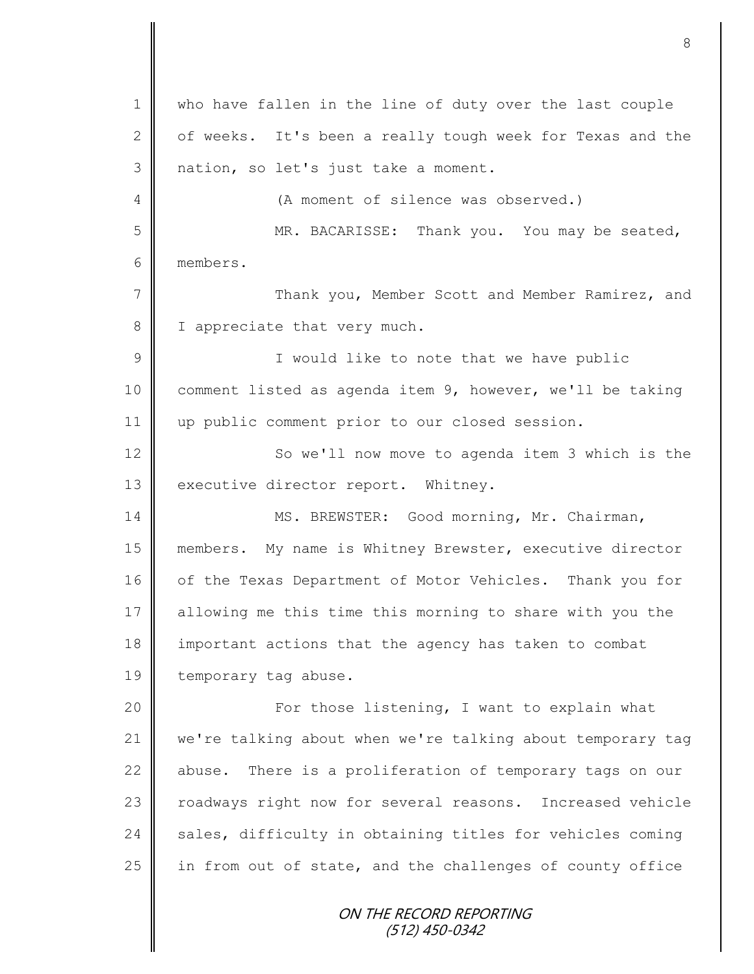ON THE RECORD REPORTING (512) 450-0342 1 who have fallen in the line of duty over the last couple 2  $\parallel$  of weeks. It's been a really tough week for Texas and the 3 nation, so let's just take a moment. 4 (A moment of silence was observed.) 5 MR. BACARISSE: Thank you. You may be seated, 6 members. 7 || Thank you, Member Scott and Member Ramirez, and 8 | I appreciate that very much. 9 || I would like to note that we have public 10 comment listed as agenda item 9, however, we'll be taking 11 || up public comment prior to our closed session. 12 | So we'll now move to agenda item 3 which is the 13 executive director report. Whitney. 14 | MS. BREWSTER: Good morning, Mr. Chairman, 15 members. My name is Whitney Brewster, executive director 16 | of the Texas Department of Motor Vehicles. Thank you for 17 allowing me this time this morning to share with you the 18 important actions that the agency has taken to combat 19 | temporary tag abuse. 20 | For those listening, I want to explain what 21 we're talking about when we're talking about temporary tag 22  $\parallel$  abuse. There is a proliferation of temporary tags on our 23 | roadways right now for several reasons. Increased vehicle  $24$  sales, difficulty in obtaining titles for vehicles coming 25 in from out of state, and the challenges of county office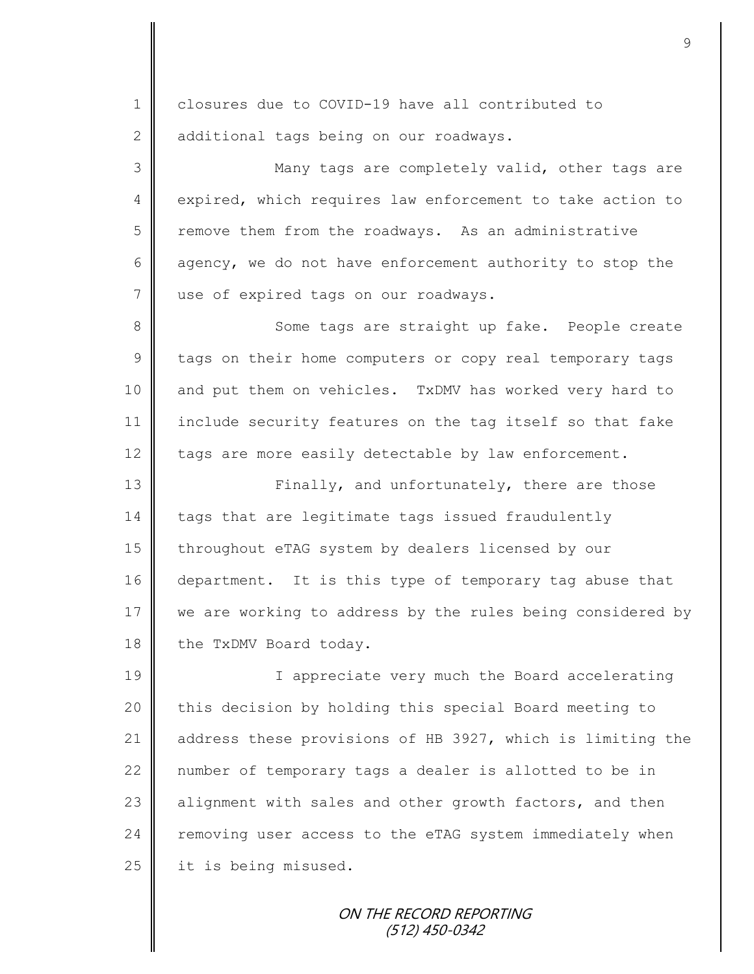1 || closures due to COVID-19 have all contributed to 2 additional tags being on our roadways. 3 || Many tags are completely valid, other tags are 4 expired, which requires law enforcement to take action to 5 Temove them from the roadways. As an administrative 6 agency, we do not have enforcement authority to stop the 7 use of expired tags on our roadways. 8 Some tags are straight up fake. People create 9 tags on their home computers or copy real temporary tags 10 and put them on vehicles. TxDMV has worked very hard to 11 include security features on the tag itself so that fake 12 tags are more easily detectable by law enforcement. 13 **Finally, and unfortunately, there are those** 14 tags that are legitimate tags issued fraudulently 15 | throughout eTAG system by dealers licensed by our 16 department. It is this type of temporary tag abuse that 17 we are working to address by the rules being considered by 18 the TxDMV Board today. 19 || I appreciate very much the Board accelerating 20 this decision by holding this special Board meeting to 21 dddress these provisions of HB 3927, which is limiting the 22 || number of temporary tags a dealer is allotted to be in 23 alignment with sales and other growth factors, and then 24 removing user access to the eTAG system immediately when 25 | it is being misused.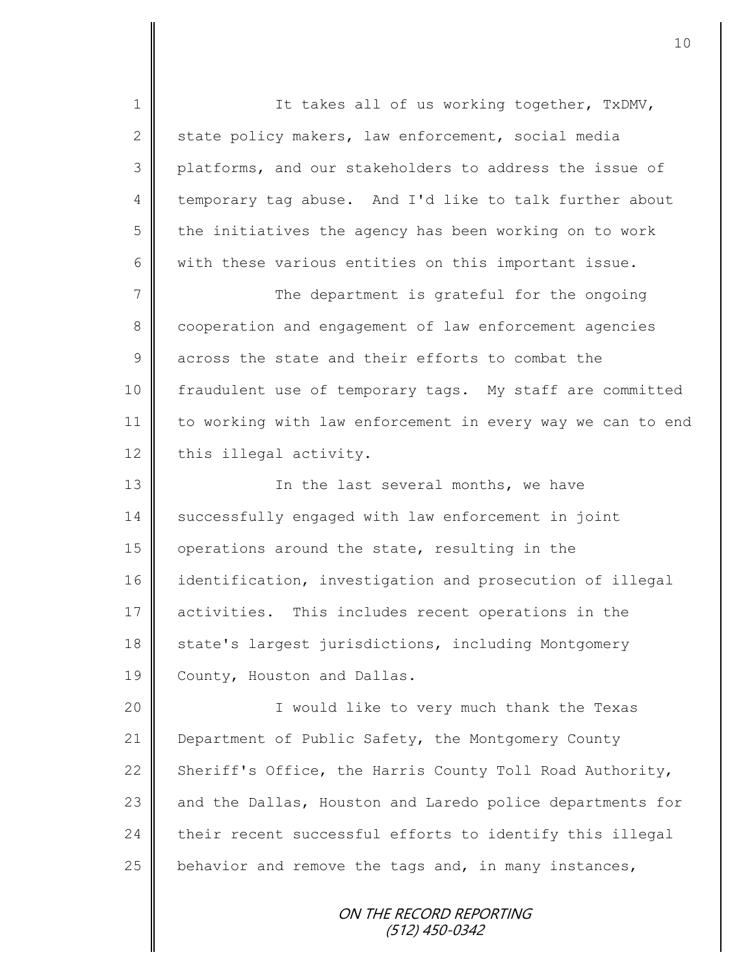1 || It takes all of us working together, TxDMV, 2 state policy makers, law enforcement, social media 3 platforms, and our stakeholders to address the issue of 4 temporary tag abuse. And I'd like to talk further about  $5 \parallel$  the initiatives the agency has been working on to work 6 with these various entities on this important issue. 7 || The department is grateful for the ongoing 8 cooperation and engagement of law enforcement agencies 9 across the state and their efforts to combat the 10 | fraudulent use of temporary tags. My staff are committed 11 to working with law enforcement in every way we can to end 12 this illegal activity. 13 || In the last several months, we have 14 Successfully engaged with law enforcement in joint 15 operations around the state, resulting in the 16 identification, investigation and prosecution of illegal 17 activities. This includes recent operations in the 18 state's largest jurisdictions, including Montgomery 19 County, Houston and Dallas. 20 || I would like to very much thank the Texas 21 Department of Public Safety, the Montgomery County 22 Sheriff's Office, the Harris County Toll Road Authority, 23 and the Dallas, Houston and Laredo police departments for  $24$  their recent successful efforts to identify this illegal 25 behavior and remove the tags and, in many instances,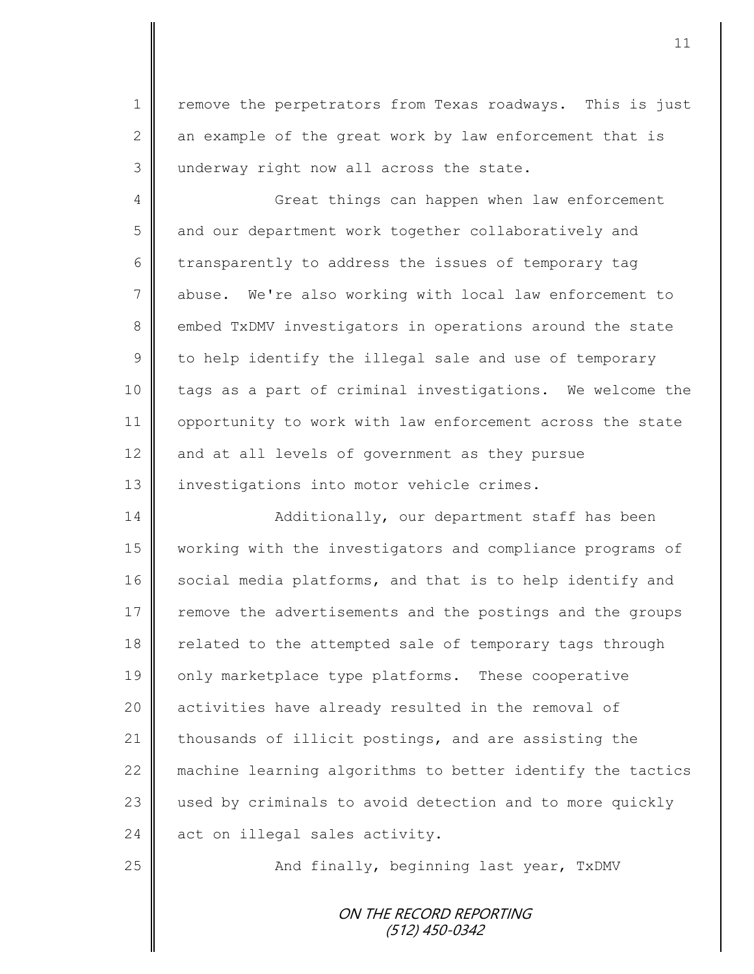1 | remove the perpetrators from Texas roadways. This is just 2 an example of the great work by law enforcement that is 3 underway right now all across the state.

4 Great things can happen when law enforcement 5 | and our department work together collaboratively and 6 transparently to address the issues of temporary tag 7 abuse. We're also working with local law enforcement to 8 embed TxDMV investigators in operations around the state  $9 \parallel$  to help identify the illegal sale and use of temporary 10 | tags as a part of criminal investigations. We welcome the 11 | opportunity to work with law enforcement across the state  $12$  and at all levels of government as they pursue 13 | investigations into motor vehicle crimes.

14 | Additionally, our department staff has been 15 working with the investigators and compliance programs of 16 social media platforms, and that is to help identify and 17 Tremove the advertisements and the postings and the groups 18 | related to the attempted sale of temporary tags through 19 only marketplace type platforms. These cooperative 20 | activities have already resulted in the removal of 21  $\parallel$  thousands of illicit postings, and are assisting the 22 machine learning algorithms to better identify the tactics 23 used by criminals to avoid detection and to more quickly  $24$  act on illegal sales activity.

25 || And finally, beginning last year, TxDMV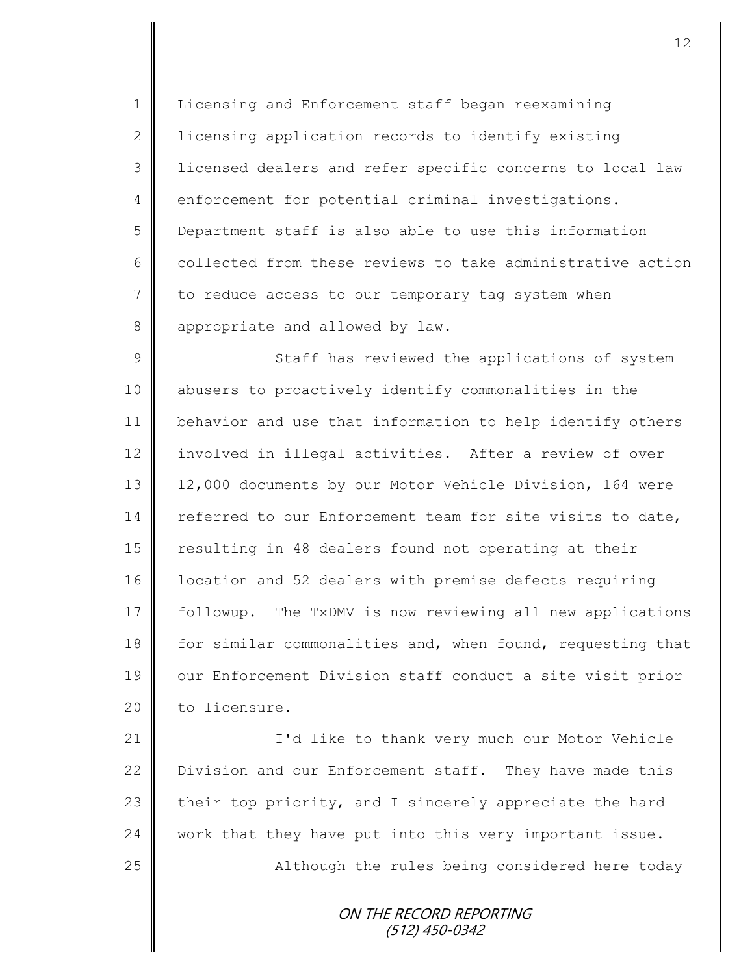1 | Licensing and Enforcement staff began reexamining 2 | licensing application records to identify existing 3 licensed dealers and refer specific concerns to local law 4 enforcement for potential criminal investigations. 5 Department staff is also able to use this information 6 collected from these reviews to take administrative action 7 to reduce access to our temporary tag system when 8 appropriate and allowed by law.

9 || Staff has reviewed the applications of system 10 abusers to proactively identify commonalities in the 11 behavior and use that information to help identify others 12 | involved in illegal activities. After a review of over 13 | 12,000 documents by our Motor Vehicle Division, 164 were 14 referred to our Enforcement team for site visits to date, 15 | resulting in 48 dealers found not operating at their 16 | location and 52 dealers with premise defects requiring 17 followup. The TxDMV is now reviewing all new applications 18 for similar commonalities and, when found, requesting that 19 || our Enforcement Division staff conduct a site visit prior 20 | to licensure.

21 | I'd like to thank very much our Motor Vehicle 22 | Division and our Enforcement staff. They have made this 23 their top priority, and I sincerely appreciate the hard  $24$  work that they have put into this very important issue. 25 || Although the rules being considered here today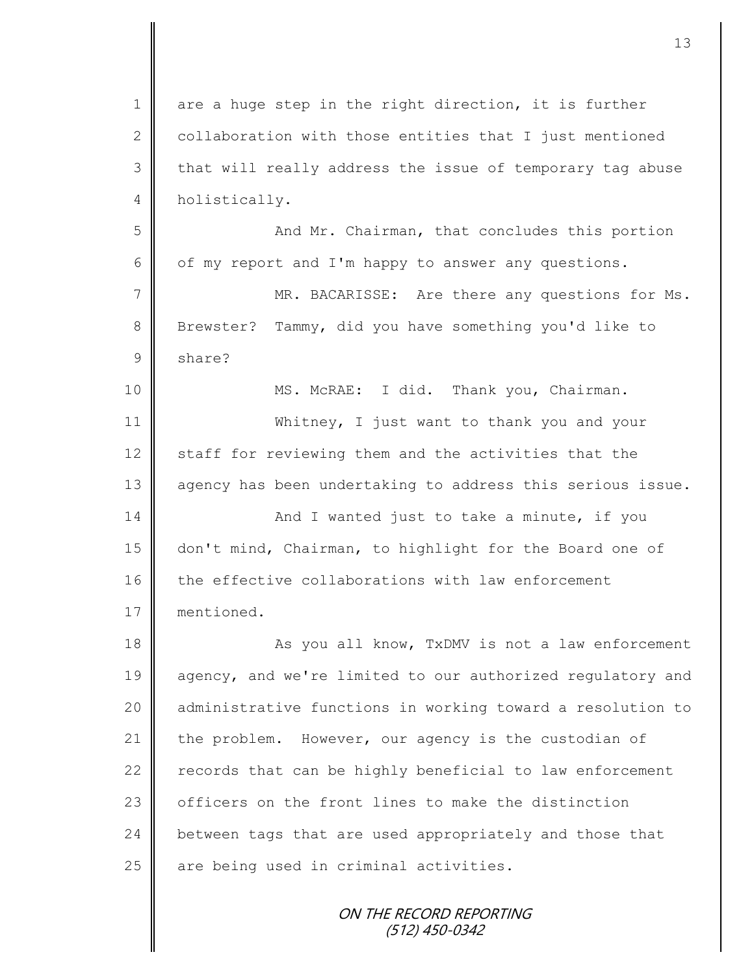| $\mathbf 1$    | are a huge step in the right direction, it is further          |
|----------------|----------------------------------------------------------------|
| $\overline{2}$ | collaboration with those entities that I just mentioned        |
| 3              | that will really address the issue of temporary tag abuse      |
| 4              | holistically.                                                  |
| 5              | And Mr. Chairman, that concludes this portion                  |
| 6              | of my report and I'm happy to answer any questions.            |
| 7              | MR. BACARISSE: Are there any questions for Ms.                 |
| $8\,$          | Brewster? Tammy, did you have something you'd like to          |
| $\mathcal{G}$  | share?                                                         |
| 10             | MS. McRAE: I did. Thank you, Chairman.                         |
| 11             | Whitney, I just want to thank you and your                     |
| 12             | staff for reviewing them and the activities that the           |
| 13             | agency has been undertaking to address this serious issue.     |
| 14             | And I wanted just to take a minute, if you                     |
| 15             | don't mind, Chairman, to highlight for the Board one of        |
| 16             | the effective collaborations with law enforcement              |
| 17             | mentioned.                                                     |
| 18             | As you all know, TxDMV is not a law enforcement                |
| 19             | agency, and we're limited to our authorized regulatory and     |
| 20             | administrative functions in working toward a resolution to     |
| 21             | the problem. However, our agency is the custodian of           |
| 22             | records that can be highly beneficial to law enforcement       |
| 23             | officers on the front lines to make the distinction            |
| 24             | between tags that are used appropriately and those that        |
| 25             | are being used in criminal activities.                         |
|                | $\sim$ $\sim$ $\sim$ $\sim$ $\sim$ $\sim$ $\sim$ $\sim$ $\sim$ |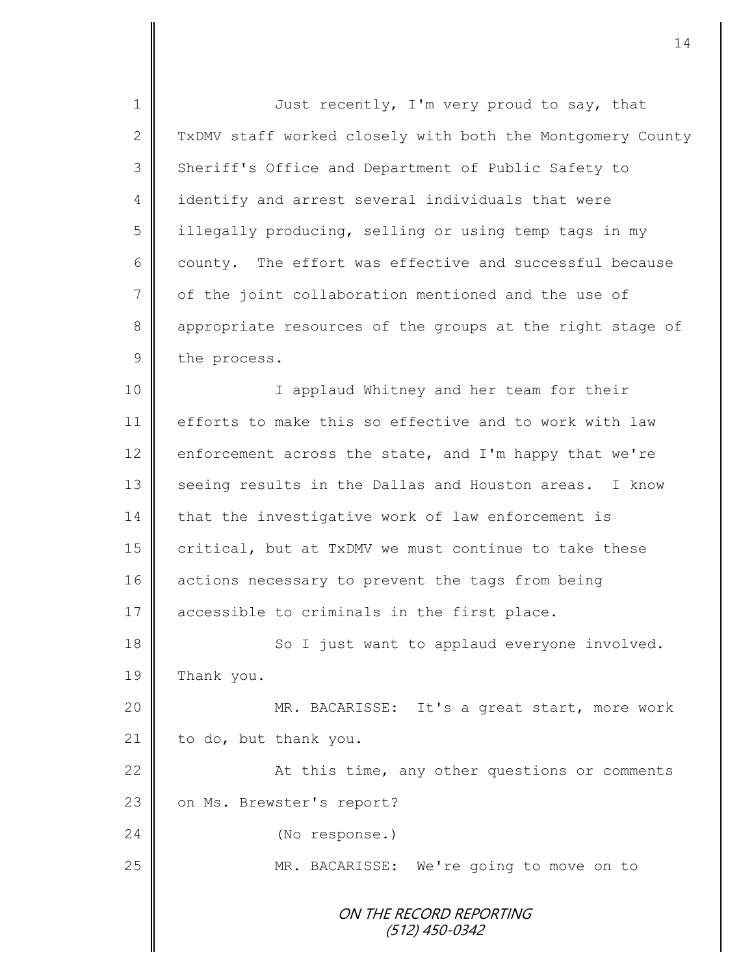ON THE RECORD REPORTING (512) 450-0342 1 Just recently, I'm very proud to say, that 2 TxDMV staff worked closely with both the Montgomery County 3 Sheriff's Office and Department of Public Safety to 4 identify and arrest several individuals that were 5 | illegally producing, selling or using temp tags in my 6 county. The effort was effective and successful because 7 of the joint collaboration mentioned and the use of 8 appropriate resources of the groups at the right stage of 9 the process. 10 || I applaud Whitney and her team for their 11 efforts to make this so effective and to work with law 12 enforcement across the state, and I'm happy that we're 13 seeing results in the Dallas and Houston areas. I know 14 that the investigative work of law enforcement is 15  $\parallel$  critical, but at TxDMV we must continue to take these 16 actions necessary to prevent the tags from being 17 | accessible to criminals in the first place. 18 || So I just want to applaud everyone involved. 19 Thank you. 20 || MR. BACARISSE: It's a great start, more work 21 to do, but thank you. 22 | At this time, any other questions or comments 23 on Ms. Brewster's report? 24 (No response.) 25 || MR. BACARISSE: We're going to move on to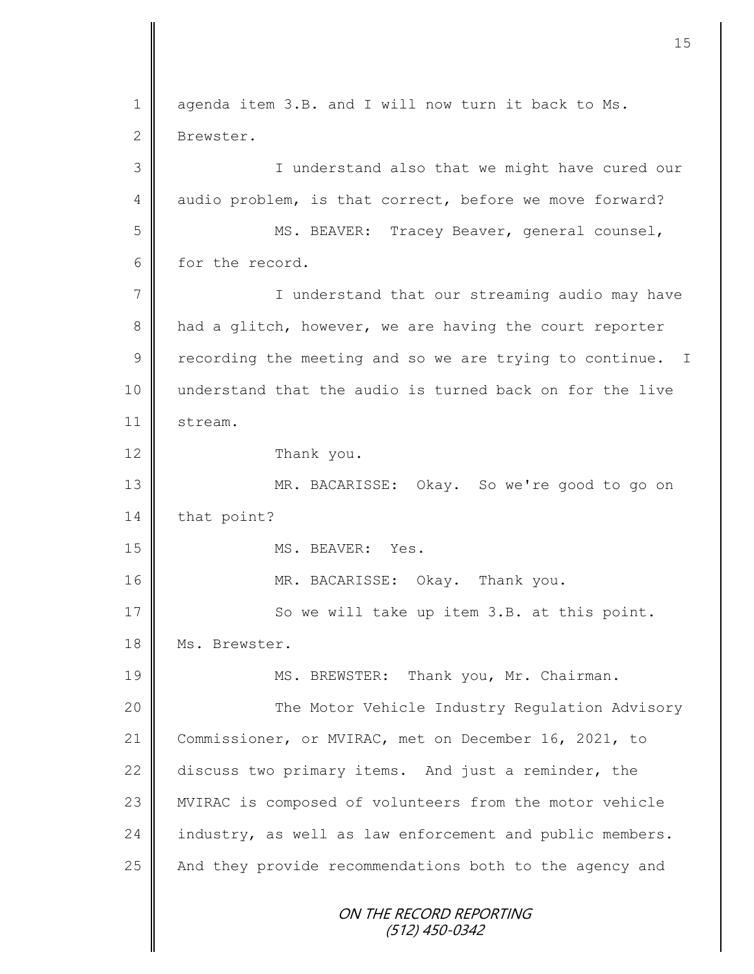ON THE RECORD REPORTING (512) 450-0342 1 agenda item 3.B. and I will now turn it back to Ms. 2 Brewster. 3 || I understand also that we might have cured our 4 audio problem, is that correct, before we move forward? 5 MS. BEAVER: Tracey Beaver, general counsel, 6 for the record. 7 | I understand that our streaming audio may have 8 had a glitch, however, we are having the court reporter  $9 \parallel$  recording the meeting and so we are trying to continue. I 10 understand that the audio is turned back on for the live 11 stream. 12 Thank you. 13 MR. BACARISSE: Okay. So we're good to go on 14 that point? 15 NS. BEAVER: Yes. 16 MR. BACARISSE: Okay. Thank you. 17 So we will take up item 3.B. at this point. 18 | Ms. Brewster. 19 MS. BREWSTER: Thank you, Mr. Chairman. 20 | The Motor Vehicle Industry Regulation Advisory 21 Commissioner, or MVIRAC, met on December 16, 2021, to 22 discuss two primary items. And just a reminder, the 23 | MVIRAC is composed of volunteers from the motor vehicle 24 industry, as well as law enforcement and public members. 25 | And they provide recommendations both to the agency and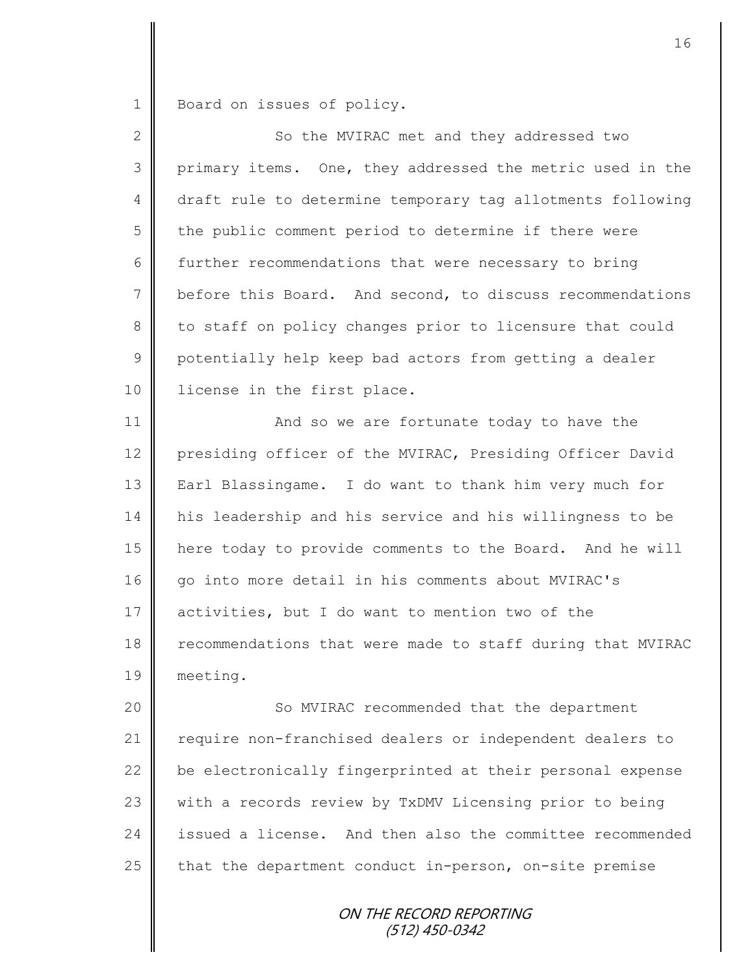1 Board on issues of policy.

| $\overline{2}$ | So the MVIRAC met and they addressed two                   |
|----------------|------------------------------------------------------------|
| 3              | primary items. One, they addressed the metric used in the  |
| 4              | draft rule to determine temporary tag allotments following |
| 5              | the public comment period to determine if there were       |
| 6              | further recommendations that were necessary to bring       |
| 7              | before this Board. And second, to discuss recommendations  |
| 8              | to staff on policy changes prior to licensure that could   |
| $\mathsf 9$    | potentially help keep bad actors from getting a dealer     |
| 10             | license in the first place.                                |
| 11             | And so we are fortunate today to have the                  |
| 12             | presiding officer of the MVIRAC, Presiding Officer David   |
| 13             | Earl Blassingame. I do want to thank him very much for     |
| 14             | his leadership and his service and his willingness to be   |
| 15             | here today to provide comments to the Board. And he will   |
| 16             | go into more detail in his comments about MVIRAC's         |
| 17             | activities, but I do want to mention two of the            |
| 18             | recommendations that were made to staff during that MVIRAC |
| 19             | meeting.                                                   |
| 20             | So MVIRAC recommended that the department                  |
| 21             | require non-franchised dealers or independent dealers to   |
| 22             | be electronically fingerprinted at their personal expense  |
| 23             | with a records review by TxDMV Licensing prior to being    |
| 24             | issued a license. And then also the committee recommended  |
| 25             | that the department conduct in-person, on-site premise     |
|                |                                                            |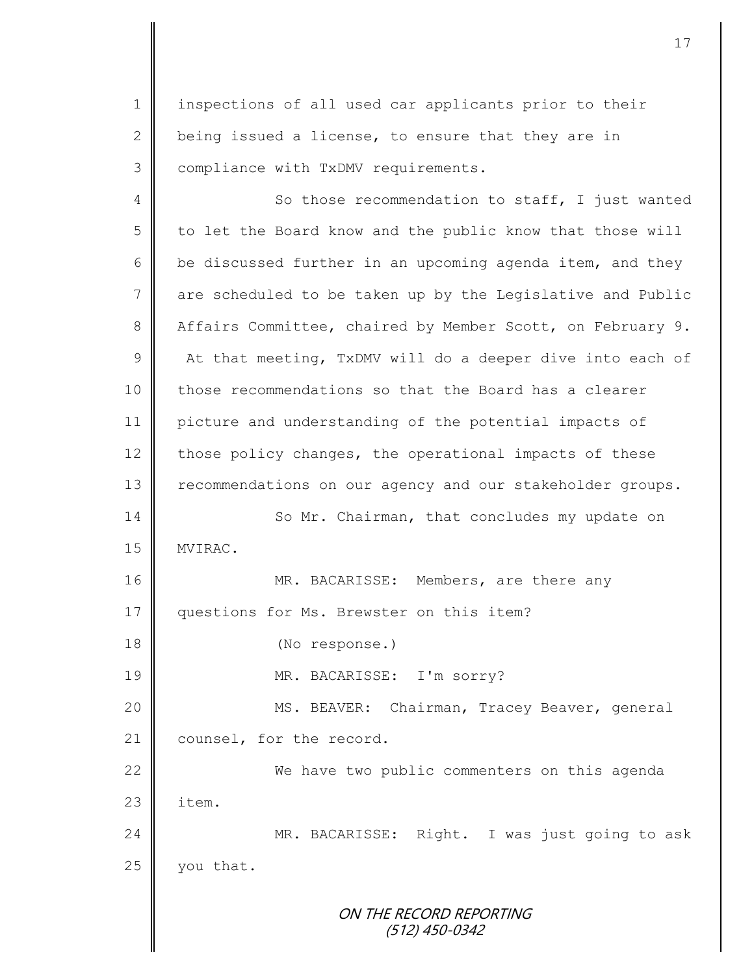1 | inspections of all used car applicants prior to their 2 being issued a license, to ensure that they are in 3 | compliance with TxDMV requirements.

ON THE RECORD REPORTING (512) 450-0342 4 So those recommendation to staff, I just wanted 5 to let the Board know and the public know that those will 6 be discussed further in an upcoming agenda item, and they 7 are scheduled to be taken up by the Legislative and Public 8 Affairs Committee, chaired by Member Scott, on February 9. 9  $\parallel$  At that meeting, TxDMV will do a deeper dive into each of 10 those recommendations so that the Board has a clearer 11 picture and understanding of the potential impacts of 12 those policy changes, the operational impacts of these 13 recommendations on our agency and our stakeholder groups. 14 So Mr. Chairman, that concludes my update on 15 | MVIRAC. 16 | MR. BACARISSE: Members, are there any 17 | questions for Ms. Brewster on this item? 18 (No response.) 19 MR. BACARISSE: I'm sorry? 20 | MS. BEAVER: Chairman, Tracey Beaver, general 21 counsel, for the record. 22 We have two public commenters on this agenda  $23 \parallel$  item. 24 MR. BACARISSE: Right. I was just going to ask  $25$  | you that.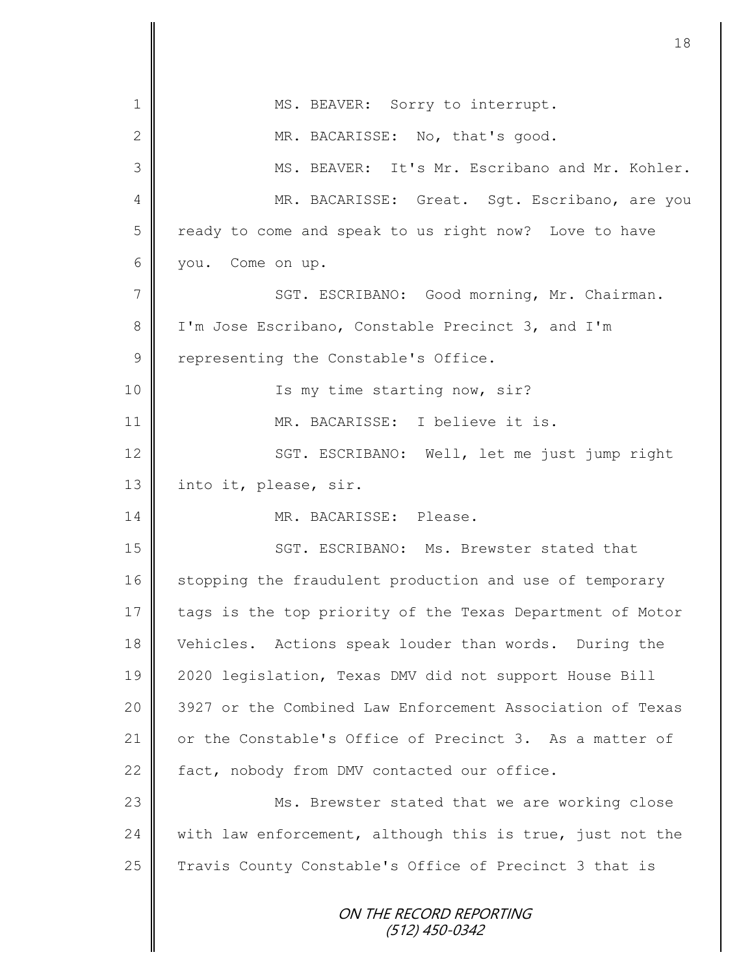| 1               | MS. BEAVER: Sorry to interrupt.                           |
|-----------------|-----------------------------------------------------------|
| $\mathbf{2}$    | MR. BACARISSE: No, that's good.                           |
| 3               | MS. BEAVER: It's Mr. Escribano and Mr. Kohler.            |
| $\overline{4}$  | MR. BACARISSE: Great. Sgt. Escribano, are you             |
| 5               | ready to come and speak to us right now? Love to have     |
| 6               | you. Come on up.                                          |
| $7\phantom{.0}$ | SGT. ESCRIBANO: Good morning, Mr. Chairman.               |
| 8               | I'm Jose Escribano, Constable Precinct 3, and I'm         |
| $\mathsf 9$     | representing the Constable's Office.                      |
| 10              | Is my time starting now, sir?                             |
| 11              | MR. BACARISSE: I believe it is.                           |
| 12              | SGT. ESCRIBANO: Well, let me just jump right              |
| 13              | into it, please, sir.                                     |
| 14              | MR. BACARISSE: Please.                                    |
| 15              | SGT. ESCRIBANO: Ms. Brewster stated that                  |
| 16              | stopping the fraudulent production and use of temporary   |
| 17              | tags is the top priority of the Texas Department of Motor |
| 18              | Vehicles. Actions speak louder than words. During the     |
| 19              | 2020 legislation, Texas DMV did not support House Bill    |
| 20              | 3927 or the Combined Law Enforcement Association of Texas |
| 21              | or the Constable's Office of Precinct 3. As a matter of   |
| 22              | fact, nobody from DMV contacted our office.               |
| 23              | Ms. Brewster stated that we are working close             |
| 24              | with law enforcement, although this is true, just not the |
| 25              | Travis County Constable's Office of Precinct 3 that is    |
|                 | ON THE RECORD REPORTING<br>$(512)$ 450-0342               |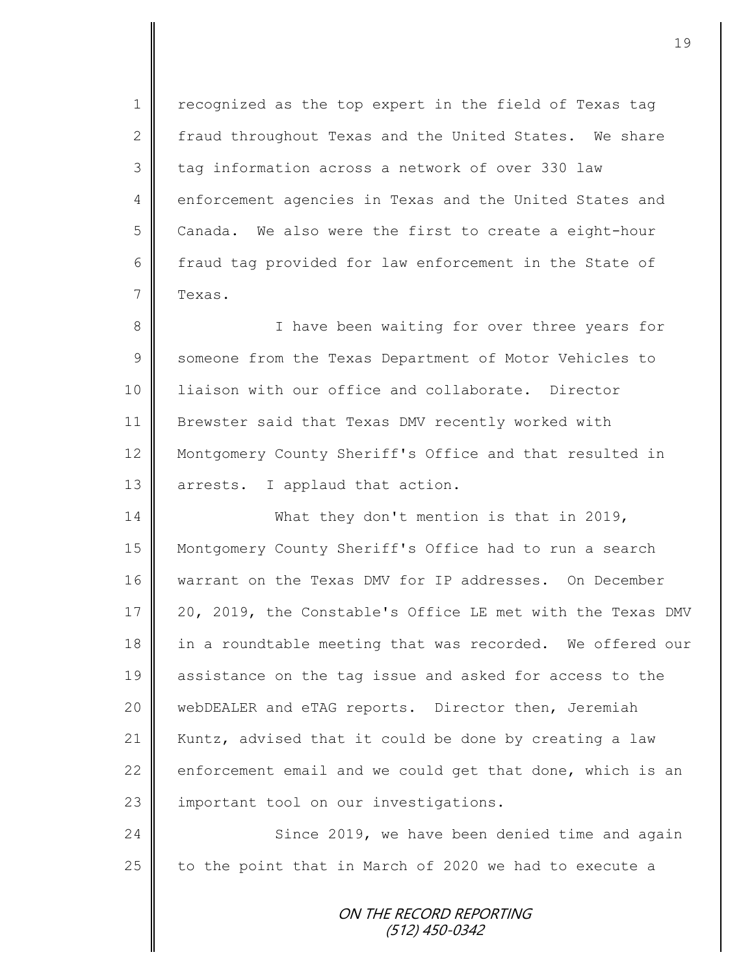1 | recognized as the top expert in the field of Texas tag 2 fraud throughout Texas and the United States. We share 3 tag information across a network of over 330 law 4 enforcement agencies in Texas and the United States and  $5 \parallel$  Canada. We also were the first to create a eight-hour 6 fraud tag provided for law enforcement in the State of 7 Texas.

8 || I have been waiting for over three years for 9 Someone from the Texas Department of Motor Vehicles to 10 liaison with our office and collaborate. Director 11 | Brewster said that Texas DMV recently worked with 12 Montgomery County Sheriff's Office and that resulted in 13 arrests. I applaud that action.

14 What they don't mention is that in 2019, 15 Montgomery County Sheriff's Office had to run a search 16 warrant on the Texas DMV for IP addresses. On December 17 | 20, 2019, the Constable's Office LE met with the Texas DMV 18 in a roundtable meeting that was recorded. We offered our 19 assistance on the tag issue and asked for access to the 20 | webDEALER and eTAG reports. Director then, Jeremiah 21 | Kuntz, advised that it could be done by creating a law 22 enforcement email and we could get that done, which is an 23 || important tool on our investigations.

24 Since 2019, we have been denied time and again 25  $\parallel$  to the point that in March of 2020 we had to execute a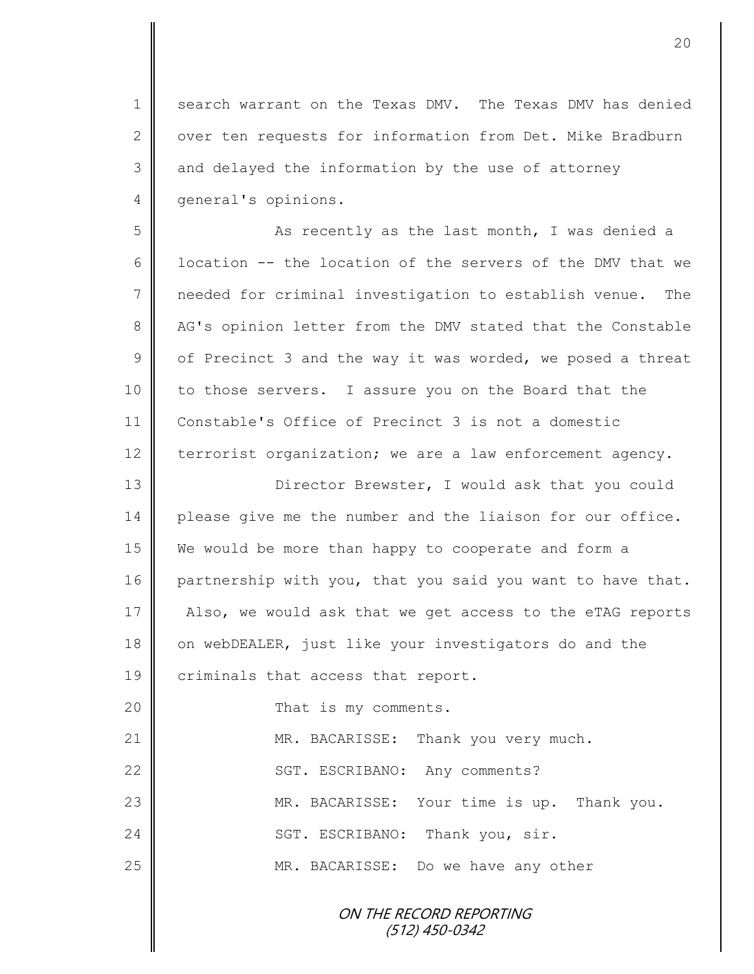1 | search warrant on the Texas DMV. The Texas DMV has denied 2 | over ten requests for information from Det. Mike Bradburn  $3 \parallel$  and delayed the information by the use of attorney 4 qeneral's opinions.

5 || As recently as the last month, I was denied a 6  $\parallel$  location -- the location of the servers of the DMV that we 7 needed for criminal investigation to establish venue. The 8 AG's opinion letter from the DMV stated that the Constable  $9 \parallel$  of Precinct 3 and the way it was worded, we posed a threat 10 to those servers. I assure you on the Board that the 11 Constable's Office of Precinct 3 is not a domestic 12 terrorist organization; we are a law enforcement agency.

13 || Director Brewster, I would ask that you could 14 please give me the number and the liaison for our office. 15 We would be more than happy to cooperate and form a 16 partnership with you, that you said you want to have that. 17 | Also, we would ask that we get access to the eTAG reports 18 on webDEALER, just like your investigators do and the 19 criminals that access that report.

20 **That is my comments.** 21 MR. BACARISSE: Thank you very much. 22 | SGT. ESCRIBANO: Any comments? 23 || MR. BACARISSE: Your time is up. Thank you. 24 SGT. ESCRIBANO: Thank you, sir. 25 MR. BACARISSE: Do we have any other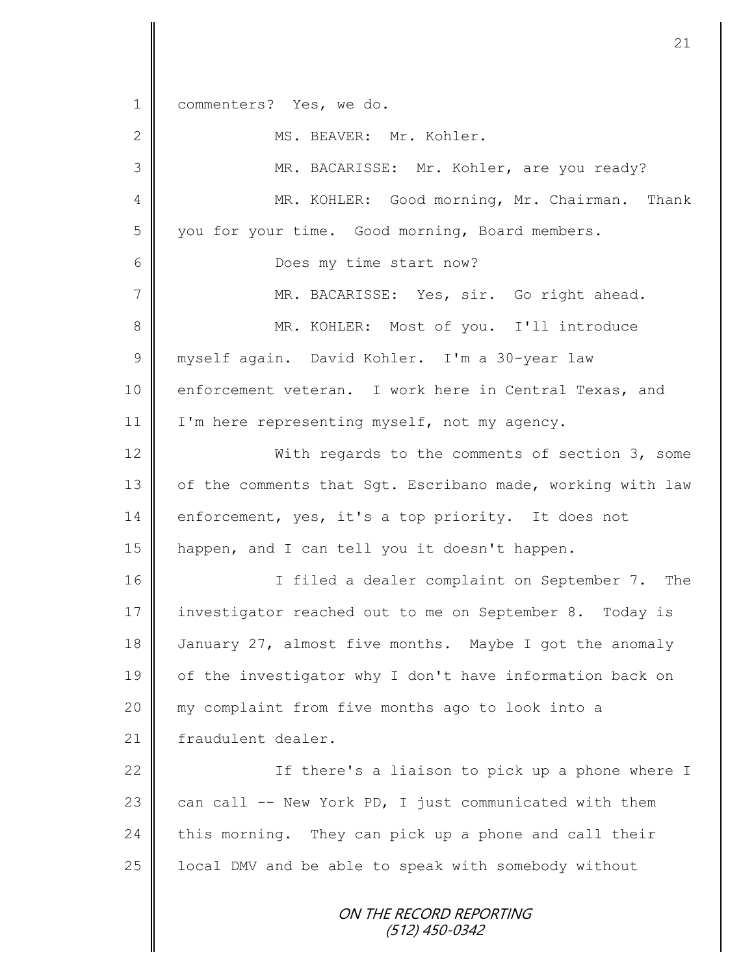ON THE RECORD REPORTING (512) 450-0342 1 commenters? Yes, we do. 2 | MS. BEAVER: Mr. Kohler. 3 MR. BACARISSE: Mr. Kohler, are you ready? 4 || MR. KOHLER: Good morning, Mr. Chairman. Thank 5 you for your time. Good morning, Board members. 6 **C** Does my time start now? 7 MR. BACARISSE: Yes, sir. Go right ahead. 8 || MR. KOHLER: Most of you. I'll introduce 9 || myself again. David Kohler. I'm a 30-year law 10 enforcement veteran. I work here in Central Texas, and 11 | I'm here representing myself, not my agency. 12 With regards to the comments of section 3, some 13 | of the comments that Sgt. Escribano made, working with law 14 enforcement, yes, it's a top priority. It does not 15 | happen, and I can tell you it doesn't happen. 16 | The interpretent on September 7. The intervals in the Integration of the Intervalse Intervalse Intervalse 17 investigator reached out to me on September 8. Today is 18 January 27, almost five months. Maybe I got the anomaly 19 | of the investigator why I don't have information back on 20 my complaint from five months ago to look into a 21 | fraudulent dealer. 22 | If there's a liaison to pick up a phone where I 23 can call  $--$  New York PD, I just communicated with them  $24$  this morning. They can pick up a phone and call their 25  $\parallel$  local DMV and be able to speak with somebody without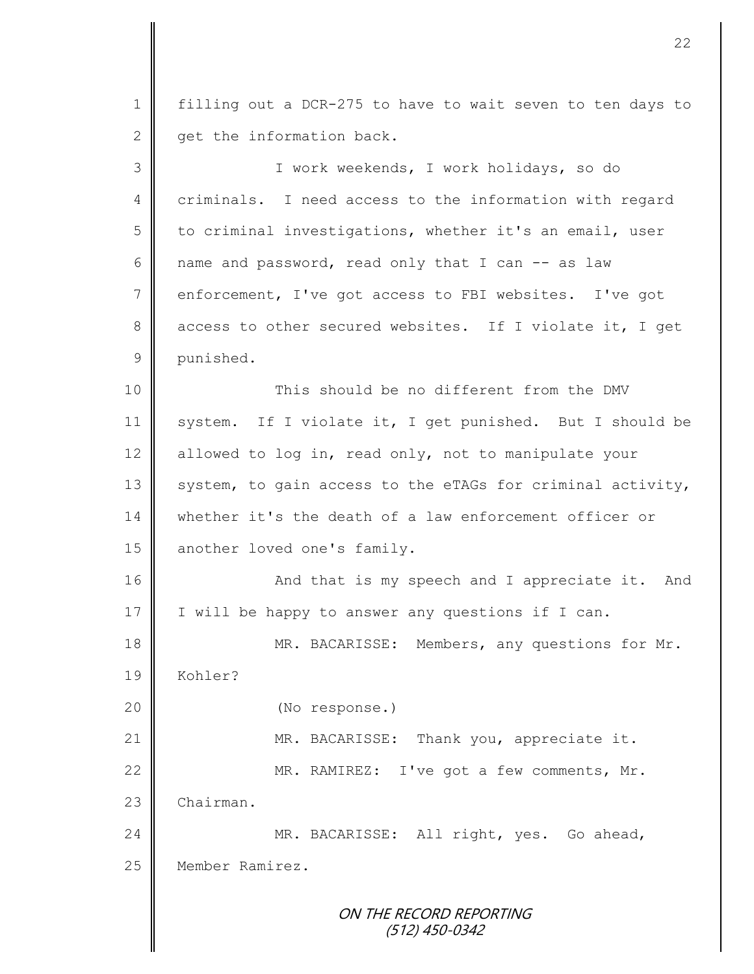1 filling out a DCR-275 to have to wait seven to ten days to  $2 \parallel$  get the information back. 3 I work weekends, I work holidays, so do 4 | criminals. I need access to the information with regard 5 to criminal investigations, whether it's an email, user 6 | name and password, read only that I can  $-$  as law 7 enforcement, I've got access to FBI websites. I've got 8 access to other secured websites. If I violate it, I get 9 punished. 10 || This should be no different from the DMV 11 system. If I violate it, I get punished. But I should be 12 allowed to log in, read only, not to manipulate your 13  $\parallel$  system, to gain access to the eTAGs for criminal activity, 14 whether it's the death of a law enforcement officer or 15 another loved one's family. 16 | And that is my speech and I appreciate it. And 17  $\parallel$  I will be happy to answer any questions if I can. 18 | MR. BACARISSE: Members, any questions for Mr. 19 Kohler? 20 (No response.) 21 | MR. BACARISSE: Thank you, appreciate it. 22 | MR. RAMIREZ: I've got a few comments, Mr. 23 Chairman. 24 MR. BACARISSE: All right, yes. Go ahead, 25 | Member Ramirez.

> ON THE RECORD REPORTING (512) 450-0342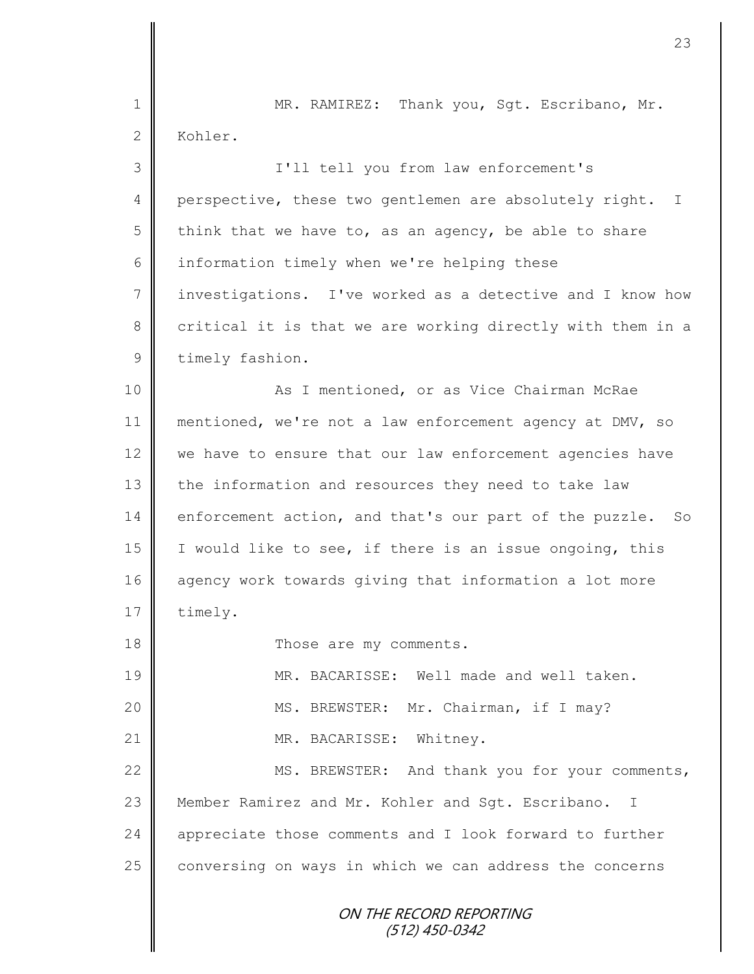| $\mathbf 1$  | MR. RAMIREZ: Thank you, Sgt. Escribano, Mr.                |
|--------------|------------------------------------------------------------|
| $\mathbf{2}$ | Kohler.                                                    |
| 3            | I'll tell you from law enforcement's                       |
| 4            | perspective, these two gentlemen are absolutely right. I   |
| 5            | think that we have to, as an agency, be able to share      |
| 6            | information timely when we're helping these                |
| 7            | investigations. I've worked as a detective and I know how  |
| 8            | critical it is that we are working directly with them in a |
| $\mathsf 9$  | timely fashion.                                            |
| 10           | As I mentioned, or as Vice Chairman McRae                  |
| 11           | mentioned, we're not a law enforcement agency at DMV, so   |
| 12           | we have to ensure that our law enforcement agencies have   |
| 13           | the information and resources they need to take law        |
| 14           | enforcement action, and that's our part of the puzzle. So  |
| 15           | I would like to see, if there is an issue ongoing, this    |
| 16           | agency work towards giving that information a lot more     |
| 17           | timely.                                                    |
| 18           | Those are my comments.                                     |
| 19           | MR. BACARISSE: Well made and well taken.                   |
| 20           | MS. BREWSTER: Mr. Chairman, if I may?                      |
| 21           | MR. BACARISSE: Whitney.                                    |
| 22           | MS. BREWSTER: And thank you for your comments,             |
| 23           | Member Ramirez and Mr. Kohler and Sgt. Escribano.<br>- I   |
| 24           | appreciate those comments and I look forward to further    |
| 25           | conversing on ways in which we can address the concerns    |
|              |                                                            |
|              | ON THE RECORD REPORTING<br>(512) 450-0342                  |
|              |                                                            |

 $\overline{\mathsf{I}}$ ∥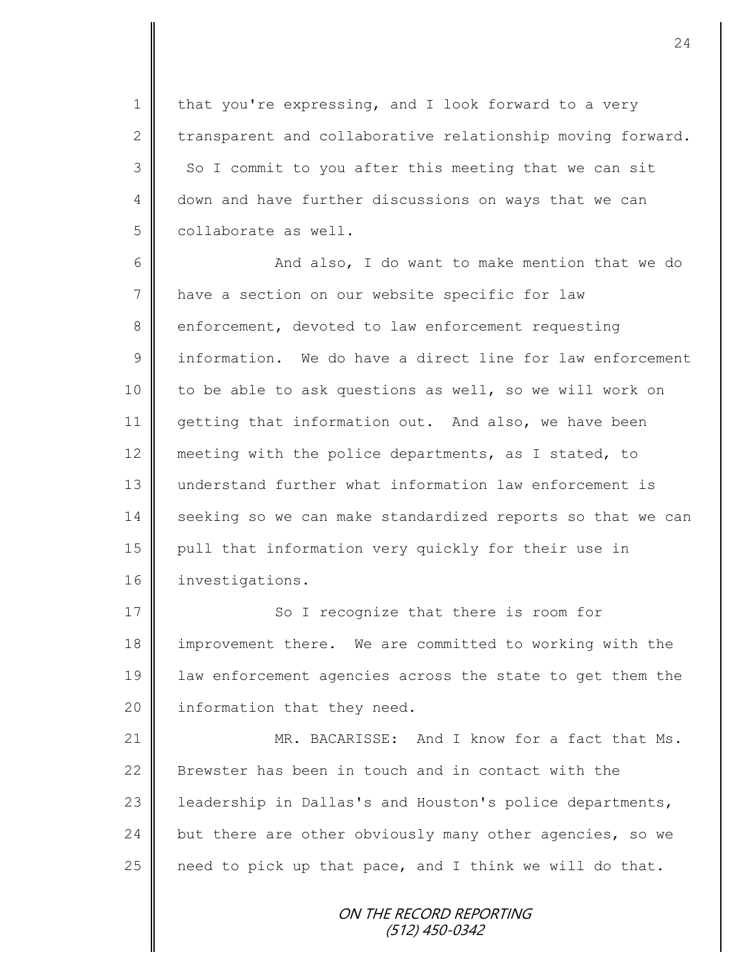1 | that you're expressing, and I look forward to a very  $2 \parallel$  transparent and collaborative relationship moving forward.  $3 \parallel$  So I commit to you after this meeting that we can sit 4 down and have further discussions on ways that we can 5 | collaborate as well.

6 || And also, I do want to make mention that we do 7 | have a section on our website specific for law 8 enforcement, devoted to law enforcement requesting 9 **i** information. We do have a direct line for law enforcement 10 | to be able to ask questions as well, so we will work on 11 getting that information out. And also, we have been 12 meeting with the police departments, as I stated, to 13 understand further what information law enforcement is 14 seeking so we can make standardized reports so that we can 15 pull that information very quickly for their use in 16 | investigations.

17 So I recognize that there is room for improvement there. We are committed to working with the law enforcement agencies across the state to get them the  $\parallel$  information that they need.

21 MR. BACARISSE: And I know for a fact that Ms. 22 Brewster has been in touch and in contact with the 23 | leadership in Dallas's and Houston's police departments, 24 but there are other obviously many other agencies, so we  $25$  | need to pick up that pace, and I think we will do that.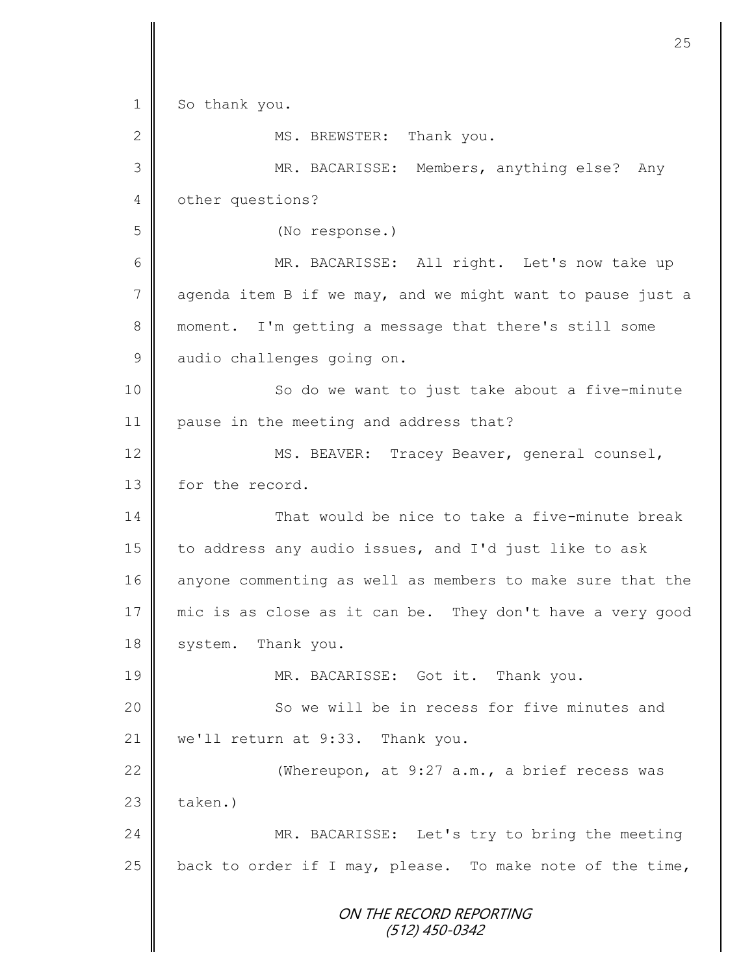ON THE RECORD REPORTING (512) 450-0342 1 So thank you. 2 MS. BREWSTER: Thank you. 3 MR. BACARISSE: Members, anything else? Any 4 | other questions? 5 (No response.) 6 MR. BACARISSE: All right. Let's now take up  $7 \parallel$  agenda item B if we may, and we might want to pause just a 8 moment. I'm getting a message that there's still some 9 audio challenges going on. 10 || So do we want to just take about a five-minute 11 | pause in the meeting and address that? 12 | MS. BEAVER: Tracey Beaver, general counsel, 13 for the record. 14 That would be nice to take a five-minute break 15  $\parallel$  to address any audio issues, and I'd just like to ask 16 anyone commenting as well as members to make sure that the 17 mic is as close as it can be. They don't have a very good 18 system. Thank you. 19 || MR. BACARISSE: Got it. Thank you. 20 || So we will be in recess for five minutes and 21 | we'll return at 9:33. Thank you. 22  $\parallel$  (Whereupon, at 9:27 a.m., a brief recess was  $23$   $\parallel$  taken.) 24 MR. BACARISSE: Let's try to bring the meeting 25  $\parallel$  back to order if I may, please. To make note of the time,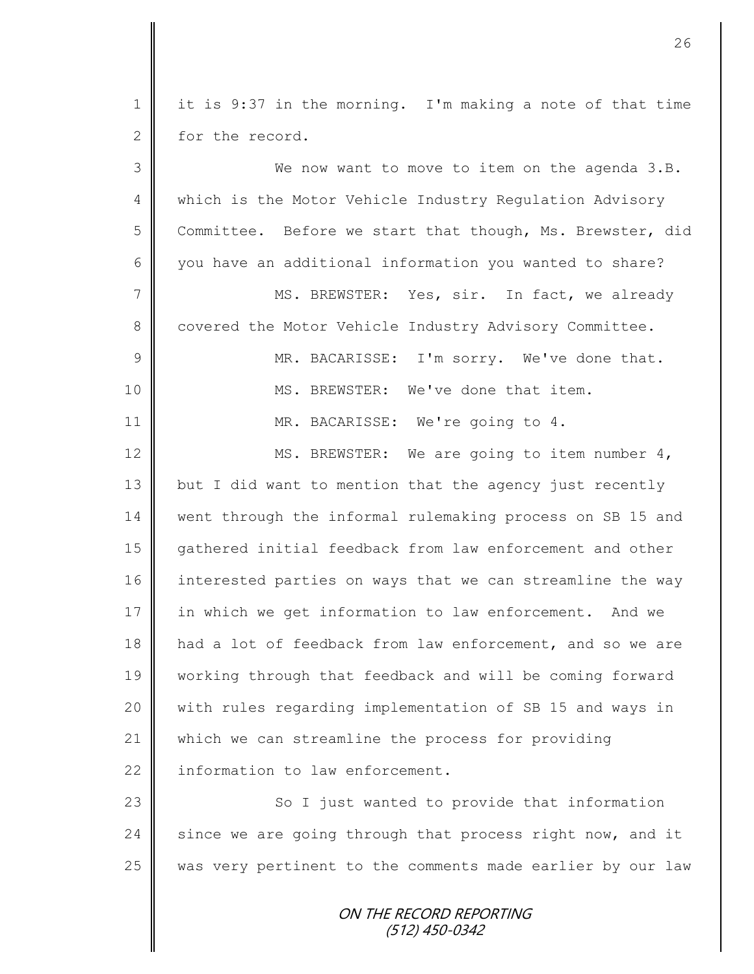| $\mathbf 1$    | it is 9:37 in the morning. I'm making a note of that time  |
|----------------|------------------------------------------------------------|
| $\mathbf{2}$   | for the record.                                            |
| 3              | We now want to move to item on the agenda 3.B.             |
| $\overline{4}$ | which is the Motor Vehicle Industry Regulation Advisory    |
| 5              | Committee. Before we start that though, Ms. Brewster, did  |
| 6              | you have an additional information you wanted to share?    |
| 7              | MS. BREWSTER: Yes, sir. In fact, we already                |
| 8              | covered the Motor Vehicle Industry Advisory Committee.     |
| $\mathcal{G}$  | MR. BACARISSE: I'm sorry. We've done that.                 |
| 10             | MS. BREWSTER: We've done that item.                        |
| 11             | MR. BACARISSE: We're going to 4.                           |
| 12             | MS. BREWSTER: We are going to item number 4,               |
| 13             | but I did want to mention that the agency just recently    |
| 14             | went through the informal rulemaking process on SB 15 and  |
| 15             | gathered initial feedback from law enforcement and other   |
| 16             | interested parties on ways that we can streamline the way  |
| $17$           | in which we get information to law enforcement. And we     |
| 18             | had a lot of feedback from law enforcement, and so we are  |
| 19             | working through that feedback and will be coming forward   |
| 20             | with rules regarding implementation of SB 15 and ways in   |
| 21             | which we can streamline the process for providing          |
| 22             | information to law enforcement.                            |
| 23             | So I just wanted to provide that information               |
| 24             | since we are going through that process right now, and it  |
| 25             | was very pertinent to the comments made earlier by our law |
|                | ON THE RECORD REPORTING<br>$(512)$ 450-0342                |

II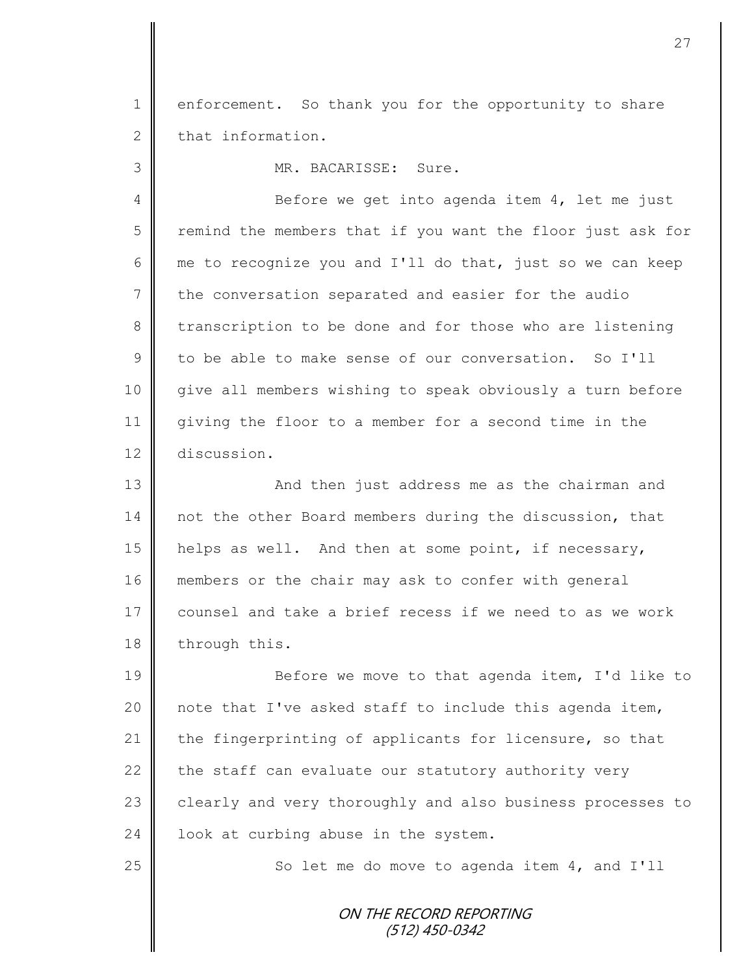1 enforcement. So thank you for the opportunity to share  $2 \parallel$  that information.

3 MR. BACARISSE: Sure.

4 Before we get into agenda item 4, let me just  $5 \parallel$  remind the members that if you want the floor just ask for 6 me to recognize you and I'll do that, just so we can keep 7 the conversation separated and easier for the audio 8 transcription to be done and for those who are listening 9 to be able to make sense of our conversation. So I'll 10 give all members wishing to speak obviously a turn before 11 giving the floor to a member for a second time in the 12 discussion.

13 || And then just address me as the chairman and 14 not the other Board members during the discussion, that 15 helps as well. And then at some point, if necessary, 16 members or the chair may ask to confer with general 17 | counsel and take a brief recess if we need to as we work 18 through this.

19 Before we move to that agenda item, I'd like to 20  $\parallel$  note that I've asked staff to include this agenda item, 21 the fingerprinting of applicants for licensure, so that 22 the staff can evaluate our statutory authority very 23 clearly and very thoroughly and also business processes to 24  $\parallel$  look at curbing abuse in the system.

 $25$   $\parallel$  So let me do move to agenda item 4, and I'll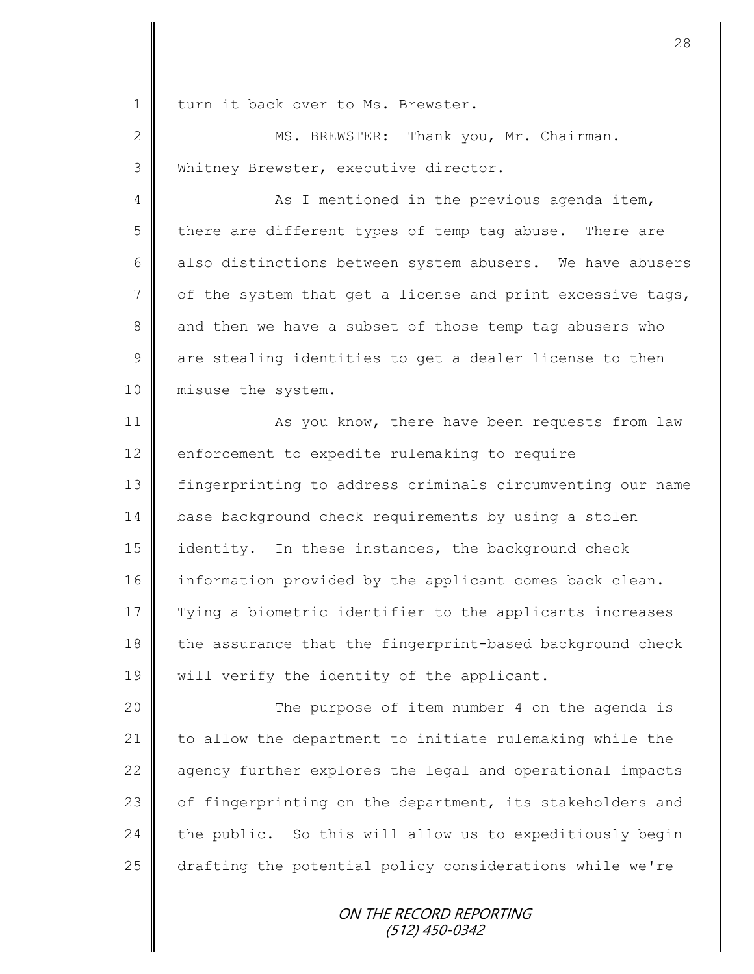1 | turn it back over to Ms. Brewster.

2 MS. BREWSTER: Thank you, Mr. Chairman. 3 Whitney Brewster, executive director.

4 As I mentioned in the previous agenda item, 5 there are different types of temp tag abuse. There are 6 also distinctions between system abusers. We have abusers  $7 \parallel$  of the system that get a license and print excessive tags, 8 and then we have a subset of those temp tag abusers who  $9 \parallel$  are stealing identities to get a dealer license to then 10 | misuse the system.

11 **As you know, there have been requests from law** 12 enforcement to expedite rulemaking to require 13 fingerprinting to address criminals circumventing our name 14 base background check requirements by using a stolen 15 | identity. In these instances, the background check 16 information provided by the applicant comes back clean. 17 Tying a biometric identifier to the applicants increases 18 the assurance that the fingerprint-based background check 19 || will verify the identity of the applicant.

20 || The purpose of item number 4 on the agenda is 21  $\parallel$  to allow the department to initiate rulemaking while the 22 agency further explores the legal and operational impacts 23 | of fingerprinting on the department, its stakeholders and  $24$  the public. So this will allow us to expeditiously begin 25 drafting the potential policy considerations while we're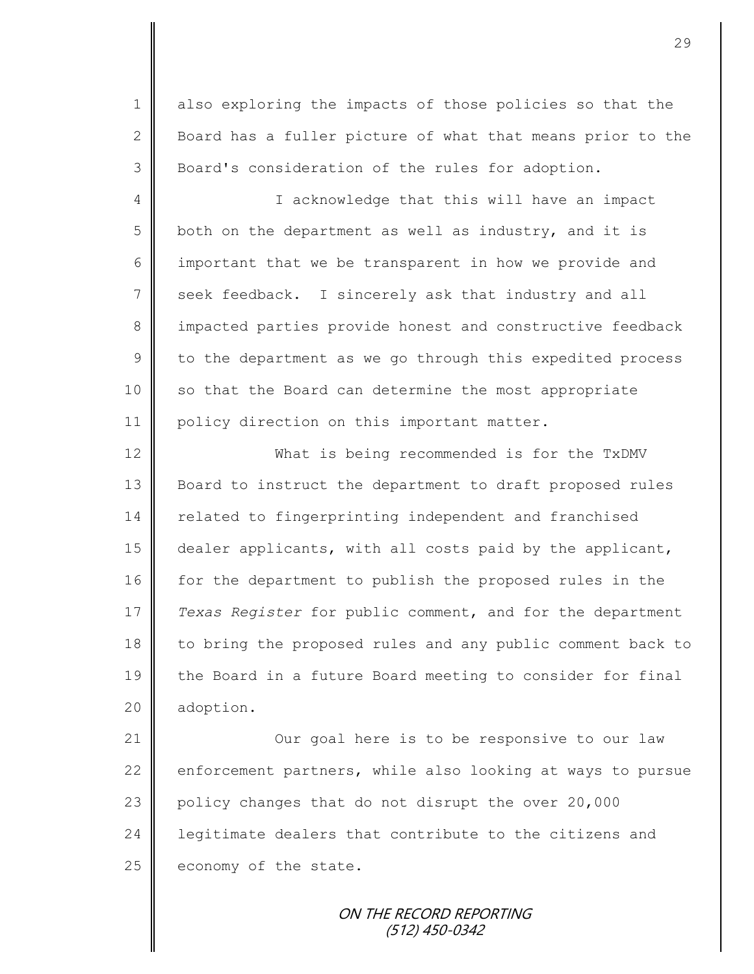1 also exploring the impacts of those policies so that the 2 | Board has a fuller picture of what that means prior to the 3 Board's consideration of the rules for adoption.

4 || I acknowledge that this will have an impact 5 both on the department as well as industry, and it is 6 important that we be transparent in how we provide and 7 seek feedback. I sincerely ask that industry and all 8 impacted parties provide honest and constructive feedback  $9 \parallel$  to the department as we go through this expedited process 10 so that the Board can determine the most appropriate 11 | policy direction on this important matter.

12 What is being recommended is for the TxDMV 13 **Board to instruct the department to draft proposed rules** 14 | related to fingerprinting independent and franchised 15 dealer applicants, with all costs paid by the applicant, 16 for the department to publish the proposed rules in the 17 *Texas Register* for public comment, and for the department 18 to bring the proposed rules and any public comment back to 19 | the Board in a future Board meeting to consider for final 20 | adoption.

21 | Cur goal here is to be responsive to our law 22 enforcement partners, while also looking at ways to pursue 23 policy changes that do not disrupt the over 20,000 24 **l** legitimate dealers that contribute to the citizens and 25 economy of the state.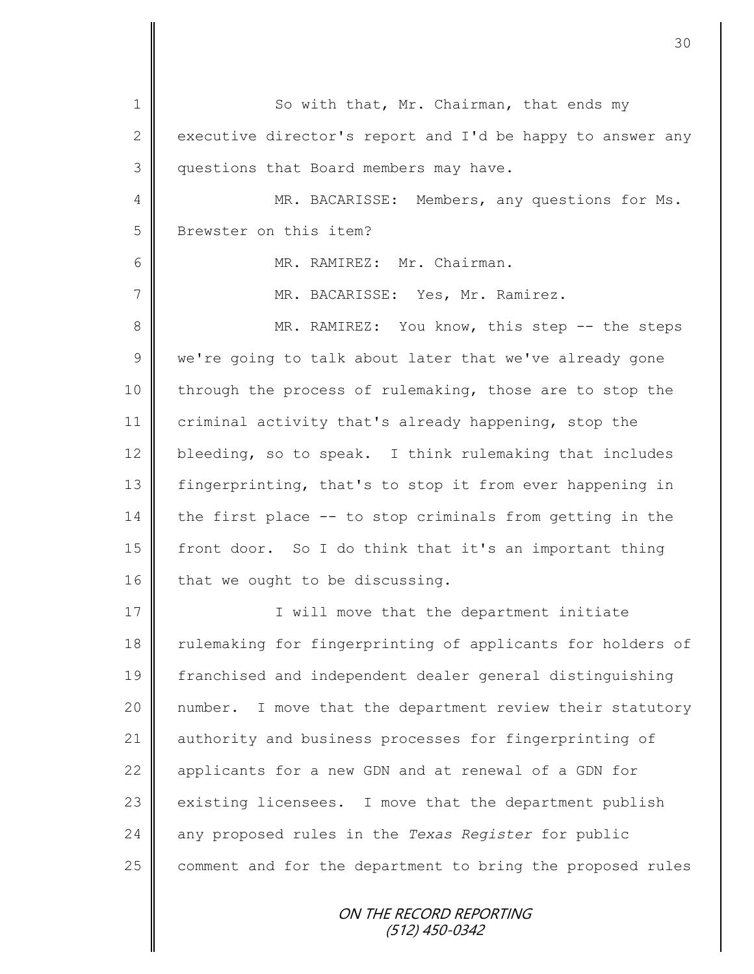ON THE RECORD REPORTING 1 So with that, Mr. Chairman, that ends my 2 executive director's report and I'd be happy to answer any 3 | questions that Board members may have. 4 || MR. BACARISSE: Members, any questions for Ms. 5 Brewster on this item? 6 MR. RAMIREZ: Mr. Chairman. 7 || MR. BACARISSE: Yes, Mr. Ramirez. 8 || MR. RAMIREZ: You know, this step -- the steps  $9 \parallel$  we're going to talk about later that we've already gone 10 through the process of rulemaking, those are to stop the 11 criminal activity that's already happening, stop the 12 bleeding, so to speak. I think rulemaking that includes 13 fingerprinting, that's to stop it from ever happening in  $14$  the first place -- to stop criminals from getting in the 15 front door. So I do think that it's an important thing 16 that we ought to be discussing. 17 | T will move that the department initiate 18 Tulemaking for fingerprinting of applicants for holders of 19 franchised and independent dealer general distinguishing 20 number. I move that the department review their statutory 21 authority and business processes for fingerprinting of 22 || applicants for a new GDN and at renewal of a GDN for 23 existing licensees. I move that the department publish 24 any proposed rules in the *Texas Register* for public  $25$  comment and for the department to bring the proposed rules

30

(512) 450-0342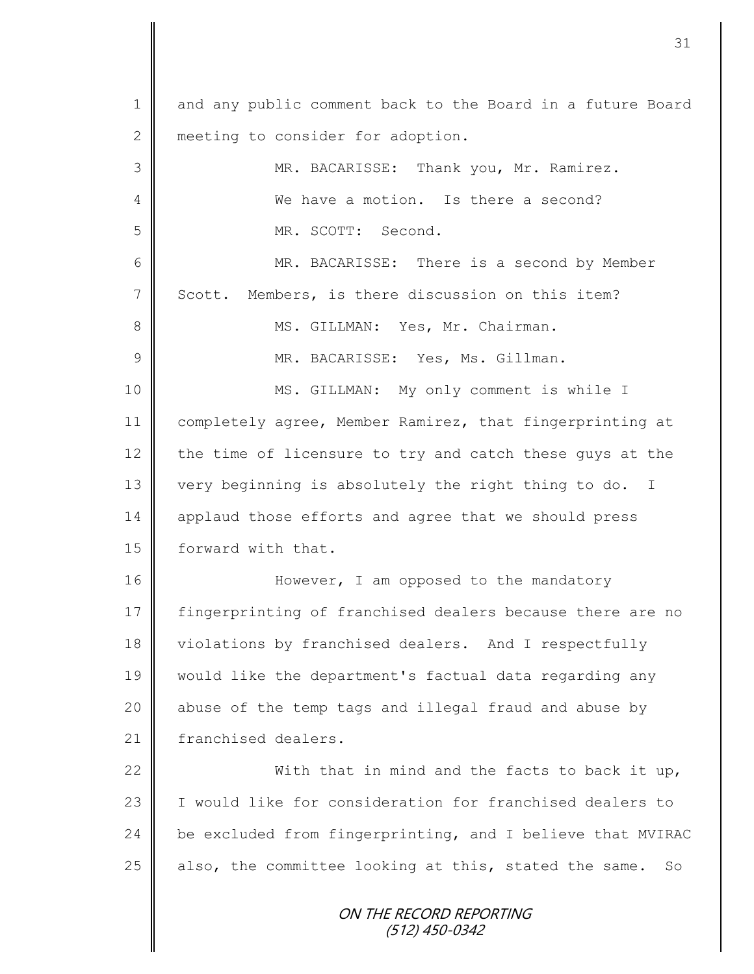ON THE RECORD REPORTING (512) 450-0342 1 and any public comment back to the Board in a future Board 2 meeting to consider for adoption. 3 MR. BACARISSE: Thank you, Mr. Ramirez. 4 We have a motion. Is there a second? 5 MR. SCOTT: Second. 6 MR. BACARISSE: There is a second by Member 7 Scott. Members, is there discussion on this item? 8 || MS. GILLMAN: Yes, Mr. Chairman. 9 || MR. BACARISSE: Yes, Ms. Gillman. 10 || MS. GILLMAN: My only comment is while I 11 completely agree, Member Ramirez, that fingerprinting at 12  $\parallel$  the time of licensure to try and catch these guys at the 13 very beginning is absolutely the right thing to do. I 14 applaud those efforts and agree that we should press 15 | forward with that. 16 | However, I am opposed to the mandatory 17 fingerprinting of franchised dealers because there are no 18 | violations by franchised dealers. And I respectfully 19 would like the department's factual data regarding any 20 || abuse of the temp tags and illegal fraud and abuse by 21 | franchised dealers. 22  $\parallel$  With that in mind and the facts to back it up, 23 | I would like for consideration for franchised dealers to 24 be excluded from fingerprinting, and I believe that MVIRAC  $25$  also, the committee looking at this, stated the same. So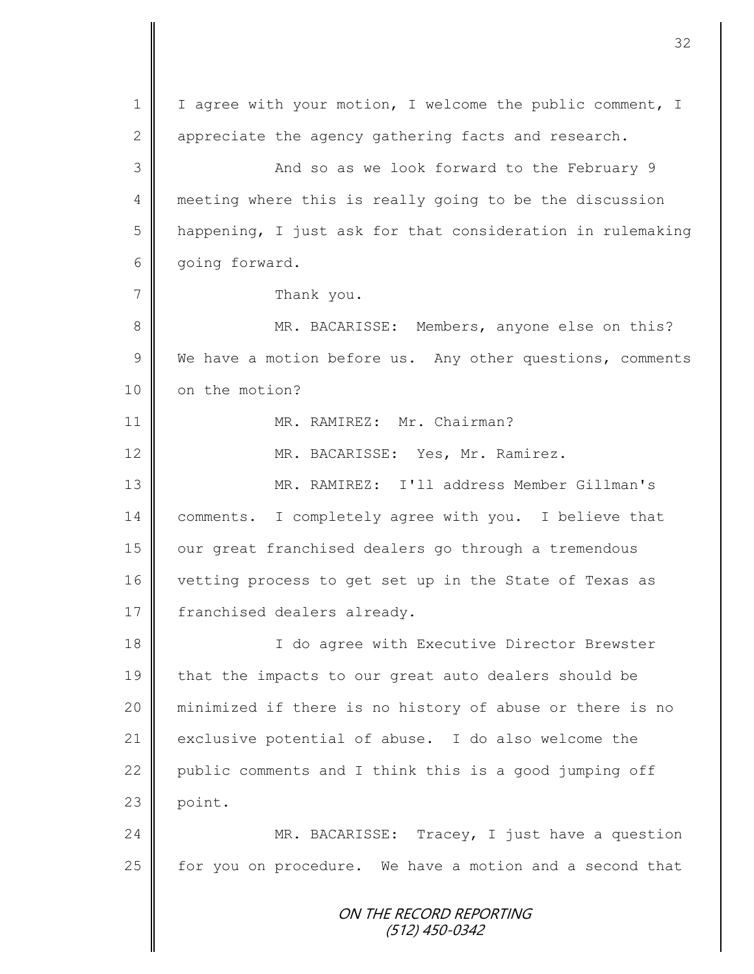ON THE RECORD REPORTING (512) 450-0342 1 | I agree with your motion, I welcome the public comment, I 2  $\parallel$  appreciate the agency gathering facts and research. 3 || And so as we look forward to the February 9 4 meeting where this is really going to be the discussion  $5$  | happening, I just ask for that consideration in rulemaking 6 | going forward. 7 | Thank you. 8 MR. BACARISSE: Members, anyone else on this?  $9 \parallel$  We have a motion before us. Any other questions, comments 10 | on the motion? 11 || MR. RAMIREZ: Mr. Chairman? 12 | MR. BACARISSE: Yes, Mr. Ramirez. 13 MR. RAMIREZ: I'll address Member Gillman's 14 | comments. I completely agree with you. I believe that 15 | our great franchised dealers go through a tremendous 16 vetting process to get set up in the State of Texas as 17 | franchised dealers already. 18 | Communist Communist Communist Communist Communist Communist Communist Communist Communist Communist Communist Communist Communist Communist Communist Communist Communist Communist Communist Communist Communist Communi 19 that the impacts to our great auto dealers should be 20 minimized if there is no history of abuse or there is no 21 exclusive potential of abuse. I do also welcome the 22 public comments and I think this is a good jumping off  $23$  point. 24 MR. BACARISSE: Tracey, I just have a question 25 | for you on procedure. We have a motion and a second that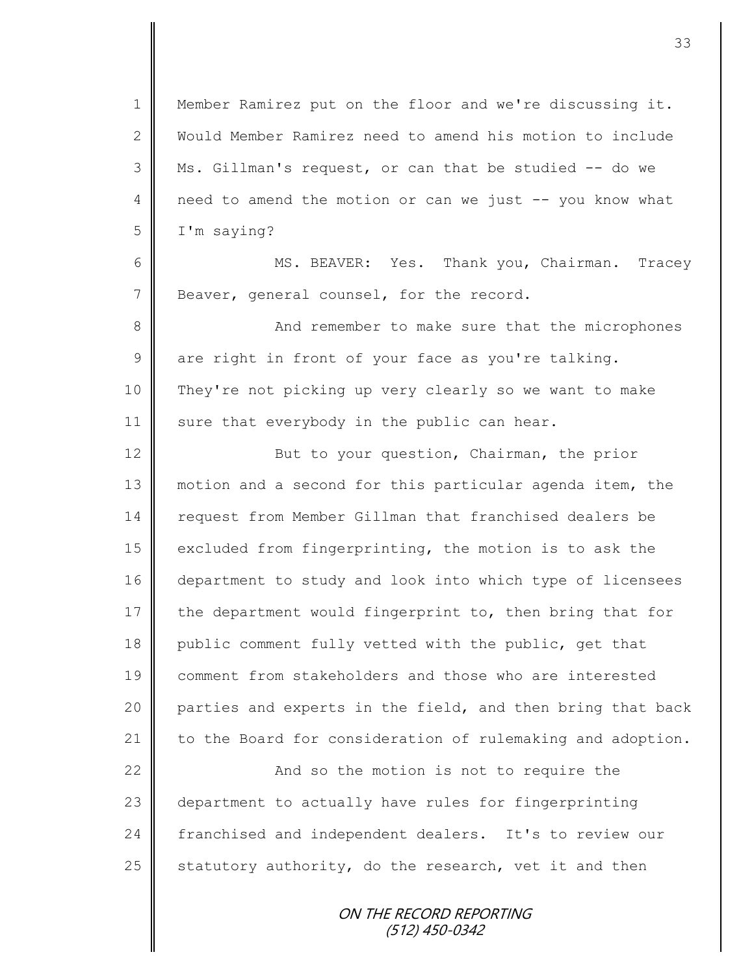Member Ramirez put on the floor and we're discussing it. Would Member Ramirez need to amend his motion to include Ms. Gillman's request, or can that be studied -- do we 4 need to amend the motion or can we just -- you know what I'm saying?

6 MS. BEAVER: Yes. Thank you, Chairman. Tracey 7 Beaver, general counsel, for the record.

8 And remember to make sure that the microphones  $9 \parallel$  are right in front of your face as you're talking. 10 They're not picking up very clearly so we want to make 11  $\parallel$  sure that everybody in the public can hear.

12 | But to your question, Chairman, the prior 13 || motion and a second for this particular agenda item, the 14 request from Member Gillman that franchised dealers be 15 excluded from fingerprinting, the motion is to ask the 16 department to study and look into which type of licensees 17  $\parallel$  the department would fingerprint to, then bring that for 18 | public comment fully vetted with the public, get that 19 comment from stakeholders and those who are interested 20 parties and experts in the field, and then bring that back 21  $\parallel$  to the Board for consideration of rulemaking and adoption.

22 | And so the motion is not to require the 23 department to actually have rules for fingerprinting 24 franchised and independent dealers. It's to review our 25  $\parallel$  statutory authority, do the research, vet it and then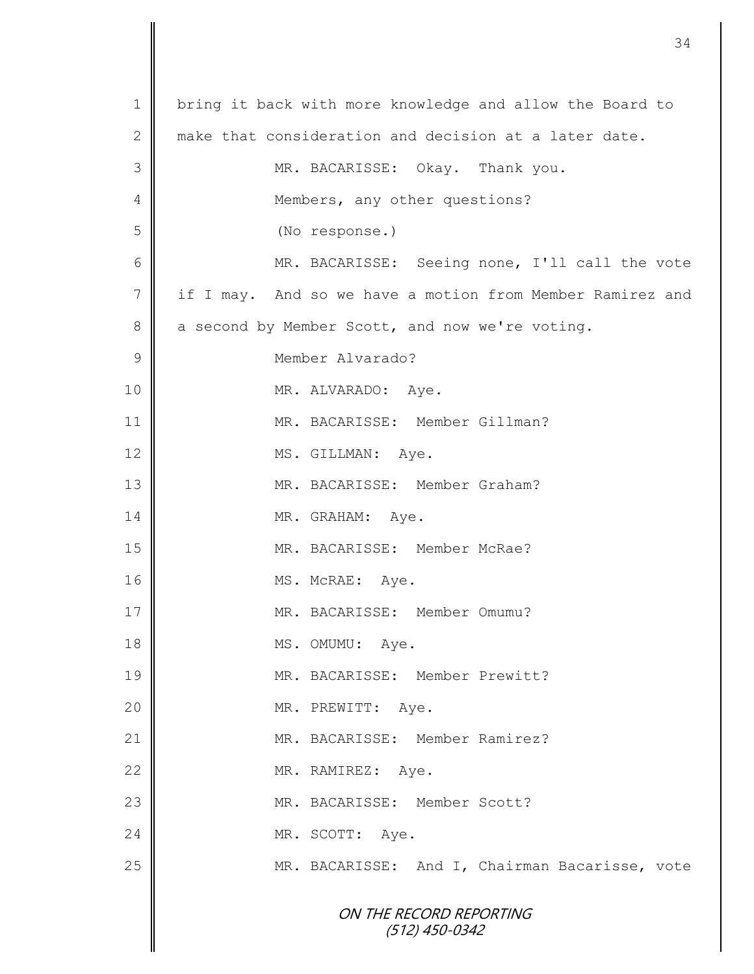|                | 34                                                        |
|----------------|-----------------------------------------------------------|
|                |                                                           |
| $\mathbf 1$    | bring it back with more knowledge and allow the Board to  |
| 2              | make that consideration and decision at a later date.     |
| 3              | MR. BACARISSE: Okay. Thank you.                           |
| 4              | Members, any other questions?                             |
| 5              | (No response.)                                            |
| 6              | MR. BACARISSE: Seeing none, I'll call the vote            |
| $\overline{7}$ | if I may. And so we have a motion from Member Ramirez and |
| 8              | a second by Member Scott, and now we're voting.           |
| $\mathcal{G}$  | Member Alvarado?                                          |
| $10$           | MR. ALVARADO: Aye.                                        |
| 11             | MR. BACARISSE: Member Gillman?                            |
| 12             | MS. GILLMAN: Aye.                                         |
| 13             | MR. BACARISSE: Member Graham?                             |
| 14             | MR. GRAHAM: Aye.                                          |
| 15             | MR. BACARISSE: Member McRae?                              |
| 16             | MS. McRAE: Aye.                                           |
| 17             | MR. BACARISSE: Member Omumu?                              |
| 18             | MS. OMUMU: Aye.                                           |
| 19             | MR. BACARISSE: Member Prewitt?                            |
| 20             | MR. PREWITT: Aye.                                         |
| 21             | MR. BACARISSE: Member Ramirez?                            |
| 22             | MR. RAMIREZ: Aye.                                         |
| 23             | MR. BACARISSE: Member Scott?                              |
| 24             | MR. SCOTT: Aye.                                           |
| 25             | MR. BACARISSE: And I, Chairman Bacarisse, vote            |
|                |                                                           |
|                | ON THE RECORD REPORTING<br>$(512)$ 450-0342               |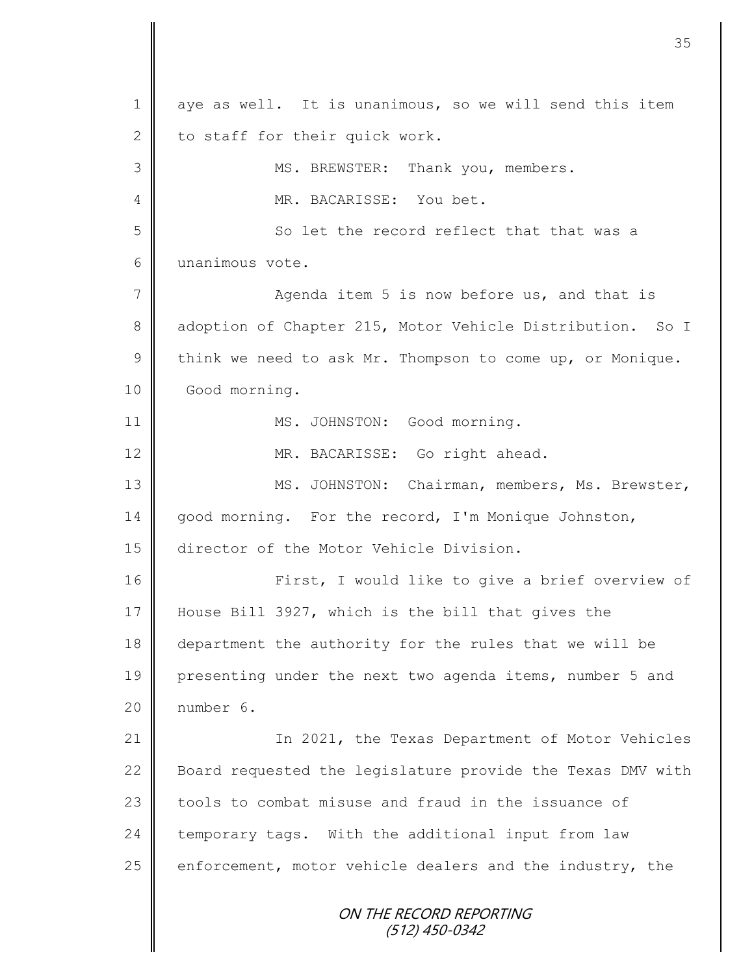ON THE RECORD REPORTING (512) 450-0342 1 aye as well. It is unanimous, so we will send this item 2 to staff for their quick work. 3 || MS. BREWSTER: Thank you, members. 4 MR. BACARISSE: You bet. 5 So let the record reflect that that was a 6 unanimous vote. 7 || Agenda item 5 is now before us, and that is 8 adoption of Chapter 215, Motor Vehicle Distribution. So I 9 think we need to ask Mr. Thompson to come up, or Monique. 10 Good morning. 11 || MS. JOHNSTON: Good morning. 12 || MR. BACARISSE: Go right ahead. 13 || MS. JOHNSTON: Chairman, members, Ms. Brewster, 14 | good morning. For the record, I'm Monique Johnston, 15 director of the Motor Vehicle Division. 16 | First, I would like to give a brief overview of 17 House Bill 3927, which is the bill that gives the 18 department the authority for the rules that we will be 19 presenting under the next two agenda items, number 5 and 20 number 6. 21 | The 2021, the Texas Department of Motor Vehicles 22 Board requested the legislature provide the Texas DMV with 23 tools to combat misuse and fraud in the issuance of 24 temporary tags. With the additional input from law 25  $\parallel$  enforcement, motor vehicle dealers and the industry, the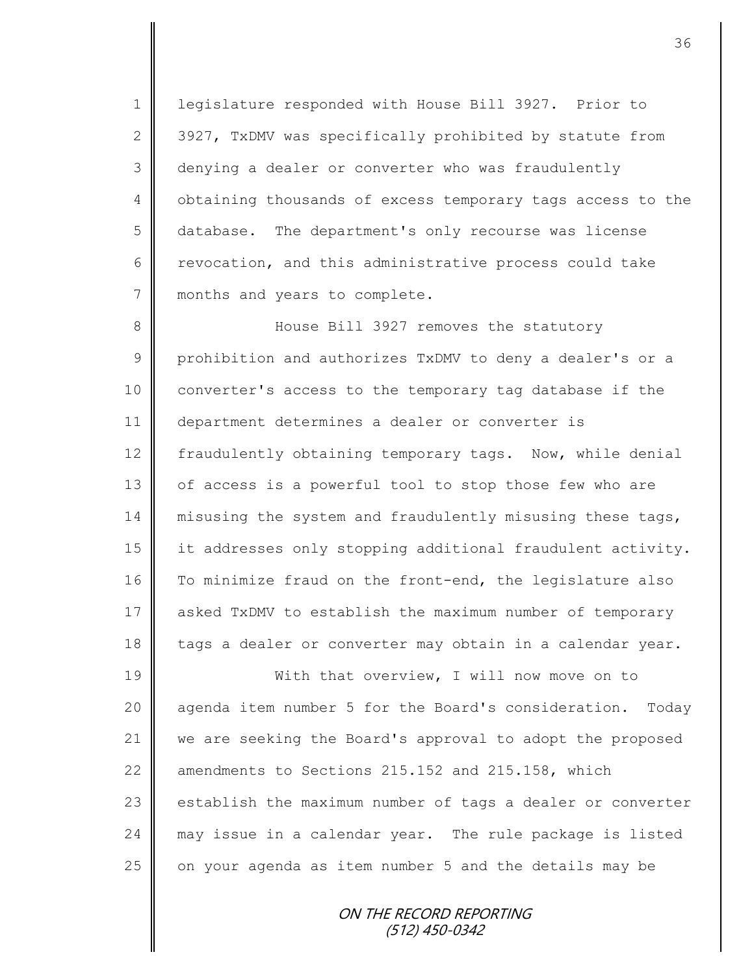1 | legislature responded with House Bill 3927. Prior to 2  $\parallel$  3927, TxDMV was specifically prohibited by statute from 3 denying a dealer or converter who was fraudulently 4 | obtaining thousands of excess temporary tags access to the 5 database. The department's only recourse was license 6 Tevocation, and this administrative process could take 7 || months and years to complete.

8 House Bill 3927 removes the statutory 9 prohibition and authorizes TxDMV to deny a dealer's or a 10 converter's access to the temporary tag database if the 11 department determines a dealer or converter is 12 fraudulently obtaining temporary tags. Now, while denial 13 | of access is a powerful tool to stop those few who are 14 misusing the system and fraudulently misusing these tags, 15 | it addresses only stopping additional fraudulent activity. 16 To minimize fraud on the front-end, the legislature also 17 asked TxDMV to establish the maximum number of temporary 18 | tags a dealer or converter may obtain in a calendar year.

19 With that overview, I will now move on to 20 | agenda item number 5 for the Board's consideration. Today 21 we are seeking the Board's approval to adopt the proposed 22  $\parallel$  amendments to Sections 215.152 and 215.158, which 23 establish the maximum number of tags a dealer or converter 24 may issue in a calendar year. The rule package is listed  $25$  on your agenda as item number 5 and the details may be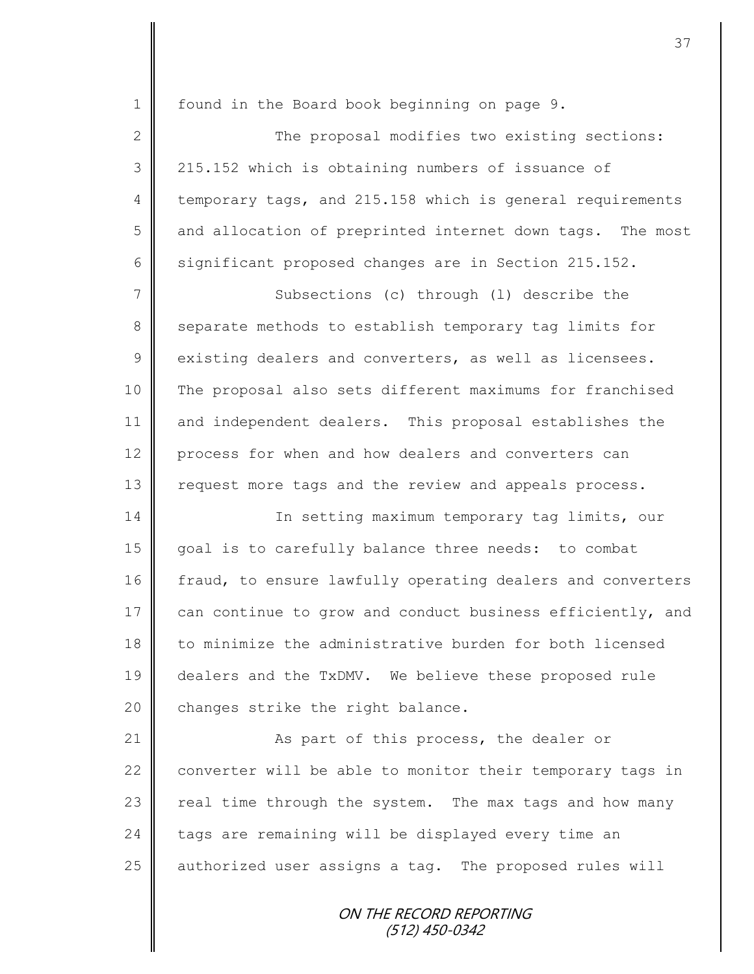| $\mathbf 1$    | found in the Board book beginning on page 9.               |
|----------------|------------------------------------------------------------|
| $\mathbf{2}$   | The proposal modifies two existing sections:               |
| 3              | 215.152 which is obtaining numbers of issuance of          |
| $\overline{4}$ | temporary tags, and 215.158 which is general requirements  |
| 5              | and allocation of preprinted internet down tags. The most  |
| 6              | significant proposed changes are in Section 215.152.       |
| 7              | Subsections (c) through (1) describe the                   |
| 8              | separate methods to establish temporary tag limits for     |
| $\mathcal{G}$  | existing dealers and converters, as well as licensees.     |
| 10             | The proposal also sets different maximums for franchised   |
| 11             | and independent dealers. This proposal establishes the     |
| 12             | process for when and how dealers and converters can        |
| 13             | request more tags and the review and appeals process.      |
| 14             | In setting maximum temporary tag limits, our               |
| 15             | goal is to carefully balance three needs: to combat        |
| 16             | fraud, to ensure lawfully operating dealers and converters |
| 17             | can continue to grow and conduct business efficiently, and |
| 18             | to minimize the administrative burden for both licensed    |
| 19             | dealers and the TxDMV. We believe these proposed rule      |
| 20             | changes strike the right balance.                          |
| 21             | As part of this process, the dealer or                     |
| 22             | converter will be able to monitor their temporary tags in  |
| 23             | real time through the system. The max tags and how many    |
| 24             | tags are remaining will be displayed every time an         |
| 25             | authorized user assigns a tag. The proposed rules will     |
|                | ON THE RECORD REPORTING<br>$(512)$ 450-0342                |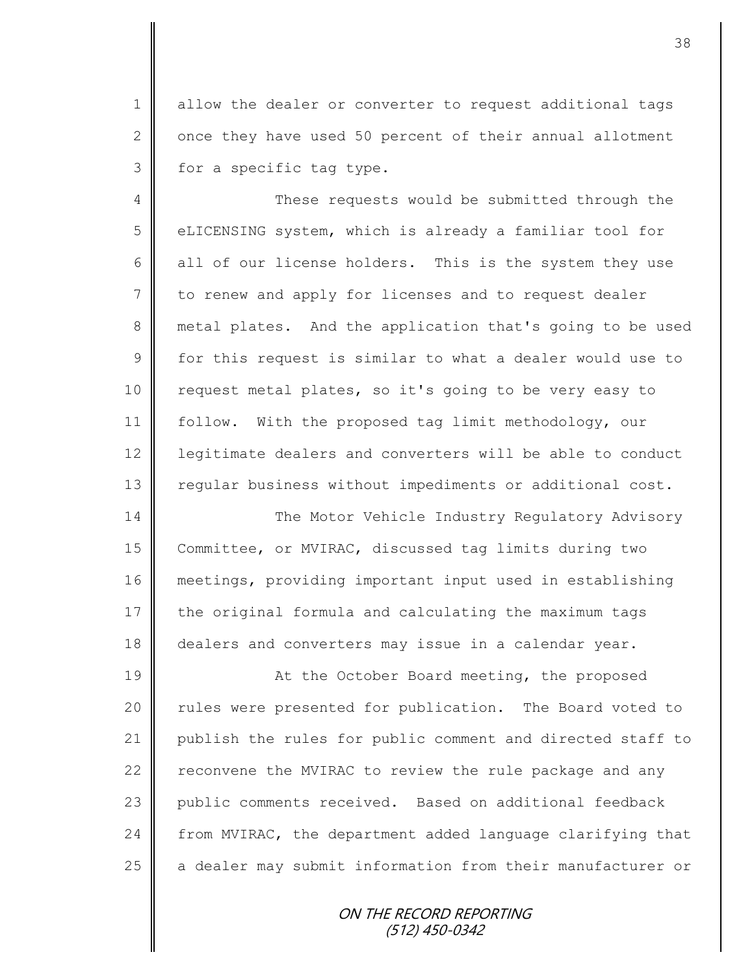1 | allow the dealer or converter to request additional tags  $2 \parallel$  once they have used 50 percent of their annual allotment  $3 \parallel$  for a specific tag type.

4 || These requests would be submitted through the 5 | eLICENSING system, which is already a familiar tool for 6 all of our license holders. This is the system they use 7 to renew and apply for licenses and to request dealer 8 metal plates. And the application that's going to be used  $9 \parallel$  for this request is similar to what a dealer would use to 10 | request metal plates, so it's going to be very easy to 11 follow. With the proposed tag limit methodology, our 12 | legitimate dealers and converters will be able to conduct 13 | regular business without impediments or additional cost.

14 The Motor Vehicle Industry Regulatory Advisory 15 Committee, or MVIRAC, discussed tag limits during two 16 meetings, providing important input used in establishing  $17$  the original formula and calculating the maximum tags 18 dealers and converters may issue in a calendar year.

19 || At the October Board meeting, the proposed 20 || rules were presented for publication. The Board voted to 21 publish the rules for public comment and directed staff to 22 reconvene the MVIRAC to review the rule package and any 23 public comments received. Based on additional feedback 24  $\parallel$  from MVIRAC, the department added language clarifying that  $25$  a dealer may submit information from their manufacturer or

> ON THE RECORD REPORTING (512) 450-0342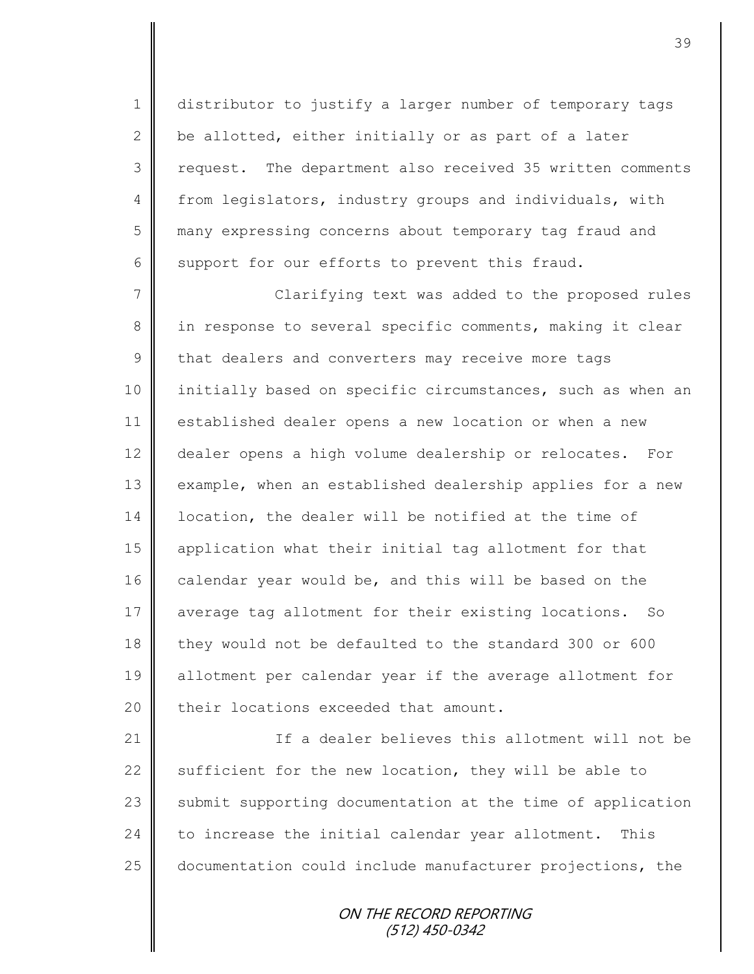1 distributor to justify a larger number of temporary tags 2  $\parallel$  be allotted, either initially or as part of a later 3 || request. The department also received 35 written comments 4 from legislators, industry groups and individuals, with 5 many expressing concerns about temporary tag fraud and 6 support for our efforts to prevent this fraud.

7 || Clarifying text was added to the proposed rules 8 in response to several specific comments, making it clear  $9 \parallel$  that dealers and converters may receive more tags 10 initially based on specific circumstances, such as when an 11 established dealer opens a new location or when a new 12 dealer opens a high volume dealership or relocates. For 13 example, when an established dealership applies for a new 14 | location, the dealer will be notified at the time of 15 application what their initial tag allotment for that 16 calendar year would be, and this will be based on the 17 average tag allotment for their existing locations. So 18 they would not be defaulted to the standard 300 or 600 19 allotment per calendar year if the average allotment for 20  $\parallel$  their locations exceeded that amount.

21 | Chamber 1 If a dealer believes this allotment will not be 22  $\parallel$  sufficient for the new location, they will be able to 23 Submit supporting documentation at the time of application  $24$  to increase the initial calendar year allotment. This 25 documentation could include manufacturer projections, the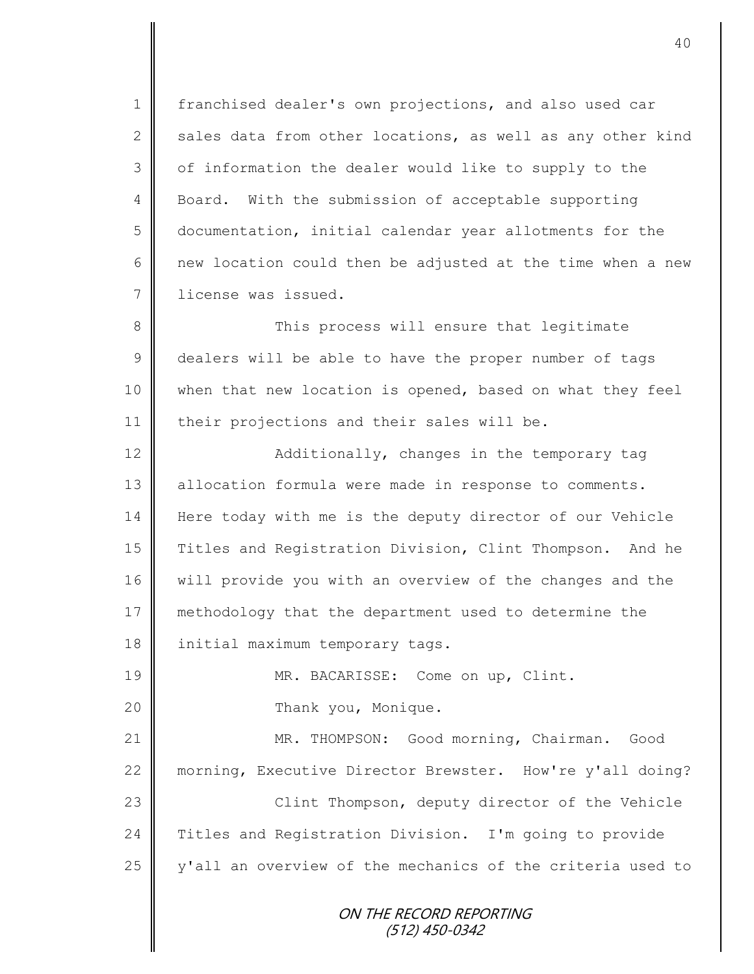1 | franchised dealer's own projections, and also used car 2 sales data from other locations, as well as any other kind  $3 \parallel$  of information the dealer would like to supply to the 4 Board. With the submission of acceptable supporting 5 documentation, initial calendar year allotments for the 6  $\parallel$  new location could then be adjusted at the time when a new 7 license was issued.

8 || This process will ensure that legitimate 9 dealers will be able to have the proper number of tags 10 when that new location is opened, based on what they feel 11 | their projections and their sales will be.

12 | Additionally, changes in the temporary tag 13 | allocation formula were made in response to comments. 14 Here today with me is the deputy director of our Vehicle 15 Titles and Registration Division, Clint Thompson. And he 16 | will provide you with an overview of the changes and the 17 methodology that the department used to determine the 18 | initial maximum temporary tags.

19 || MR. BACARISSE: Come on up, Clint.

20 | Thank you, Monique.

21 MR. THOMPSON: Good morning, Chairman. Good 22 morning, Executive Director Brewster. How're y'all doing? 23 || Clint Thompson, deputy director of the Vehicle

24 Titles and Registration Division. I'm going to provide 25  $\parallel$  y'all an overview of the mechanics of the criteria used to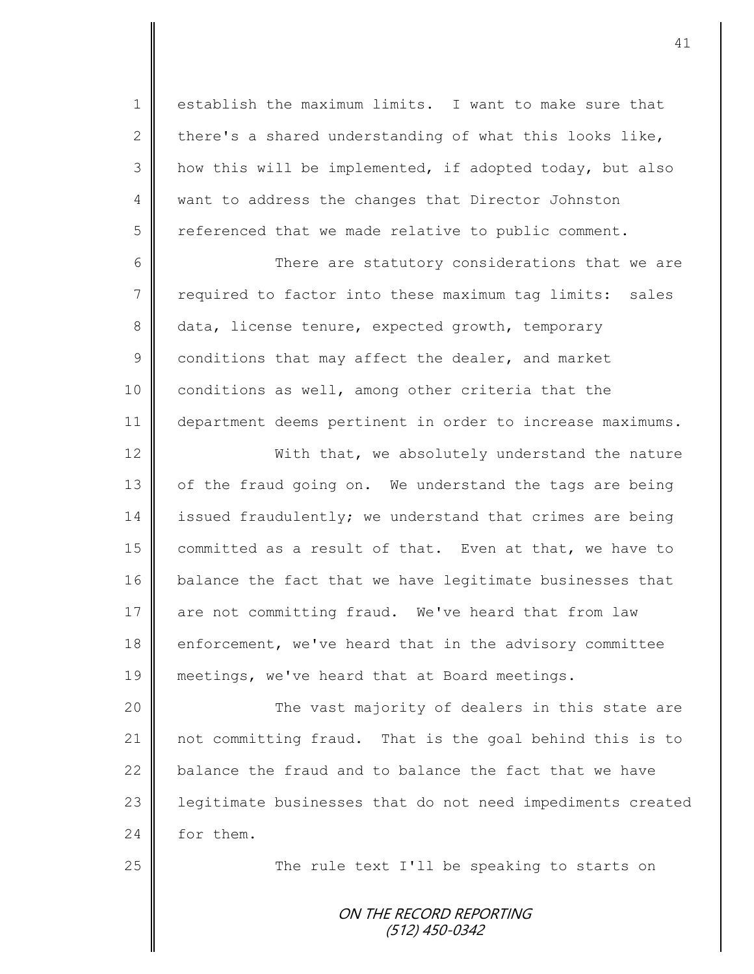1 | establish the maximum limits. I want to make sure that 2 there's a shared understanding of what this looks like, 3 | how this will be implemented, if adopted today, but also 4 want to address the changes that Director Johnston  $5 \parallel$  referenced that we made relative to public comment.

6 There are statutory considerations that we are 7 required to factor into these maximum tag limits: sales 8 data, license tenure, expected growth, temporary  $9 \parallel$  conditions that may affect the dealer, and market 10 conditions as well, among other criteria that the 11 | department deems pertinent in order to increase maximums.

12 With that, we absolutely understand the nature 13 | of the fraud going on. We understand the tags are being 14 issued fraudulently; we understand that crimes are being 15 committed as a result of that. Even at that, we have to 16 balance the fact that we have legitimate businesses that 17 are not committing fraud. We've heard that from law 18 enforcement, we've heard that in the advisory committee 19 meetings, we've heard that at Board meetings.

20 The vast majority of dealers in this state are 21 not committing fraud. That is the goal behind this is to 22 balance the fraud and to balance the fact that we have 23 | legitimate businesses that do not need impediments created 24 for them.

25 || The rule text I'll be speaking to starts on

ON THE RECORD REPORTING (512) 450-0342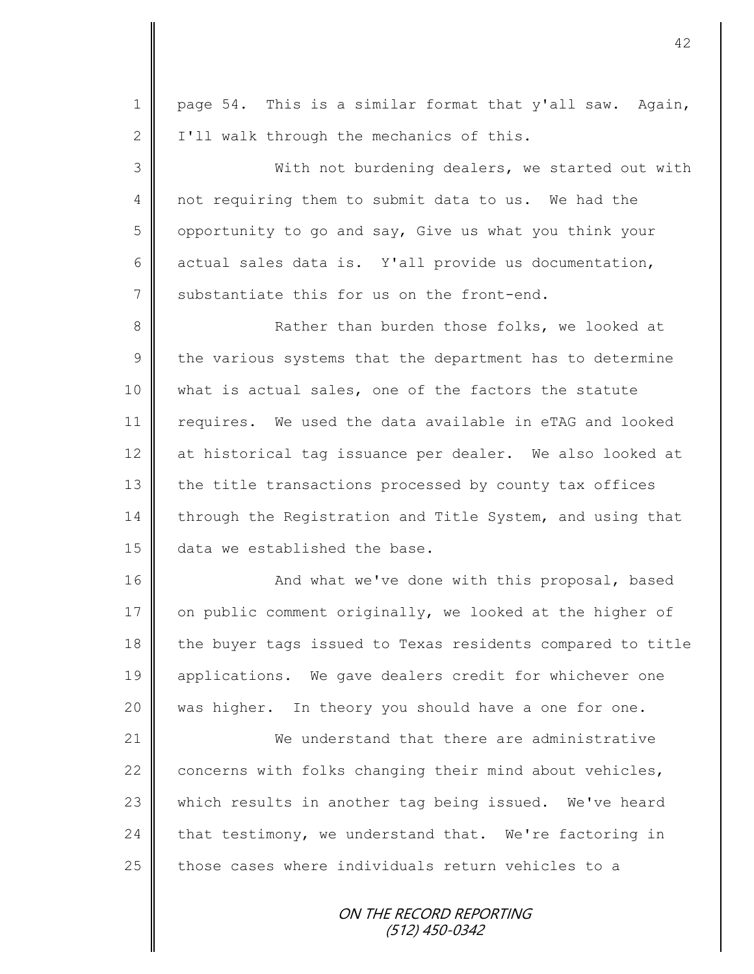1 | page 54. This is a similar format that y'all saw. Again,  $2 \parallel$  I'll walk through the mechanics of this. 3 || With not burdening dealers, we started out with 4 not requiring them to submit data to us. We had the 5 | opportunity to go and say, Give us what you think your 6 actual sales data is. Y'all provide us documentation, 7 Substantiate this for us on the front-end. 8 **Rather than burden those folks, we looked at**  $9 \parallel$  the various systems that the department has to determine 10 what is actual sales, one of the factors the statute 11 | requires. We used the data available in eTAG and looked 12 at historical tag issuance per dealer. We also looked at 13 the title transactions processed by county tax offices 14 through the Registration and Title System, and using that 15 data we established the base. 16 | And what we've done with this proposal, based 17  $\parallel$  on public comment originally, we looked at the higher of

18 the buyer tags issued to Texas residents compared to title 19 || applications. We gave dealers credit for whichever one 20 was higher. In theory you should have a one for one.

21 We understand that there are administrative 22  $\parallel$  concerns with folks changing their mind about vehicles, 23 which results in another tag being issued. We've heard 24 that testimony, we understand that. We're factoring in 25 those cases where individuals return vehicles to a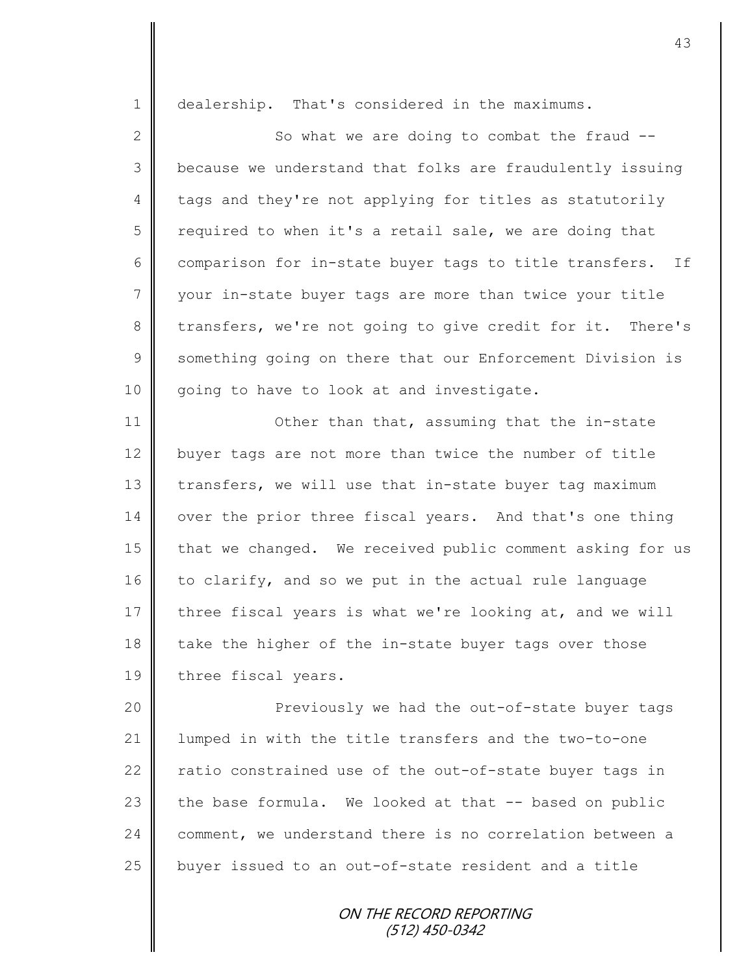1 | dealership. That's considered in the maximums.

2  $\parallel$  So what we are doing to combat the fraud  $-$ 3 | because we understand that folks are fraudulently issuing 4 tags and they're not applying for titles as statutorily  $5 \parallel$  required to when it's a retail sale, we are doing that 6 comparison for in-state buyer tags to title transfers. If 7 || your in-state buyer tags are more than twice your title 8 transfers, we're not going to give credit for it. There's 9 Something going on there that our Enforcement Division is 10 || going to have to look at and investigate.

11 **Deta** 11 Other than that, assuming that the in-state 12 buyer tags are not more than twice the number of title 13 transfers, we will use that in-state buyer tag maximum 14 | over the prior three fiscal years. And that's one thing 15 that we changed. We received public comment asking for us  $16$  to clarify, and so we put in the actual rule language 17 three fiscal years is what we're looking at, and we will 18 take the higher of the in-state buyer tags over those 19 | three fiscal years.

20 || Previously we had the out-of-state buyer tags 21 | lumped in with the title transfers and the two-to-one 22  $\parallel$  ratio constrained use of the out-of-state buyer tags in 23 the base formula. We looked at that  $-$ - based on public 24 comment, we understand there is no correlation between a 25  $\parallel$  buyer issued to an out-of-state resident and a title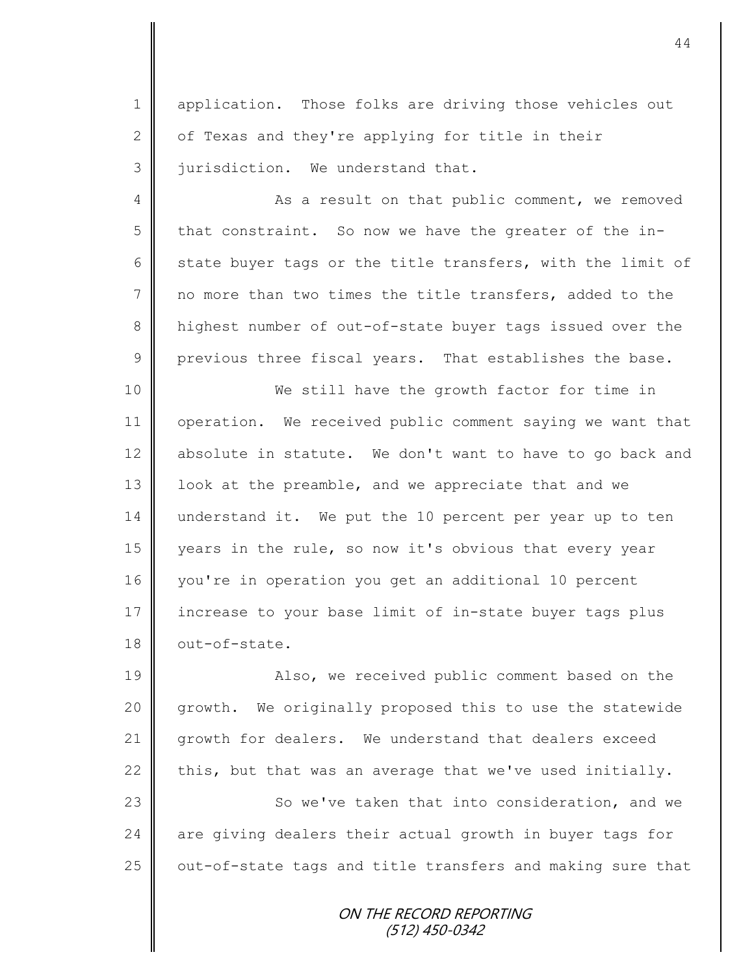1 | application. Those folks are driving those vehicles out  $2 \parallel$  of Texas and they're applying for title in their 3 | jurisdiction. We understand that.

4 As a result on that public comment, we removed 5 that constraint. So now we have the greater of the in-6 state buyer tags or the title transfers, with the limit of 7 no more than two times the title transfers, added to the 8 highest number of out-of-state buyer tags issued over the  $9 \parallel$  previous three fiscal years. That establishes the base.

10 We still have the growth factor for time in 11 | operation. We received public comment saying we want that 12 absolute in statute. We don't want to have to go back and 13 | look at the preamble, and we appreciate that and we 14 understand it. We put the 10 percent per year up to ten 15 years in the rule, so now it's obvious that every year 16 you're in operation you get an additional 10 percent 17 increase to your base limit of in-state buyer tags plus 18 out-of-state.

19 || Also, we received public comment based on the 20 growth. We originally proposed this to use the statewide 21 growth for dealers. We understand that dealers exceed 22 this, but that was an average that we've used initially.

23 | So we've taken that into consideration, and we  $24$  are giving dealers their actual growth in buyer tags for  $25$   $\parallel$  out-of-state tags and title transfers and making sure that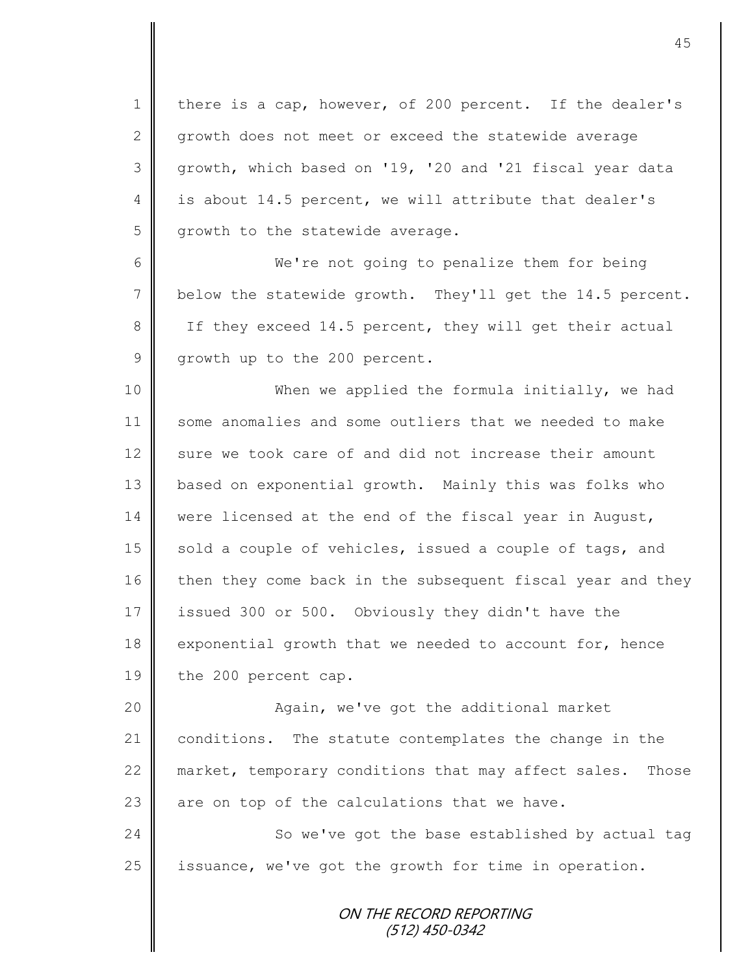1 there is a cap, however, of 200 percent. If the dealer's 2 growth does not meet or exceed the statewide average 3 growth, which based on '19, '20 and '21 fiscal year data 4 is about 14.5 percent, we will attribute that dealer's 5 growth to the statewide average.

6 We're not going to penalize them for being 7 below the statewide growth. They'll get the 14.5 percent. 8 If they exceed 14.5 percent, they will get their actual 9 growth up to the 200 percent.

10 || When we applied the formula initially, we had 11 some anomalies and some outliers that we needed to make 12 sure we took care of and did not increase their amount 13 based on exponential growth. Mainly this was folks who 14 were licensed at the end of the fiscal year in August, 15 sold a couple of vehicles, issued a couple of tags, and 16 then they come back in the subsequent fiscal year and they 17 issued 300 or 500. Obviously they didn't have the 18 exponential growth that we needed to account for, hence 19 the 200 percent cap.

20 || Again, we've got the additional market 21 conditions. The statute contemplates the change in the 22 market, temporary conditions that may affect sales. Those 23  $\parallel$  are on top of the calculations that we have.

24 So we've got the base established by actual tag 25 | issuance, we've got the growth for time in operation.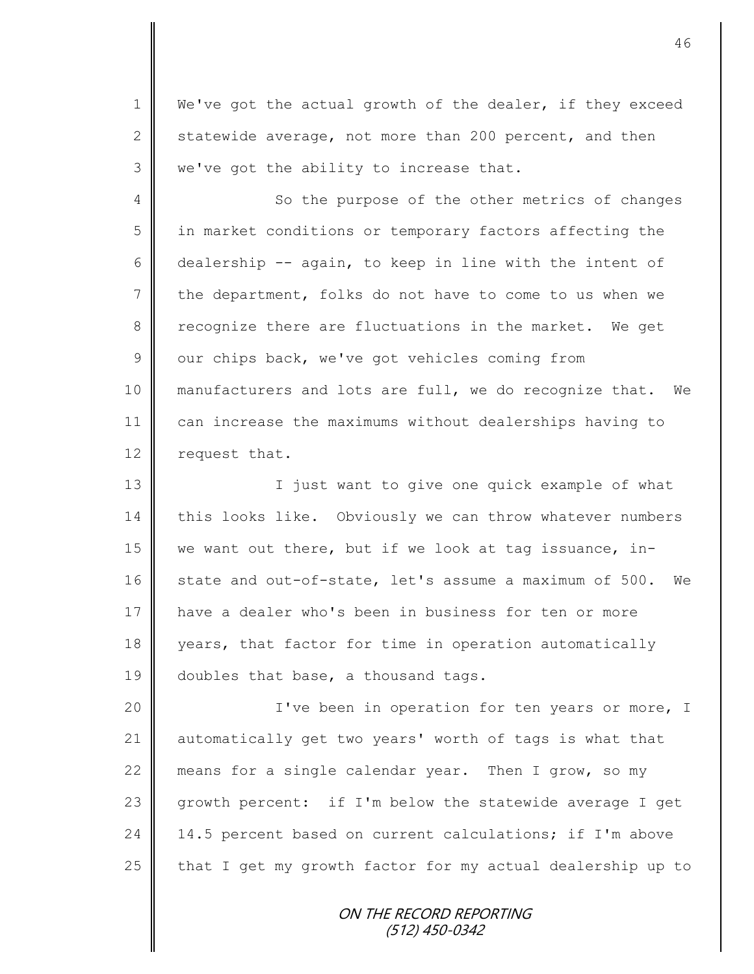1 | We've got the actual growth of the dealer, if they exceed 2 statewide average, not more than 200 percent, and then 3 | we've got the ability to increase that.

4 So the purpose of the other metrics of changes 5 || in market conditions or temporary factors affecting the 6 dealership -- again, to keep in line with the intent of  $7 \parallel$  the department, folks do not have to come to us when we 8 recognize there are fluctuations in the market. We get  $9 \parallel$  our chips back, we've got vehicles coming from 10 || manufacturers and lots are full, we do recognize that. We 11 can increase the maximums without dealerships having to 12 request that.

13 || I just want to give one quick example of what 14 this looks like. Obviously we can throw whatever numbers 15 we want out there, but if we look at tag issuance, in-16 state and out-of-state, let's assume a maximum of 500. We 17 || have a dealer who's been in business for ten or more 18 years, that factor for time in operation automatically 19  $\parallel$  doubles that base, a thousand tags.

20 | T've been in operation for ten years or more, I 21 automatically get two years' worth of tags is what that 22 means for a single calendar year. Then I grow, so my 23 growth percent: if I'm below the statewide average I get 24  $\parallel$  14.5 percent based on current calculations; if I'm above 25  $\parallel$  that I get my growth factor for my actual dealership up to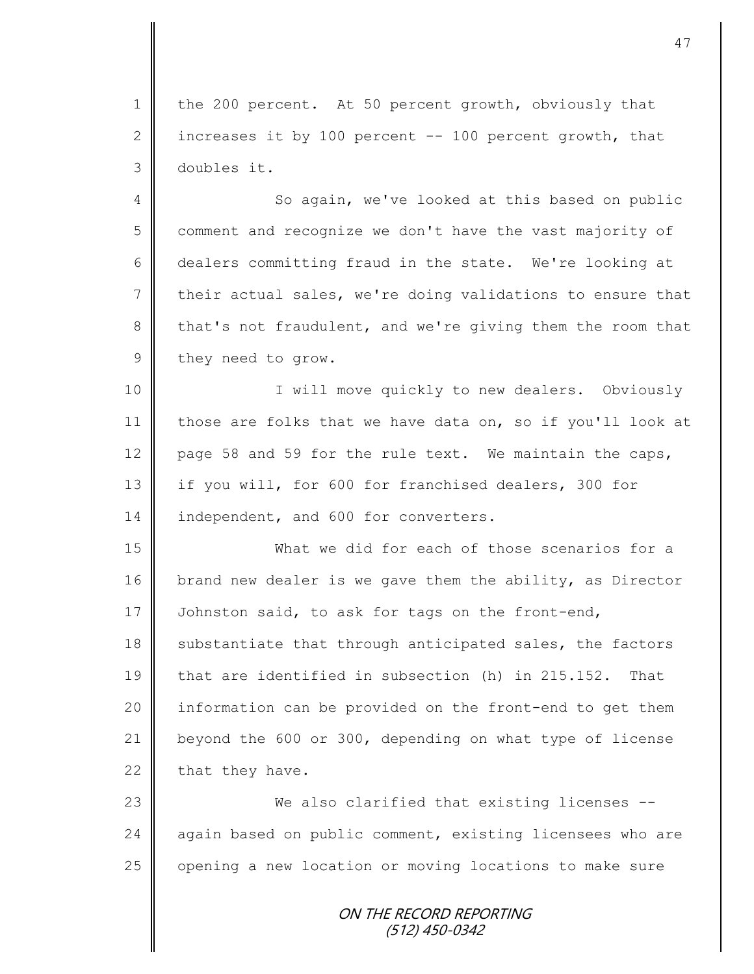1 the 200 percent. At 50 percent growth, obviously that 2 increases it by 100 percent  $-$ - 100 percent growth, that 3 doubles it.

4 So again, we've looked at this based on public 5 comment and recognize we don't have the vast majority of 6 dealers committing fraud in the state. We're looking at 7 their actual sales, we're doing validations to ensure that 8 that's not fraudulent, and we're giving them the room that 9 they need to grow.

10 || I will move quickly to new dealers. Obviously 11 those are folks that we have data on, so if you'll look at 12 page 58 and 59 for the rule text. We maintain the caps, 13 | if you will, for 600 for franchised dealers, 300 for 14 independent, and 600 for converters.

15 What we did for each of those scenarios for a 16 brand new dealer is we gave them the ability, as Director 17 Johnston said, to ask for tags on the front-end,  $18$  substantiate that through anticipated sales, the factors 19 that are identified in subsection (h) in 215.152. That 20  $\parallel$  information can be provided on the front-end to get them 21  $\parallel$  beyond the 600 or 300, depending on what type of license 22 that they have.

23 We also clarified that existing licenses -- 24 | again based on public comment, existing licensees who are 25 | opening a new location or moving locations to make sure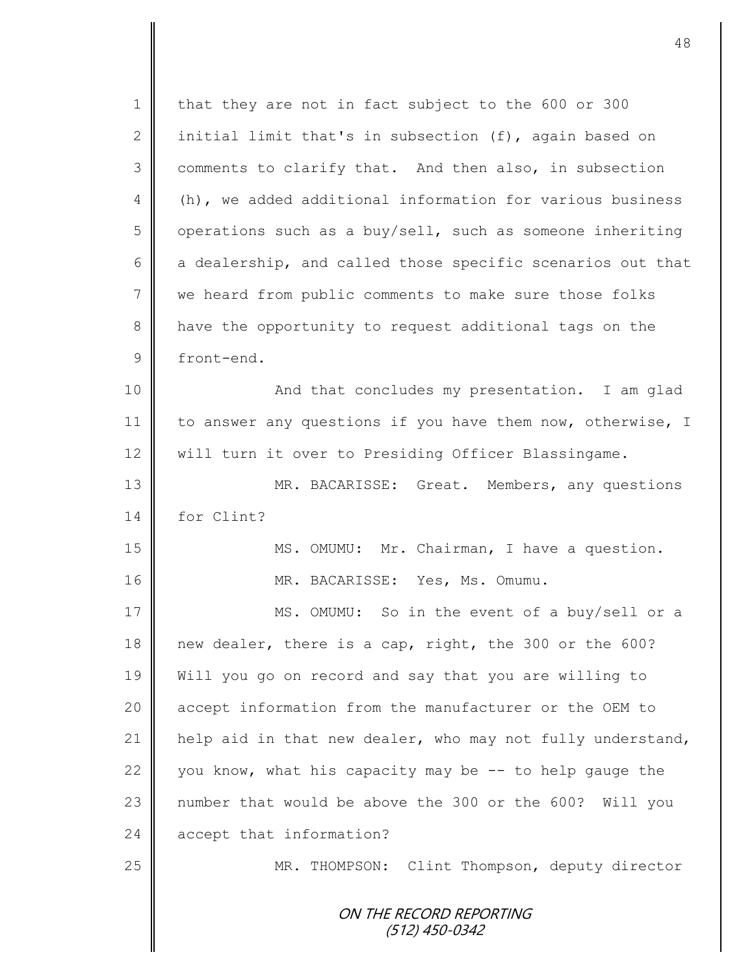ON THE RECORD REPORTING (512) 450-0342 1 | that they are not in fact subject to the 600 or 300 2 | initial limit that's in subsection (f), again based on 3 comments to clarify that. And then also, in subsection 4 (h), we added additional information for various business  $5 \parallel$  operations such as a buy/sell, such as someone inheriting  $6 \parallel$  a dealership, and called those specific scenarios out that 7 we heard from public comments to make sure those folks 8 | have the opportunity to request additional tags on the 9 front-end. 10 || And that concludes my presentation. I am glad 11 | to answer any questions if you have them now, otherwise, I 12 | will turn it over to Presiding Officer Blassingame. 13 MR. BACARISSE: Great. Members, any questions 14 for Clint? 15 || MS. OMUMU: Mr. Chairman, I have a question. 16 || MR. BACARISSE: Yes, Ms. Omumu. 17 MS. OMUMU: So in the event of a buy/sell or a 18 new dealer, there is a cap, right, the 300 or the 600? 19 Will you go on record and say that you are willing to 20 accept information from the manufacturer or the OEM to 21  $\parallel$  help aid in that new dealer, who may not fully understand, 22  $\parallel$  you know, what his capacity may be -- to help gauge the 23 || number that would be above the 300 or the 600? Will you 24 accept that information? 25 MR. THOMPSON: Clint Thompson, deputy director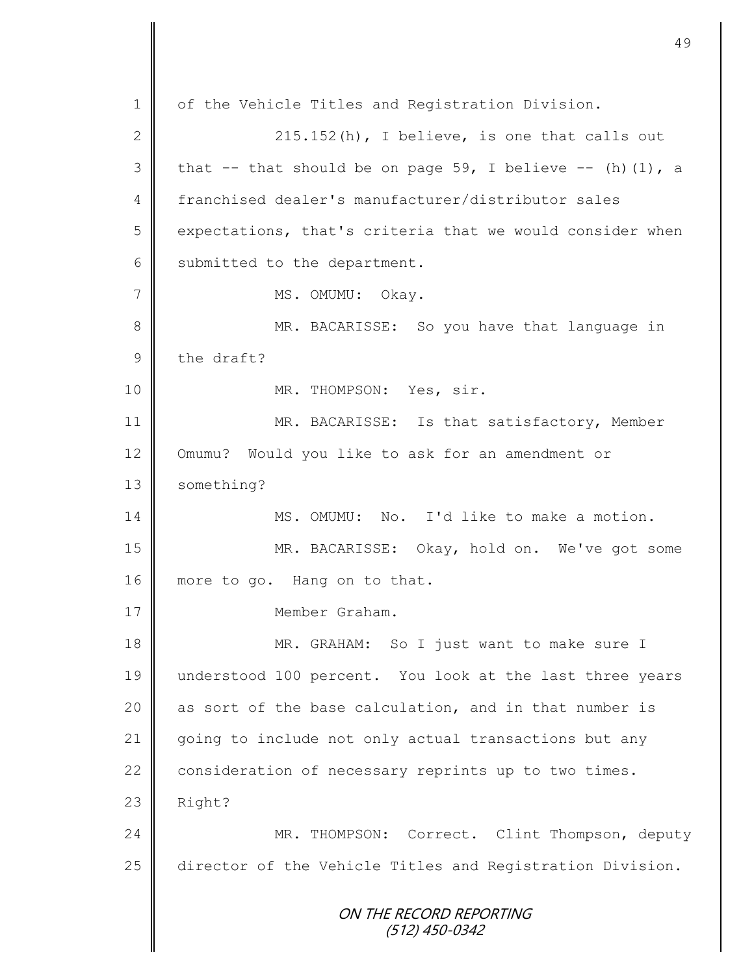ON THE RECORD REPORTING (512) 450-0342 1 | of the Vehicle Titles and Registration Division. 2  $\parallel$  215.152(h), I believe, is one that calls out 3 that  $-$  that should be on page 59, I believe  $-$  (h)(1), a 4 franchised dealer's manufacturer/distributor sales 5 expectations, that's criteria that we would consider when  $6 \parallel$  submitted to the department. 7 || MS. OMUMU: Okay. 8 || MR. BACARISSE: So you have that language in  $9 \parallel$  the draft? 10 NR. THOMPSON: Yes, sir. 11 MR. BACARISSE: Is that satisfactory, Member 12 Omumu? Would you like to ask for an amendment or 13 | something? 14 MS. OMUMU: No. I'd like to make a motion. 15 MR. BACARISSE: Okay, hold on. We've got some 16 more to go. Hang on to that. 17 Member Graham. 18 || MR. GRAHAM: So I just want to make sure I 19 understood 100 percent. You look at the last three years 20 as sort of the base calculation, and in that number is 21 || going to include not only actual transactions but any 22  $\parallel$  consideration of necessary reprints up to two times.  $23$  Right? 24 MR. THOMPSON: Correct. Clint Thompson, deputy 25 director of the Vehicle Titles and Registration Division.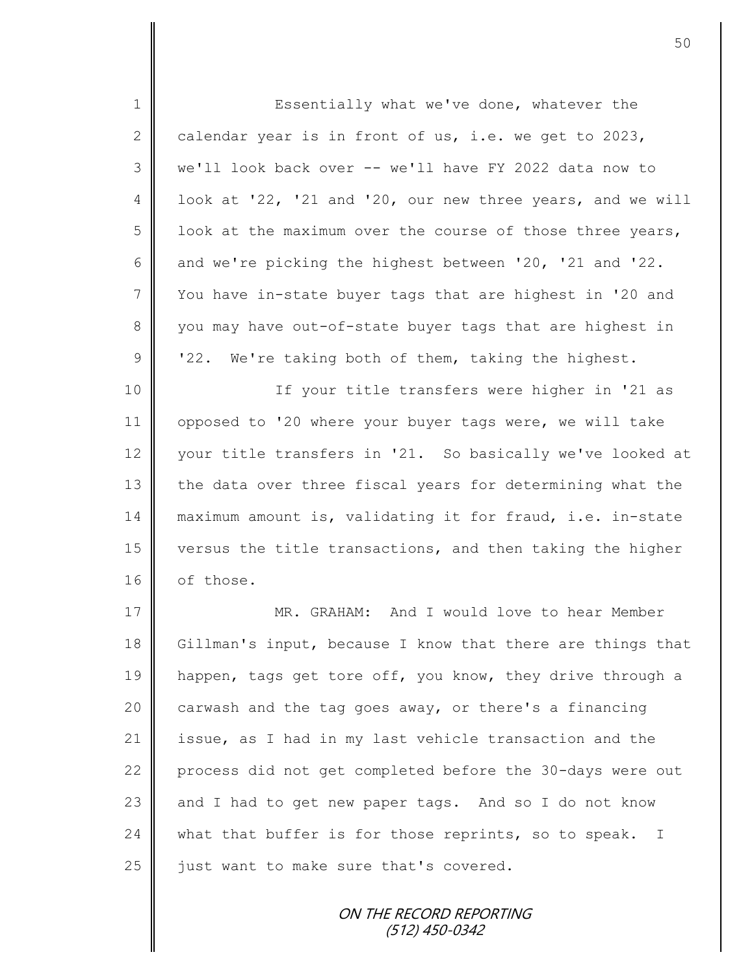1 Essentially what we've done, whatever the 2 calendar year is in front of us, i.e. we get to 2023, 3 we'll look back over -- we'll have FY 2022 data now to 4 | look at '22, '21 and '20, our new three years, and we will  $5 \parallel$  look at the maximum over the course of those three years, 6 and we're picking the highest between '20, '21 and '22. 7 Vou have in-state buyer tags that are highest in '20 and 8 you may have out-of-state buyer tags that are highest in  $9 \parallel$  '22. We're taking both of them, taking the highest. 10 || If your title transfers were higher in '21 as 11 opposed to '20 where your buyer tags were, we will take 12 vour title transfers in '21. So basically we've looked at 13 the data over three fiscal years for determining what the 14 maximum amount is, validating it for fraud, i.e. in-state 15 versus the title transactions, and then taking the higher 16 of those. 17 MR. GRAHAM: And I would love to hear Member 18 Gillman's input, because I know that there are things that 19 happen, tags get tore off, you know, they drive through a 20  $\parallel$  carwash and the tag goes away, or there's a financing 21 issue, as I had in my last vehicle transaction and the 22 process did not get completed before the 30-days were out 23  $\parallel$  and I had to get new paper tags. And so I do not know 24 what that buffer is for those reprints, so to speak. I  $25$  | just want to make sure that's covered.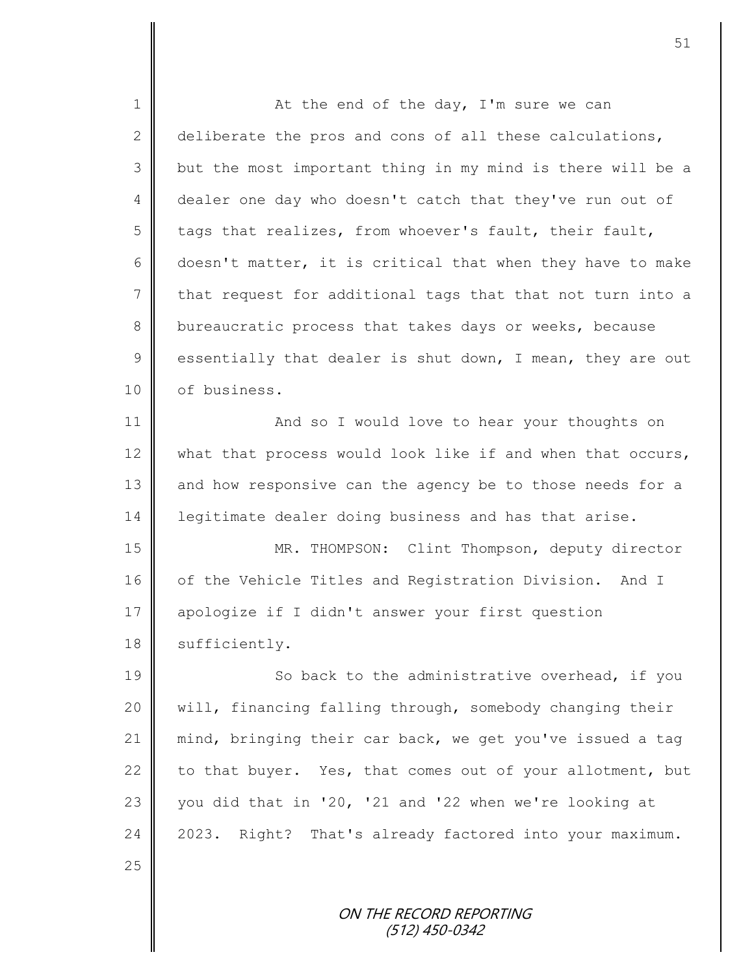| $\mathbf 1$   | At the end of the day, I'm sure we can                     |
|---------------|------------------------------------------------------------|
| $\mathbf{2}$  | deliberate the pros and cons of all these calculations,    |
| 3             | but the most important thing in my mind is there will be a |
| 4             | dealer one day who doesn't catch that they've run out of   |
| 5             | tags that realizes, from whoever's fault, their fault,     |
| 6             | doesn't matter, it is critical that when they have to make |
| 7             | that request for additional tags that that not turn into a |
| 8             | bureaucratic process that takes days or weeks, because     |
| $\mathcal{G}$ | essentially that dealer is shut down, I mean, they are out |
| 10            | of business.                                               |
| 11            | And so I would love to hear your thoughts on               |
| 12            | what that process would look like if and when that occurs, |
| 13            | and how responsive can the agency be to those needs for a  |
| 14            | legitimate dealer doing business and has that arise.       |
| 15            | MR. THOMPSON: Clint Thompson, deputy director              |
| 16            | of the Vehicle Titles and Registration Division. And I     |
| 17            | apologize if I didn't answer your first question           |
| 18            | sufficiently.                                              |
| 19            | So back to the administrative overhead, if you             |
| 20            | will, financing falling through, somebody changing their   |
| 21            | mind, bringing their car back, we get you've issued a tag  |
| 22            | to that buyer. Yes, that comes out of your allotment, but  |
| 23            | you did that in '20, '21 and '22 when we're looking at     |
| 24            | Right? That's already factored into your maximum.<br>2023. |
| 25            |                                                            |
|               | ON THE RECORD REPORTING<br>(512) 450-0342                  |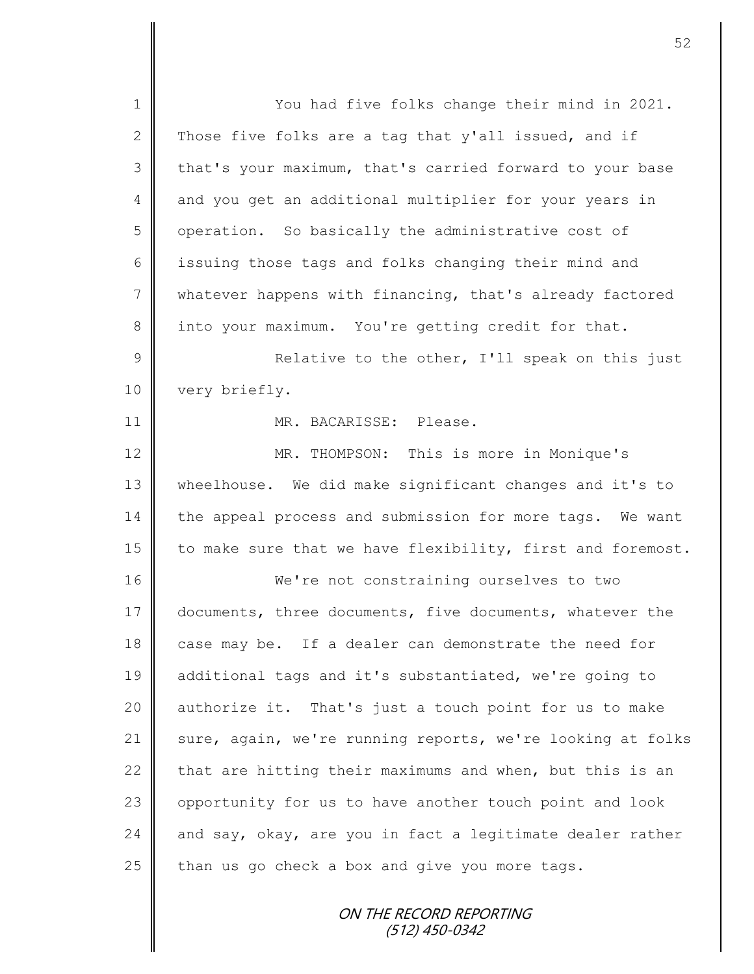| $\mathbf 1$    | You had five folks change their mind in 2021.              |
|----------------|------------------------------------------------------------|
| $\overline{2}$ | Those five folks are a tag that y'all issued, and if       |
| 3              | that's your maximum, that's carried forward to your base   |
| 4              | and you get an additional multiplier for your years in     |
| 5              | operation. So basically the administrative cost of         |
| 6              | issuing those tags and folks changing their mind and       |
| $\overline{7}$ | whatever happens with financing, that's already factored   |
| 8              | into your maximum. You're getting credit for that.         |
| $\mathsf 9$    | Relative to the other, I'll speak on this just             |
| 10             | very briefly.                                              |
| 11             | MR. BACARISSE: Please.                                     |
| 12             | MR. THOMPSON: This is more in Monique's                    |
| 13             | wheelhouse. We did make significant changes and it's to    |
| 14             | the appeal process and submission for more tags. We want   |
| 15             | to make sure that we have flexibility, first and foremost. |
| 16             | We're not constraining ourselves to two                    |
| 17             | documents, three documents, five documents, whatever the   |
| 18             | case may be. If a dealer can demonstrate the need for      |
| 19             | additional tags and it's substantiated, we're going to     |
| 20             | authorize it. That's just a touch point for us to make     |
| 21             | sure, again, we're running reports, we're looking at folks |
| 22             | that are hitting their maximums and when, but this is an   |
| 23             | opportunity for us to have another touch point and look    |
| 24             | and say, okay, are you in fact a legitimate dealer rather  |
| 25             | than us go check a box and give you more tags.             |
|                | ON THE RECORD REPORTING                                    |
|                |                                                            |

(512) 450-0342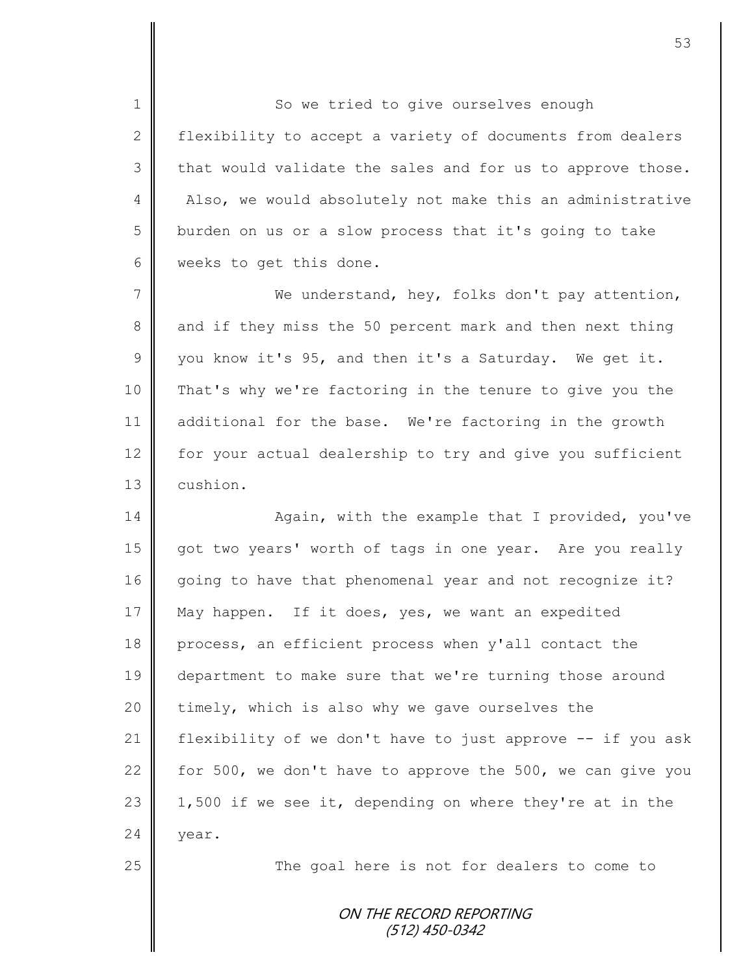1 So we tried to give ourselves enough 2 | flexibility to accept a variety of documents from dealers  $3 \parallel$  that would validate the sales and for us to approve those. 4 Also, we would absolutely not make this an administrative 5 burden on us or a slow process that it's going to take 6 | weeks to get this done.

7 We understand, hey, folks don't pay attention, 8 and if they miss the 50 percent mark and then next thing  $9 \parallel$  you know it's 95, and then it's a Saturday. We get it. 10 That's why we're factoring in the tenure to give you the 11 additional for the base. We're factoring in the growth 12 for your actual dealership to try and give you sufficient 13 cushion.

14 | Again, with the example that I provided, you've 15 got two years' worth of tags in one year. Are you really 16 going to have that phenomenal year and not recognize it? 17 May happen. If it does, yes, we want an expedited 18 process, an efficient process when y'all contact the 19 department to make sure that we're turning those around 20 timely, which is also why we gave ourselves the 21 | flexibility of we don't have to just approve -- if you ask 22 for 500, we don't have to approve the 500, we can give you 23 | 1,500 if we see it, depending on where they're at in the 24  $\blacksquare$  vear.

25 | The goal here is not for dealers to come to

ON THE RECORD REPORTING (512) 450-0342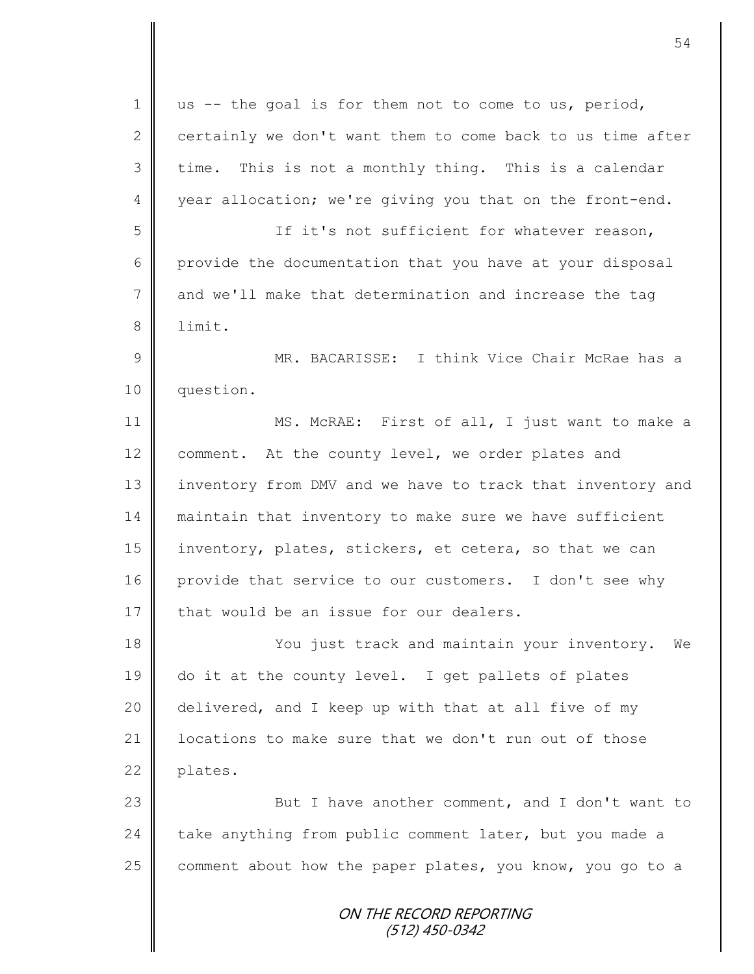| $\mathbf 1$    | us -- the goal is for them not to come to us, period,      |
|----------------|------------------------------------------------------------|
| 2              | certainly we don't want them to come back to us time after |
| 3              | time. This is not a monthly thing. This is a calendar      |
| 4              | year allocation; we're giving you that on the front-end.   |
| 5              | If it's not sufficient for whatever reason,                |
| 6              | provide the documentation that you have at your disposal   |
| $\overline{7}$ | and we'll make that determination and increase the tag     |
| 8              | limit.                                                     |
| $\mathcal{G}$  | MR. BACARISSE: I think Vice Chair McRae has a              |
| 10             | question.                                                  |
| 11             | MS. McRAE: First of all, I just want to make a             |
| 12             | comment. At the county level, we order plates and          |
| 13             | inventory from DMV and we have to track that inventory and |
| 14             | maintain that inventory to make sure we have sufficient    |
| 15             | inventory, plates, stickers, et cetera, so that we can     |
| 16             | provide that service to our customers. I don't see why     |
| 17             | that would be an issue for our dealers.                    |
| 18             | You just track and maintain your inventory.<br>We          |
| 19             | do it at the county level. I get pallets of plates         |
| 20             | delivered, and I keep up with that at all five of my       |
| 21             | locations to make sure that we don't run out of those      |
| 22             | plates.                                                    |
| 23             | But I have another comment, and I don't want to            |
| 24             | take anything from public comment later, but you made a    |
| 25             | comment about how the paper plates, you know, you go to a  |
|                | ON THE RECORD REPORTING<br>(512) 450-0342                  |

II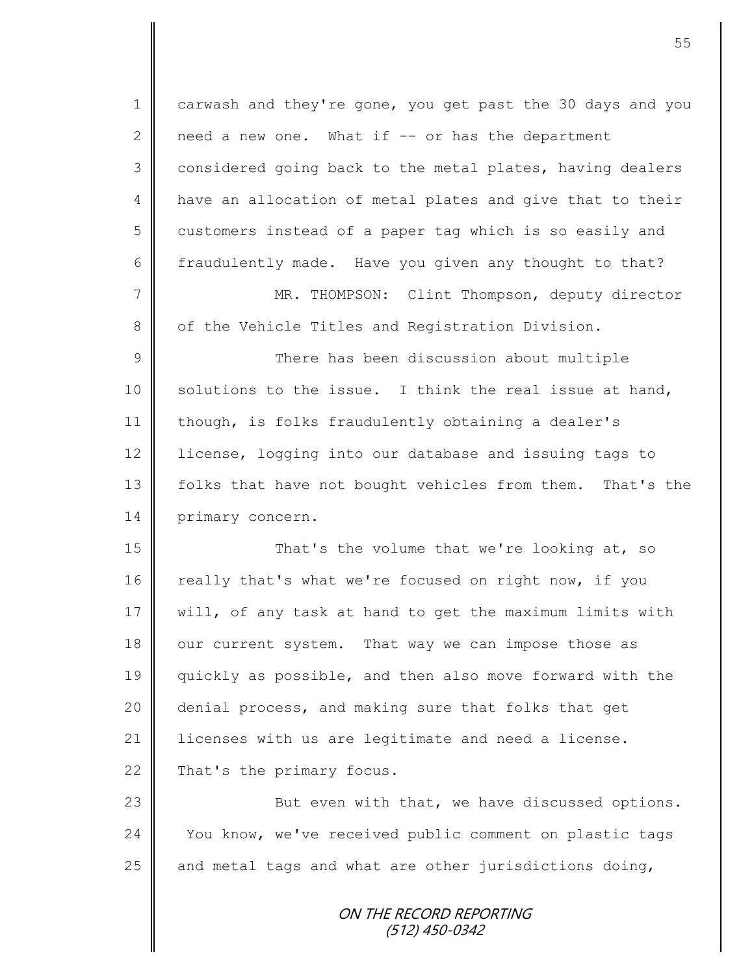ON THE RECORD REPORTING 1 carwash and they're gone, you get past the 30 days and you 2 | need a new one. What if  $-$  or has the department 3 considered going back to the metal plates, having dealers 4 | have an allocation of metal plates and give that to their 5 customers instead of a paper tag which is so easily and 6 fraudulently made. Have you given any thought to that? 7 || MR. THOMPSON: Clint Thompson, deputy director 8 | of the Vehicle Titles and Registration Division. 9 || There has been discussion about multiple 10 | solutions to the issue. I think the real issue at hand, 11 | though, is folks fraudulently obtaining a dealer's 12 license, logging into our database and issuing tags to 13 | folks that have not bought vehicles from them. That's the 14 primary concern. 15 That's the volume that we're looking at, so 16 really that's what we're focused on right now, if you 17 | will, of any task at hand to get the maximum limits with 18 our current system. That way we can impose those as 19 quickly as possible, and then also move forward with the 20 denial process, and making sure that folks that get 21 | licenses with us are legitimate and need a license.  $22$  That's the primary focus. 23 | But even with that, we have discussed options. 24 You know, we've received public comment on plastic tags 25  $\parallel$  and metal tags and what are other jurisdictions doing,

(512) 450-0342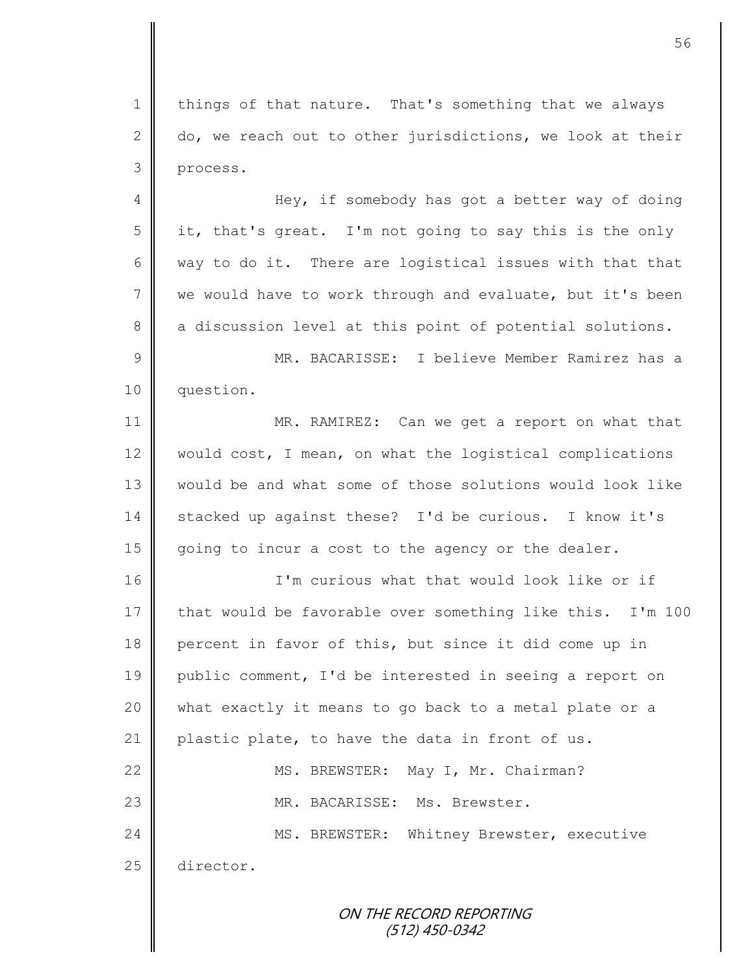1 | things of that nature. That's something that we always 2  $\parallel$  do, we reach out to other jurisdictions, we look at their 3 process.

4 Hey, if somebody has got a better way of doing  $5 \parallel$  it, that's great. I'm not going to say this is the only 6 way to do it. There are logistical issues with that that 7 we would have to work through and evaluate, but it's been 8 a discussion level at this point of potential solutions. 9 MR. BACARISSE: I believe Member Ramirez has a

10 question.

11 MR. RAMIREZ: Can we get a report on what that 12 would cost, I mean, on what the logistical complications 13 would be and what some of those solutions would look like 14 stacked up against these? I'd be curious. I know it's 15 going to incur a cost to the agency or the dealer.

16 I'm curious what that would look like or if 17 that would be favorable over something like this. I'm 100 18 percent in favor of this, but since it did come up in 19 public comment, I'd be interested in seeing a report on 20 what exactly it means to go back to a metal plate or a 21 plastic plate, to have the data in front of us. 22 | MS. BREWSTER: May I, Mr. Chairman? 23 MR. BACARISSE: Ms. Brewster. 24 | MS. BREWSTER: Whitney Brewster, executive 25 director.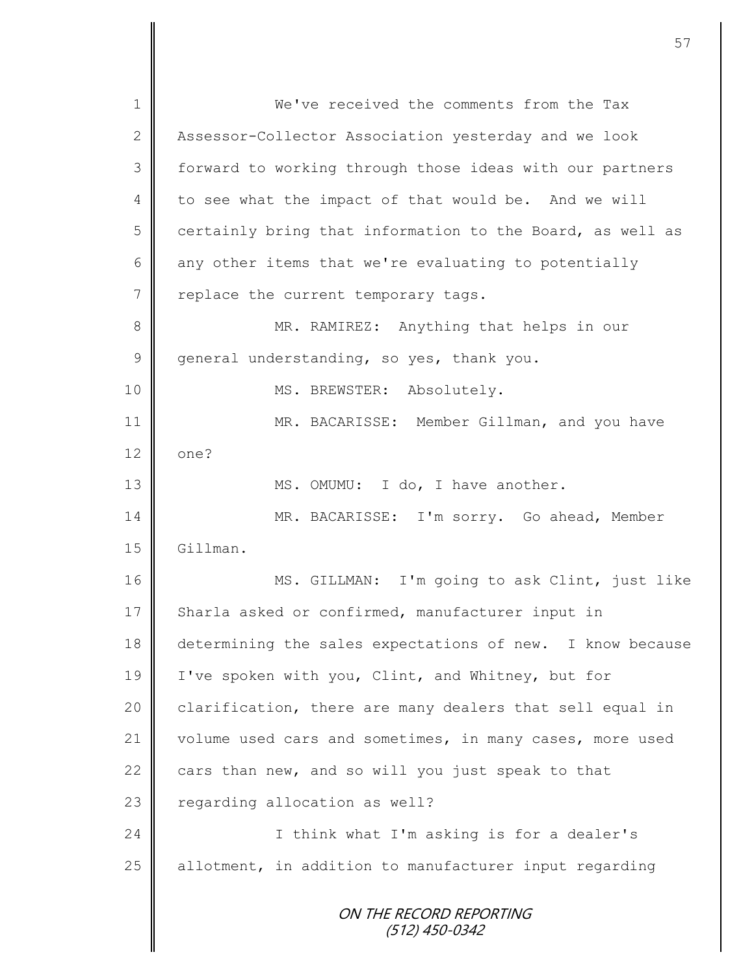ON THE RECORD REPORTING (512) 450-0342 1 **We've** received the comments from the Tax 2 Assessor-Collector Association yesterday and we look 3 | forward to working through those ideas with our partners 4 to see what the impact of that would be. And we will  $5 \parallel$  certainly bring that information to the Board, as well as  $6 \parallel$  any other items that we're evaluating to potentially 7 | replace the current temporary tags. 8 || MR. RAMIREZ: Anything that helps in our  $9 \parallel$  general understanding, so yes, thank you. 10 || MS. BREWSTER: Absolutely. 11 | MR. BACARISSE: Member Gillman, and you have  $12 \parallel$  one? 13 | MS. OMUMU: I do, I have another. 14 | MR. BACARISSE: I'm sorry. Go ahead, Member 15 Gillman. 16 MS. GILLMAN: I'm going to ask Clint, just like 17 Sharla asked or confirmed, manufacturer input in 18 determining the sales expectations of new. I know because 19 | I've spoken with you, Clint, and Whitney, but for  $20$  clarification, there are many dealers that sell equal in 21 volume used cars and sometimes, in many cases, more used 22 cars than new, and so will you just speak to that 23 | regarding allocation as well? 24 | I think what I'm asking is for a dealer's 25 allotment, in addition to manufacturer input regarding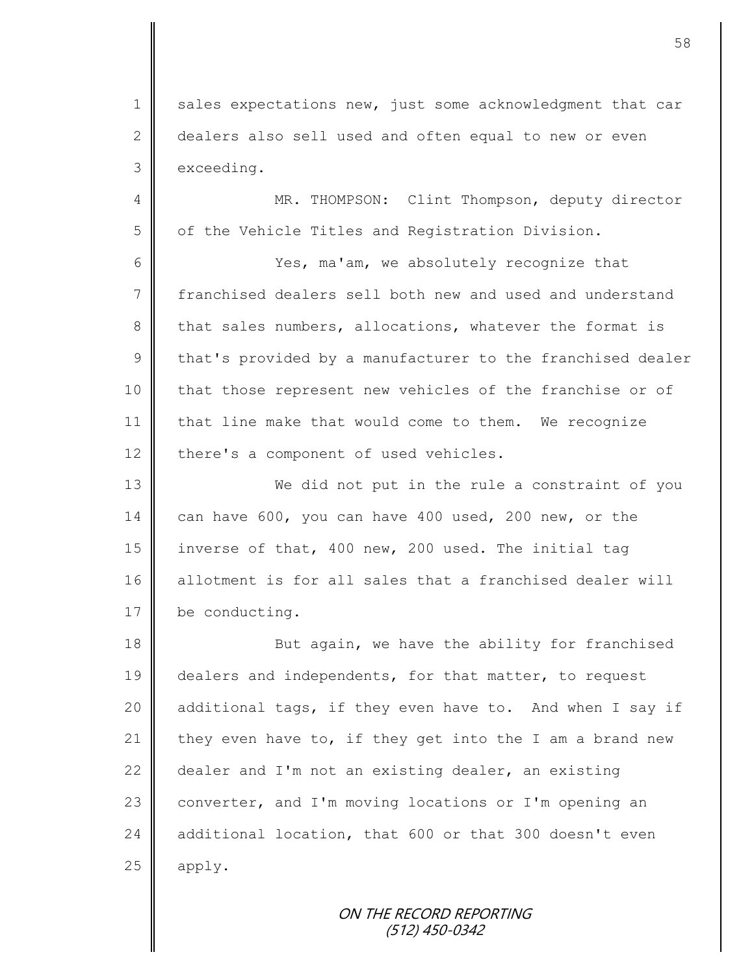1 sales expectations new, just some acknowledgment that car 2 dealers also sell used and often equal to new or even 3 exceeding.

4 || MR. THOMPSON: Clint Thompson, deputy director 5 | of the Vehicle Titles and Registration Division.

6 || Yes, ma'am, we absolutely recognize that 7 franchised dealers sell both new and used and understand 8 that sales numbers, allocations, whatever the format is  $9 \parallel$  that's provided by a manufacturer to the franchised dealer 10 | that those represent new vehicles of the franchise or of 11 | that line make that would come to them. We recognize  $12$  there's a component of used vehicles.

13 We did not put in the rule a constraint of you 14 can have 600, you can have 400 used, 200 new, or the 15 inverse of that, 400 new, 200 used. The initial tag 16 allotment is for all sales that a franchised dealer will 17 be conducting.

18 **But again, we have the ability for franchised** 19 dealers and independents, for that matter, to request 20 additional tags, if they even have to. And when I say if 21 they even have to, if they get into the I am a brand new 22 dealer and I'm not an existing dealer, an existing 23 converter, and I'm moving locations or I'm opening an 24 additional location, that 600 or that 300 doesn't even  $25$  | apply.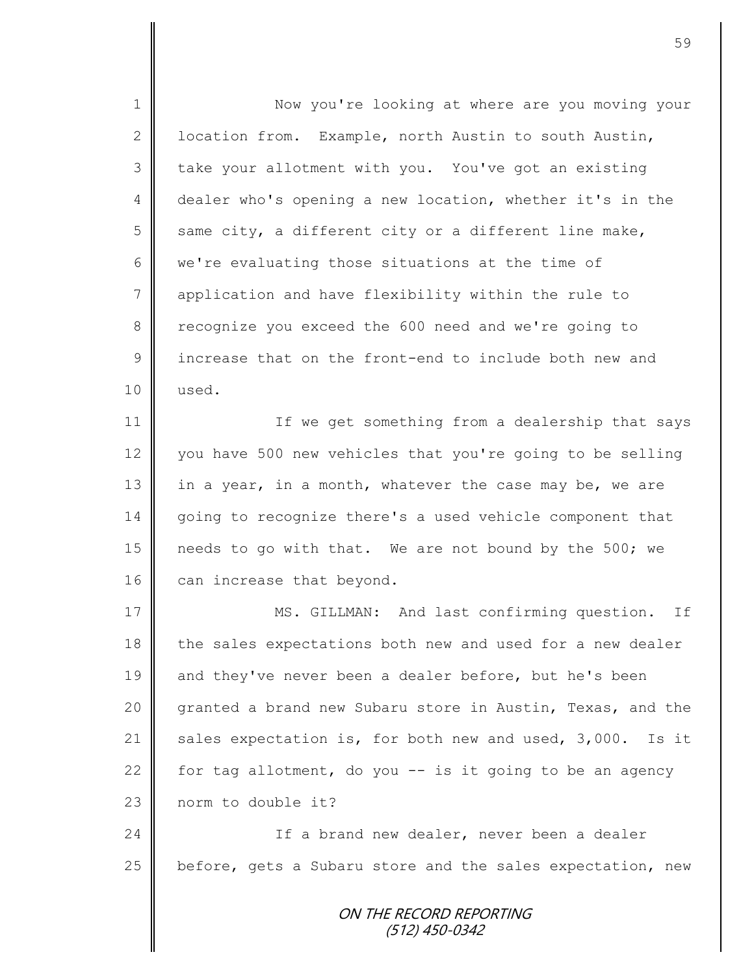ON THE RECORD REPORTING (512) 450-0342 1 || Now you're looking at where are you moving your 2 U location from. Example, north Austin to south Austin, 3 take your allotment with you. You've got an existing 4 dealer who's opening a new location, whether it's in the 5 same city, a different city or a different line make, 6 we're evaluating those situations at the time of 7 | application and have flexibility within the rule to 8 recognize you exceed the 600 need and we're going to 9 increase that on the front-end to include both new and 10 used. 11 | If we get something from a dealership that says 12 vou have 500 new vehicles that you're going to be selling 13 in a year, in a month, whatever the case may be, we are 14 going to recognize there's a used vehicle component that 15 | needs to go with that. We are not bound by the 500; we 16 can increase that beyond. 17 || MS. GILLMAN: And last confirming question. If 18 the sales expectations both new and used for a new dealer 19 and they've never been a dealer before, but he's been 20 granted a brand new Subaru store in Austin, Texas, and the 21  $\parallel$  sales expectation is, for both new and used, 3,000. Is it 22 for tag allotment, do you  $-$  is it going to be an agency 23 norm to double it? 24 | Christ If a brand new dealer, never been a dealer 25  $\parallel$  before, gets a Subaru store and the sales expectation, new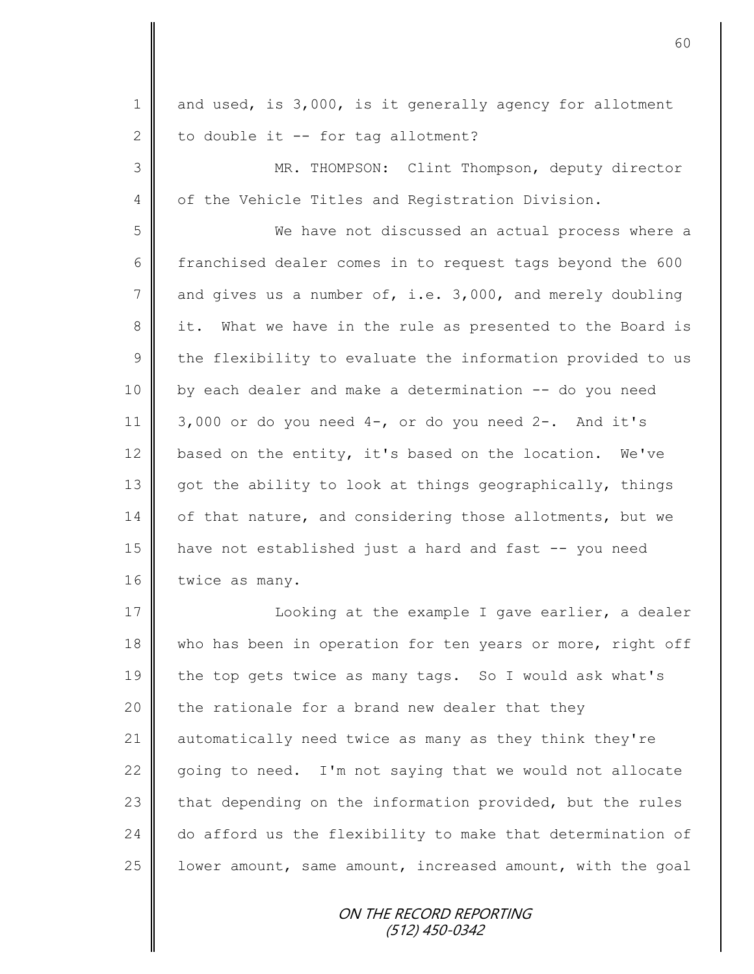| $\mathbf 1$    | and used, is 3,000, is it generally agency for allotment   |
|----------------|------------------------------------------------------------|
| $\mathbf{2}$   | to double it -- for tag allotment?                         |
| 3              | MR. THOMPSON: Clint Thompson, deputy director              |
| 4              | of the Vehicle Titles and Registration Division.           |
| 5              | We have not discussed an actual process where a            |
| 6              | franchised dealer comes in to request tags beyond the 600  |
| $7\phantom{.}$ | and gives us a number of, i.e. 3,000, and merely doubling  |
| 8              | it. What we have in the rule as presented to the Board is  |
| $\mathcal{G}$  | the flexibility to evaluate the information provided to us |
| 10             | by each dealer and make a determination -- do you need     |
| 11             | 3,000 or do you need $4-$ , or do you need $2-$ . And it's |
| 12             | based on the entity, it's based on the location. We've     |
| 13             | got the ability to look at things geographically, things   |
| 14             | of that nature, and considering those allotments, but we   |
| 15             | have not established just a hard and fast -- you need      |
| 16             | twice as many.                                             |
| 17             | Looking at the example I gave earlier, a dealer            |
| 18             | who has been in operation for ten years or more, right off |
| 19             | the top gets twice as many tags. So I would ask what's     |
| 20             | the rationale for a brand new dealer that they             |
| 21             | automatically need twice as many as they think they're     |
| 22             | going to need. I'm not saying that we would not allocate   |
| 23             | that depending on the information provided, but the rules  |
| 24             | do afford us the flexibility to make that determination of |
| 25             | lower amount, same amount, increased amount, with the goal |
|                | ON THE RECORD REPORTING<br>$(512)$ 450-0342                |

II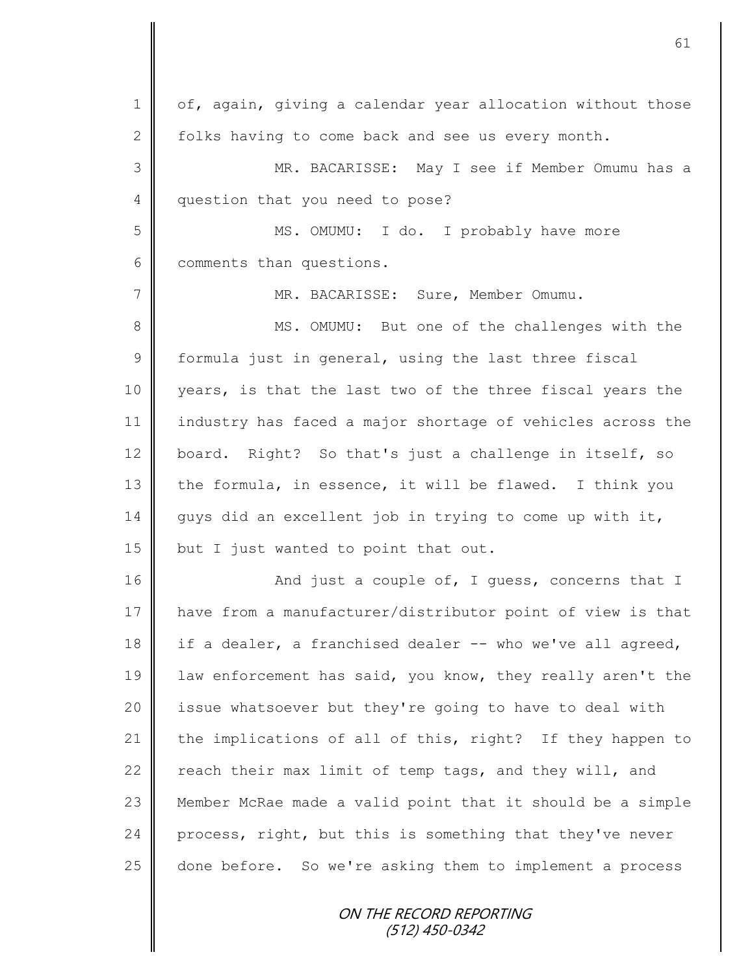1 | of, again, giving a calendar year allocation without those 2 folks having to come back and see us every month. 3 MR. BACARISSE: May I see if Member Omumu has a 4 question that you need to pose? 5 MS. OMUMU: I do. I probably have more 6 comments than questions. 7 || MR. BACARISSE: Sure, Member Omumu. 8 || MS. OMUMU: But one of the challenges with the  $9 \parallel$  formula just in general, using the last three fiscal 10 years, is that the last two of the three fiscal years the 11 industry has faced a major shortage of vehicles across the 12 board. Right? So that's just a challenge in itself, so 13 the formula, in essence, it will be flawed. I think you 14 guys did an excellent job in trying to come up with it, 15  $\parallel$  but I just wanted to point that out. 16 **And just a couple of, I guess, concerns that I** 17 have from a manufacturer/distributor point of view is that 18 if a dealer, a franchised dealer -- who we've all agreed, 19 | law enforcement has said, you know, they really aren't the 20 | issue whatsoever but they're going to have to deal with 21 the implications of all of this, right? If they happen to 22  $\parallel$  reach their max limit of temp tags, and they will, and 23 | Member McRae made a valid point that it should be a simple  $24$  process, right, but this is something that they've never 25 done before. So we're asking them to implement a process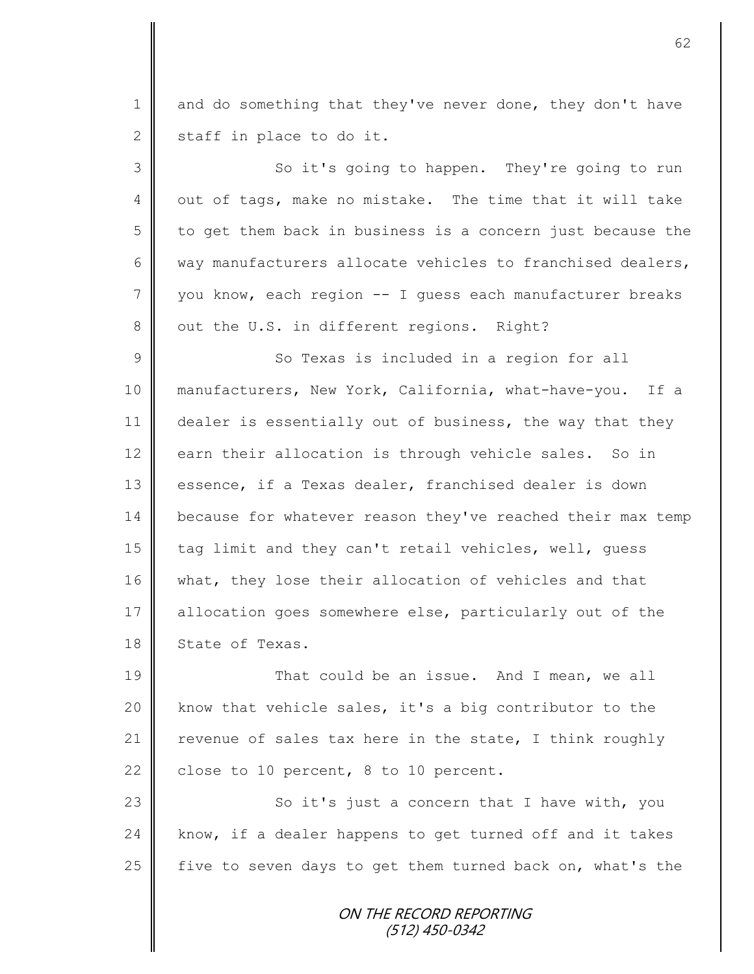1 and do something that they've never done, they don't have 2 staff in place to do it. 3 || So it's going to happen. They're going to run 4 | out of tags, make no mistake. The time that it will take  $5 \parallel$  to get them back in business is a concern just because the 6 | way manufacturers allocate vehicles to franchised dealers, 7 you know, each region -- I guess each manufacturer breaks 8 | out the U.S. in different regions. Right? 9 || So Texas is included in a region for all 10 manufacturers, New York, California, what-have-you. If a 11 dealer is essentially out of business, the way that they 12 earn their allocation is through vehicle sales. So in 13 essence, if a Texas dealer, franchised dealer is down 14 because for whatever reason they've reached their max temp 15 tag limit and they can't retail vehicles, well, quess 16 || what, they lose their allocation of vehicles and that 17 allocation goes somewhere else, particularly out of the 18 State of Texas. 19 That could be an issue. And I mean, we all 20  $\parallel$  know that vehicle sales, it's a big contributor to the 21  $\parallel$  revenue of sales tax here in the state, I think roughly 22 close to 10 percent, 8 to 10 percent. 23 | So it's just a concern that I have with, you  $24$  | know, if a dealer happens to get turned off and it takes

> ON THE RECORD REPORTING (512) 450-0342

25  $\parallel$  five to seven days to get them turned back on, what's the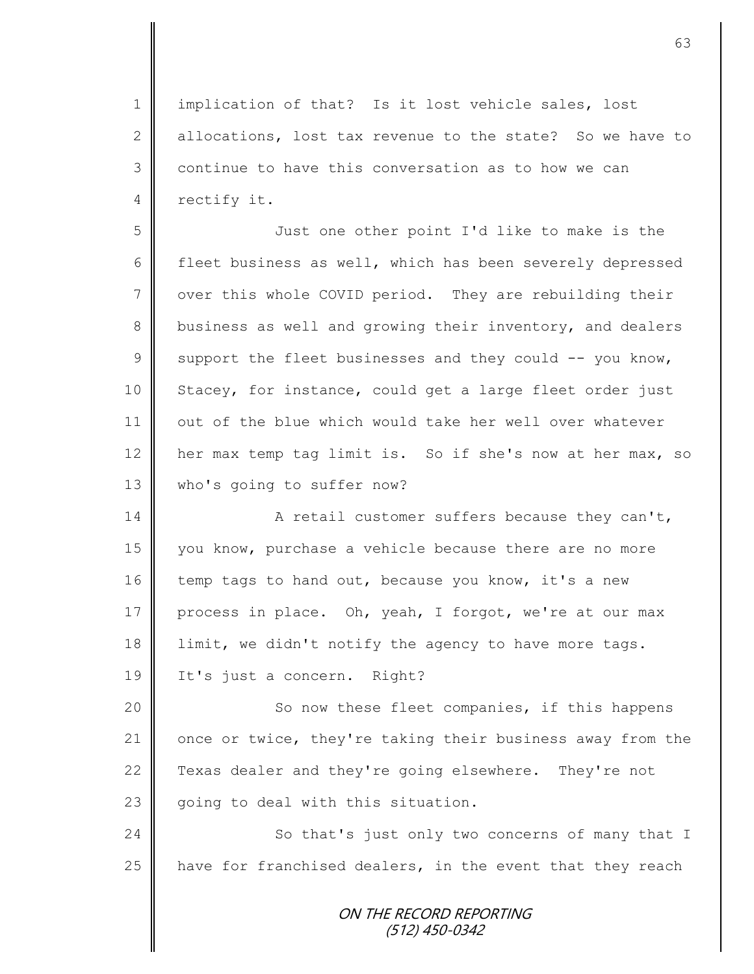1 || implication of that? Is it lost vehicle sales, lost 2 decations, lost tax revenue to the state? So we have to  $3 \parallel$  continue to have this conversation as to how we can 4 rectify it.

5 Just one other point I'd like to make is the 6 fleet business as well, which has been severely depressed 7 over this whole COVID period. They are rebuilding their 8 business as well and growing their inventory, and dealers 9 Support the fleet businesses and they could  $-$  you know, 10 Stacey, for instance, could get a large fleet order just 11 | out of the blue which would take her well over whatever 12 her max temp tag limit is. So if she's now at her max, so 13 who's going to suffer now?

14 || A retail customer suffers because they can't, 15 you know, purchase a vehicle because there are no more 16 temp tags to hand out, because you know, it's a new 17 process in place. Oh, yeah, I forgot, we're at our max 18 limit, we didn't notify the agency to have more tags. 19 It's just a concern. Right?

20 || So now these fleet companies, if this happens 21 once or twice, they're taking their business away from the 22 Texas dealer and they're going elsewhere. They're not 23  $\parallel$  going to deal with this situation.

24 So that's just only two concerns of many that I 25  $\parallel$  have for franchised dealers, in the event that they reach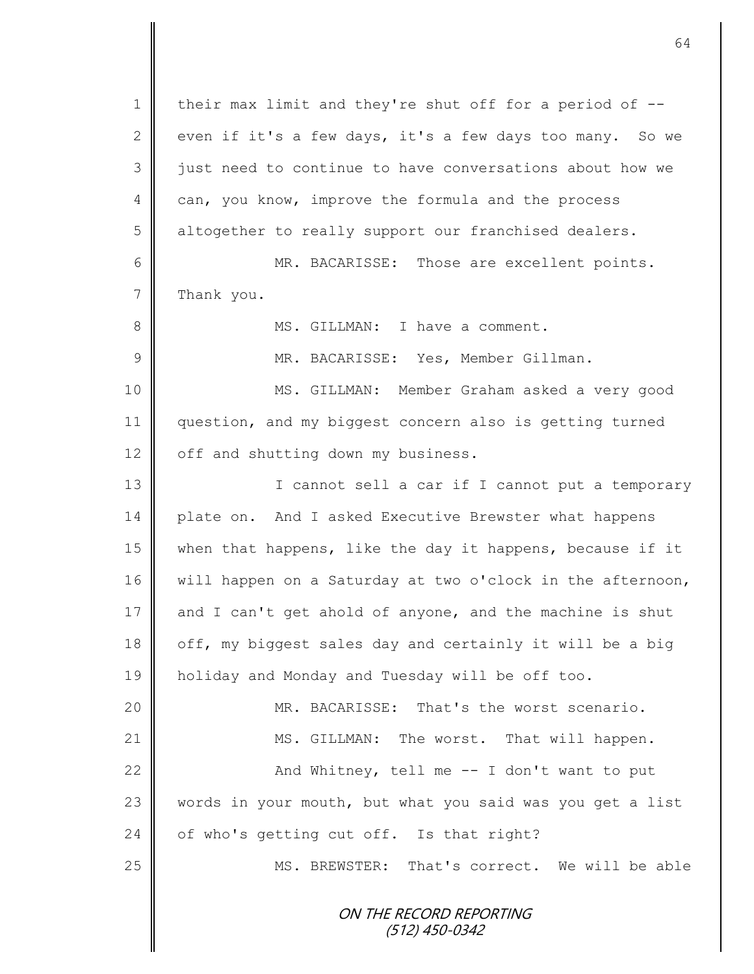ON THE RECORD REPORTING (512) 450-0342 1 | their max limit and they're shut off for a period of --2 even if it's a few days, it's a few days too many. So we 3 || just need to continue to have conversations about how we 4 can, you know, improve the formula and the process 5 | altogether to really support our franchised dealers. 6 MR. BACARISSE: Those are excellent points. 7 Thank you. 8 || MS. GILLMAN: I have a comment. 9 || MR. BACARISSE: Yes, Member Gillman. 10 MS. GILLMAN: Member Graham asked a very good 11 | question, and my biggest concern also is getting turned  $12$  | off and shutting down my business. 13 || I cannot sell a car if I cannot put a temporary 14 plate on. And I asked Executive Brewster what happens 15 when that happens, like the day it happens, because if it 16 will happen on a Saturday at two o'clock in the afternoon, 17  $\parallel$  and I can't get ahold of anyone, and the machine is shut 18  $\parallel$  off, my biggest sales day and certainly it will be a big 19 holiday and Monday and Tuesday will be off too. 20 MR. BACARISSE: That's the worst scenario. 21 | MS. GILLMAN: The worst. That will happen. 22 | And Whitney, tell me -- I don't want to put 23 words in your mouth, but what you said was you get a list 24  $\parallel$  of who's getting cut off. Is that right? 25 MS. BREWSTER: That's correct. We will be able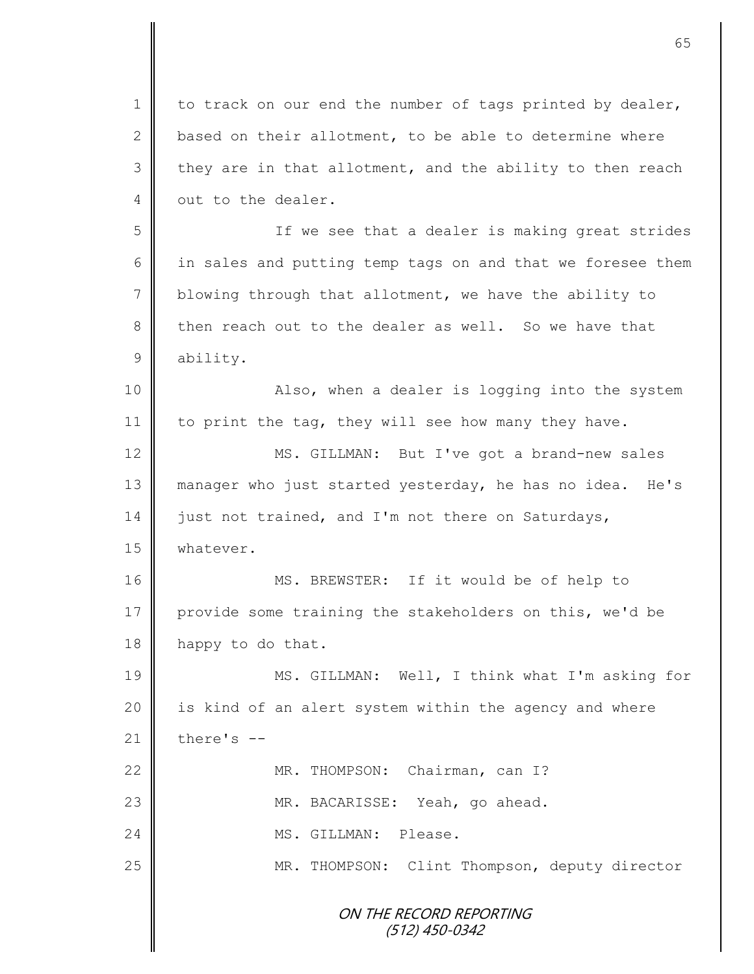ON THE RECORD REPORTING (512) 450-0342  $1 \parallel$  to track on our end the number of tags printed by dealer, 2  $\parallel$  based on their allotment, to be able to determine where  $3 \parallel$  they are in that allotment, and the ability to then reach 4 out to the dealer. 5 If we see that a dealer is making great strides  $6 \parallel$  in sales and putting temp tags on and that we foresee them  $7 \parallel$  blowing through that allotment, we have the ability to 8 then reach out to the dealer as well. So we have that 9 ability. 10 || Also, when a dealer is logging into the system 11 to print the tag, they will see how many they have. 12 | MS. GILLMAN: But I've got a brand-new sales 13 manager who just started yesterday, he has no idea. He's 14 just not trained, and I'm not there on Saturdays, 15 | whatever. 16 MS. BREWSTER: If it would be of help to 17 provide some training the stakeholders on this, we'd be 18 happy to do that. 19 || MS. GILLMAN: Well, I think what I'm asking for 20 | is kind of an alert system within the agency and where 21  $\parallel$  there's --22 | MR. THOMPSON: Chairman, can I? 23 | MR. BACARISSE: Yeah, go ahead. 24 MS. GILLMAN: Please. 25 | MR. THOMPSON: Clint Thompson, deputy director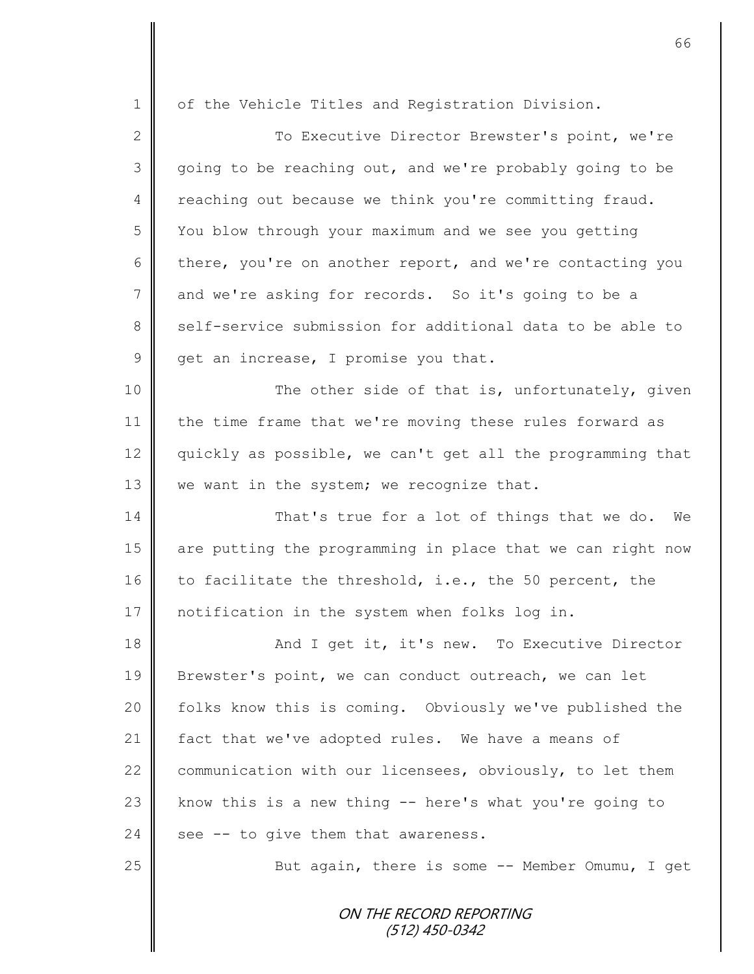| $\mathbf 1$     | of the Vehicle Titles and Registration Division.           |
|-----------------|------------------------------------------------------------|
| $\mathbf{2}$    | To Executive Director Brewster's point, we're              |
| 3               | going to be reaching out, and we're probably going to be   |
| $\overline{4}$  | reaching out because we think you're committing fraud.     |
| 5               | You blow through your maximum and we see you getting       |
| 6               | there, you're on another report, and we're contacting you  |
| $7\phantom{.0}$ | and we're asking for records. So it's going to be a        |
| 8               | self-service submission for additional data to be able to  |
| $\mathcal{G}$   | get an increase, I promise you that.                       |
| 10              | The other side of that is, unfortunately, given            |
| 11              | the time frame that we're moving these rules forward as    |
| 12              | quickly as possible, we can't get all the programming that |
| 13              | we want in the system; we recognize that.                  |
| 14              | That's true for a lot of things that we do. We             |
| 15              | are putting the programming in place that we can right now |
| 16              | to facilitate the threshold, i.e., the 50 percent, the     |
| 17              | notification in the system when folks log in.              |
| 18              | And I get it, it's new. To Executive Director              |
| 19              | Brewster's point, we can conduct outreach, we can let      |
| 20              | folks know this is coming. Obviously we've published the   |
| 21              | fact that we've adopted rules. We have a means of          |
| 22              | communication with our licensees, obviously, to let them   |
| 23              | know this is a new thing -- here's what you're going to    |
| 24              | see -- to give them that awareness.                        |
| 25              | But again, there is some -- Member Omumu, I get            |
|                 |                                                            |
|                 | ON THE RECORD REPORTING<br>$(512)$ 450-0342                |
|                 |                                                            |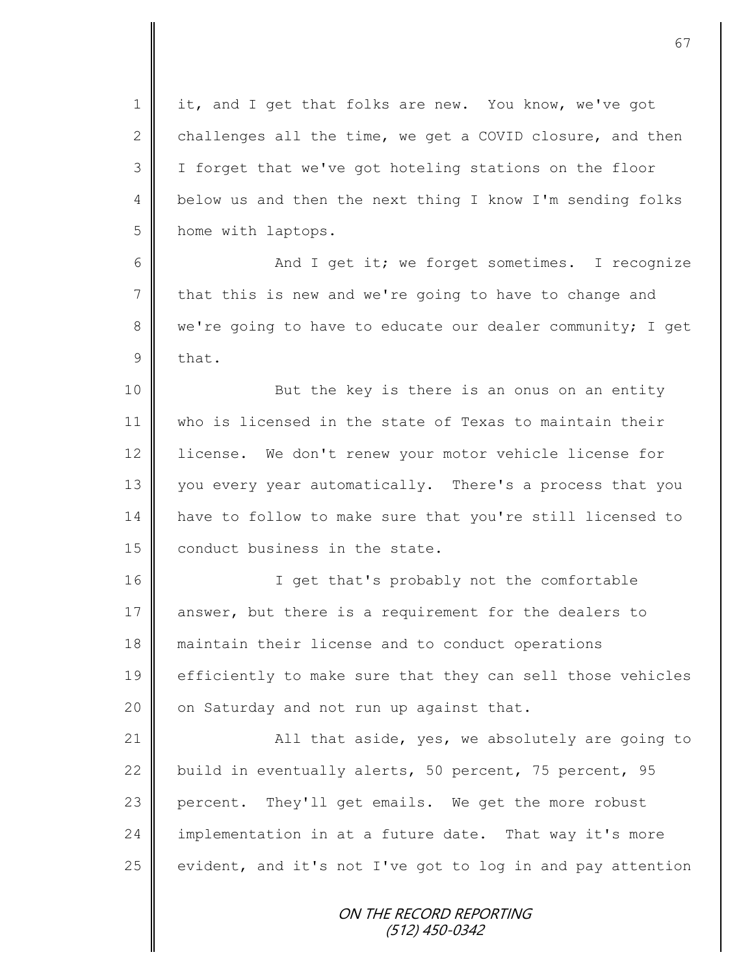1 || it, and I get that folks are new. You know, we've got 2 challenges all the time, we get a COVID closure, and then 3 I forget that we've got hoteling stations on the floor 4 | below us and then the next thing I know I'm sending folks 5 home with laptops.

6 || And I get it; we forget sometimes. I recognize 7 that this is new and we're going to have to change and 8 we're going to have to educate our dealer community; I get 9 that.

10 || But the key is there is an onus on an entity 11 who is licensed in the state of Texas to maintain their 12 | license. We don't renew your motor vehicle license for 13 you every year automatically. There's a process that you 14 have to follow to make sure that you're still licensed to  $15$   $\parallel$  conduct business in the state.

16 || T get that's probably not the comfortable 17 answer, but there is a requirement for the dealers to 18 maintain their license and to conduct operations 19 efficiently to make sure that they can sell those vehicles 20  $\parallel$  on Saturday and not run up against that.

21  $\parallel$  all that aside, yes, we absolutely are going to 22 build in eventually alerts, 50 percent, 75 percent, 95 23 percent. They'll get emails. We get the more robust 24 implementation in at a future date. That way it's more 25 evident, and it's not I've got to log in and pay attention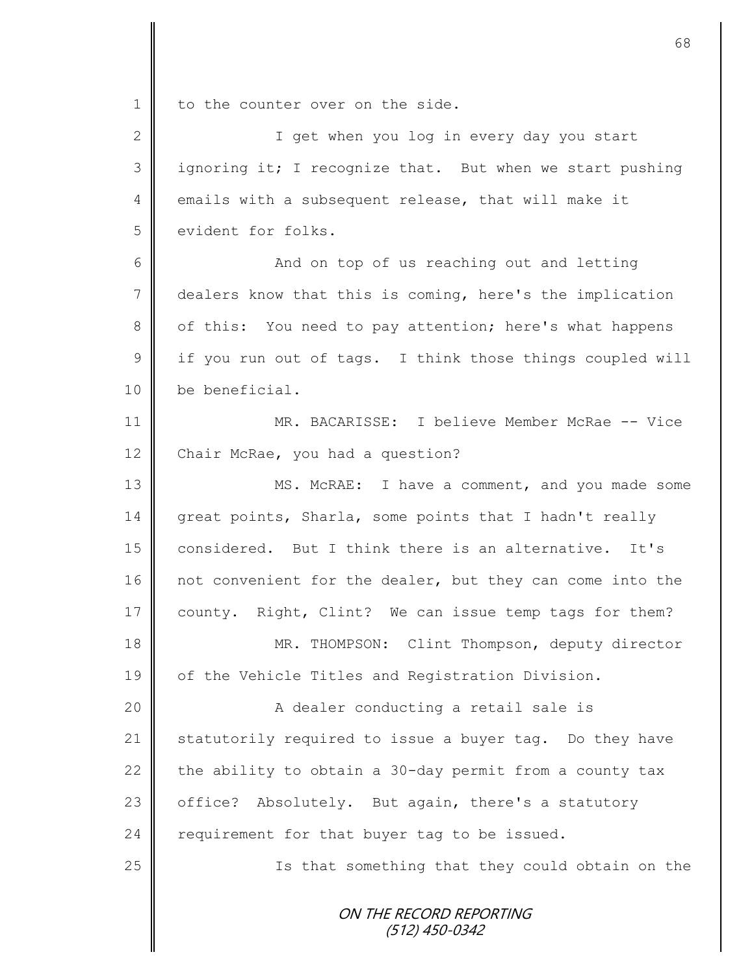1 to the counter over on the side.

| $\mathbf{2}$   | I get when you log in every day you start                 |
|----------------|-----------------------------------------------------------|
| 3              | ignoring it; I recognize that. But when we start pushing  |
| $\overline{4}$ | emails with a subsequent release, that will make it       |
| 5              | evident for folks.                                        |
| 6              | And on top of us reaching out and letting                 |
| $7\phantom{.}$ | dealers know that this is coming, here's the implication  |
| 8              | of this: You need to pay attention; here's what happens   |
| $\overline{9}$ | if you run out of tags. I think those things coupled will |
| 10             | be beneficial.                                            |
| 11             | MR. BACARISSE: I believe Member McRae -- Vice             |
| 12             | Chair McRae, you had a question?                          |
| 13             | MS. McRAE: I have a comment, and you made some            |
| 14             | great points, Sharla, some points that I hadn't really    |
| 15             | considered. But I think there is an alternative. It's     |
| 16             | not convenient for the dealer, but they can come into the |
| 17             | county. Right, Clint? We can issue temp tags for them?    |
| 18             | MR. THOMPSON: Clint Thompson, deputy director             |
| 19             | of the Vehicle Titles and Registration Division.          |
| 20             | A dealer conducting a retail sale is                      |
| 21             | statutorily required to issue a buyer tag. Do they have   |
| 22             | the ability to obtain a 30-day permit from a county tax   |
| 23             | Absolutely. But again, there's a statutory<br>office?     |
| 24             | requirement for that buyer tag to be issued.              |
| 25             | Is that something that they could obtain on the           |
|                | ON THE RECORD REPORTING<br>$(512)$ 450-0342               |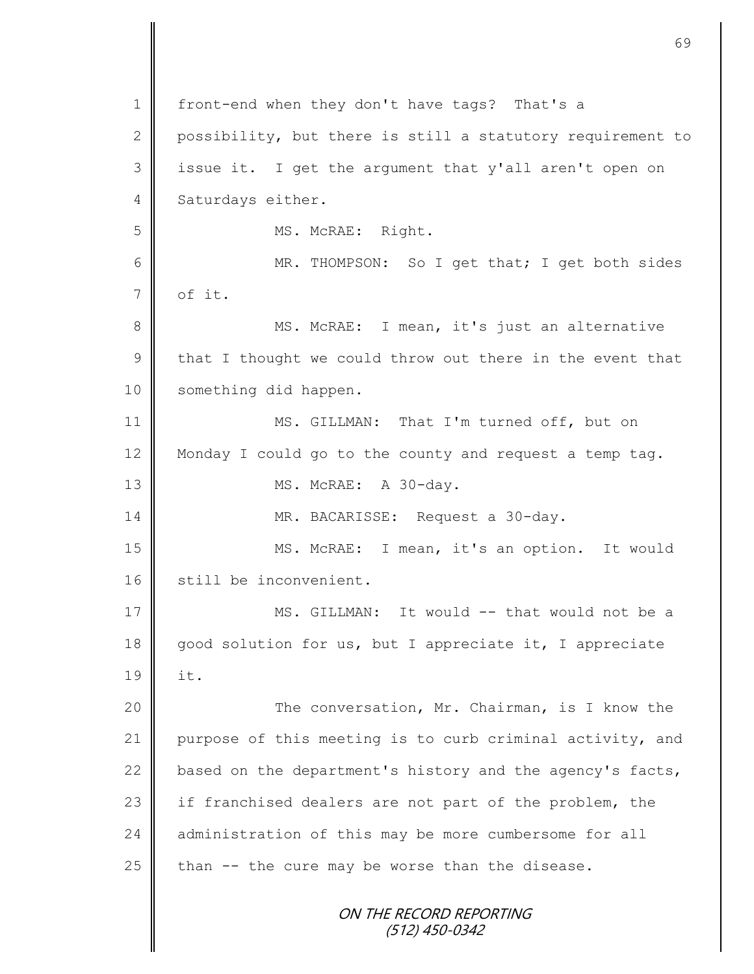ON THE RECORD REPORTING (512) 450-0342 1 | front-end when they don't have tags? That's a 2 possibility, but there is still a statutory requirement to 3 issue it. I get the argument that y'all aren't open on 4 Saturdays either. 5 || MS. McRAE: Right. 6 MR. THOMPSON: So I get that; I get both sides  $7$  of it. 8 || MS. McRAE: I mean, it's just an alternative 9  $\parallel$  that I thought we could throw out there in the event that 10 | something did happen. 11 || MS. GILLMAN: That I'm turned off, but on 12 Monday I could go to the county and request a temp tag. 13 || MS. McRAE: A 30-day. 14 | MR. BACARISSE: Request a 30-day. 15 || MS. McRAE: I mean, it's an option. It would 16 still be inconvenient. 17 || MS. GILLMAN: It would -- that would not be a 18 good solution for us, but I appreciate it, I appreciate 19 it. 20 || The conversation, Mr. Chairman, is I know the 21 purpose of this meeting is to curb criminal activity, and 22  $\parallel$  based on the department's history and the agency's facts, 23 if franchised dealers are not part of the problem, the 24 administration of this may be more cumbersome for all  $25$  than  $-$  the cure may be worse than the disease.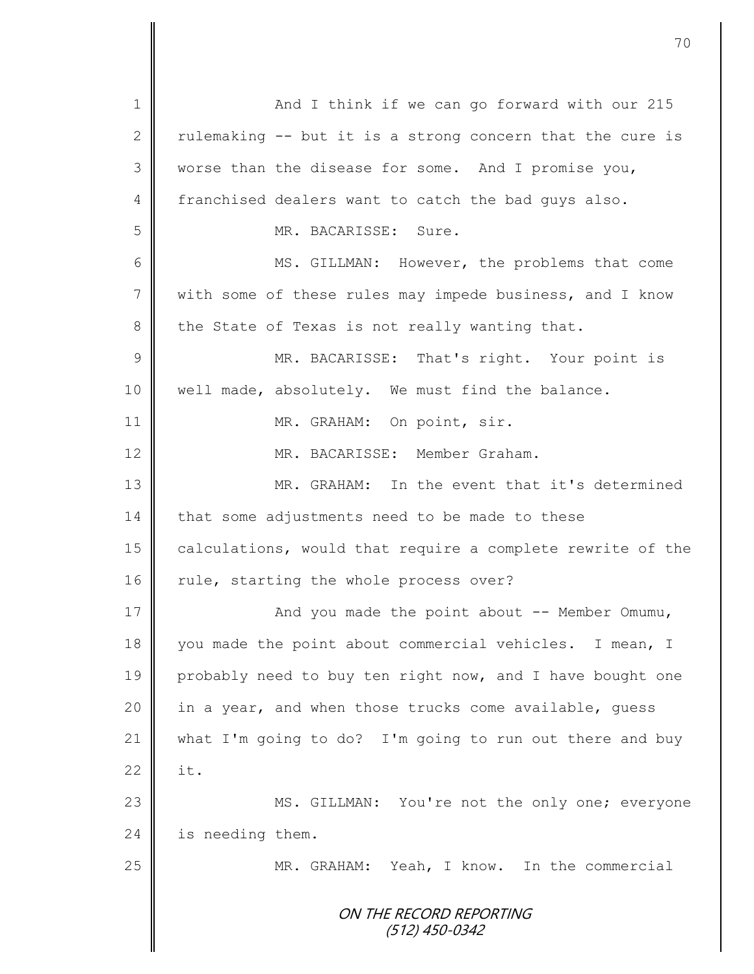ON THE RECORD REPORTING (512) 450-0342 1 || And I think if we can go forward with our 215 2 | rulemaking  $-$  but it is a strong concern that the cure is 3 worse than the disease for some. And I promise you, 4 franchised dealers want to catch the bad guys also. 5 MR. BACARISSE: Sure. 6 MS. GILLMAN: However, the problems that come 7 With some of these rules may impede business, and I know  $8$  the State of Texas is not really wanting that. 9 || MR. BACARISSE: That's right. Your point is 10 || well made, absolutely. We must find the balance. 11 || MR. GRAHAM: On point, sir. 12 MR. BACARISSE: Member Graham. 13 MR. GRAHAM: In the event that it's determined  $14$  | that some adjustments need to be made to these 15 calculations, would that require a complete rewrite of the 16  $\parallel$  rule, starting the whole process over? 17 || And you made the point about -- Member Omumu, 18 you made the point about commercial vehicles. I mean, I 19 probably need to buy ten right now, and I have bought one 20 | in a year, and when those trucks come available, guess 21 what I'm going to do? I'm going to run out there and buy 22  $\parallel$  it. 23 MS. GILLMAN: You're not the only one; everyone 24 is needing them. 25 || MR. GRAHAM: Yeah, I know. In the commercial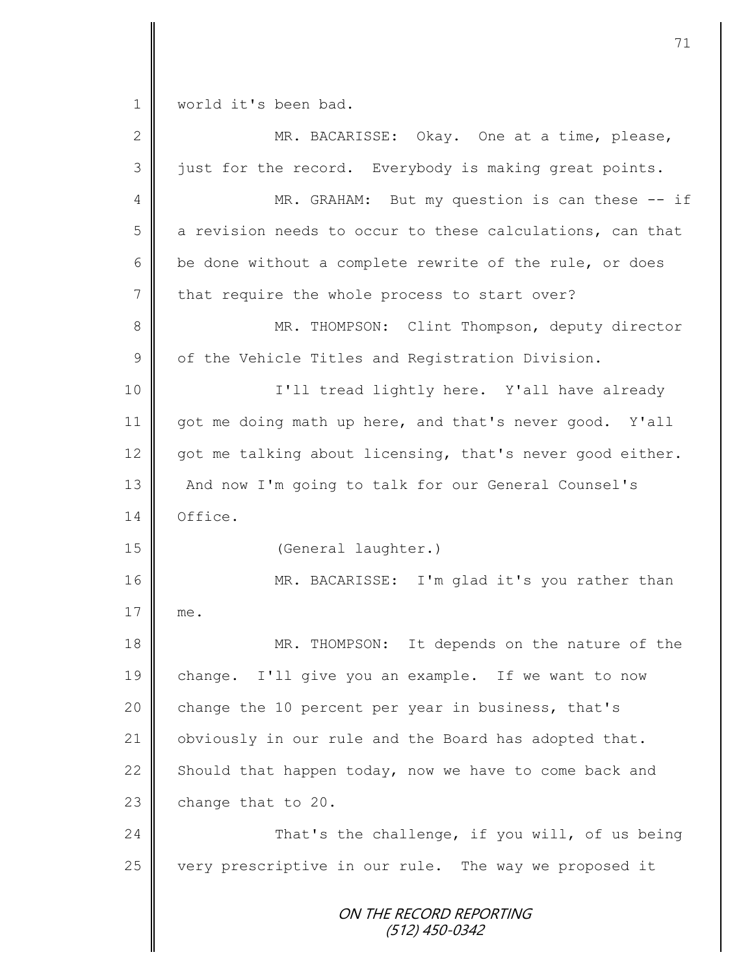ON THE RECORD REPORTING (512) 450-0342 1 | world it's been bad. 2 MR. BACARISSE: Okay. One at a time, please,  $3 \parallel$  just for the record. Everybody is making great points. 4 || MR. GRAHAM: But my question is can these -- if  $5 \parallel$  a revision needs to occur to these calculations, can that  $6 \parallel$  be done without a complete rewrite of the rule, or does  $7$  that require the whole process to start over? 8 || MR. THOMPSON: Clint Thompson, deputy director  $9 \parallel$  of the Vehicle Titles and Registration Division. 10 I'll tread lightly here. Y'all have already 11 got me doing math up here, and that's never good. Y'all 12 got me talking about licensing, that's never good either. 13 || And now I'm going to talk for our General Counsel's 14 Office. 15 | (General laughter.) 16 || MR. BACARISSE: I'm glad it's you rather than 17 me. 18 MR. THOMPSON: It depends on the nature of the 19 change. I'll give you an example. If we want to now 20 change the 10 percent per year in business, that's 21 | obviously in our rule and the Board has adopted that. 22 Should that happen today, now we have to come back and  $23$  change that to 20. 24 **That's the challenge, if you will, of us being** 25 very prescriptive in our rule. The way we proposed it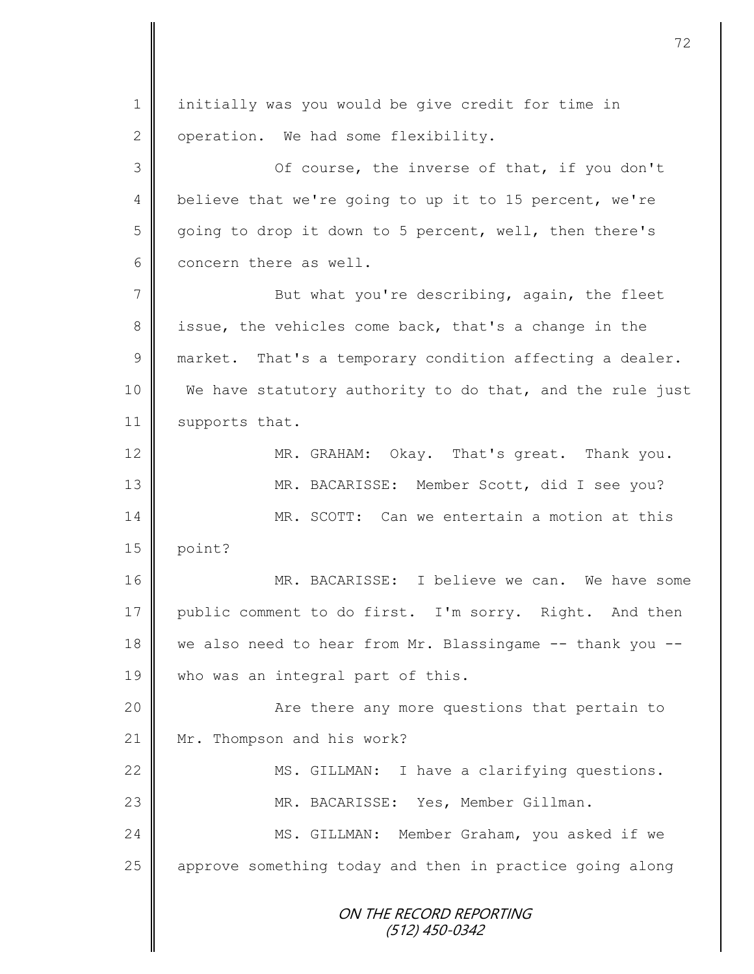ON THE RECORD REPORTING (512) 450-0342 1 initially was you would be give credit for time in  $2 \parallel$  operation. We had some flexibility. 3 Of course, the inverse of that, if you don't 4 believe that we're going to up it to 15 percent, we're 5 going to drop it down to 5 percent, well, then there's 6 concern there as well. 7 || But what you're describing, again, the fleet 8 issue, the vehicles come back, that's a change in the  $9 \parallel$  market. That's a temporary condition affecting a dealer. 10 We have statutory authority to do that, and the rule just 11 | supports that. 12 MR. GRAHAM: Okay. That's great. Thank you. 13 MR. BACARISSE: Member Scott, did I see you? 14 || MR. SCOTT: Can we entertain a motion at this  $15$  point? 16 MR. BACARISSE: I believe we can. We have some 17 public comment to do first. I'm sorry. Right. And then 18 we also need to hear from Mr. Blassingame -- thank you --19 who was an integral part of this. 20 | Richtlere any more questions that pertain to 21 | Mr. Thompson and his work? 22 | MS. GILLMAN: I have a clarifying questions. 23 | MR. BACARISSE: Yes, Member Gillman. 24 MS. GILLMAN: Member Graham, you asked if we 25 | approve something today and then in practice going along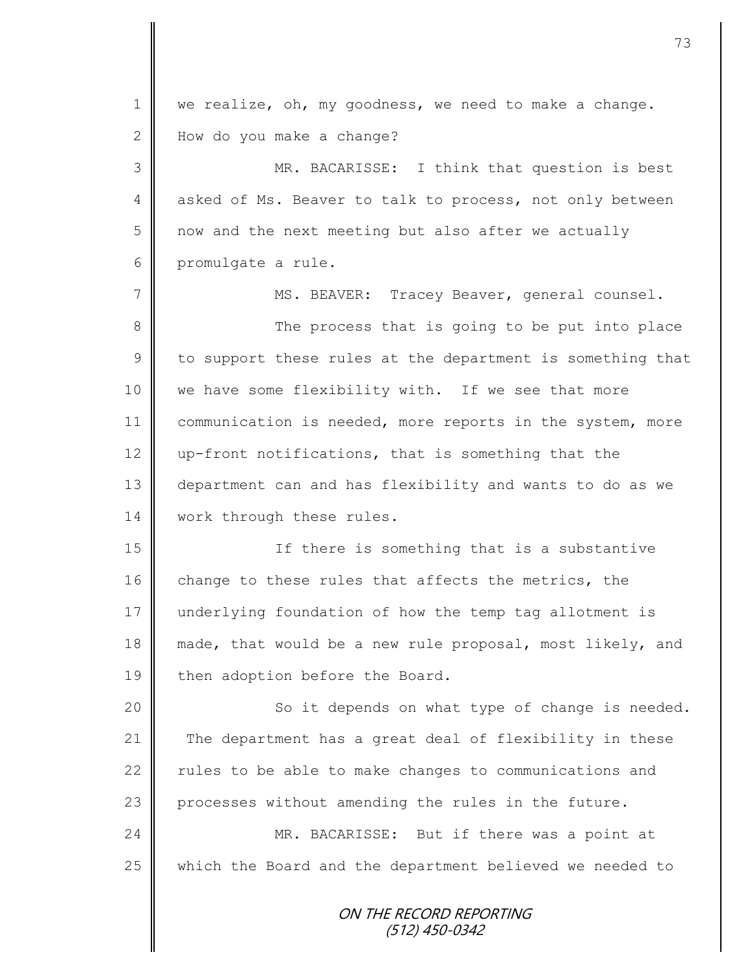ON THE RECORD REPORTING  $1 \parallel$  we realize, oh, my goodness, we need to make a change. 2 How do you make a change? 3 || MR. BACARISSE: I think that question is best 4 asked of Ms. Beaver to talk to process, not only between  $5 \parallel$  now and the next meeting but also after we actually 6 promulgate a rule. 7 || MS. BEAVER: Tracey Beaver, general counsel. 8 The process that is going to be put into place  $9 \parallel$  to support these rules at the department is something that 10 we have some flexibility with. If we see that more 11 | communication is needed, more reports in the system, more 12  $\parallel$  up-front notifications, that is something that the 13 department can and has flexibility and wants to do as we 14 | work through these rules. 15 | There is something that is a substantive 16 change to these rules that affects the metrics, the 17 underlying foundation of how the temp tag allotment is 18 made, that would be a new rule proposal, most likely, and 19 then adoption before the Board. 20 || So it depends on what type of change is needed. 21 The department has a great deal of flexibility in these 22  $\parallel$  rules to be able to make changes to communications and 23 processes without amending the rules in the future. 24 MR. BACARISSE: But if there was a point at  $25$  which the Board and the department believed we needed to

(512) 450-0342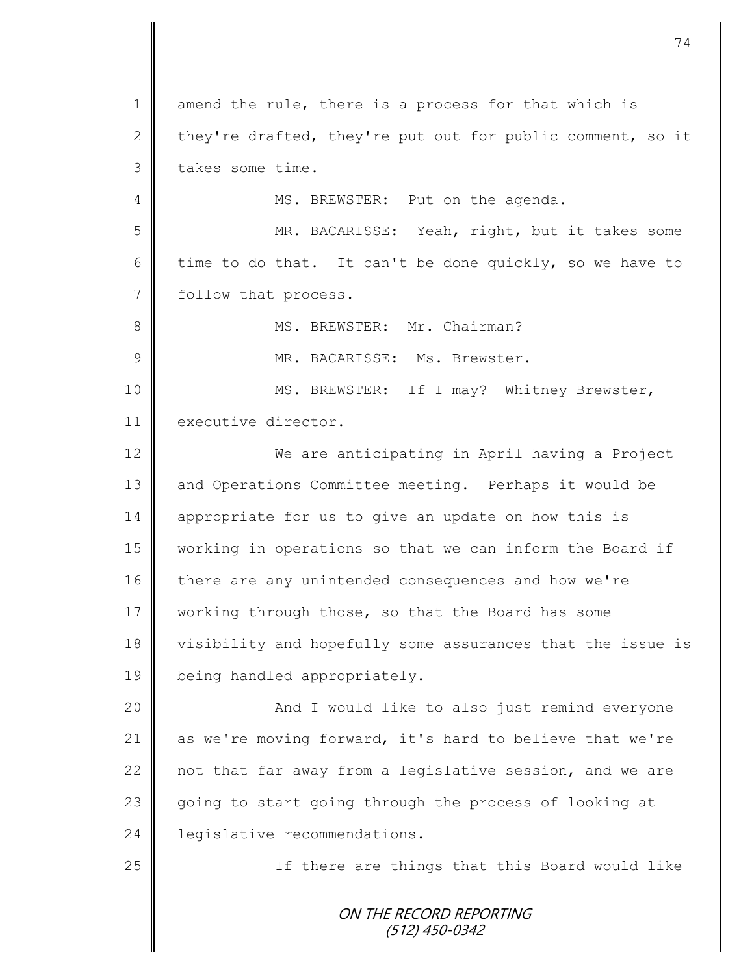ON THE RECORD REPORTING (512) 450-0342 1 amend the rule, there is a process for that which is 2 they're drafted, they're put out for public comment, so it  $3 \parallel$  takes some time. 4 MS. BREWSTER: Put on the agenda. 5 || MR. BACARISSE: Yeah, right, but it takes some 6 time to do that. It can't be done quickly, so we have to 7 follow that process. 8 | MS. BREWSTER: Mr. Chairman? 9  $\parallel$  MR. BACARISSE: Ms. Brewster. 10 || MS. BREWSTER: If I may? Whitney Brewster, 11 executive director. 12 We are anticipating in April having a Project 13 and Operations Committee meeting. Perhaps it would be 14 appropriate for us to give an update on how this is 15 working in operations so that we can inform the Board if 16 there are any unintended consequences and how we're 17 working through those, so that the Board has some 18 visibility and hopefully some assurances that the issue is 19 | being handled appropriately. 20 || And I would like to also just remind everyone 21 as we're moving forward, it's hard to believe that we're 22  $\parallel$  not that far away from a legislative session, and we are 23 going to start going through the process of looking at 24 **l** legislative recommendations. 25 || If there are things that this Board would like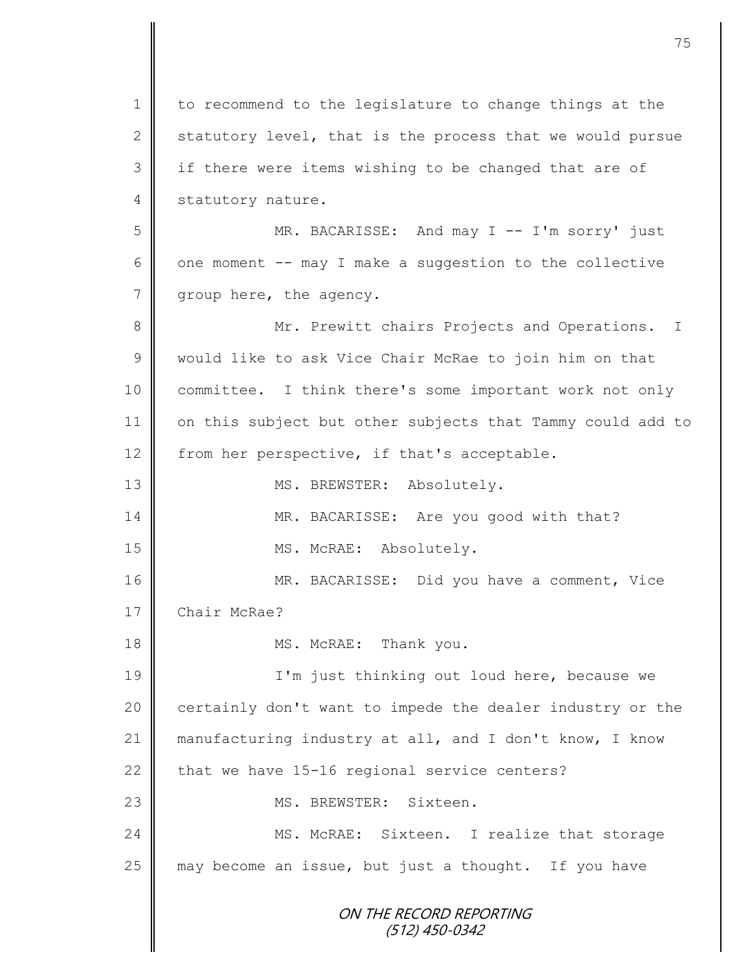ON THE RECORD REPORTING (512) 450-0342 1 to recommend to the legislature to change things at the 2 statutory level, that is the process that we would pursue 3 || if there were items wishing to be changed that are of 4 statutory nature. 5 MR. BACARISSE: And may I -- I'm sorry' just 6 | one moment  $--$  may I make a suggestion to the collective 7 | group here, the agency. 8 || Mr. Prewitt chairs Projects and Operations. I 9 would like to ask Vice Chair McRae to join him on that 10 | committee. I think there's some important work not only 11 on this subject but other subjects that Tammy could add to 12 from her perspective, if that's acceptable. 13 || MS. BREWSTER: Absolutely. 14 MR. BACARISSE: Are you good with that? 15 || MS. McRAE: Absolutely. 16 MR. BACARISSE: Did you have a comment, Vice 17 Chair McRae? 18 || MS. McRAE: Thank you. 19 | I'm just thinking out loud here, because we 20 | certainly don't want to impede the dealer industry or the 21  $\parallel$  manufacturing industry at all, and I don't know, I know 22 that we have  $15-16$  regional service centers? 23 MS. BREWSTER: Sixteen. 24 | MS. McRAE: Sixteen. I realize that storage  $25$  may become an issue, but just a thought. If you have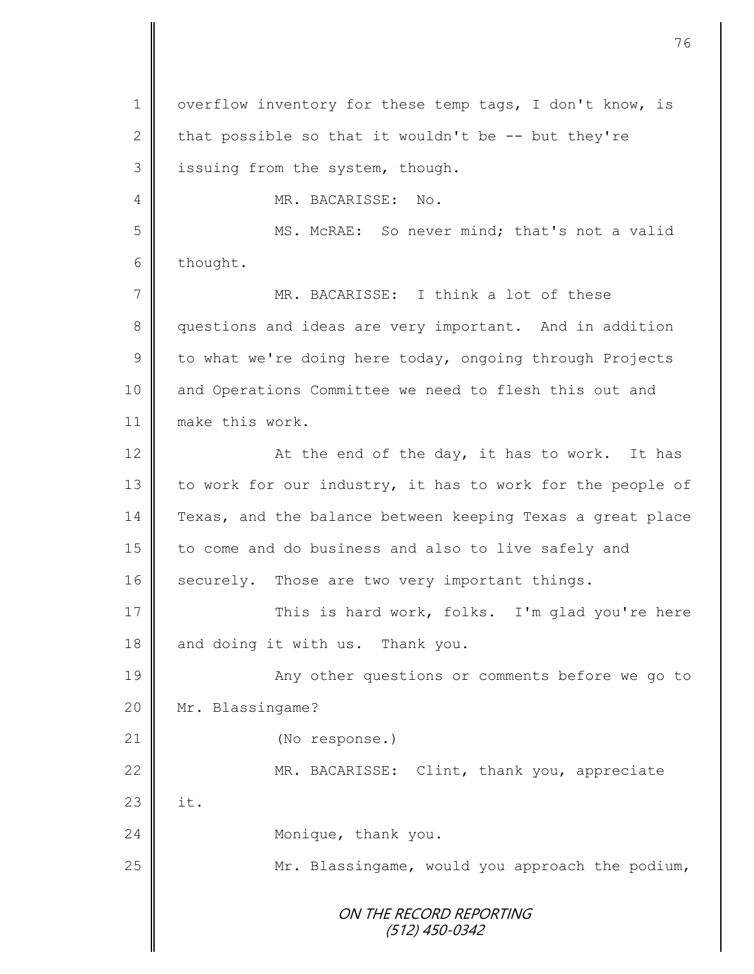|                | 76                                                         |
|----------------|------------------------------------------------------------|
|                |                                                            |
| 1              | overflow inventory for these temp tags, I don't know, is   |
| $\mathbf{2}$   | that possible so that it wouldn't be -- but they're        |
| 3              | issuing from the system, though.                           |
| 4              | MR. BACARISSE:<br>No.                                      |
| 5              | MS. McRAE: So never mind; that's not a valid               |
| 6              | thought.                                                   |
| $\overline{7}$ | MR. BACARISSE: I think a lot of these                      |
| $8\,$          | questions and ideas are very important. And in addition    |
| $\mathcal{G}$  | to what we're doing here today, ongoing through Projects   |
| 10             | and Operations Committee we need to flesh this out and     |
| 11             | make this work.                                            |
| 12             | At the end of the day, it has to work. It has              |
| 13             | to work for our industry, it has to work for the people of |
| 14             | Texas, and the balance between keeping Texas a great place |
| 15             | to come and do business and also to live safely and        |
| 16             | securely. Those are two very important things.             |
| 17             | This is hard work, folks. I'm glad you're here             |
| 18             | and doing it with us. Thank you.                           |
| 19             | Any other questions or comments before we go to            |
| 20             | Mr. Blassingame?                                           |
| 21             | (No response.)                                             |
| 22             | MR. BACARISSE: Clint, thank you, appreciate                |
| 23             | it.                                                        |
| 24             | Monique, thank you.                                        |
| 25             | Mr. Blassingame, would you approach the podium,            |
|                | ON THE RECORD REPORTING                                    |
|                | $(512)$ 450-0342                                           |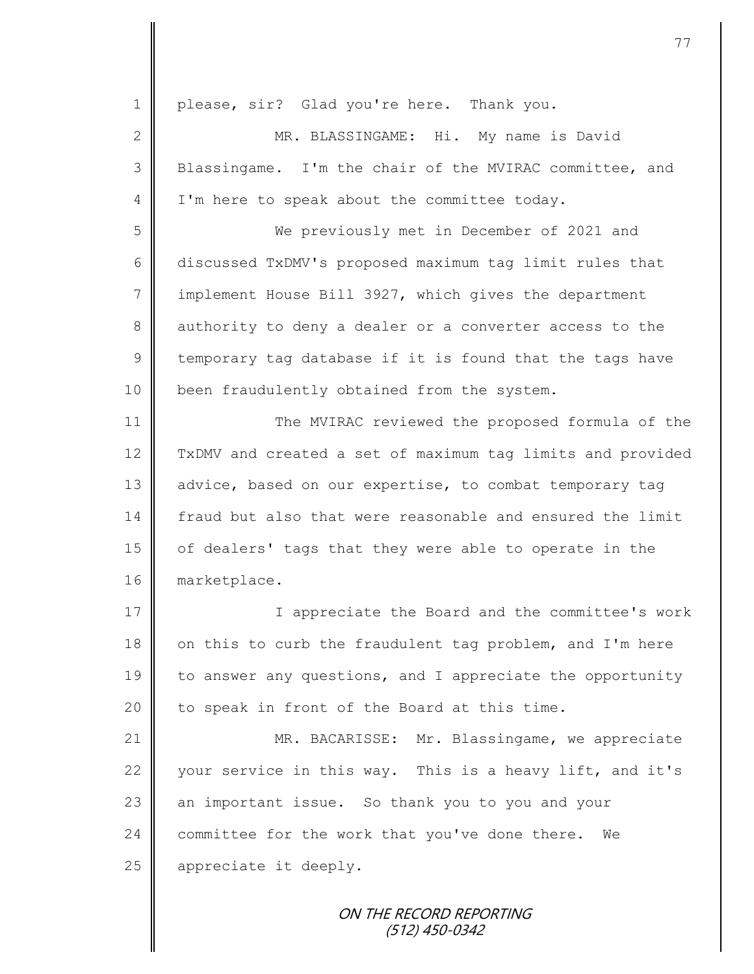| $\mathbf 1$    | please, sir? Glad you're here. Thank you.                  |
|----------------|------------------------------------------------------------|
| 2              | MR. BLASSINGAME: Hi. My name is David                      |
| 3              | Blassingame. I'm the chair of the MVIRAC committee, and    |
| $\overline{4}$ | I'm here to speak about the committee today.               |
| 5              | We previously met in December of 2021 and                  |
| 6              | discussed TxDMV's proposed maximum tag limit rules that    |
| $\overline{7}$ | implement House Bill 3927, which gives the department      |
| 8              | authority to deny a dealer or a converter access to the    |
| $\mathcal{G}$  | temporary tag database if it is found that the tags have   |
| 10             | been fraudulently obtained from the system.                |
| 11             | The MVIRAC reviewed the proposed formula of the            |
| 12             | TxDMV and created a set of maximum tag limits and provided |
| 13             | advice, based on our expertise, to combat temporary tag    |
| 14             | fraud but also that were reasonable and ensured the limit  |
| 15             | of dealers' tags that they were able to operate in the     |
| 16             | marketplace.                                               |
| 17             | I appreciate the Board and the committee's work            |
| 18             | on this to curb the fraudulent tag problem, and I'm here   |
| 19             | to answer any questions, and I appreciate the opportunity  |
| 20             | to speak in front of the Board at this time.               |
| 21             | MR. BACARISSE: Mr. Blassingame, we appreciate              |
| 22             | your service in this way. This is a heavy lift, and it's   |
| 23             | an important issue. So thank you to you and your           |
| 24             | committee for the work that you've done there.<br>We       |
| 25             | appreciate it deeply.                                      |
|                | ON THE RECORD REPORTING                                    |
|                |                                                            |

(512) 450-0342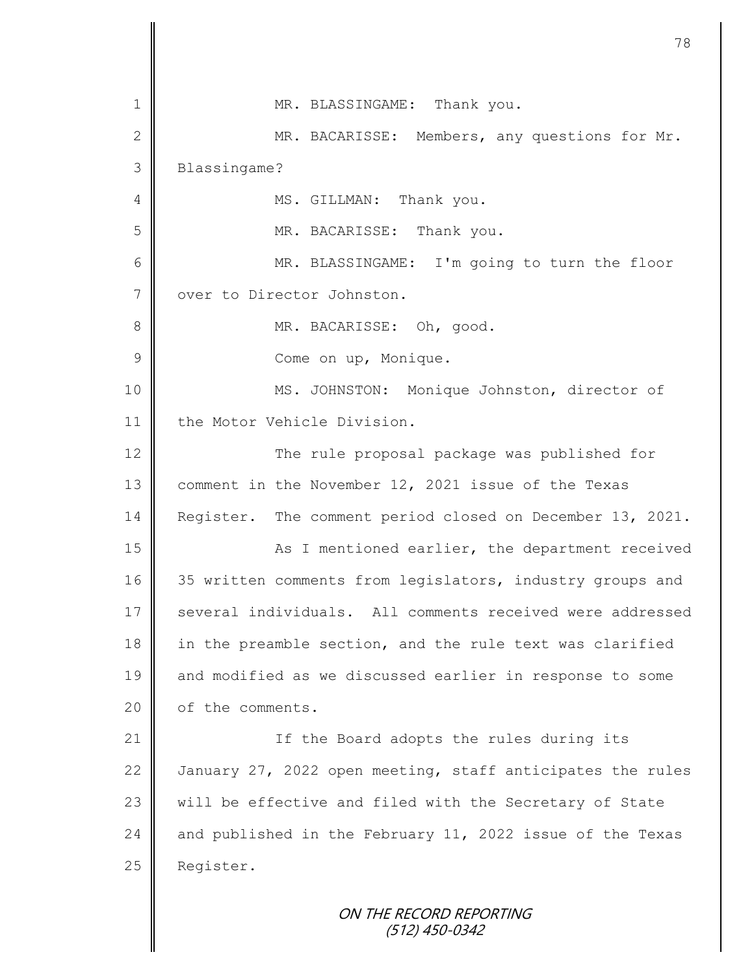| $\mathbf 1$    | MR. BLASSINGAME: Thank you.                                |
|----------------|------------------------------------------------------------|
| $\overline{2}$ | MR. BACARISSE: Members, any questions for Mr.              |
| 3              | Blassingame?                                               |
| 4              | MS. GILLMAN: Thank you.                                    |
| 5              | MR. BACARISSE: Thank you.                                  |
| 6              | MR. BLASSINGAME: I'm going to turn the floor               |
| 7              | over to Director Johnston.                                 |
| 8              | MR. BACARISSE: Oh, good.                                   |
| 9              | Come on up, Monique.                                       |
| 10             | MS. JOHNSTON: Monique Johnston, director of                |
| 11             | the Motor Vehicle Division.                                |
| 12             | The rule proposal package was published for                |
| 13             | comment in the November 12, 2021 issue of the Texas        |
| 14             | Register. The comment period closed on December 13, 2021.  |
| 15             | As I mentioned earlier, the department received            |
| 16             | 35 written comments from legislators, industry groups and  |
| 17             | several individuals. All comments received were addressed  |
| 18             | in the preamble section, and the rule text was clarified   |
| 19             | and modified as we discussed earlier in response to some   |
| 20             | of the comments.                                           |
| 21             | If the Board adopts the rules during its                   |
| 22             | January 27, 2022 open meeting, staff anticipates the rules |
| 23             | will be effective and filed with the Secretary of State    |
| 24             | and published in the February 11, 2022 issue of the Texas  |
| 25             | Register.                                                  |
|                | ON THE RECORD REPORTING                                    |

(512) 450-0342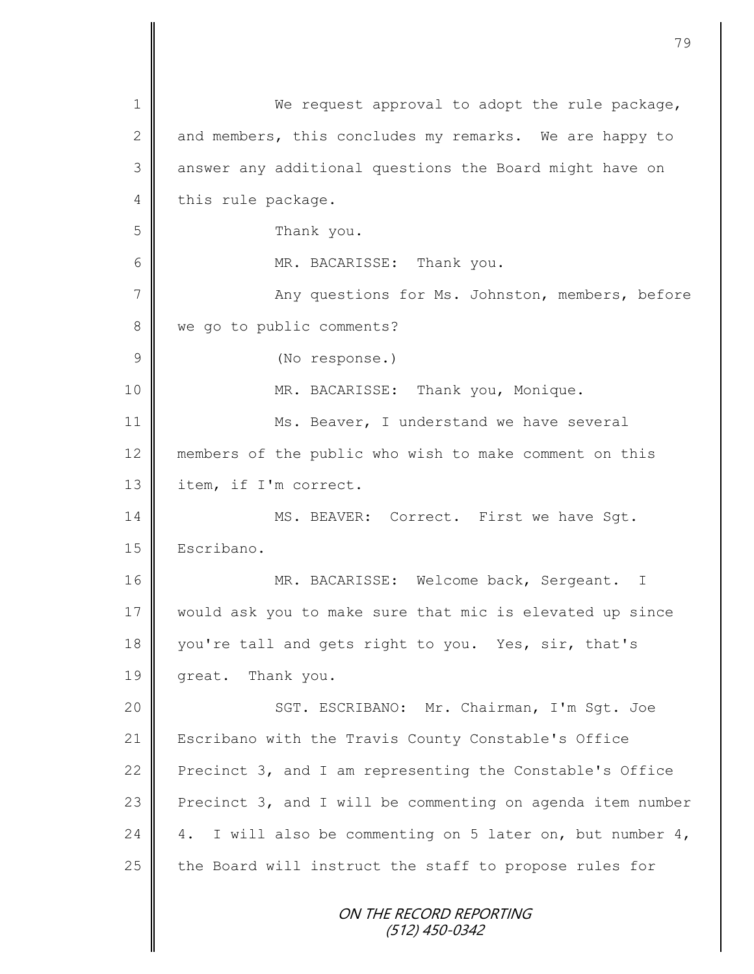| $\mathbf 1$   | We request approval to adopt the rule package,               |
|---------------|--------------------------------------------------------------|
| $\mathbf{2}$  | and members, this concludes my remarks. We are happy to      |
| 3             | answer any additional questions the Board might have on      |
| 4             | this rule package.                                           |
| 5             | Thank you.                                                   |
| 6             | MR. BACARISSE: Thank you.                                    |
| 7             | Any questions for Ms. Johnston, members, before              |
| $8\,$         | we go to public comments?                                    |
| $\mathcal{G}$ | (No response.)                                               |
| 10            | MR. BACARISSE: Thank you, Monique.                           |
| 11            | Ms. Beaver, I understand we have several                     |
| 12            | members of the public who wish to make comment on this       |
| 13            | item, if I'm correct.                                        |
| 14            | MS. BEAVER: Correct. First we have Sgt.                      |
| 15            | Escribano.                                                   |
| 16            | MR. BACARISSE: Welcome back, Sergeant. I                     |
| 17            | would ask you to make sure that mic is elevated up since     |
| 18            | you're tall and gets right to you. Yes, sir, that's          |
| 19            | great. Thank you.                                            |
| 20            | SGT. ESCRIBANO: Mr. Chairman, I'm Sqt. Joe                   |
| 21            | Escribano with the Travis County Constable's Office          |
| 22            | Precinct 3, and I am representing the Constable's Office     |
| 23            | Precinct 3, and I will be commenting on agenda item number   |
| 24            | I will also be commenting on 5 later on, but number 4,<br>4. |
| 25            | the Board will instruct the staff to propose rules for       |
|               | ON THE RECORD REPORTING<br>(512) 450-0342                    |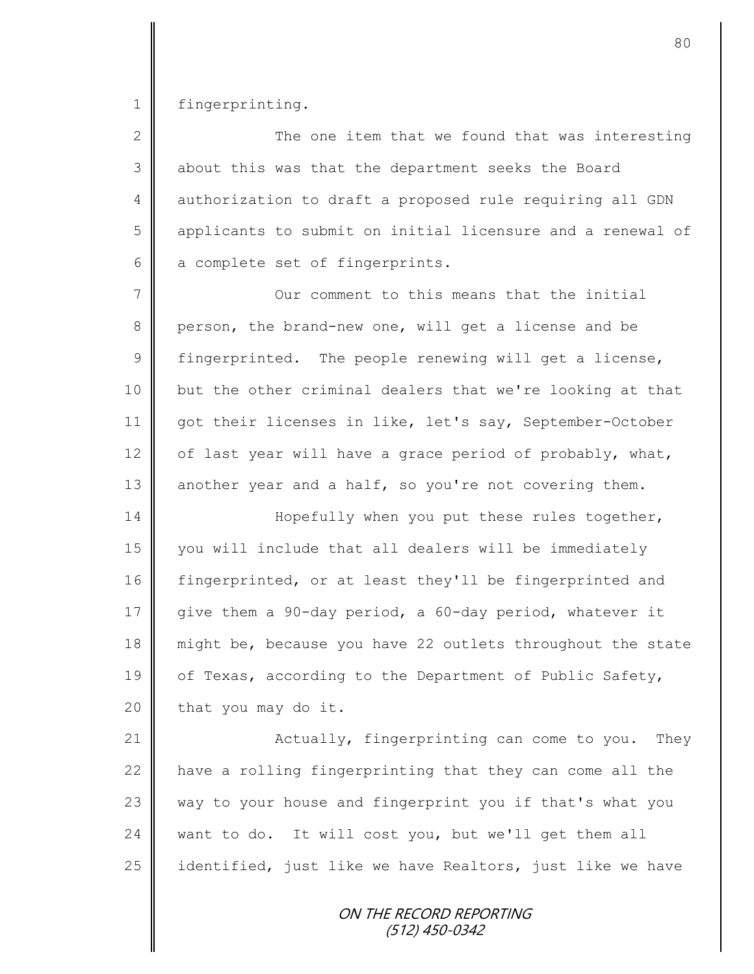1 | fingerprinting.

| $\overline{2}$ | The one item that we found that was interesting            |
|----------------|------------------------------------------------------------|
| 3              | about this was that the department seeks the Board         |
| 4              | authorization to draft a proposed rule requiring all GDN   |
| 5              | applicants to submit on initial licensure and a renewal of |
| 6              | a complete set of fingerprints.                            |
|                | Our comment to this means that the initial                 |

8 person, the brand-new one, will get a license and be  $9 \parallel$  fingerprinted. The people renewing will get a license, 10 but the other criminal dealers that we're looking at that 11 got their licenses in like, let's say, September-October 12  $\parallel$  of last year will have a grace period of probably, what, 13 another year and a half, so you're not covering them.

14 Hopefully when you put these rules together, 15 you will include that all dealers will be immediately 16 fingerprinted, or at least they'll be fingerprinted and 17 give them a 90-day period, a 60-day period, whatever it 18 might be, because you have 22 outlets throughout the state 19  $\parallel$  of Texas, according to the Department of Public Safety,  $20$  | that you may do it.

21 | Actually, fingerprinting can come to you. They 22  $\parallel$  have a rolling fingerprinting that they can come all the  $23$  way to your house and fingerprint you if that's what you 24 want to do. It will cost you, but we'll get them all 25  $\parallel$  identified, just like we have Realtors, just like we have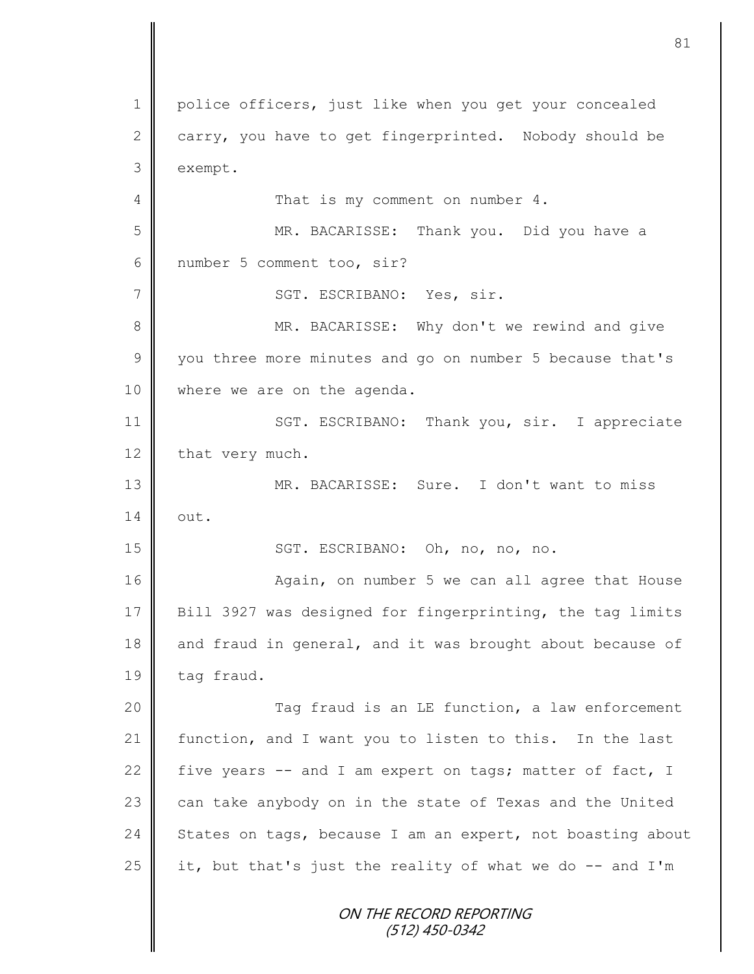ON THE RECORD REPORTING (512) 450-0342 1 police officers, just like when you get your concealed 2 carry, you have to get fingerprinted. Nobody should be 3 exempt. 4 || That is my comment on number 4. 5 MR. BACARISSE: Thank you. Did you have a 6 number 5 comment too, sir? 7 | SGT. ESCRIBANO: Yes, sir. 8 || MR. BACARISSE: Why don't we rewind and give 9 you three more minutes and go on number 5 because that's 10 | where we are on the agenda. 11 | SGT. ESCRIBANO: Thank you, sir. I appreciate 12 that very much. 13 MR. BACARISSE: Sure. I don't want to miss  $14 \parallel \quad \text{out.}$ 15 || SGT. ESCRIBANO: Oh, no, no, no. 16 | **Again, on number 5** we can all agree that House 17 Bill 3927 was designed for fingerprinting, the tag limits 18 and fraud in general, and it was brought about because of 19 tag fraud. 20 | Tag fraud is an LE function, a law enforcement 21 | function, and I want you to listen to this. In the last 22 five years  $-$  and I am expert on tags; matter of fact, I 23  $\parallel$  can take anybody on in the state of Texas and the United 24 States on tags, because I am an expert, not boasting about 25 it, but that's just the reality of what we do  $-$  and I'm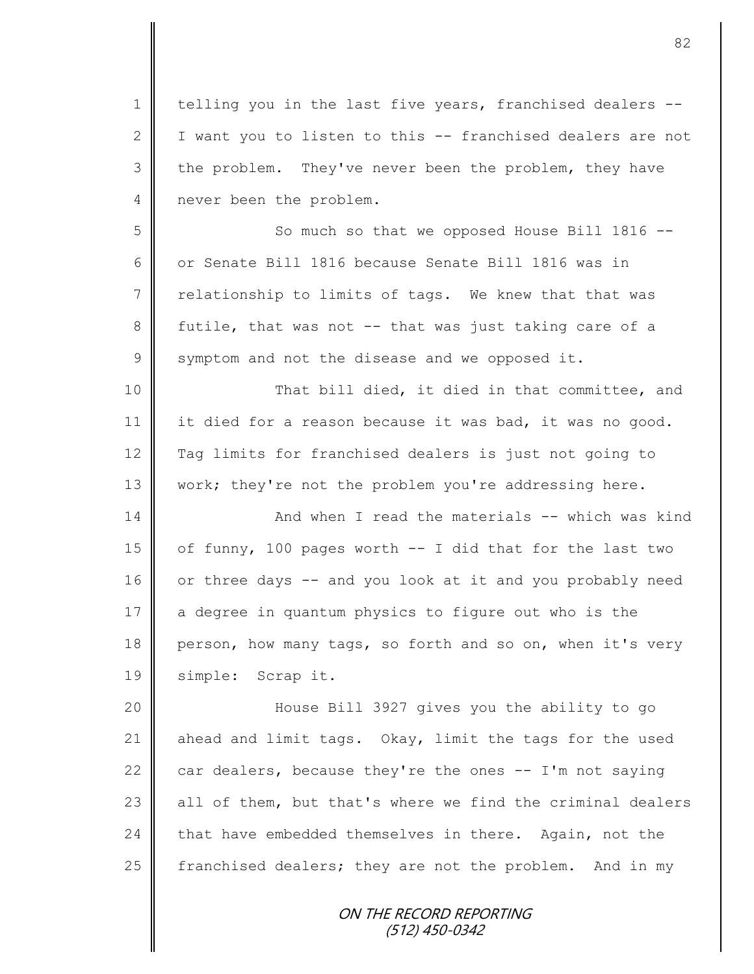1 | telling you in the last five years, franchised dealers --2  $\parallel$  I want you to listen to this -- franchised dealers are not 3 the problem. They've never been the problem, they have 4 never been the problem.

5 So much so that we opposed House Bill 1816 --6 | or Senate Bill 1816 because Senate Bill 1816 was in  $7 \parallel$  relationship to limits of tags. We knew that that was 8 futile, that was not -- that was just taking care of a  $9 \parallel$  symptom and not the disease and we opposed it.

10 || That bill died, it died in that committee, and 11 it died for a reason because it was bad, it was no good. 12 Tag limits for franchised dealers is just not going to 13 | work; they're not the problem you're addressing here.

14 **And when I read the materials -- which was kind** 15 | of funny, 100 pages worth -- I did that for the last two 16 or three days -- and you look at it and you probably need 17 a degree in quantum physics to figure out who is the 18 person, how many tags, so forth and so on, when it's very 19 | simple: Scrap it.

 House Bill 3927 gives you the ability to go  $\parallel$  ahead and limit tags. Okay, limit the tags for the used 22 car dealers, because they're the ones  $-$  I'm not saying  $\parallel$  all of them, but that's where we find the criminal dealers 24 that have embedded themselves in there. Again, not the  $\parallel$  franchised dealers; they are not the problem. And in my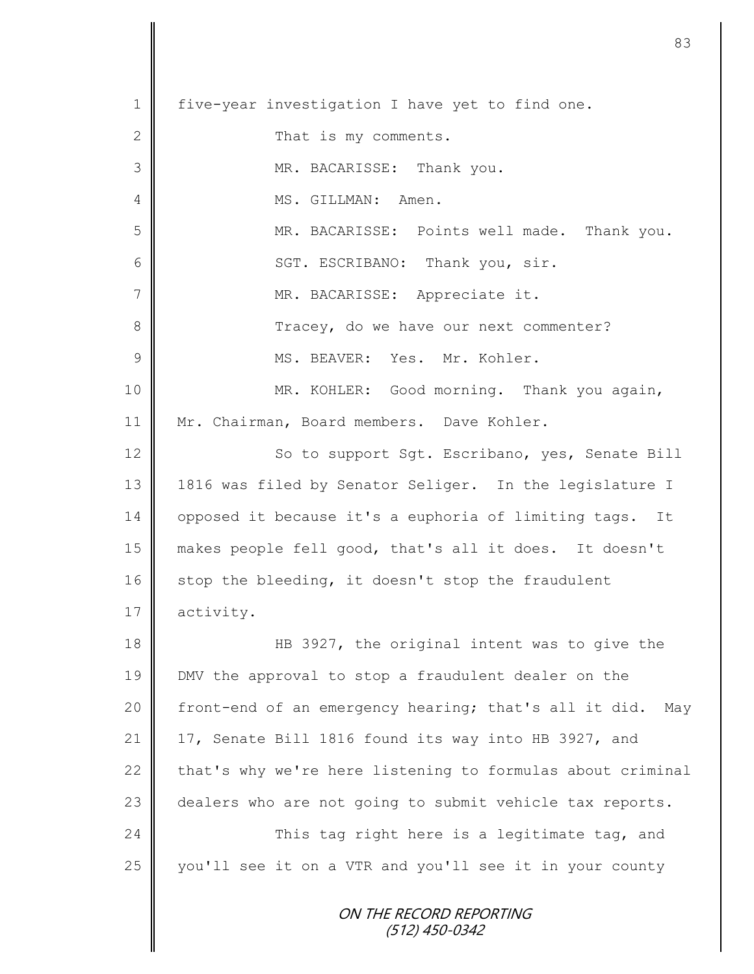1 | five-year investigation I have yet to find one. 2 **C** That is my comments. 3 MR. BACARISSE: Thank you. 4 || MS. GILLMAN: Amen. 5 MR. BACARISSE: Points well made. Thank you. 6 || SGT. ESCRIBANO: Thank you, sir. 7 || MR. BACARISSE: Appreciate it. 8 Tracey, do we have our next commenter? 9  $\parallel$  MS. BEAVER: Yes. Mr. Kohler. 10 || MR. KOHLER: Good morning. Thank you again, 11 | Mr. Chairman, Board members. Dave Kohler. 12 | So to support Sqt. Escribano, yes, Senate Bill 13 || 1816 was filed by Senator Seliger. In the legislature I 14 | opposed it because it's a euphoria of limiting tags. It 15 makes people fell good, that's all it does. It doesn't  $16$  stop the bleeding, it doesn't stop the fraudulent 17 activity. 18 HB 3927, the original intent was to give the 19 DMV the approval to stop a fraudulent dealer on the 20 front-end of an emergency hearing; that's all it did. May 21 | 17, Senate Bill 1816 found its way into HB 3927, and 22  $\parallel$  that's why we're here listening to formulas about criminal 23 dealers who are not going to submit vehicle tax reports. 24 This tag right here is a legitimate tag, and 25 you'll see it on a VTR and you'll see it in your county

83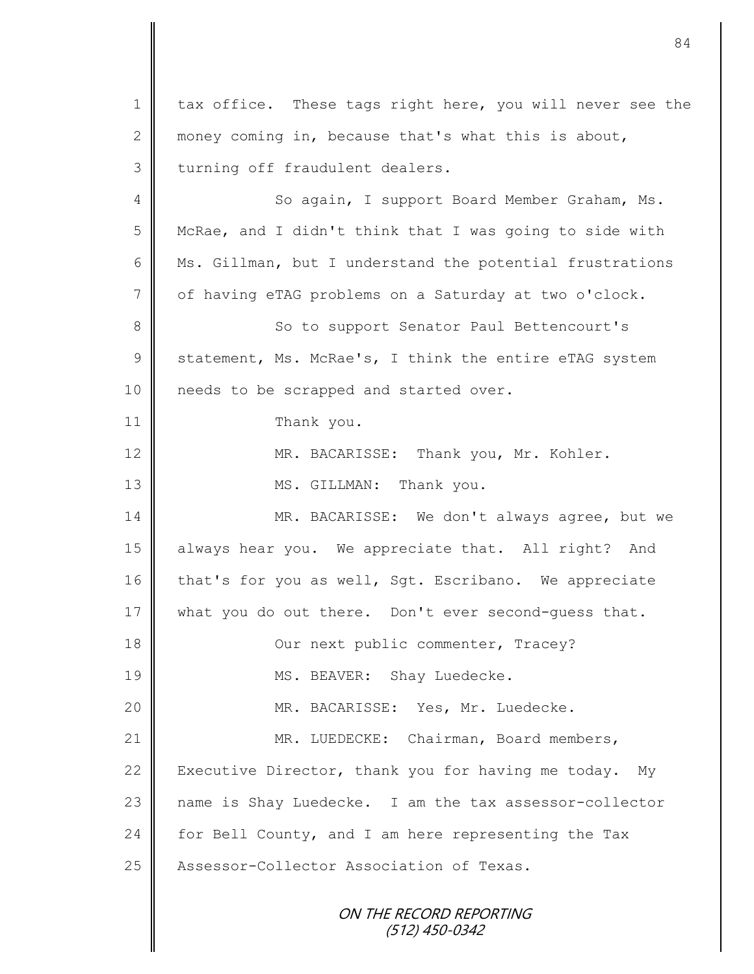1 | tax office. These tags right here, you will never see the 2 money coming in, because that's what this is about, 3 turning off fraudulent dealers. 4 So again, I support Board Member Graham, Ms. 5 McRae, and I didn't think that I was going to side with 6  $\parallel$  Ms. Gillman, but I understand the potential frustrations 7 of having eTAG problems on a Saturday at two o'clock. 8 So to support Senator Paul Bettencourt's  $9 \parallel$  statement, Ms. McRae's, I think the entire eTAG system 10 || needs to be scrapped and started over. 11 | Thank you. 12 MR. BACARISSE: Thank you, Mr. Kohler. 13 || MS. GILLMAN: Thank you. 14 MR. BACARISSE: We don't always agree, but we 15 always hear you. We appreciate that. All right? And 16 that's for you as well, Sgt. Escribano. We appreciate 17 what you do out there. Don't ever second-quess that. 18 Our next public commenter, Tracey? 19 || MS. BEAVER: Shay Luedecke. 20 MR. BACARISSE: Yes, Mr. Luedecke. 21 MR. LUEDECKE: Chairman, Board members, 22 Executive Director, thank you for having me today. My 23 name is Shay Luedecke. I am the tax assessor-collector

24 for Bell County, and I am here representing the Tax 25 | Assessor-Collector Association of Texas.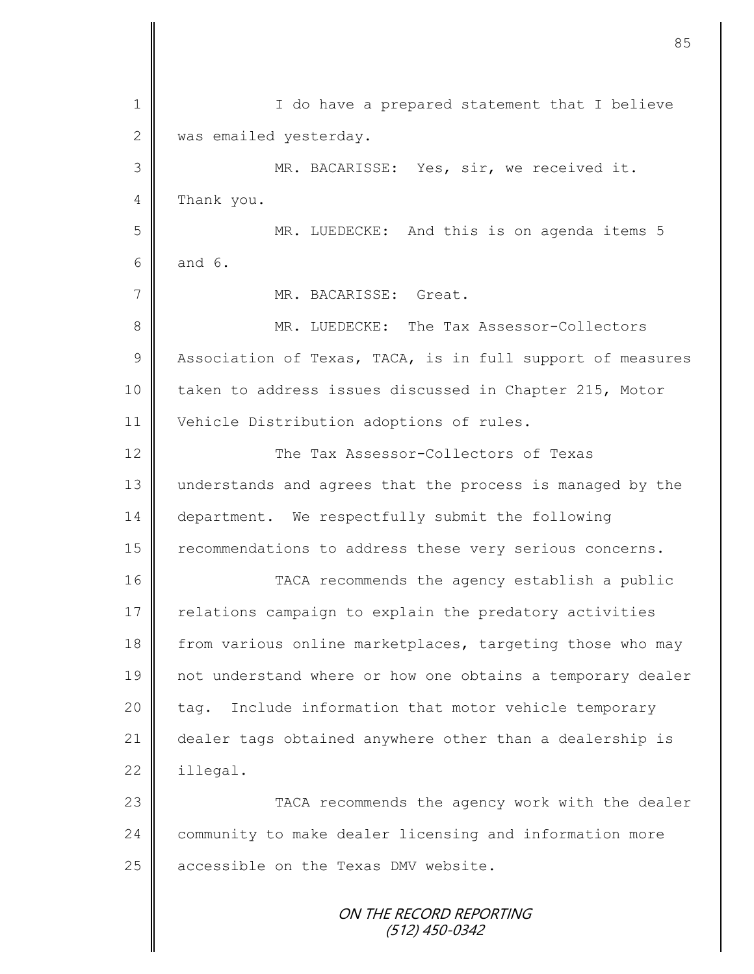| $\mathbf 1$   | I do have a prepared statement that I believe              |
|---------------|------------------------------------------------------------|
| 2             | was emailed yesterday.                                     |
| 3             | MR. BACARISSE: Yes, sir, we received it.                   |
| 4             | Thank you.                                                 |
| 5             | MR. LUEDECKE: And this is on agenda items 5                |
| 6             | and $6.$                                                   |
| 7             | MR. BACARISSE: Great.                                      |
| 8             | MR. LUEDECKE: The Tax Assessor-Collectors                  |
| $\mathcal{G}$ | Association of Texas, TACA, is in full support of measures |
| 10            | taken to address issues discussed in Chapter 215, Motor    |
| 11            | Vehicle Distribution adoptions of rules.                   |
| 12            | The Tax Assessor-Collectors of Texas                       |
| 13            | understands and agrees that the process is managed by the  |
| 14            | department. We respectfully submit the following           |
| 15            | recommendations to address these very serious concerns.    |
| 16            | TACA recommends the agency establish a public              |
| 17            | relations campaign to explain the predatory activities     |
| 18            | from various online marketplaces, targeting those who may  |
| 19            | not understand where or how one obtains a temporary dealer |
| 20            | Include information that motor vehicle temporary<br>tag.   |
| 21            | dealer tags obtained anywhere other than a dealership is   |
| 22            | illegal.                                                   |
| 23            | TACA recommends the agency work with the dealer            |
| 24            | community to make dealer licensing and information more    |
| 25            | accessible on the Texas DMV website.                       |
|               | ON THE RECORD REPORTING<br>$(512)$ 450-0342                |

 $\mathbf l$ II

II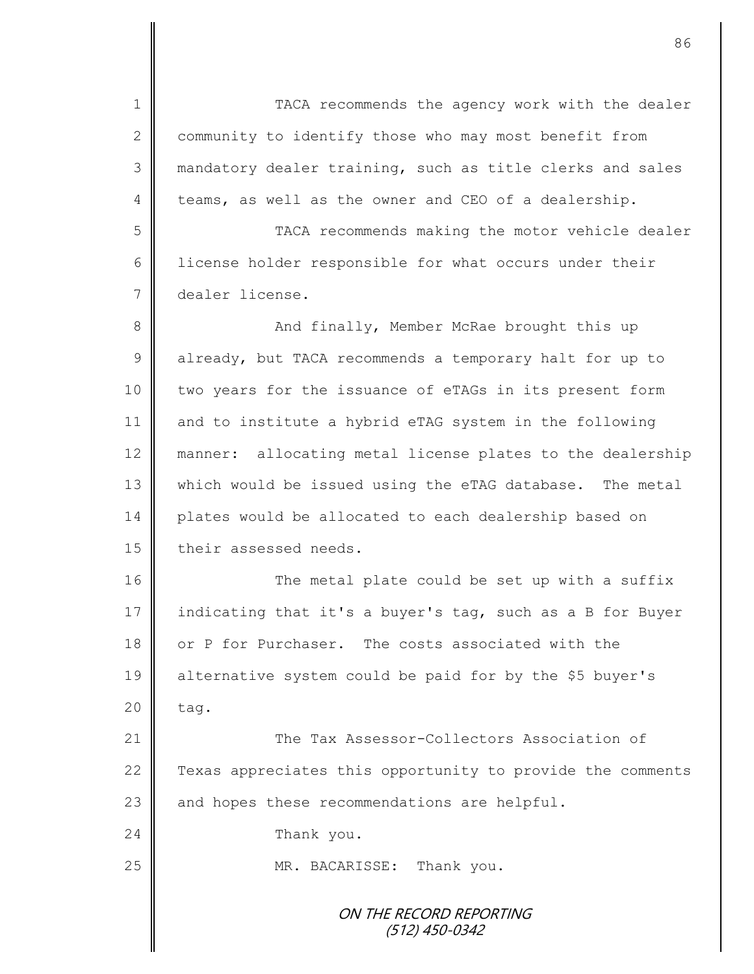ON THE RECORD REPORTING (512) 450-0342 1 || TACA recommends the agency work with the dealer 2 community to identify those who may most benefit from 3 || mandatory dealer training, such as title clerks and sales 4 teams, as well as the owner and CEO of a dealership. 5 TACA recommends making the motor vehicle dealer 6 | license holder responsible for what occurs under their 7 dealer license. 8 And finally, Member McRae brought this up 9 already, but TACA recommends a temporary halt for up to 10 two years for the issuance of eTAGs in its present form 11 and to institute a hybrid eTAG system in the following 12 manner: allocating metal license plates to the dealership 13 which would be issued using the eTAG database. The metal 14 plates would be allocated to each dealership based on 15 their assessed needs. 16 || The metal plate could be set up with a suffix 17 indicating that it's a buyer's tag, such as a B for Buyer 18 or P for Purchaser. The costs associated with the 19 alternative system could be paid for by the \$5 buyer's  $20 \parallel$  tag. 21 **Number 21** The Tax Assessor-Collectors Association of 22 | Texas appreciates this opportunity to provide the comments 23  $\parallel$  and hopes these recommendations are helpful. 24 **Thank** you. 25 || MR. BACARISSE: Thank you.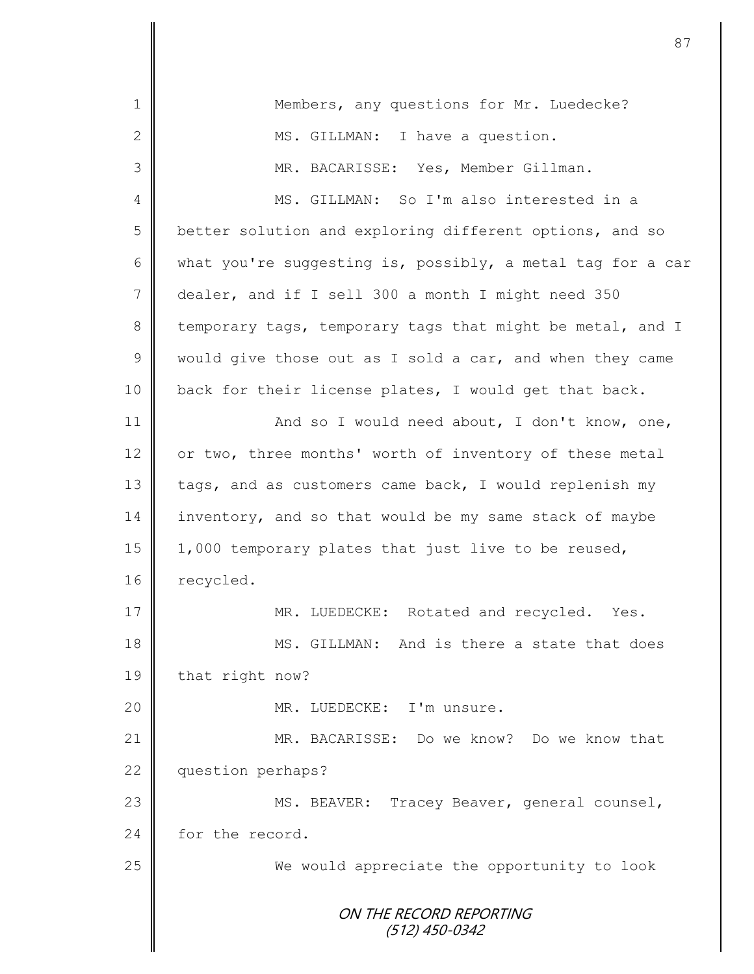|                 | 87                                                         |
|-----------------|------------------------------------------------------------|
| $\mathbf 1$     | Members, any questions for Mr. Luedecke?                   |
| $\mathbf{2}$    |                                                            |
|                 | MS. GILLMAN: I have a question.                            |
| 3               | MR. BACARISSE: Yes, Member Gillman.                        |
| 4               | MS. GILLMAN: So I'm also interested in a                   |
| 5               | better solution and exploring different options, and so    |
| 6               | what you're suggesting is, possibly, a metal tag for a car |
| $7\phantom{.0}$ | dealer, and if I sell 300 a month I might need 350         |
| 8               | temporary tags, temporary tags that might be metal, and I  |
| $\mathcal{G}$   | would give those out as I sold a car, and when they came   |
| 10              | back for their license plates, I would get that back.      |
| 11              | And so I would need about, I don't know, one,              |
| 12              | or two, three months' worth of inventory of these metal    |
| 13              | tags, and as customers came back, I would replenish my     |
| 14              | inventory, and so that would be my same stack of maybe     |
| 15              | 1,000 temporary plates that just live to be reused,        |
| 16              | recycled.                                                  |
| 17              | MR. LUEDECKE: Rotated and recycled. Yes.                   |
| 18              | MS. GILLMAN: And is there a state that does                |
| 19              | that right now?                                            |
| 20              | MR. LUEDECKE: I'm unsure.                                  |
| 21              | MR. BACARISSE: Do we know? Do we know that                 |
| 22              | question perhaps?                                          |
| 23              | MS. BEAVER: Tracey Beaver, general counsel,                |
| 24              | for the record.                                            |
| 25              | We would appreciate the opportunity to look                |
|                 | ON THE RECORD REPORTING<br>(512) 450-0342                  |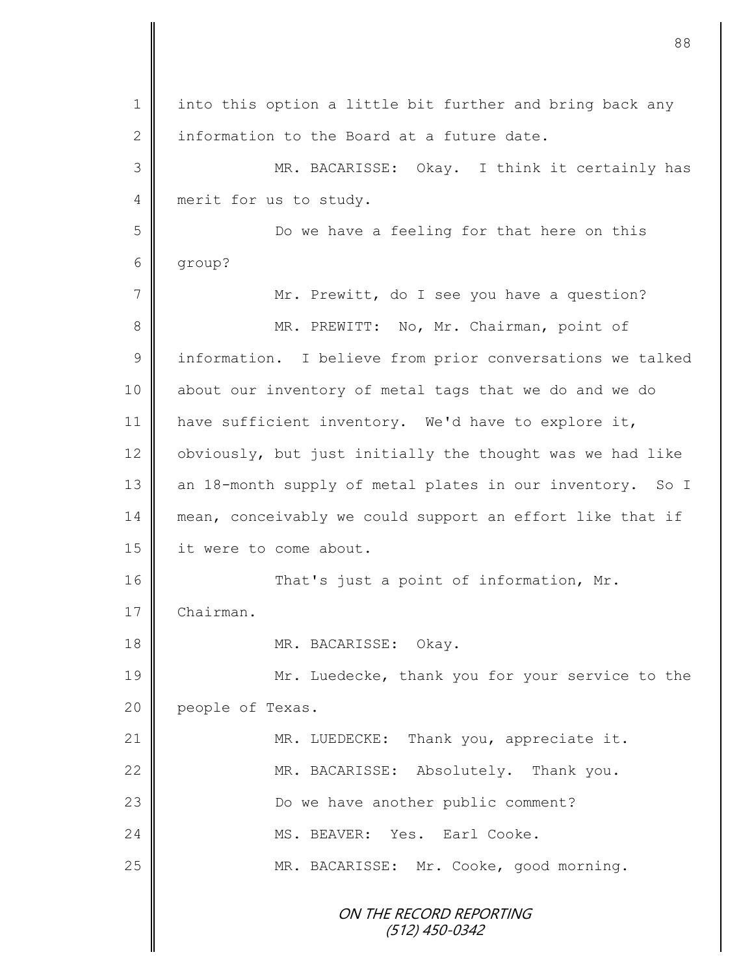ON THE RECORD REPORTING (512) 450-0342 1 || into this option a little bit further and bring back any 2 information to the Board at a future date. 3 MR. BACARISSE: Okay. I think it certainly has 4 merit for us to study. 5 Do we have a feeling for that here on this 6 group? 7 | Mr. Prewitt, do I see you have a question? 8 || MR. PREWITT: No, Mr. Chairman, point of 9 | information. I believe from prior conversations we talked 10 about our inventory of metal tags that we do and we do 11 | have sufficient inventory. We'd have to explore it,  $12$  obviously, but just initially the thought was we had like 13 an 18-month supply of metal plates in our inventory. So I 14 mean, conceivably we could support an effort like that if 15 | it were to come about. 16 That's just a point of information, Mr. 17 Chairman. 18 MR. BACARISSE: Okay. 19 Mr. Luedecke, thank you for your service to the 20 **people of Texas.** 21 | MR. LUEDECKE: Thank you, appreciate it. 22 MR. BACARISSE: Absolutely. Thank you. 23 || Do we have another public comment? 24 MS. BEAVER: Yes. Earl Cooke. 25 MR. BACARISSE: Mr. Cooke, good morning.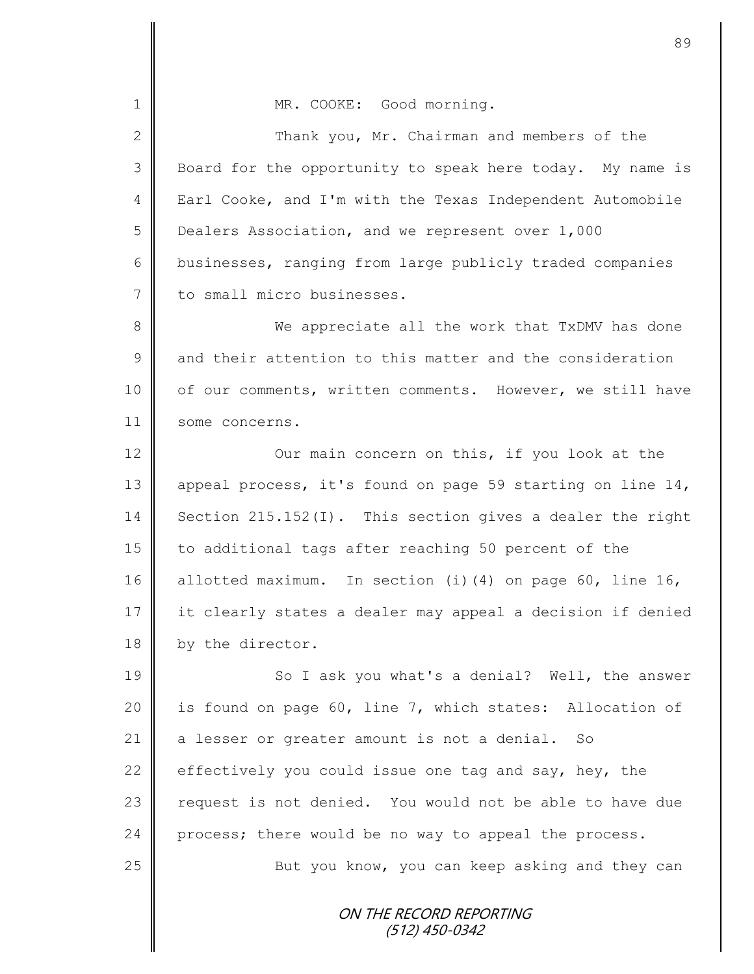ON THE RECORD REPORTING (512) 450-0342 1 | MR. COOKE: Good morning. 2 Thank you, Mr. Chairman and members of the 3 Board for the opportunity to speak here today. My name is 4 Earl Cooke, and I'm with the Texas Independent Automobile 5 Dealers Association, and we represent over 1,000 6 businesses, ranging from large publicly traded companies 7 to small micro businesses. 8 We appreciate all the work that TxDMV has done 9 and their attention to this matter and the consideration 10 | of our comments, written comments. However, we still have 11 some concerns. 12 | Our main concern on this, if you look at the 13 || appeal process, it's found on page 59 starting on line 14, 14 Section 215.152(I). This section gives a dealer the right 15 to additional tags after reaching 50 percent of the 16 allotted maximum. In section (i)(4) on page 60, line 16, 17 it clearly states a dealer may appeal a decision if denied 18 by the director. 19 || So I ask you what's a denial? Well, the answer 20 | is found on page 60, line 7, which states: Allocation of 21 a lesser or greater amount is not a denial. So 22 effectively you could issue one tag and say, hey, the 23 | request is not denied. You would not be able to have due 24 process; there would be no way to appeal the process. 25 || But you know, you can keep asking and they can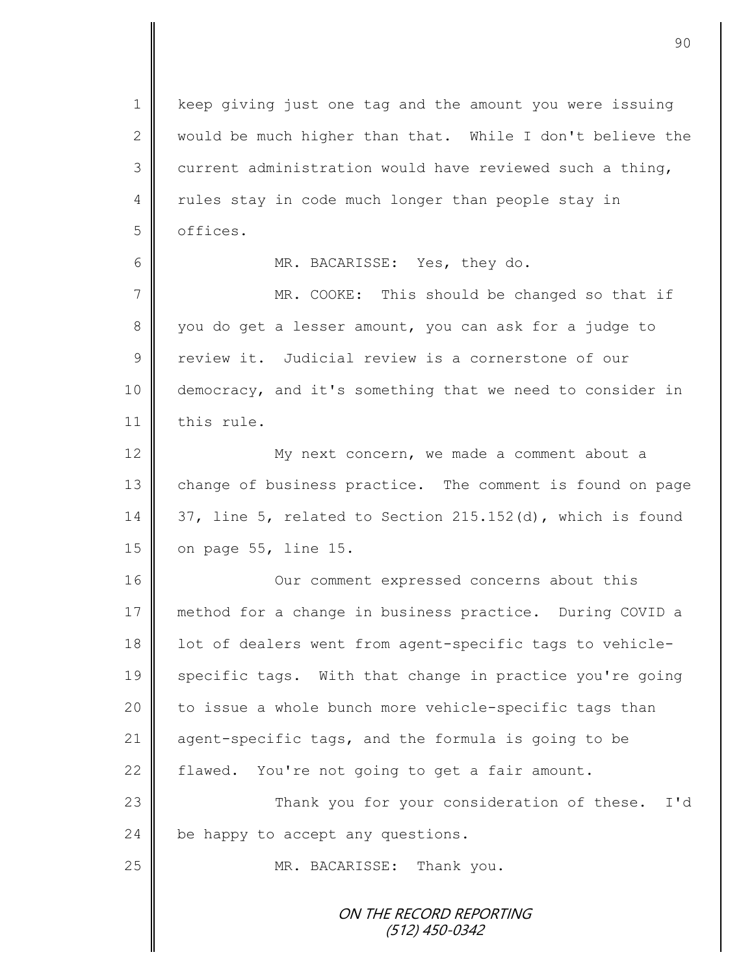ON THE RECORD REPORTING (512) 450-0342 1 | keep giving just one tag and the amount you were issuing 2  $\parallel$  would be much higher than that. While I don't believe the 3 current administration would have reviewed such a thing, 4 || rules stay in code much longer than people stay in 5 **6** offices. 6 MR. BACARISSE: Yes, they do. 7 MR. COOKE: This should be changed so that if 8 you do get a lesser amount, you can ask for a judge to 9 | review it. Judicial review is a cornerstone of our 10 democracy, and it's something that we need to consider in 11 | this rule. 12 || My next concern, we made a comment about a 13 change of business practice. The comment is found on page 14  $\parallel$  37, line 5, related to Section 215.152(d), which is found 15 | on page 55, line 15. 16 | Cur comment expressed concerns about this 17 method for a change in business practice. During COVID a 18 || lot of dealers went from agent-specific tags to vehicle-19 specific tags. With that change in practice you're going 20 | to issue a whole bunch more vehicle-specific tags than 21 agent-specific tags, and the formula is going to be 22 flawed. You're not going to get a fair amount. 23 | Thank you for your consideration of these. I'd 24 be happy to accept any questions. 25 || MR. BACARISSE: Thank you.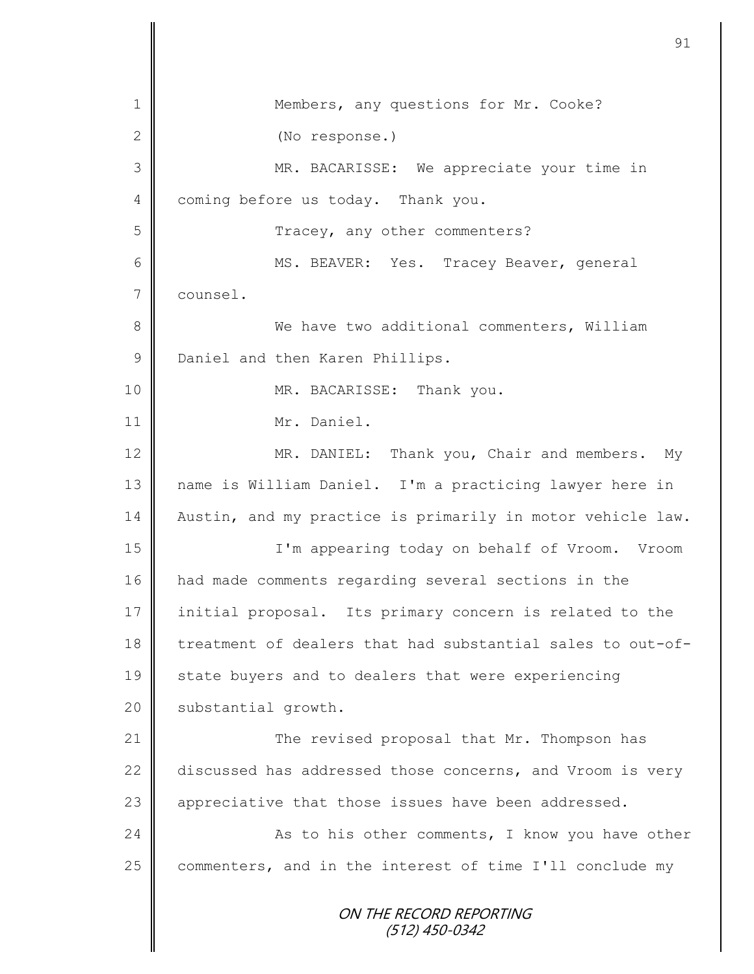|               | 91                                                         |
|---------------|------------------------------------------------------------|
| 1             | Members, any questions for Mr. Cooke?                      |
| $\mathbf{2}$  | (No response.)                                             |
| 3             | MR. BACARISSE: We appreciate your time in                  |
| 4             | coming before us today. Thank you.                         |
| 5             | Tracey, any other commenters?                              |
| 6             | MS. BEAVER: Yes. Tracey Beaver, general                    |
| 7             | counsel.                                                   |
| $8\,$         | We have two additional commenters, William                 |
| $\mathcal{G}$ | Daniel and then Karen Phillips.                            |
| 10            | MR. BACARISSE: Thank you.                                  |
| 11            | Mr. Daniel.                                                |
| 12            | MR. DANIEL: Thank you, Chair and members.<br>My            |
| 13            | name is William Daniel. I'm a practicing lawyer here in    |
| 14            | Austin, and my practice is primarily in motor vehicle law. |
| 15            | I'm appearing today on behalf of Vroom. Vroom              |
|               |                                                            |
| 16            | had made comments regarding several sections in the        |
| 17            | initial proposal. Its primary concern is related to the    |
| 18            | treatment of dealers that had substantial sales to out-of- |
| 19            | state buyers and to dealers that were experiencing         |
| 20            | substantial growth.                                        |
| 21            | The revised proposal that Mr. Thompson has                 |
| 22            | discussed has addressed those concerns, and Vroom is very  |
| 23            | appreciative that those issues have been addressed.        |
| 24            | As to his other comments, I know you have other            |
| 25            | commenters, and in the interest of time I'll conclude my   |
|               | ON THE RECORD REPORTING<br>$(512)$ 450-0342                |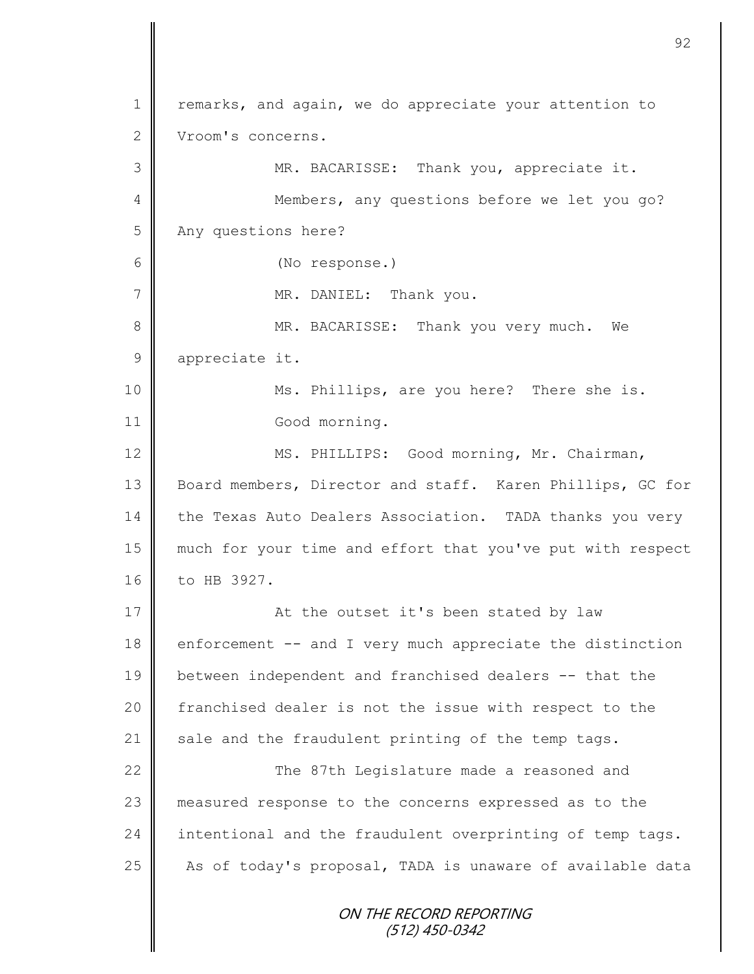ON THE RECORD REPORTING 1 | remarks, and again, we do appreciate your attention to 2 Vroom's concerns. 3 MR. BACARISSE: Thank you, appreciate it. 4 || Members, any questions before we let you go? 5 Any questions here? 6 (No response.) 7 || MR. DANIEL: Thank you. 8 MR. BACARISSE: Thank you very much. We 9 appreciate it. 10 | Ms. Phillips, are you here? There she is. 11 Good morning. 12 | MS. PHILLIPS: Good morning, Mr. Chairman, 13 Board members, Director and staff. Karen Phillips, GC for 14 the Texas Auto Dealers Association. TADA thanks you very 15 much for your time and effort that you've put with respect 16 to HB 3927. 17 || At the outset it's been stated by law  $18$  enforcement  $-$  and I very much appreciate the distinction 19 between independent and franchised dealers -- that the 20 | franchised dealer is not the issue with respect to the 21  $\parallel$  sale and the fraudulent printing of the temp tags. 22  $\parallel$  The 87th Legislature made a reasoned and 23 measured response to the concerns expressed as to the  $24$  intentional and the fraudulent overprinting of temp tags.  $25$  | As of today's proposal, TADA is unaware of available data

92

(512) 450-0342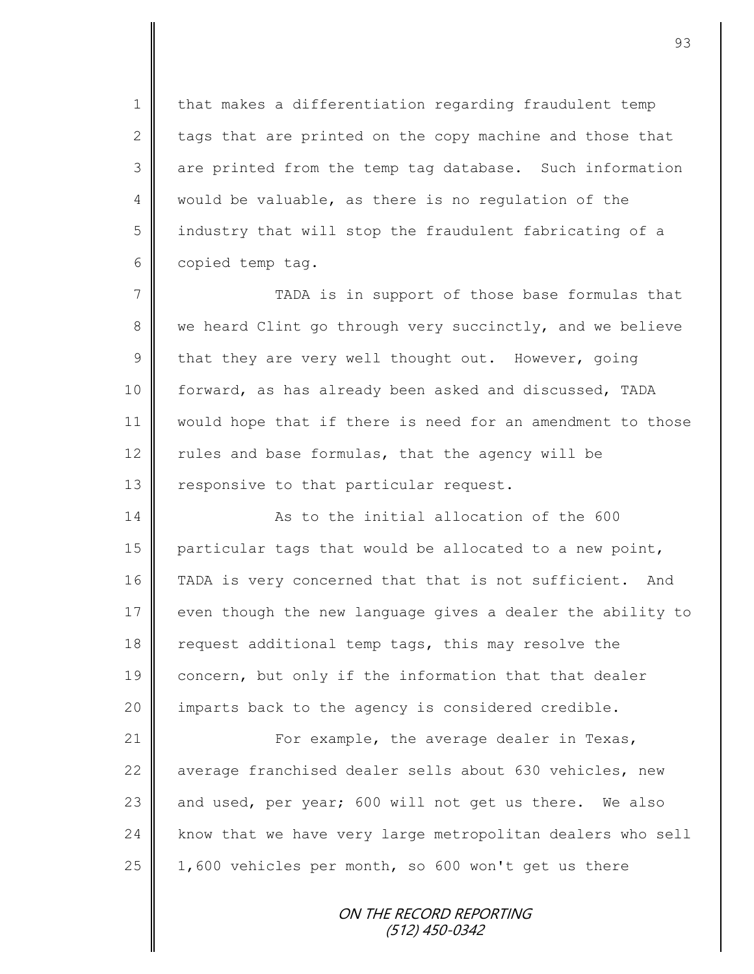1 | that makes a differentiation regarding fraudulent temp 2  $\parallel$  tags that are printed on the copy machine and those that 3 are printed from the temp tag database. Such information 4 would be valuable, as there is no regulation of the 5 | industry that will stop the fraudulent fabricating of a 6 copied temp tag.

7 TADA is in support of those base formulas that 8 we heard Clint go through very succinctly, and we believe 9 that they are very well thought out. However, going 10 | forward, as has already been asked and discussed, TADA 11 would hope that if there is need for an amendment to those 12 Tules and base formulas, that the agency will be 13  $\parallel$  responsive to that particular request.

14 **As to the initial allocation of the 600** 15 particular tags that would be allocated to a new point, 16 | TADA is very concerned that that is not sufficient. And 17 even though the new language gives a dealer the ability to 18 | request additional temp tags, this may resolve the 19 concern, but only if the information that that dealer 20 | imparts back to the agency is considered credible.

21  $\parallel$  For example, the average dealer in Texas, 22 average franchised dealer sells about 630 vehicles, new 23 and used, per year; 600 will not get us there. We also 24 | know that we have very large metropolitan dealers who sell 25  $\vert$  1,600 vehicles per month, so 600 won't get us there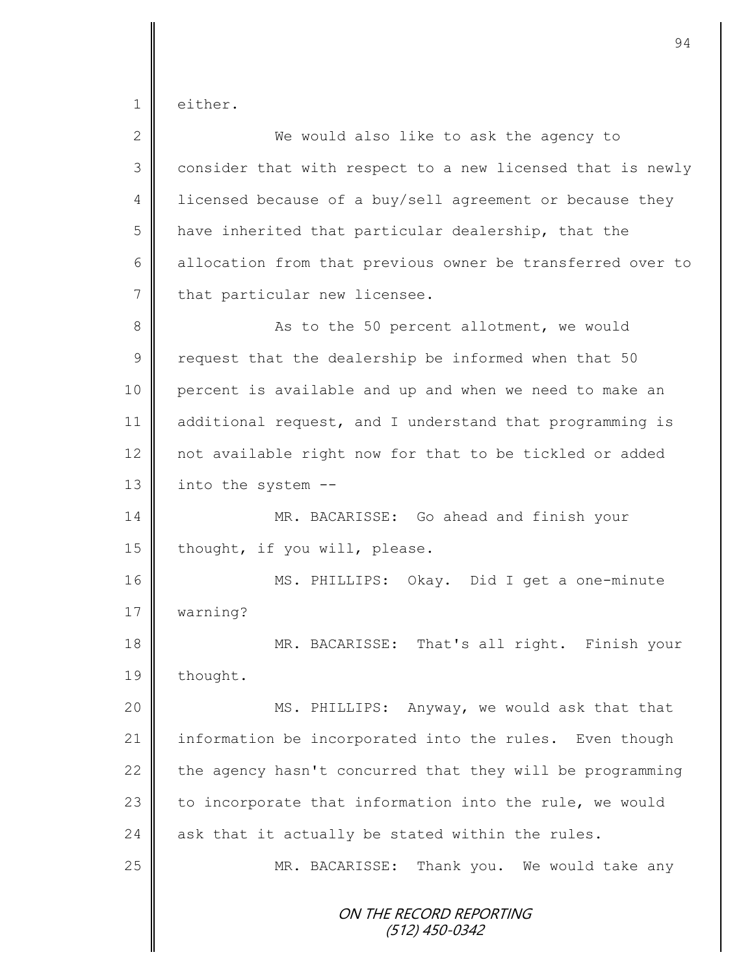1 either.

| $\overline{2}$ | We would also like to ask the agency to                    |
|----------------|------------------------------------------------------------|
| 3              | consider that with respect to a new licensed that is newly |
| $\overline{4}$ | licensed because of a buy/sell agreement or because they   |
| 5              | have inherited that particular dealership, that the        |
| 6              | allocation from that previous owner be transferred over to |
| 7              | that particular new licensee.                              |
| 8              | As to the 50 percent allotment, we would                   |
| $\mathcal{G}$  | request that the dealership be informed when that 50       |
| 10             | percent is available and up and when we need to make an    |
| 11             | additional request, and I understand that programming is   |
| 12             | not available right now for that to be tickled or added    |
| 13             | into the system --                                         |
| 14             | MR. BACARISSE: Go ahead and finish your                    |
| 15             | thought, if you will, please.                              |
| 16             | MS. PHILLIPS: Okay. Did I get a one-minute                 |
| 17             | warning?                                                   |
| 18             | MR. BACARISSE: That's all right. Finish your               |
| 19             | thought.                                                   |
| 20             | MS. PHILLIPS: Anyway, we would ask that that               |
| 21             | information be incorporated into the rules. Even though    |
| 22             | the agency hasn't concurred that they will be programming  |
| 23             | to incorporate that information into the rule, we would    |
| 24             | ask that it actually be stated within the rules.           |
| 25             | MR. BACARISSE: Thank you. We would take any                |
|                | ON THE RECORD REPORTING<br>(512) 450-0342                  |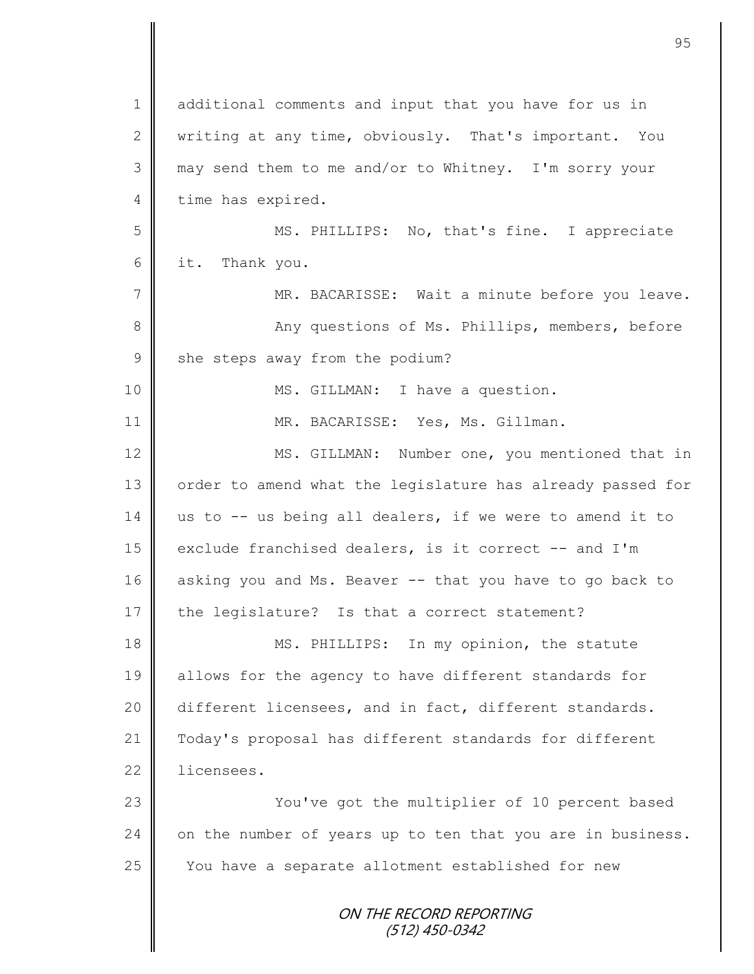| $\mathbf 1$    | additional comments and input that you have for us in      |
|----------------|------------------------------------------------------------|
| 2              | writing at any time, obviously. That's important. You      |
| 3              | may send them to me and/or to Whitney. I'm sorry your      |
| 4              | time has expired.                                          |
| 5              | MS. PHILLIPS: No, that's fine. I appreciate                |
| 6              | it. Thank you.                                             |
| $\overline{7}$ | MR. BACARISSE: Wait a minute before you leave.             |
| $8\,$          | Any questions of Ms. Phillips, members, before             |
| $\mathsf 9$    | she steps away from the podium?                            |
| 10             | MS. GILLMAN: I have a question.                            |
| 11             | MR. BACARISSE: Yes, Ms. Gillman.                           |
| 12             | MS. GILLMAN: Number one, you mentioned that in             |
| 13             | order to amend what the legislature has already passed for |
| 14             | us to -- us being all dealers, if we were to amend it to   |
| 15             | exclude franchised dealers, is it correct -- and I'm       |
| 16             | asking you and Ms. Beaver -- that you have to go back to   |
| 17             | the legislature? Is that a correct statement?              |
| 18             | MS. PHILLIPS: In my opinion, the statute                   |
| 19             | allows for the agency to have different standards for      |
| 20             | different licensees, and in fact, different standards.     |
| 21             | Today's proposal has different standards for different     |
| 22             | licensees.                                                 |
| 23             | You've got the multiplier of 10 percent based              |
| 24             | on the number of years up to ten that you are in business. |
| 25             | You have a separate allotment established for new          |
|                | ON THE RECORD REPORTING<br>(512) 450-0342                  |

Ш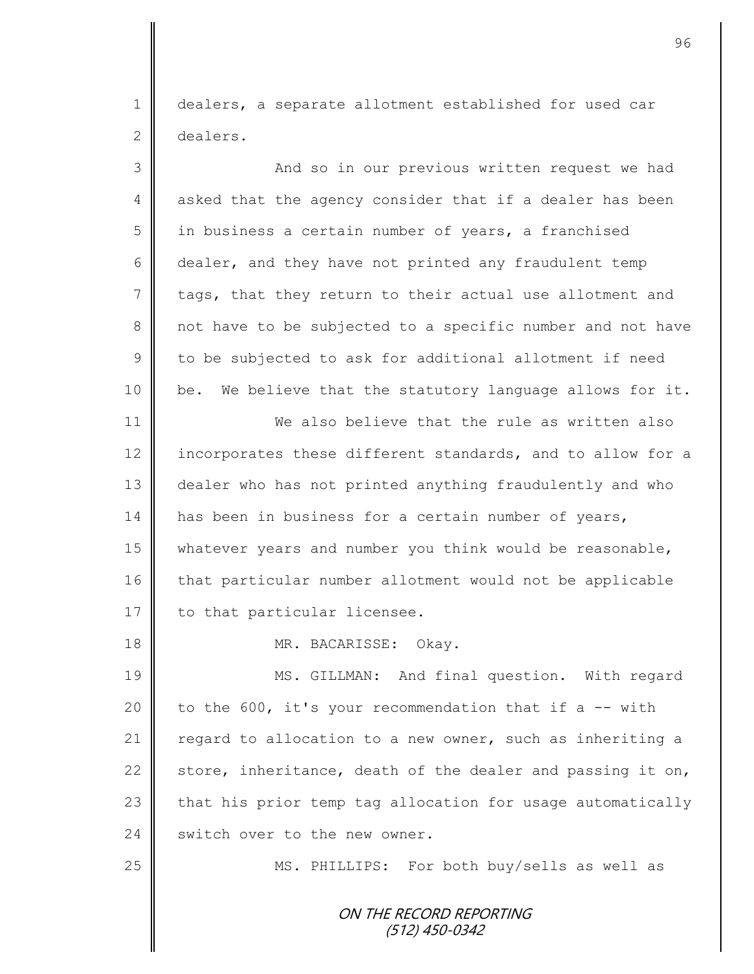1 dealers, a separate allotment established for used car 2 dealers.

| 3  | And so in our previous written request we had              |
|----|------------------------------------------------------------|
| 4  | asked that the agency consider that if a dealer has been   |
| 5  | in business a certain number of years, a franchised        |
| 6  | dealer, and they have not printed any fraudulent temp      |
| 7  | tags, that they return to their actual use allotment and   |
| 8  | not have to be subjected to a specific number and not have |
| 9  | to be subjected to ask for additional allotment if need    |
| 10 | be. We believe that the statutory language allows for it.  |
| 11 | We also believe that the rule as written also              |
| 12 | incorporates these different standards, and to allow for a |
| 13 | dealer who has not printed anything fraudulently and who   |
| 14 | has been in business for a certain number of years,        |
| 15 | whatever years and number you think would be reasonable,   |
| 16 | that particular number allotment would not be applicable   |
| 17 | to that particular licensee.                               |
| 18 | MR. BACARISSE: Okay.                                       |
| 19 | MS. GILLMAN: And final question. With regard               |
| 20 | to the 600, it's your recommendation that if a -- with     |
| 21 | regard to allocation to a new owner, such as inheriting a  |
| 22 | store, inheritance, death of the dealer and passing it on, |
| 23 | that his prior temp tag allocation for usage automatically |
| 24 | switch over to the new owner.                              |
| 25 | MS. PHILLIPS: For both buy/sells as well as                |
|    | ON THE RECORD REPORTING<br>$(512)$ 450-0342                |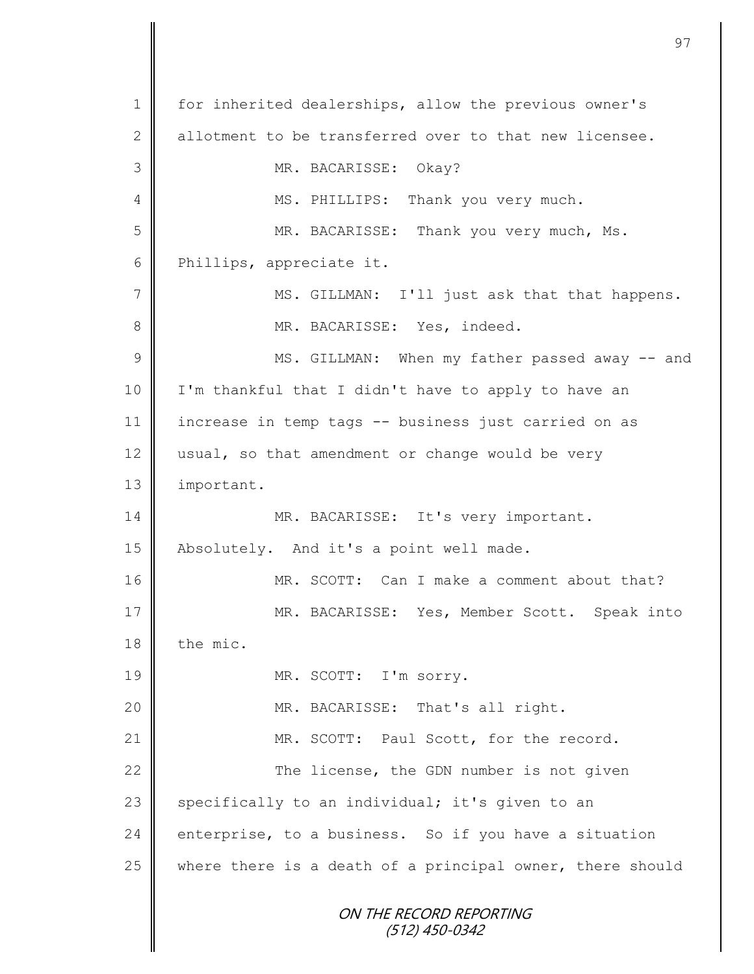ON THE RECORD REPORTING (512) 450-0342 1 for inherited dealerships, allow the previous owner's 2 allotment to be transferred over to that new licensee. 3 MR. BACARISSE: Okay? 4 || MS. PHILLIPS: Thank you very much. 5 MR. BACARISSE: Thank you very much, Ms. 6 Phillips, appreciate it. 7 || MS. GILLMAN: I'll just ask that that happens. 8 | MR. BACARISSE: Yes, indeed. 9 || MS. GILLMAN: When my father passed away -- and 10 I'm thankful that I didn't have to apply to have an 11 increase in temp tags -- business just carried on as 12  $\parallel$  usual, so that amendment or change would be very 13 | important. 14 MR. BACARISSE: It's very important. 15 | Absolutely. And it's a point well made. 16 MR. SCOTT: Can I make a comment about that? 17 MR. BACARISSE: Yes, Member Scott. Speak into  $18$   $\parallel$  the mic. 19 MR. SCOTT: I'm sorry. 20 | MR. BACARISSE: That's all right. 21 MR. SCOTT: Paul Scott, for the record. 22 The license, the GDN number is not given 23  $\parallel$  specifically to an individual; it's given to an 24 enterprise, to a business. So if you have a situation 25 where there is a death of a principal owner, there should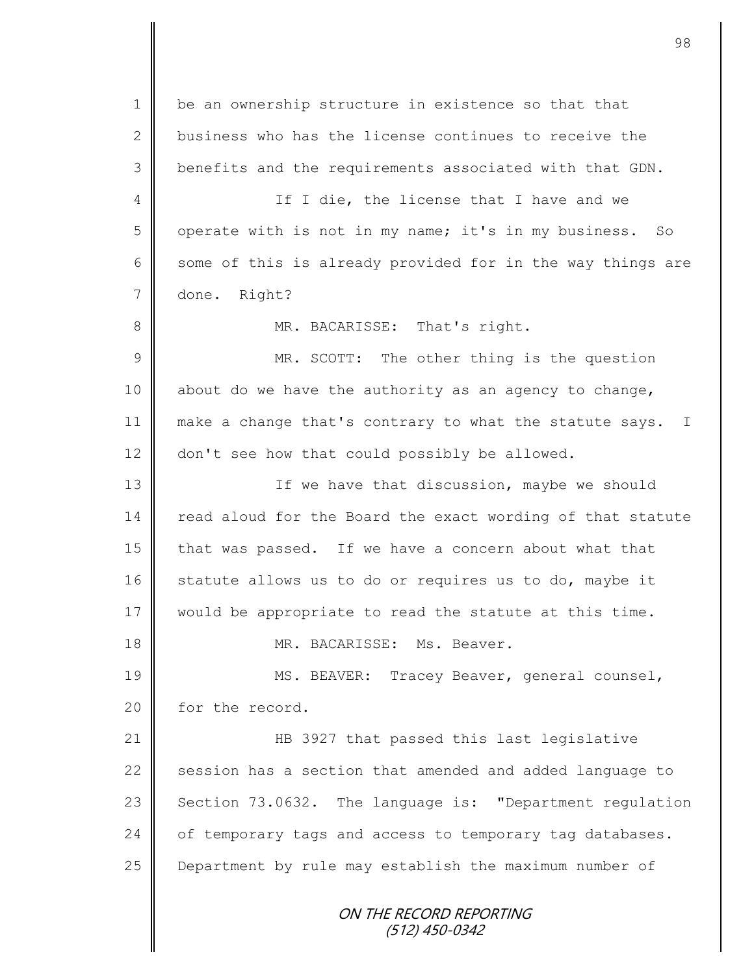ON THE RECORD REPORTING (512) 450-0342 1 | be an ownership structure in existence so that that 2 business who has the license continues to receive the 3 | benefits and the requirements associated with that GDN. 4 || If I die, the license that I have and we 5 | operate with is not in my name; it's in my business. So 6 some of this is already provided for in the way things are 7 done. Right? 8 || MR. BACARISSE: That's right. 9 || MR. SCOTT: The other thing is the question 10 about do we have the authority as an agency to change, 11 | make a change that's contrary to what the statute says. I 12 don't see how that could possibly be allowed. 13 | The have that discussion, maybe we should 14 read aloud for the Board the exact wording of that statute 15 that was passed. If we have a concern about what that 16 statute allows us to do or requires us to do, maybe it 17 would be appropriate to read the statute at this time. 18 MR. BACARISSE: Ms. Beaver. 19 || MS. BEAVER: Tracey Beaver, general counsel, 20 for the record. 21 || HB 3927 that passed this last legislative 22  $\parallel$  session has a section that amended and added language to 23 Section  $73.0632$ . The language is: "Department regulation 24 of temporary tags and access to temporary tag databases. 25 Department by rule may establish the maximum number of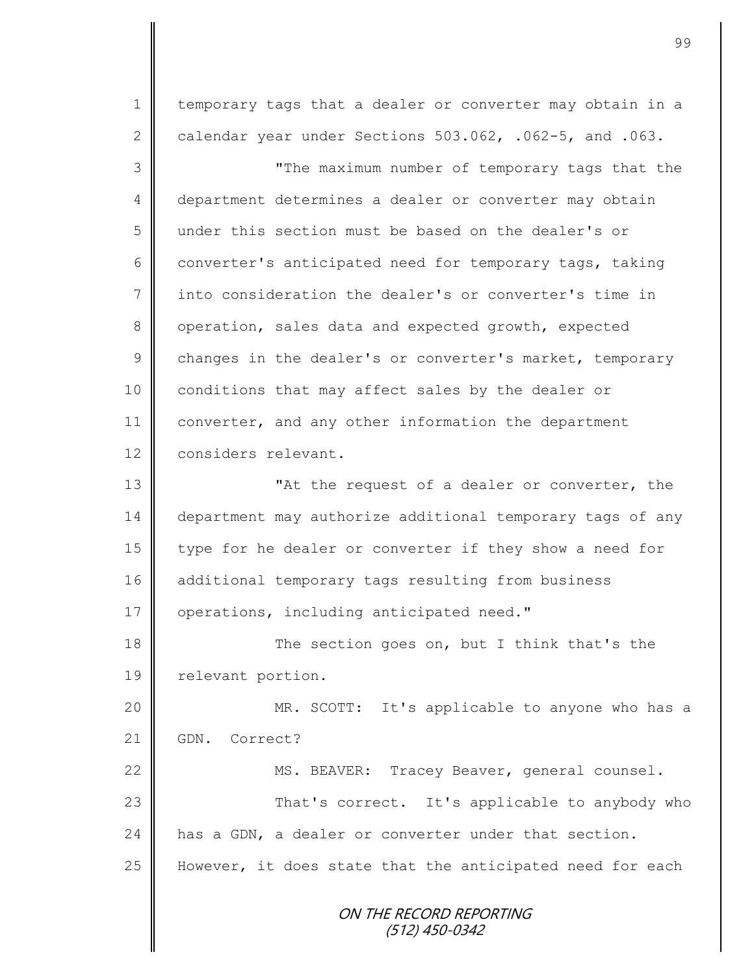ON THE RECORD REPORTING 1 | temporary tags that a dealer or converter may obtain in a 2 calendar year under Sections  $503.062$ , .062-5, and .063. 3 "The maximum number of temporary tags that the 4 department determines a dealer or converter may obtain 5 under this section must be based on the dealer's or 6 converter's anticipated need for temporary tags, taking 7 into consideration the dealer's or converter's time in 8 operation, sales data and expected growth, expected  $9 \parallel$  changes in the dealer's or converter's market, temporary 10 | conditions that may affect sales by the dealer or 11 converter, and any other information the department 12 considers relevant. 13 **||** The request of a dealer or converter, the 14 department may authorize additional temporary tags of any 15 type for he dealer or converter if they show a need for 16 additional temporary tags resulting from business 17 | operations, including anticipated need." 18 The section goes on, but I think that's the 19 | relevant portion. 20 MR. SCOTT: It's applicable to anyone who has a 21 GDN. Correct? 22 | MS. BEAVER: Tracey Beaver, general counsel. 23 | That's correct. It's applicable to anybody who 24 has a GDN, a dealer or converter under that section. 25  $\parallel$  However, it does state that the anticipated need for each

(512) 450-0342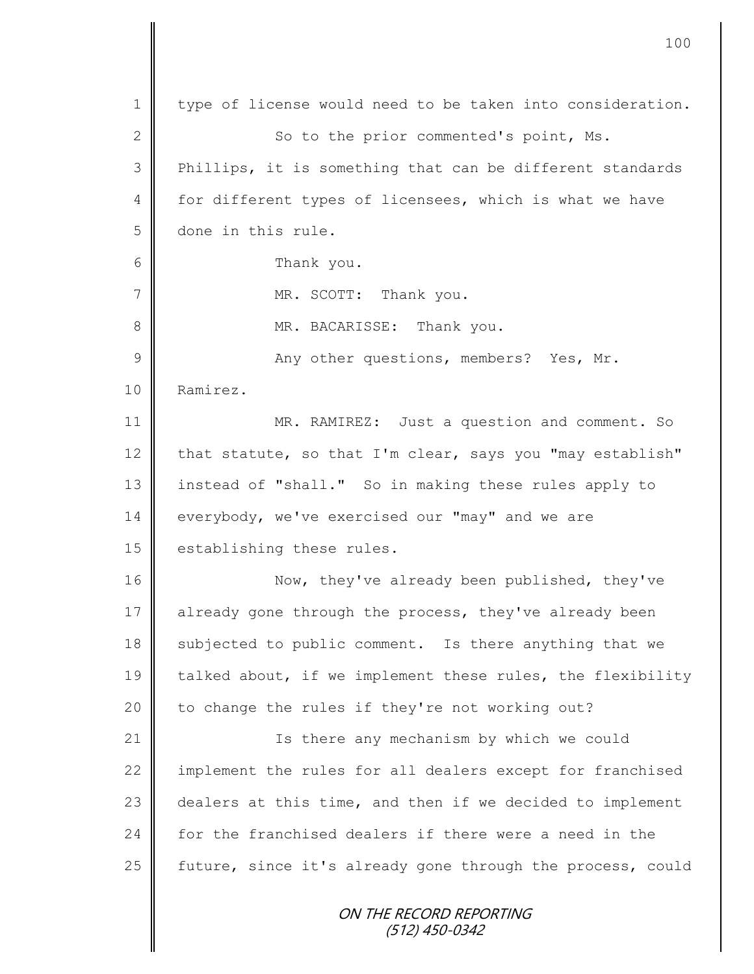ON THE RECORD REPORTING (512) 450-0342 1 type of license would need to be taken into consideration. 2 || So to the prior commented's point, Ms. 3 || Phillips, it is something that can be different standards 4 for different types of licensees, which is what we have 5 done in this rule. 6 Thank you. 7 || MR. SCOTT: Thank you. 8 MR. BACARISSE: Thank you. 9 || Any other questions, members? Yes, Mr. 10 | Ramirez. 11 | MR. RAMIREZ: Just a question and comment. So 12  $\parallel$  that statute, so that I'm clear, says you "may establish" 13 instead of "shall." So in making these rules apply to 14 everybody, we've exercised our "may" and we are 15 | establishing these rules. 16 Now, they've already been published, they've 17 already gone through the process, they've already been 18 subjected to public comment. Is there anything that we 19 talked about, if we implement these rules, the flexibility 20 to change the rules if they're not working out? 21 | Is there any mechanism by which we could 22 | implement the rules for all dealers except for franchised 23 dealers at this time, and then if we decided to implement 24 for the franchised dealers if there were a need in the 25  $\parallel$  future, since it's already gone through the process, could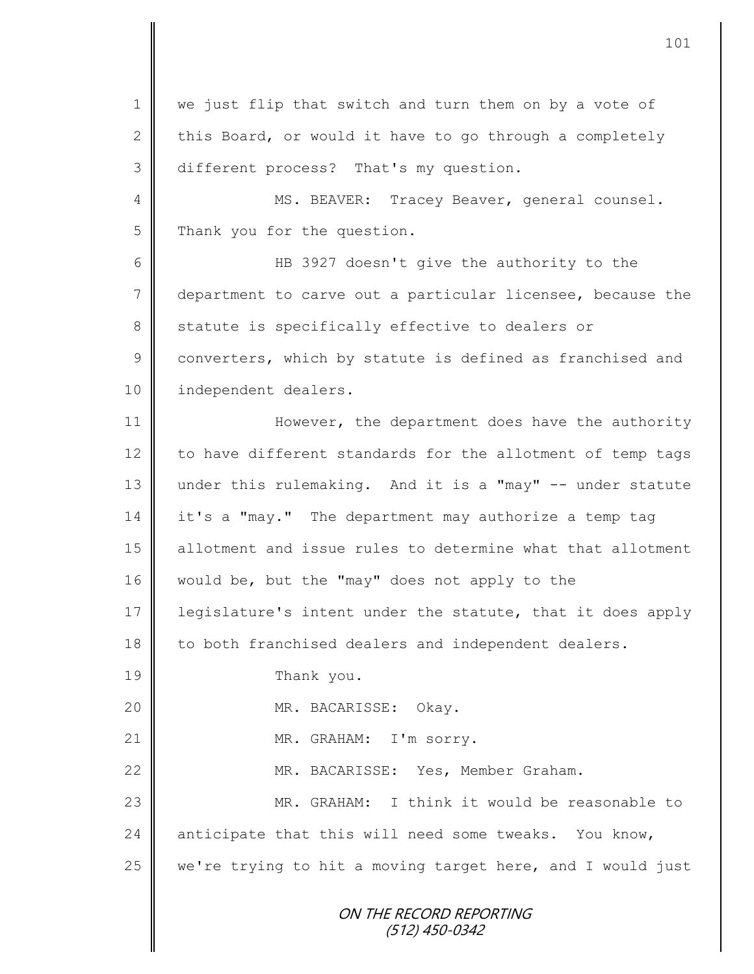1 || we just flip that switch and turn them on by a vote of 2 this Board, or would it have to go through a completely 3 different process? That's my question.

4 || MS. BEAVER: Tracey Beaver, general counsel. 5 Thank you for the question.

6 HB 3927 doesn't give the authority to the 7 department to carve out a particular licensee, because the  $8 \parallel$  statute is specifically effective to dealers or 9 converters, which by statute is defined as franchised and 10 | independent dealers.

11 However, the department does have the authority 12 to have different standards for the allotment of temp tags 13 under this rulemaking. And it is a "may" -- under statute 14 it's a "may." The department may authorize a temp tag 15 allotment and issue rules to determine what that allotment 16 would be, but the "may" does not apply to the 17 | legislature's intent under the statute, that it does apply 18 to both franchised dealers and independent dealers. 19 Thank you. 20 MR. BACARISSE: Okay. 21 || MR. GRAHAM: I'm sorry. 22 | MR. BACARISSE: Yes, Member Graham.

23 MR. GRAHAM: I think it would be reasonable to 24 anticipate that this will need some tweaks. You know, 25  $\parallel$  we're trying to hit a moving target here, and I would just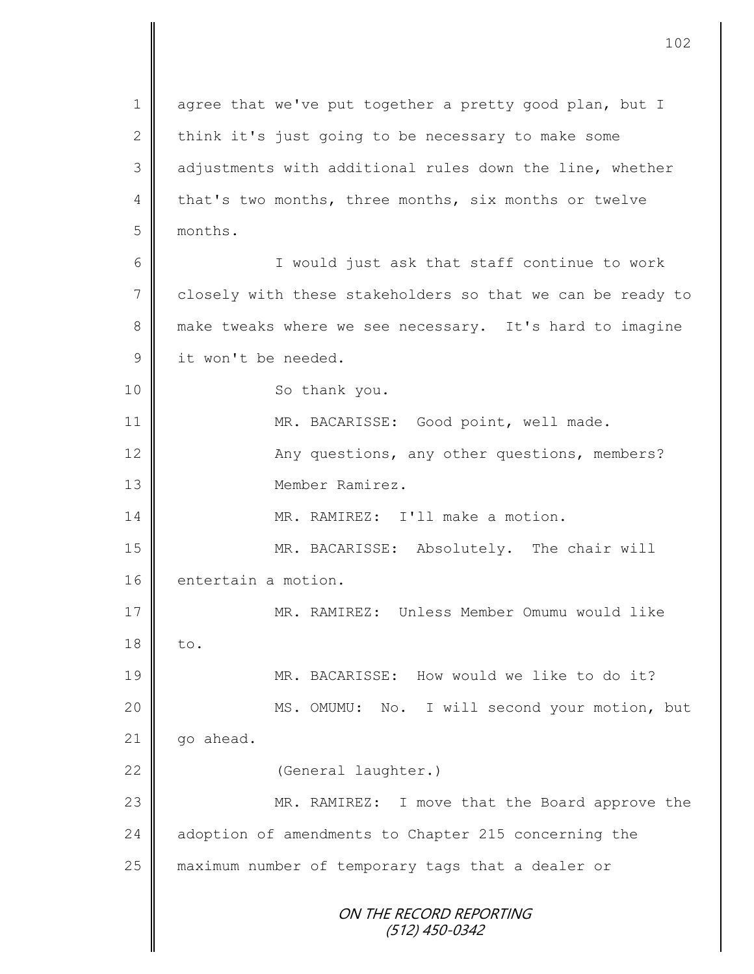ON THE RECORD REPORTING (512) 450-0342 1 agree that we've put together a pretty good plan, but I 2 think it's just going to be necessary to make some 3 adjustments with additional rules down the line, whether 4 that's two months, three months, six months or twelve 5 months. 6 || I would just ask that staff continue to work 7 closely with these stakeholders so that we can be ready to 8 make tweaks where we see necessary. It's hard to imagine 9 it won't be needed. 10 || So thank you. 11 | MR. BACARISSE: Good point, well made. 12 || Any questions, any other questions, members? 13 Member Ramirez. 14 MR. RAMIREZ: I'll make a motion. 15 | MR. BACARISSE: Absolutely. The chair will 16 entertain a motion. 17 MR. RAMIREZ: Unless Member Omumu would like  $18 \parallel$  to. 19 MR. BACARISSE: How would we like to do it? 20 MS. OMUMU: No. I will second your motion, but  $21$  qo ahead. 22 | (General laughter.) 23 MR. RAMIREZ: I move that the Board approve the 24 adoption of amendments to Chapter 215 concerning the 25 maximum number of temporary tags that a dealer or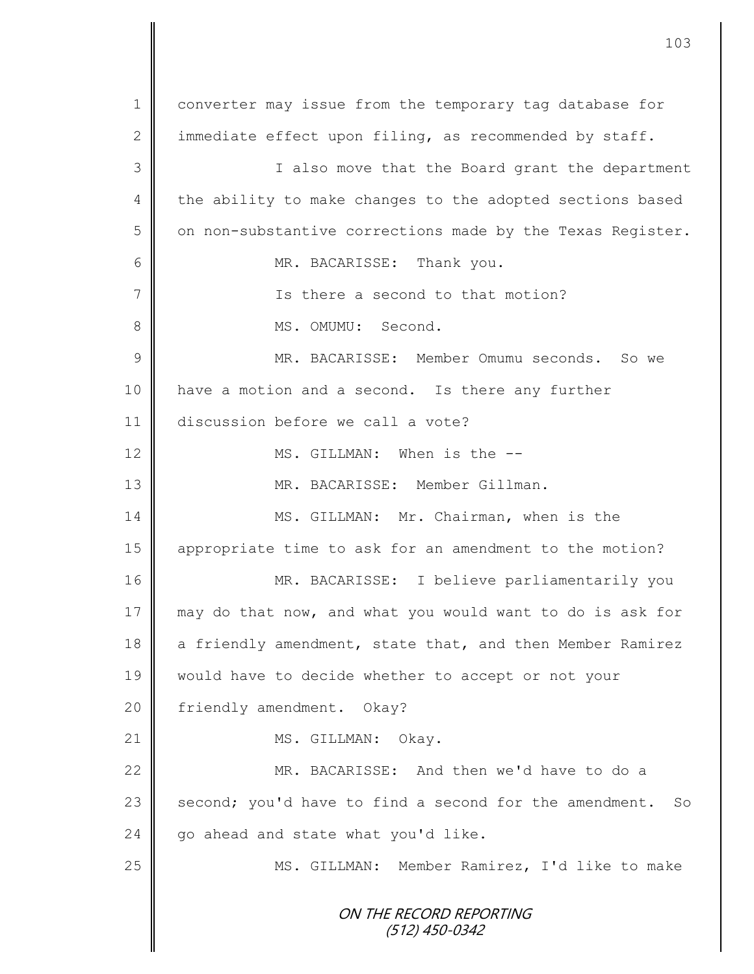ON THE RECORD REPORTING (512) 450-0342 1 | converter may issue from the temporary tag database for 2 | immediate effect upon filing, as recommended by staff. 3 || I also move that the Board grant the department 4 the ability to make changes to the adopted sections based  $5 \parallel$  on non-substantive corrections made by the Texas Register. 6 | MR. BACARISSE: Thank you. 7 || Ts there a second to that motion? 8 || MS. OMUMU: Second. 9 MR. BACARISSE: Member Omumu seconds. So we 10 | have a motion and a second. Is there any further 11 discussion before we call a vote? 12  $\parallel$  MS. GILLMAN: When is the --13 MR. BACARISSE: Member Gillman. 14 MS. GILLMAN: Mr. Chairman, when is the 15 appropriate time to ask for an amendment to the motion? 16 MR. BACARISSE: I believe parliamentarily you 17 may do that now, and what you would want to do is ask for 18 a friendly amendment, state that, and then Member Ramirez 19 would have to decide whether to accept or not your 20 | friendly amendment. Okay? 21 | MS. GILLMAN: Okay. 22 MR. BACARISSE: And then we'd have to do a 23  $\parallel$  second; you'd have to find a second for the amendment. So  $24$   $\parallel$  go ahead and state what you'd like. 25 | MS. GILLMAN: Member Ramirez, I'd like to make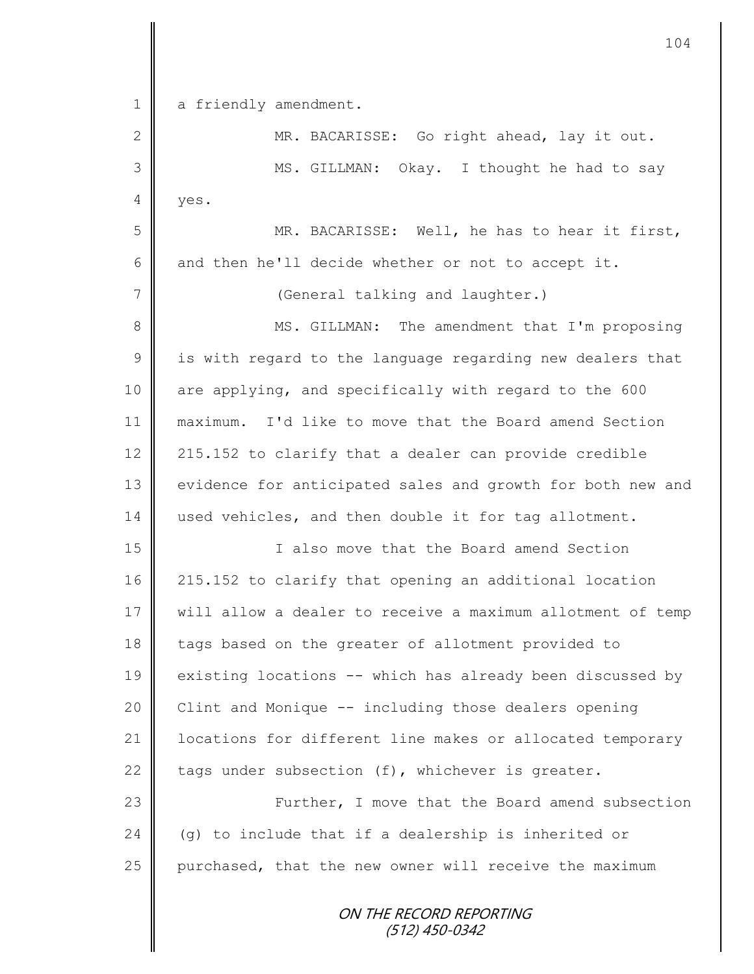| $\mathbf 1$  | a friendly amendment.                                      |
|--------------|------------------------------------------------------------|
| $\mathbf{2}$ | MR. BACARISSE: Go right ahead, lay it out.                 |
| 3            | Okay. I thought he had to say<br>MS. GILLMAN:              |
| 4            | yes.                                                       |
| 5            | MR. BACARISSE: Well, he has to hear it first,              |
| 6            | and then he'll decide whether or not to accept it.         |
| 7            | (General talking and laughter.)                            |
| $\,8\,$      | MS. GILLMAN: The amendment that I'm proposing              |
| $\mathsf 9$  | is with regard to the language regarding new dealers that  |
| 10           | are applying, and specifically with regard to the 600      |
| 11           | maximum. I'd like to move that the Board amend Section     |
| 12           | 215.152 to clarify that a dealer can provide credible      |
| 13           | evidence for anticipated sales and growth for both new and |
| 14           | used vehicles, and then double it for tag allotment.       |
| 15           | I also move that the Board amend Section                   |
| 16           | 215.152 to clarify that opening an additional location     |
| 17           | will allow a dealer to receive a maximum allotment of temp |
| 18           | tags based on the greater of allotment provided to         |
| 19           | existing locations -- which has already been discussed by  |
| 20           | Clint and Monique -- including those dealers opening       |
| 21           | locations for different line makes or allocated temporary  |
| 22           | tags under subsection (f), whichever is greater.           |
| 23           | Further, I move that the Board amend subsection            |
| 24           | (g) to include that if a dealership is inherited or        |
| 25           | purchased, that the new owner will receive the maximum     |
|              | ON THE RECORD REPORTING                                    |

(512) 450-0342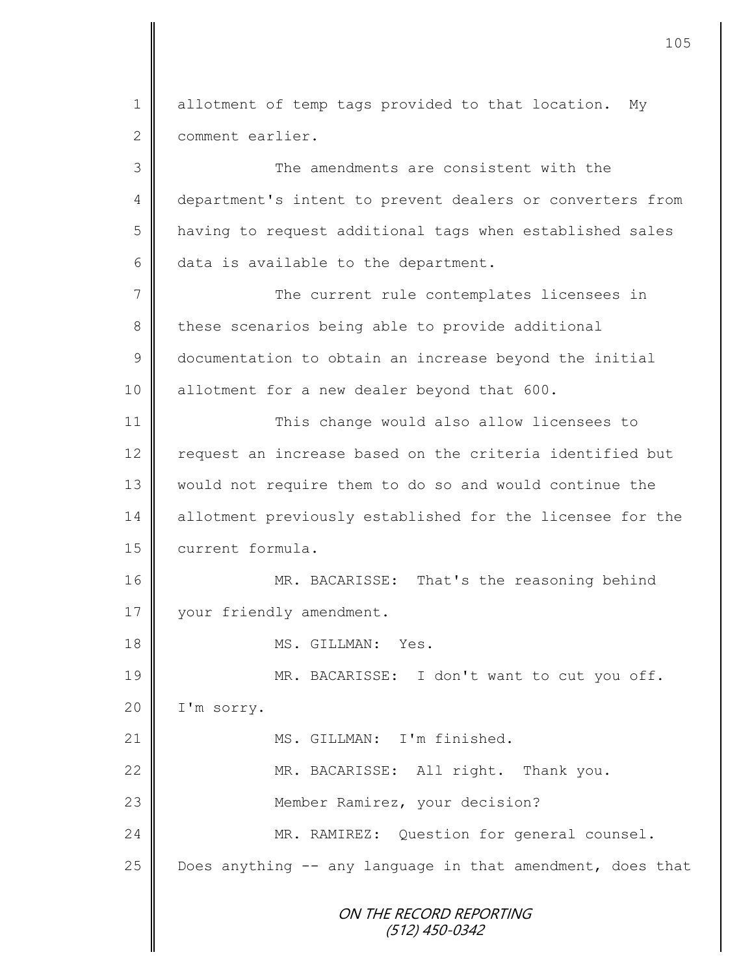ON THE RECORD REPORTING (512) 450-0342 1 allotment of temp tags provided to that location. My 2 comment earlier. 3 The amendments are consistent with the 4 department's intent to prevent dealers or converters from 5 | having to request additional tags when established sales  $6 \parallel$  data is available to the department. 7 The current rule contemplates licensees in 8 these scenarios being able to provide additional 9 documentation to obtain an increase beyond the initial 10 | allotment for a new dealer beyond that 600. 11 | This change would also allow licensees to 12 | request an increase based on the criteria identified but 13 would not require them to do so and would continue the 14 allotment previously established for the licensee for the 15 current formula. 16 || MR. BACARISSE: That's the reasoning behind 17 | your friendly amendment. 18 MS. GILLMAN: Yes. 19 || MR. BACARISSE: I don't want to cut you off. 20 | I'm sorry. 21 || MS. GILLMAN: I'm finished. 22 | MR. BACARISSE: All right. Thank you. 23 || Member Ramirez, your decision? 24 MR. RAMIREZ: Question for general counsel. 25  $\parallel$  Does anything -- any language in that amendment, does that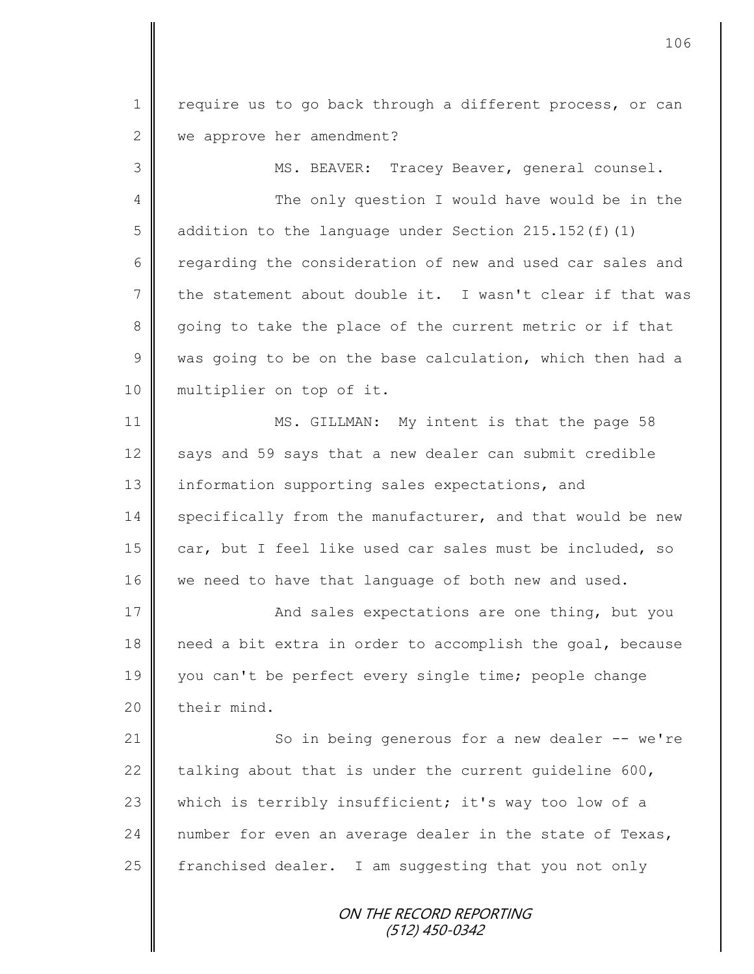1 | require us to go back through a different process, or can 2 we approve her amendment?

3 || MS. BEAVER: Tracey Beaver, general counsel.

4 || The only question I would have would be in the 5 dddition to the language under Section 215.152(f)(1)  $6 \parallel$  regarding the consideration of new and used car sales and 7 the statement about double it. I wasn't clear if that was 8 going to take the place of the current metric or if that  $9 \parallel$  was going to be on the base calculation, which then had a 10 || multiplier on top of it.

11 MS. GILLMAN: My intent is that the page 58 12 says and 59 says that a new dealer can submit credible 13 information supporting sales expectations, and 14 specifically from the manufacturer, and that would be new 15  $\parallel$  car, but I feel like used car sales must be included, so 16 we need to have that language of both new and used.

17 | And sales expectations are one thing, but you 18 need a bit extra in order to accomplish the goal, because 19 you can't be perfect every single time; people change  $20$  | their mind.

21 So in being generous for a new dealer -- we're 22 talking about that is under the current quideline 600, 23 which is terribly insufficient; it's way too low of a 24 number for even an average dealer in the state of Texas, 25  $\parallel$  franchised dealer. I am suggesting that you not only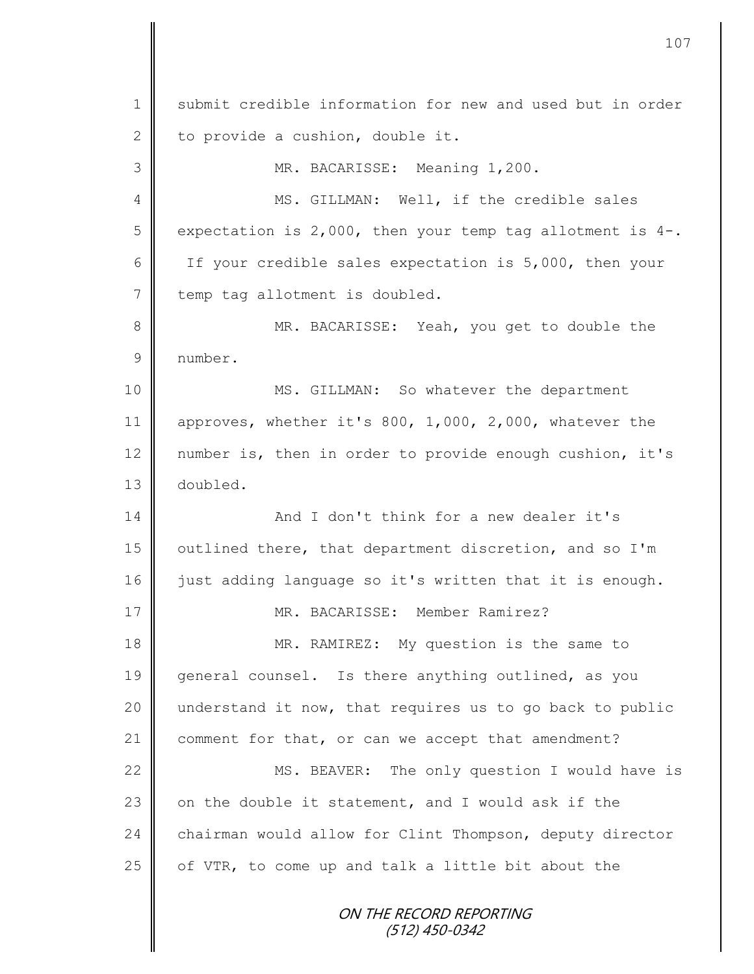ON THE RECORD REPORTING (512) 450-0342 1 || submit credible information for new and used but in order 2 to provide a cushion, double it. 3 MR. BACARISSE: Meaning 1,200. 4 || MS. GILLMAN: Well, if the credible sales  $5 \parallel$  expectation is 2,000, then your temp tag allotment is 4-. 6 | If your credible sales expectation is 5,000, then your 7 | temp tag allotment is doubled. 8 || MR. BACARISSE: Yeah, you get to double the 9 number. 10 | MS. GILLMAN: So whatever the department 11 approves, whether it's 800, 1,000, 2,000, whatever the 12 | number is, then in order to provide enough cushion, it's 13 doubled. 14 **And I don't think for a new dealer it's** 15 | outlined there, that department discretion, and so I'm 16 iust adding language so it's written that it is enough. 17 MR. BACARISSE: Member Ramirez? 18 MR. RAMIREZ: My question is the same to 19 general counsel. Is there anything outlined, as you 20  $\parallel$  understand it now, that requires us to go back to public 21 comment for that, or can we accept that amendment? 22 MS. BEAVER: The only question I would have is 23  $\parallel$  on the double it statement, and I would ask if the 24 chairman would allow for Clint Thompson, deputy director 25  $\parallel$  of VTR, to come up and talk a little bit about the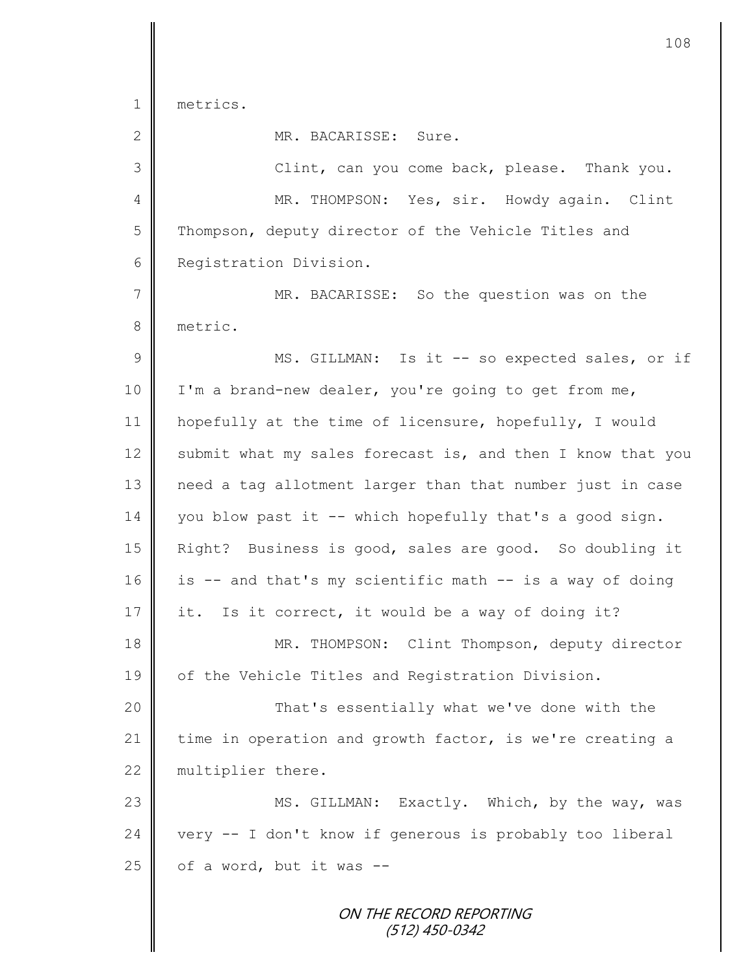1 metrics.

2 MR. BACARISSE: Sure. 3 Clint, can you come back, please. Thank you. 4 MR. THOMPSON: Yes, sir. Howdy again. Clint 5 Thompson, deputy director of the Vehicle Titles and 6 **Registration Division.** 7 MR. BACARISSE: So the question was on the 8 metric. 9 || MS. GILLMAN: Is it -- so expected sales, or if 10 | I'm a brand-new dealer, you're going to get from me, 11 hopefully at the time of licensure, hopefully, I would 12 submit what my sales forecast is, and then I know that you 13 need a tag allotment larger than that number just in case  $14 \parallel$  you blow past it -- which hopefully that's a good sign. 15 Right? Business is good, sales are good. So doubling it 16 | is -- and that's my scientific math -- is a way of doing 17 it. Is it correct, it would be a way of doing it? 18 MR. THOMPSON: Clint Thompson, deputy director 19 | of the Vehicle Titles and Registration Division. 20 | That's essentially what we've done with the 21 time in operation and growth factor, is we're creating a 22 multiplier there. 23 MS. GILLMAN: Exactly. Which, by the way, was  $24$  very  $-$  I don't know if generous is probably too liberal  $25$  of a word, but it was --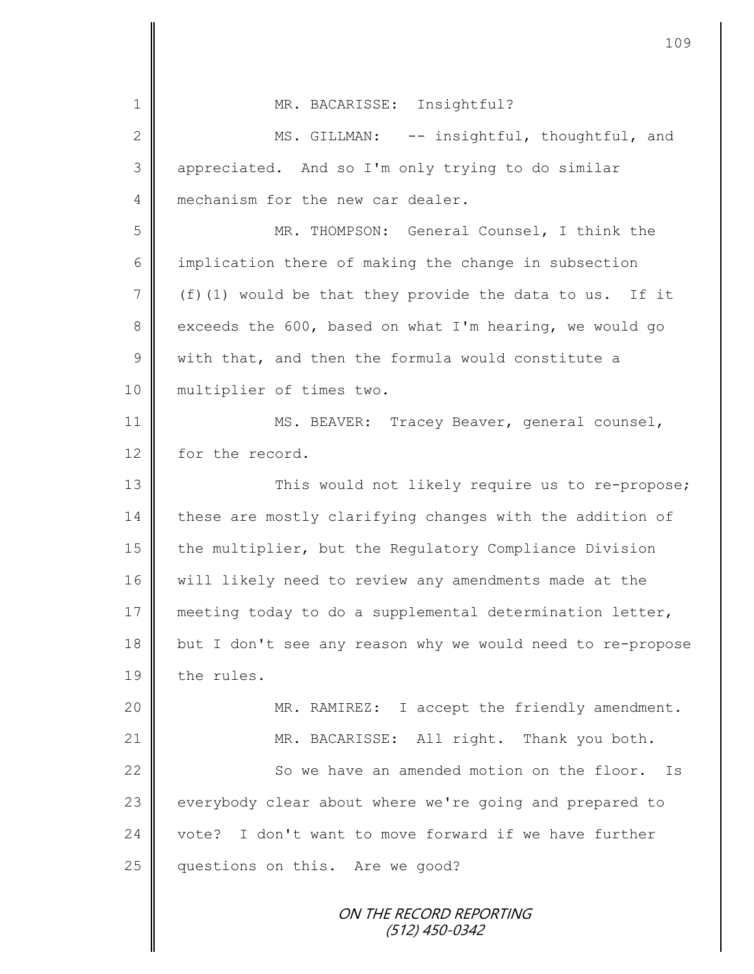|               | 109                                                        |
|---------------|------------------------------------------------------------|
| 1             | MR. BACARISSE: Insightful?                                 |
| $\mathbf{2}$  | MS. GILLMAN: -- insightful, thoughtful, and                |
| 3             | appreciated. And so I'm only trying to do similar          |
| 4             | mechanism for the new car dealer.                          |
| 5             | MR. THOMPSON: General Counsel, I think the                 |
| 6             | implication there of making the change in subsection       |
| 7             | $(f)$ (1) would be that they provide the data to us. If it |
| 8             | exceeds the 600, based on what I'm hearing, we would go    |
| $\mathcal{G}$ | with that, and then the formula would constitute a         |
| 10            | multiplier of times two.                                   |
| 11            | MS. BEAVER: Tracey Beaver, general counsel,                |
| 12            | for the record.                                            |
| 13            | This would not likely require us to re-propose;            |
| 14            | these are mostly clarifying changes with the addition of   |
| 15            | the multiplier, but the Regulatory Compliance Division     |
| 16            | will likely need to review any amendments made at the      |
| 17            | meeting today to do a supplemental determination letter,   |
| 18            | but I don't see any reason why we would need to re-propose |
| 19            | the rules.                                                 |
| 20            | MR. RAMIREZ: I accept the friendly amendment.              |
| 21            | MR. BACARISSE: All right. Thank you both.                  |
| 22            | So we have an amended motion on the floor.<br>Is           |
| 23            | everybody clear about where we're going and prepared to    |
| 24            | I don't want to move forward if we have further<br>vote?   |
| 25            | questions on this. Are we good?                            |
|               | ON THE RECORD REPORTING<br>(512) 450-0342                  |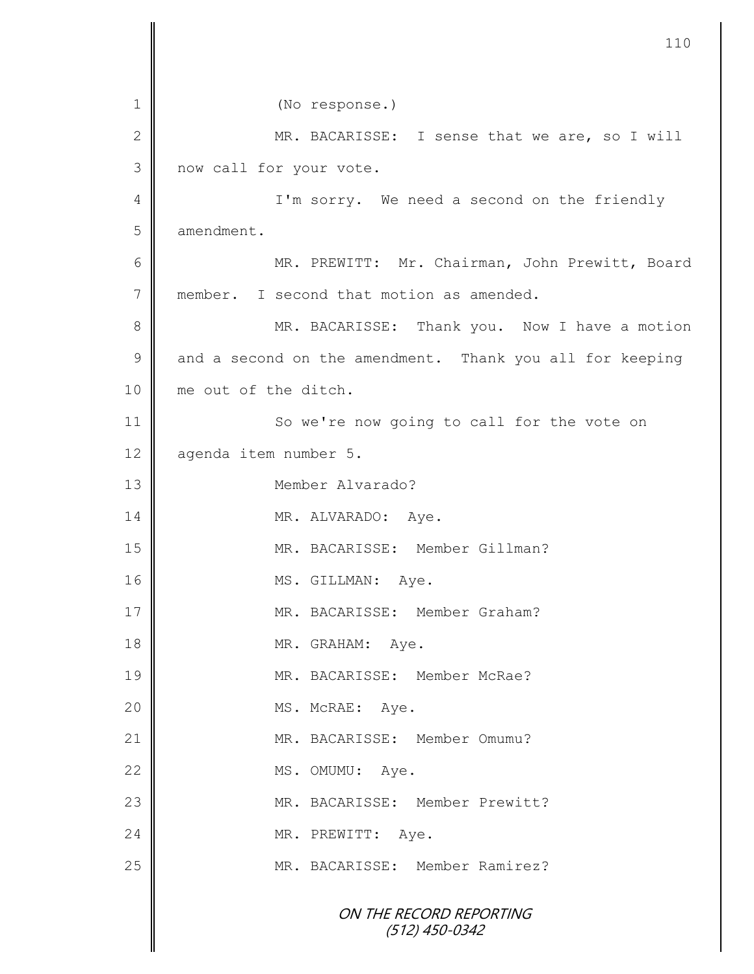ON THE RECORD REPORTING (512) 450-0342 1 || (No response.) 2 MR. BACARISSE: I sense that we are, so I will 3 now call for your vote. 4 || I'm sorry. We need a second on the friendly 5 amendment. 6 || MR. PREWITT: Mr. Chairman, John Prewitt, Board 7 member. I second that motion as amended. 8 MR. BACARISSE: Thank you. Now I have a motion  $9 \parallel$  and a second on the amendment. Thank you all for keeping 10 || me out of the ditch. 11 || So we're now going to call for the vote on 12 agenda item number 5. 13 Member Alvarado? 14 MR. ALVARADO: Aye. 15 | MR. BACARISSE: Member Gillman? 16 MS. GILLMAN: Aye. 17 MR. BACARISSE: Member Graham? 18 MR. GRAHAM: Aye. 19 || MR. BACARISSE: Member McRae? 20 || MS. McRAE: Aye. 21 | MR. BACARISSE: Member Omumu? 22 MS. OMUMU: Aye. 23 MR. BACARISSE: Member Prewitt? 24 MR. PREWITT: Aye. 25 || MR. BACARISSE: Member Ramirez?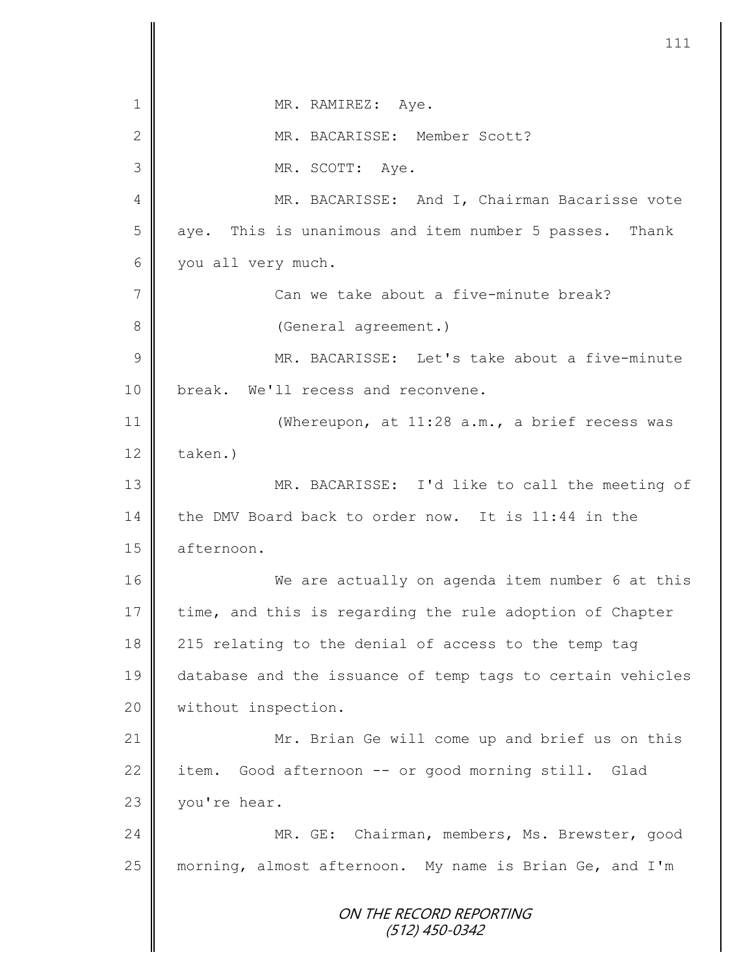ON THE RECORD REPORTING (512) 450-0342 1 || MR. RAMIREZ: Aye. 2 MR. BACARISSE: Member Scott? 3 MR. SCOTT: Aye. 4 MR. BACARISSE: And I, Chairman Bacarisse vote 5 || aye. This is unanimous and item number 5 passes. Thank 6 you all very much. 7 Can we take about a five-minute break? 8 || (General agreement.) 9 || MR. BACARISSE: Let's take about a five-minute 10 || break. We'll recess and reconvene. 11 (Whereupon, at 11:28 a.m., a brief recess was  $12$   $\parallel$  taken.) 13 MR. BACARISSE: I'd like to call the meeting of 14 the DMV Board back to order now. It is 11:44 in the 15 | afternoon. 16 We are actually on agenda item number 6 at this  $17$  time, and this is regarding the rule adoption of Chapter 18 215 relating to the denial of access to the temp tag 19 database and the issuance of temp tags to certain vehicles 20 | without inspection. 21 Mr. Brian Ge will come up and brief us on this 22 item. Good afternoon  $-$ - or good morning still. Glad 23 vou're hear. 24 || MR. GE: Chairman, members, Ms. Brewster, good 25 morning, almost afternoon. My name is Brian Ge, and I'm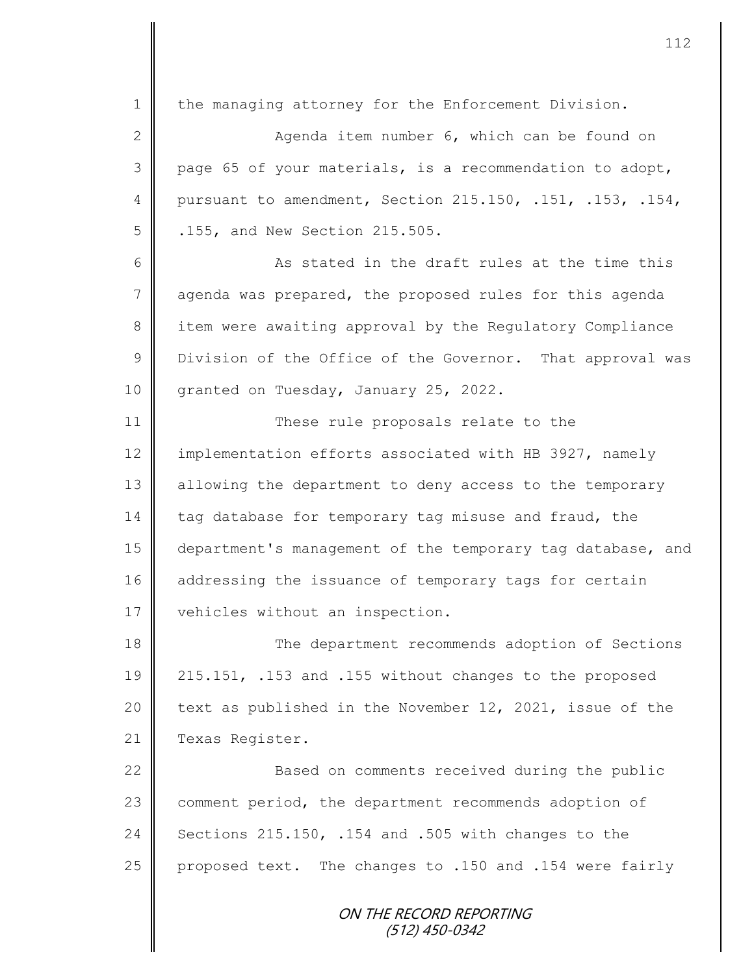ON THE RECORD REPORTING 1 the managing attorney for the Enforcement Division. 2 || Agenda item number 6, which can be found on 3 page 65 of your materials, is a recommendation to adopt, 4 pursuant to amendment, Section 215.150, .151, .153, .154, 5 .155, and New Section 215.505. 6 6 As stated in the draft rules at the time this 7 agenda was prepared, the proposed rules for this agenda 8 item were awaiting approval by the Regulatory Compliance 9 U Division of the Office of the Governor. That approval was 10 granted on Tuesday, January 25, 2022. 11 || These rule proposals relate to the 12 | implementation efforts associated with HB 3927, namely 13 | allowing the department to deny access to the temporary 14 tag database for temporary tag misuse and fraud, the 15 department's management of the temporary tag database, and 16 addressing the issuance of temporary tags for certain 17 | vehicles without an inspection. 18 The department recommends adoption of Sections 19 215.151, .153 and .155 without changes to the proposed 20  $\parallel$  text as published in the November 12, 2021, issue of the 21 | Texas Register. 22 | Based on comments received during the public 23 comment period, the department recommends adoption of 24 Sections 215.150, .154 and .505 with changes to the 25 | proposed text. The changes to .150 and .154 were fairly

(512) 450-0342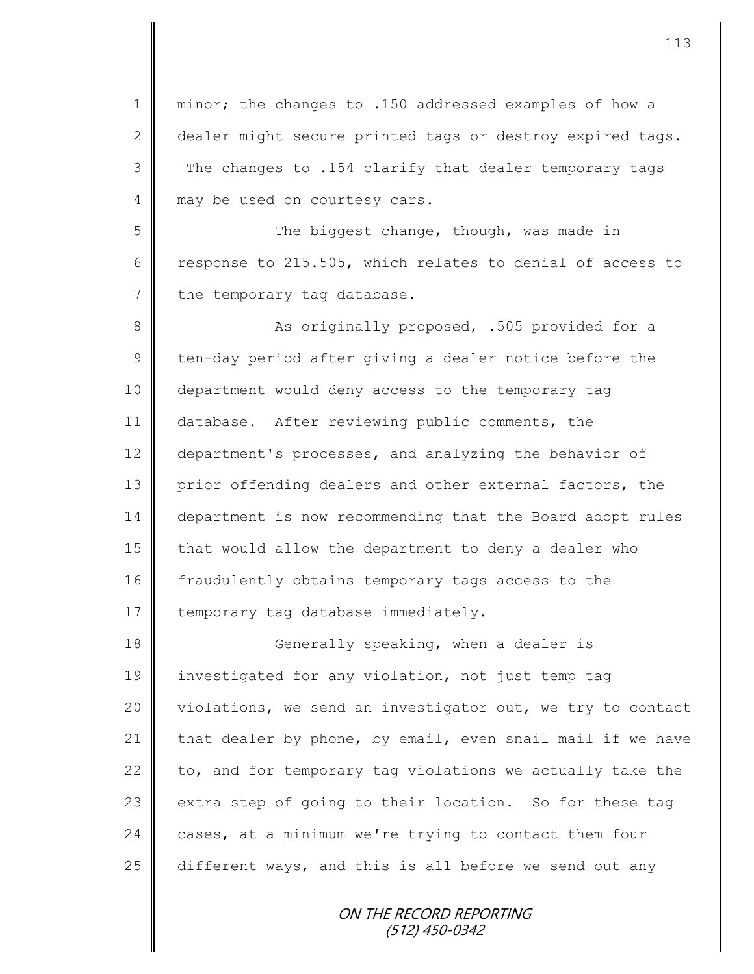1 || minor; the changes to .150 addressed examples of how a 2 dealer might secure printed tags or destroy expired tags. 3 The changes to .154 clarify that dealer temporary tags 4 may be used on courtesy cars.

5 Such the biggest change, though, was made in 6 Tesponse to 215.505, which relates to denial of access to  $7 \parallel$  the temporary tag database.

8 || As originally proposed, .505 provided for a  $9 \parallel$  ten-day period after giving a dealer notice before the 10 department would deny access to the temporary tag 11 database. After reviewing public comments, the 12 department's processes, and analyzing the behavior of 13 prior offending dealers and other external factors, the 14 department is now recommending that the Board adopt rules 15 | that would allow the department to deny a dealer who 16 fraudulently obtains temporary tags access to the 17  $\parallel$  temporary tag database immediately.

18 || Generally speaking, when a dealer is 19 investigated for any violation, not just temp tag 20 violations, we send an investigator out, we try to contact 21 that dealer by phone, by email, even snail mail if we have 22  $\parallel$  to, and for temporary tag violations we actually take the 23  $\parallel$  extra step of going to their location. So for these tag 24 cases, at a minimum we're trying to contact them four  $25$  different ways, and this is all before we send out any

> ON THE RECORD REPORTING (512) 450-0342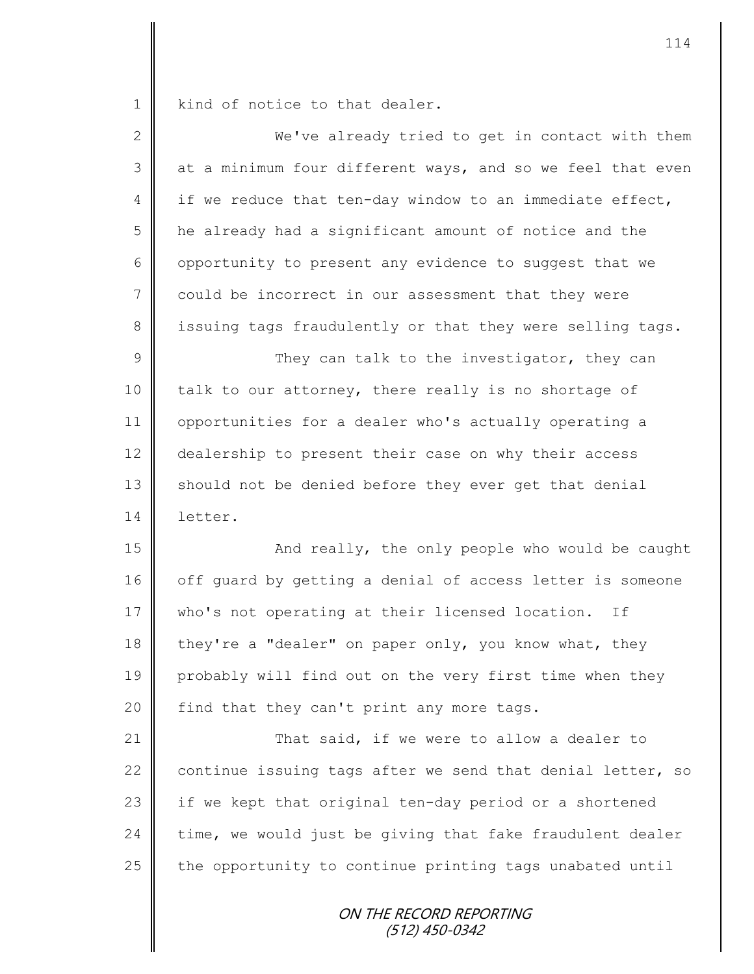1 | kind of notice to that dealer.

| $\overline{2}$  | We've already tried to get in contact with them            |
|-----------------|------------------------------------------------------------|
| 3               | at a minimum four different ways, and so we feel that even |
| 4               | if we reduce that ten-day window to an immediate effect,   |
| 5               | he already had a significant amount of notice and the      |
| 6               | opportunity to present any evidence to suggest that we     |
| $7\phantom{.0}$ | could be incorrect in our assessment that they were        |
| 8               | issuing tags fraudulently or that they were selling tags.  |
| $\mathsf 9$     | They can talk to the investigator, they can                |
| 10              | talk to our attorney, there really is no shortage of       |
| 11              | opportunities for a dealer who's actually operating a      |
| 12              | dealership to present their case on why their access       |
| 13              | should not be denied before they ever get that denial      |
| 14              | letter.                                                    |
| 15              | And really, the only people who would be caught            |
| 16              | off guard by getting a denial of access letter is someone  |
| 17              | who's not operating at their licensed location. If         |
| 18              | they're a "dealer" on paper only, you know what, they      |
| 19              | probably will find out on the very first time when they    |
| 20              | find that they can't print any more tags.                  |
| 21              | That said, if we were to allow a dealer to                 |
| 22              | continue issuing tags after we send that denial letter, so |
| 23              | if we kept that original ten-day period or a shortened     |
| 24              | time, we would just be giving that fake fraudulent dealer  |
| 25              | the opportunity to continue printing tags unabated until   |
|                 | ON THE RECORD REPORTING<br>(512) 450-0342                  |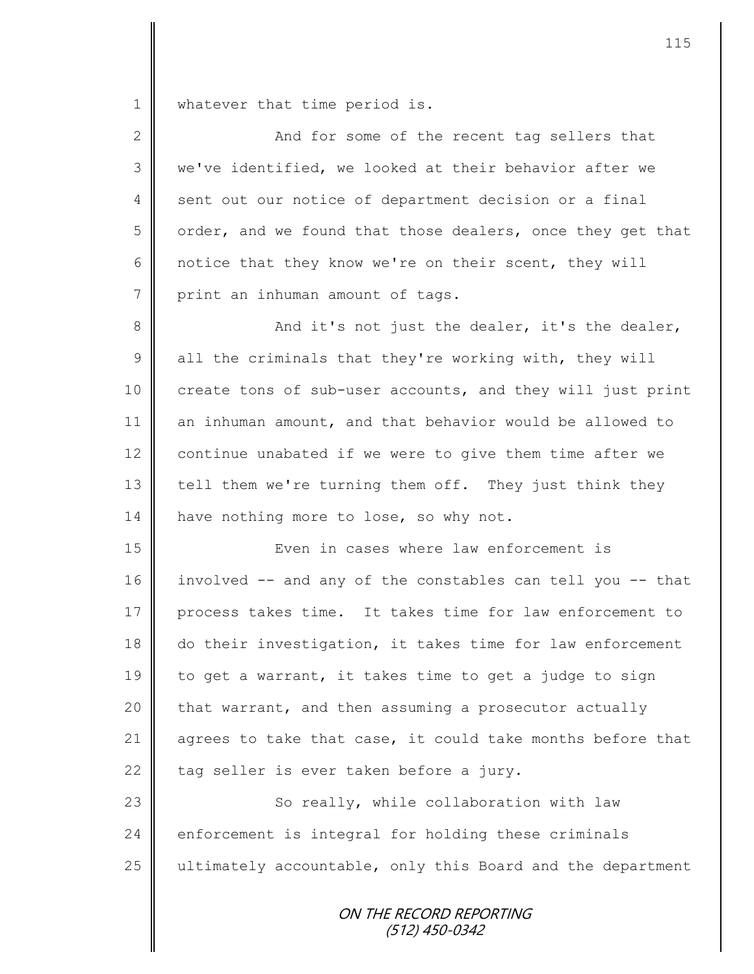1 whatever that time period is.

| $\mathbf{2}$ | And for some of the recent tag sellers that                |
|--------------|------------------------------------------------------------|
| 3            | we've identified, we looked at their behavior after we     |
| 4            | sent out our notice of department decision or a final      |
| 5            | order, and we found that those dealers, once they get that |
| 6            | notice that they know we're on their scent, they will      |
| 7            | print an inhuman amount of tags.                           |
| $8\,$        | And it's not just the dealer, it's the dealer,             |
| 9            | all the criminals that they're working with, they will     |
| 10           | create tons of sub-user accounts, and they will just print |
| 11           | an inhuman amount, and that behavior would be allowed to   |
| 12           | continue unabated if we were to give them time after we    |
| 13           | tell them we're turning them off. They just think they     |
| 14           | have nothing more to lose, so why not.                     |
| 15           | Even in cases where law enforcement is                     |
| 16           | involved -- and any of the constables can tell you -- that |
| 17           | process takes time. It takes time for law enforcement to   |
| 18           | do their investigation, it takes time for law enforcement  |
| 19           | to get a warrant, it takes time to get a judge to sign     |
| 20           | that warrant, and then assuming a prosecutor actually      |
| 21           | agrees to take that case, it could take months before that |
| 22           | tag seller is ever taken before a jury.                    |
| 23           | So really, while collaboration with law                    |
| 24           | enforcement is integral for holding these criminals        |
| 25           | ultimately accountable, only this Board and the department |
|              |                                                            |

ON THE RECORD REPORTING (512) 450-0342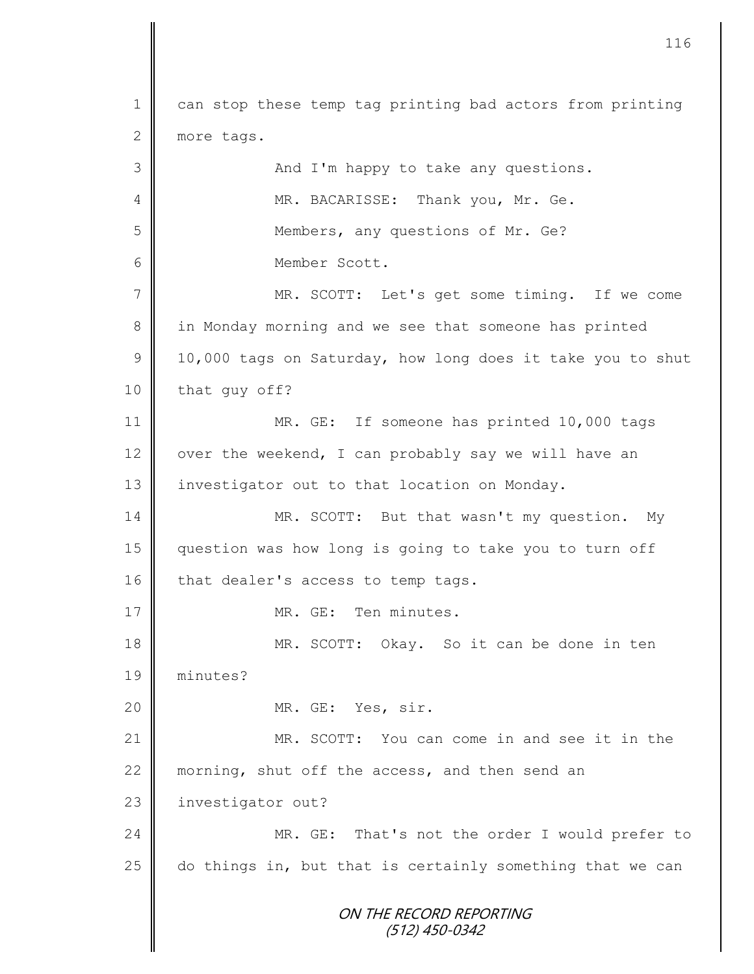ON THE RECORD REPORTING (512) 450-0342 1 can stop these temp tag printing bad actors from printing 2 more tags. 3 || And I'm happy to take any questions. 4 MR. BACARISSE: Thank you, Mr. Ge. 5 || Members, any questions of Mr. Ge? 6 Member Scott. 7 || MR. SCOTT: Let's get some timing. If we come 8 in Monday morning and we see that someone has printed  $9 \parallel 10,000$  tags on Saturday, how long does it take you to shut 10 that guy off? 11 MR. GE: If someone has printed 10,000 tags 12  $\parallel$  over the weekend, I can probably say we will have an 13 | investigator out to that location on Monday. 14 MR. SCOTT: But that wasn't my question. My 15 question was how long is going to take you to turn off 16 that dealer's access to temp tags. 17 | MR. GE: Ten minutes. 18 MR. SCOTT: Okay. So it can be done in ten 19 minutes? 20 MR. GE: Yes, sir. 21 MR. SCOTT: You can come in and see it in the 22  $\parallel$  morning, shut off the access, and then send an 23 | investigator out? 24 MR. GE: That's not the order I would prefer to 25  $\parallel$  do things in, but that is certainly something that we can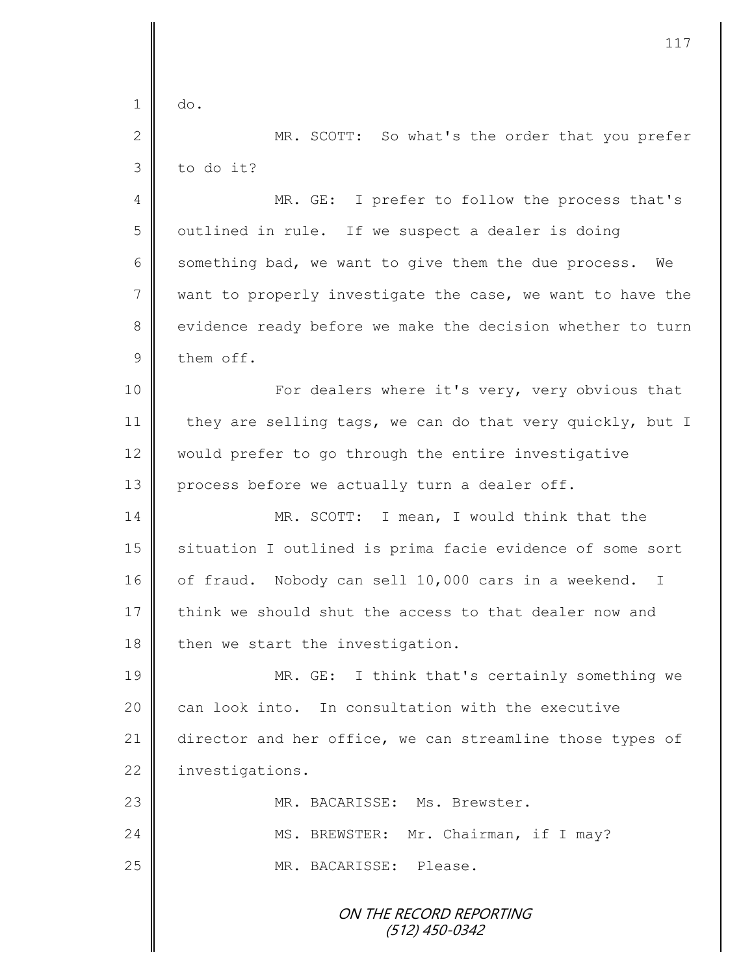ON THE RECORD REPORTING (512) 450-0342  $1 \parallel$  do. 2 MR. SCOTT: So what's the order that you prefer  $3 \parallel$  to do it? 4 MR. GE: I prefer to follow the process that's  $5 \parallel$  outlined in rule. If we suspect a dealer is doing 6 something bad, we want to give them the due process. We  $7$  want to properly investigate the case, we want to have the 8 | evidence ready before we make the decision whether to turn  $9 \parallel$  them off. 10 | For dealers where it's very, very obvious that 11 they are selling tags, we can do that very quickly, but I 12 would prefer to go through the entire investigative 13 | process before we actually turn a dealer off. 14 MR. SCOTT: I mean, I would think that the 15 | situation I outlined is prima facie evidence of some sort 16 | of fraud. Nobody can sell 10,000 cars in a weekend. I 17 think we should shut the access to that dealer now and  $18$  then we start the investigation. 19 MR. GE: I think that's certainly something we  $20$  can look into. In consultation with the executive 21 director and her office, we can streamline those types of 22 | investigations. 23 || MR. BACARISSE: Ms. Brewster. 24 MS. BREWSTER: Mr. Chairman, if I may? 25 MR. BACARISSE: Please.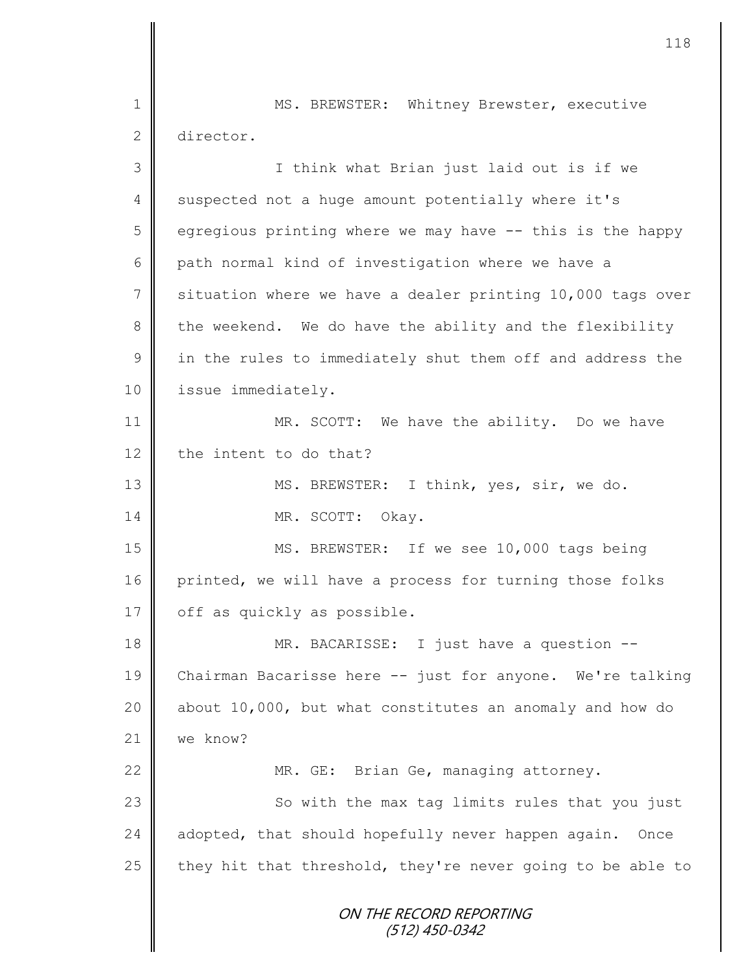ON THE RECORD REPORTING (512) 450-0342 1 || MS. BREWSTER: Whitney Brewster, executive 2 director. 3 || I think what Brian just laid out is if we 4 suspected not a huge amount potentially where it's  $5 \parallel$  egregious printing where we may have  $-$ - this is the happy 6 path normal kind of investigation where we have a 7 situation where we have a dealer printing 10,000 tags over  $8 \parallel$  the weekend. We do have the ability and the flexibility  $9 \parallel$  in the rules to immediately shut them off and address the 10 | issue immediately. 11 MR. SCOTT: We have the ability. Do we have 12 the intent to do that? 13 || MS. BREWSTER: I think, yes, sir, we do. 14 NR. SCOTT: Okay. 15 || MS. BREWSTER: If we see 10,000 tags being 16 printed, we will have a process for turning those folks 17 | off as quickly as possible. 18 || MR. BACARISSE: I just have a question --19 Chairman Bacarisse here -- just for anyone. We're talking 20  $\parallel$  about 10,000, but what constitutes an anomaly and how do 21 we know? 22 | MR. GE: Brian Ge, managing attorney. 23 | So with the max tag limits rules that you just 24 adopted, that should hopefully never happen again. Once 25 they hit that threshold, they're never going to be able to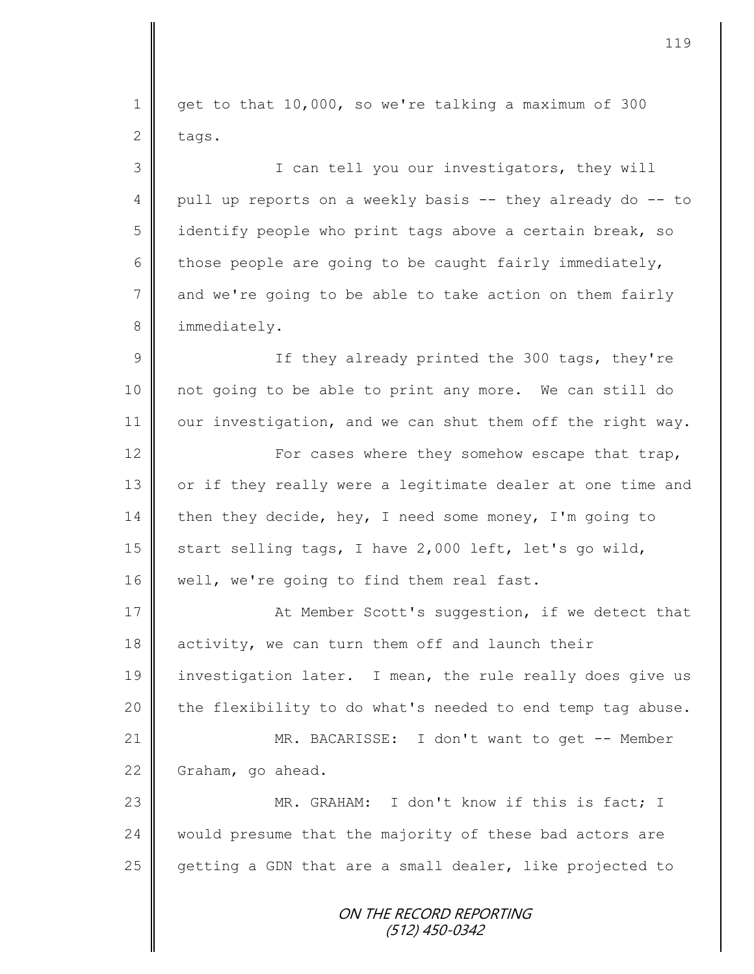ON THE RECORD REPORTING 1 get to that 10,000, so we're talking a maximum of 300  $2$  tags. 3 || I can tell you our investigators, they will 4 || pull up reports on a weekly basis -- they already do -- to 5 | identify people who print tags above a certain break, so 6 those people are going to be caught fairly immediately, 7 and we're going to be able to take action on them fairly 8 | immediately. 9 || If they already printed the 300 tags, they're 10 not going to be able to print any more. We can still do  $11$  our investigation, and we can shut them off the right way. 12 | For cases where they somehow escape that trap, 13 | or if they really were a legitimate dealer at one time and 14 then they decide, hey, I need some money, I'm going to 15  $\parallel$  start selling tags, I have 2,000 left, let's go wild, 16 | well, we're going to find them real fast. 17 **At Member Scott's suggestion, if we detect that** 18 activity, we can turn them off and launch their 19 investigation later. I mean, the rule really does give us 20  $\parallel$  the flexibility to do what's needed to end temp tag abuse. 21 || MR. BACARISSE: I don't want to get -- Member 22 Graham, go ahead. 23 WR. GRAHAM: I don't know if this is fact; I 24 would presume that the majority of these bad actors are 25 getting a GDN that are a small dealer, like projected to

(512) 450-0342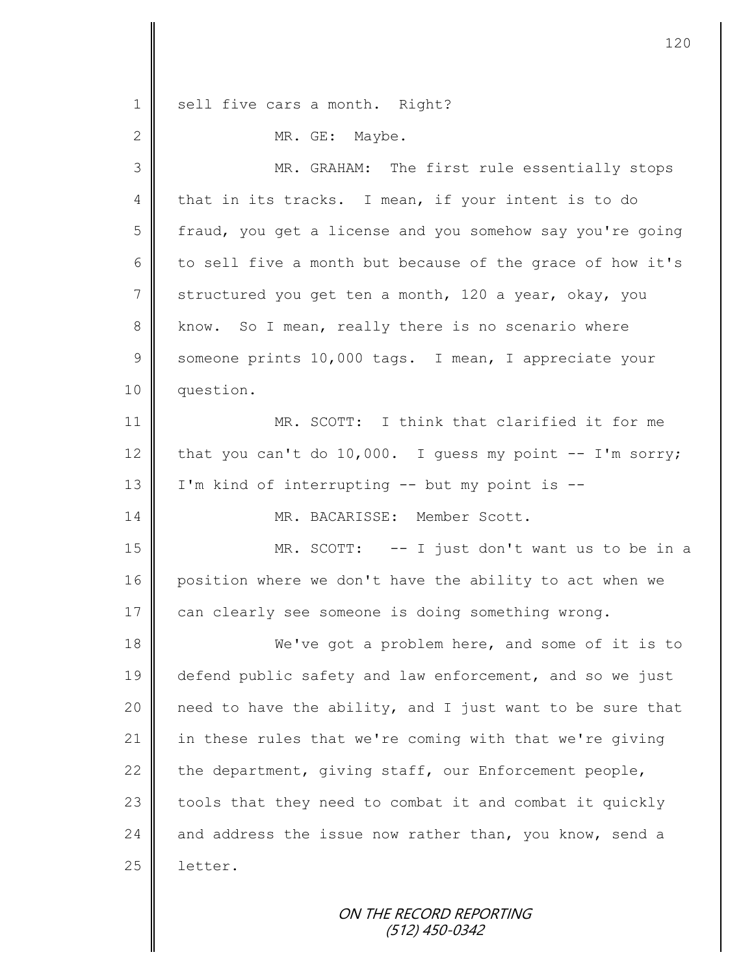| $\mathbf 1$    | sell five cars a month. Right?                             |
|----------------|------------------------------------------------------------|
| 2              | MR. GE: Maybe.                                             |
| 3              | MR. GRAHAM: The first rule essentially stops               |
| 4              | that in its tracks. I mean, if your intent is to do        |
| 5              | fraud, you get a license and you somehow say you're going  |
| 6              | to sell five a month but because of the grace of how it's  |
| $\overline{7}$ | structured you get ten a month, 120 a year, okay, you      |
| $8\,$          | know. So I mean, really there is no scenario where         |
| $\overline{9}$ | someone prints 10,000 tags. I mean, I appreciate your      |
| 10             | question.                                                  |
| 11             | MR. SCOTT: I think that clarified it for me                |
| 12             | that you can't do 10,000. I guess my point $--$ I'm sorry; |
| 13             | I'm kind of interrupting -- but my point is --             |
| 14             | MR. BACARISSE: Member Scott.                               |
| 15             | MR. SCOTT: -- I just don't want us to be in a              |
| 16             | position where we don't have the ability to act when we    |
| 17             | can clearly see someone is doing something wrong.          |
| 18             | We've got a problem here, and some of it is to             |
| 19             | defend public safety and law enforcement, and so we just   |
| 20             | need to have the ability, and I just want to be sure that  |
| 21             | in these rules that we're coming with that we're giving    |
| 22             | the department, giving staff, our Enforcement people,      |
| 23             | tools that they need to combat it and combat it quickly    |
| 24             | and address the issue now rather than, you know, send a    |
| 25             | letter.                                                    |
|                |                                                            |

ON THE RECORD REPORTING (512) 450-0342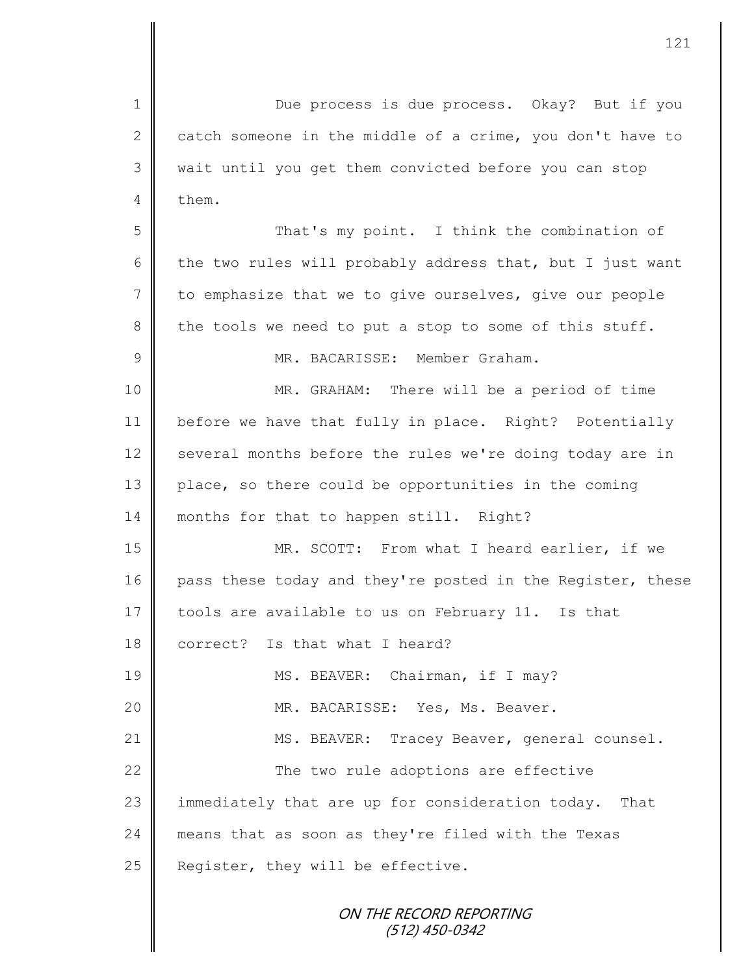1 Due process is due process. Okay? But if you 2 catch someone in the middle of a crime, you don't have to 3 || wait until you get them convicted before you can stop  $4 \parallel$  them. 5 That's my point. I think the combination of 6 the two rules will probably address that, but I just want 7 to emphasize that we to give ourselves, give our people 8 the tools we need to put a stop to some of this stuff. 9 MR. BACARISSE: Member Graham. 10 || MR. GRAHAM: There will be a period of time 11 before we have that fully in place. Right? Potentially 12 several months before the rules we're doing today are in 13 place, so there could be opportunities in the coming 14 months for that to happen still. Right? 15 MR. SCOTT: From what I heard earlier, if we 16 pass these today and they're posted in the Register, these 17 tools are available to us on February 11. Is that 18 correct? Is that what I heard? 19 || MS. BEAVER: Chairman, if I may? 20 || MR. BACARISSE: Yes, Ms. Beaver. 21 | MS. BEAVER: Tracey Beaver, general counsel. 22 **The two rule adoptions are effective** 23 immediately that are up for consideration today. That 24 means that as soon as they're filed with the Texas 25 Register, they will be effective.

ON THE RECORD REPORTING (512) 450-0342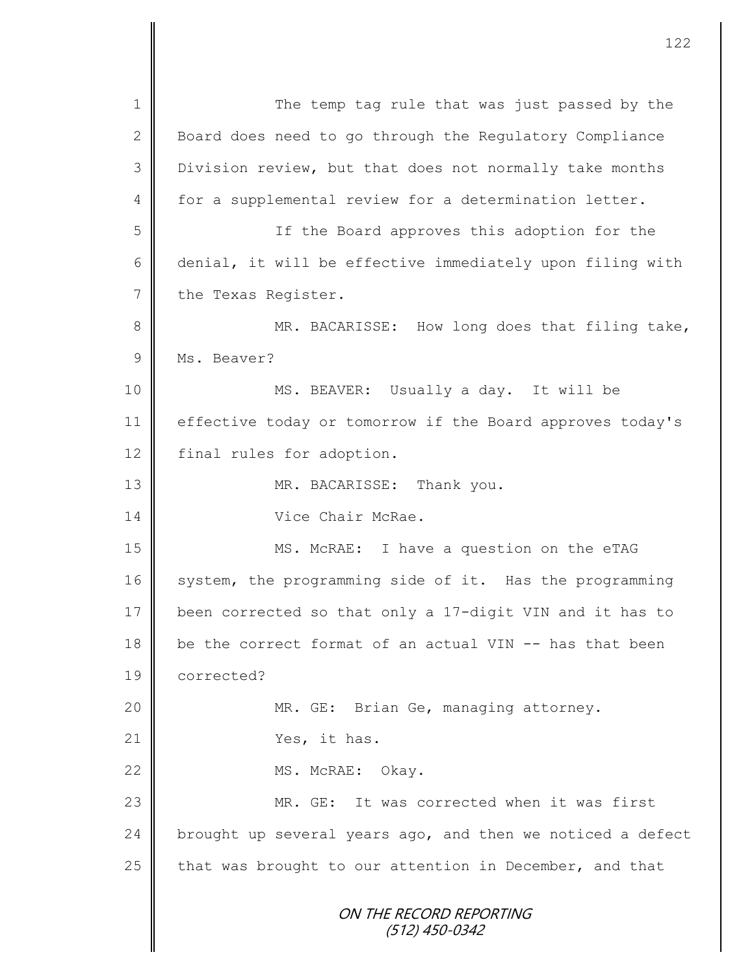ON THE RECORD REPORTING (512) 450-0342 1 || The temp tag rule that was just passed by the 2 Board does need to go through the Regulatory Compliance 3 Division review, but that does not normally take months 4 for a supplemental review for a determination letter. 5 || Solomon If the Board approves this adoption for the 6 denial, it will be effective immediately upon filing with 7 the Texas Register. 8 MR. BACARISSE: How long does that filing take, 9 Ms. Beaver? 10 || MS. BEAVER: Usually a day. It will be 11 effective today or tomorrow if the Board approves today's 12 final rules for adoption. 13 || MR. BACARISSE: Thank you. 14 Vice Chair McRae. 15 || MS. McRAE: I have a question on the eTAG 16 system, the programming side of it. Has the programming 17 been corrected so that only a 17-digit VIN and it has to 18 be the correct format of an actual VIN -- has that been 19 corrected? 20 MR. GE: Brian Ge, managing attorney. 21 Yes, it has. 22 MS. McRAE: Okay. 23 MR. GE: It was corrected when it was first 24 brought up several years ago, and then we noticed a defect 25 that was brought to our attention in December, and that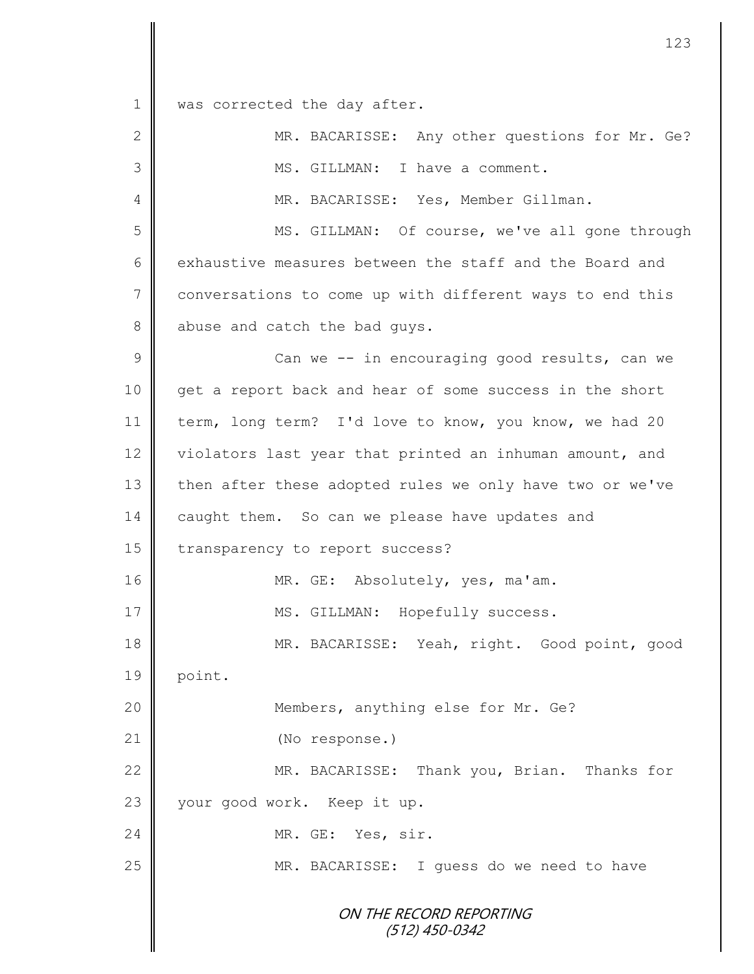1 was corrected the day after.

| $\overline{2}$ | MR. BACARISSE: Any other questions for Mr. Ge?           |
|----------------|----------------------------------------------------------|
| 3              | MS. GILLMAN: I have a comment.                           |
| 4              | MR. BACARISSE: Yes, Member Gillman.                      |
| 5              | MS. GILLMAN: Of course, we've all gone through           |
| 6              | exhaustive measures between the staff and the Board and  |
| 7              | conversations to come up with different ways to end this |
| 8              | abuse and catch the bad guys.                            |
| 9              | Can we -- in encouraging good results, can we            |
| 10             | get a report back and hear of some success in the short  |
| 11             | term, long term? I'd love to know, you know, we had 20   |
| 12             | violators last year that printed an inhuman amount, and  |
| 13             | then after these adopted rules we only have two or we've |
| 14             | caught them. So can we please have updates and           |
| 15             | transparency to report success?                          |
| 16             | MR. GE: Absolutely, yes, ma'am.                          |
| 17             | MS. GILLMAN: Hopefully success.                          |
| 18             | MR. BACARISSE: Yeah, right. Good point, good             |
| 19             | point.                                                   |
| 20             | Members, anything else for Mr. Ge?                       |
| 21             | (No response.)                                           |
| 22             | MR. BACARISSE: Thank you, Brian. Thanks for              |
| 23             | your good work. Keep it up.                              |
| 24             | MR. GE: Yes, sir.                                        |
| 25             | MR. BACARISSE: I guess do we need to have                |
|                | ON THE RECORD REPORTING<br>$(512)$ 450-0342              |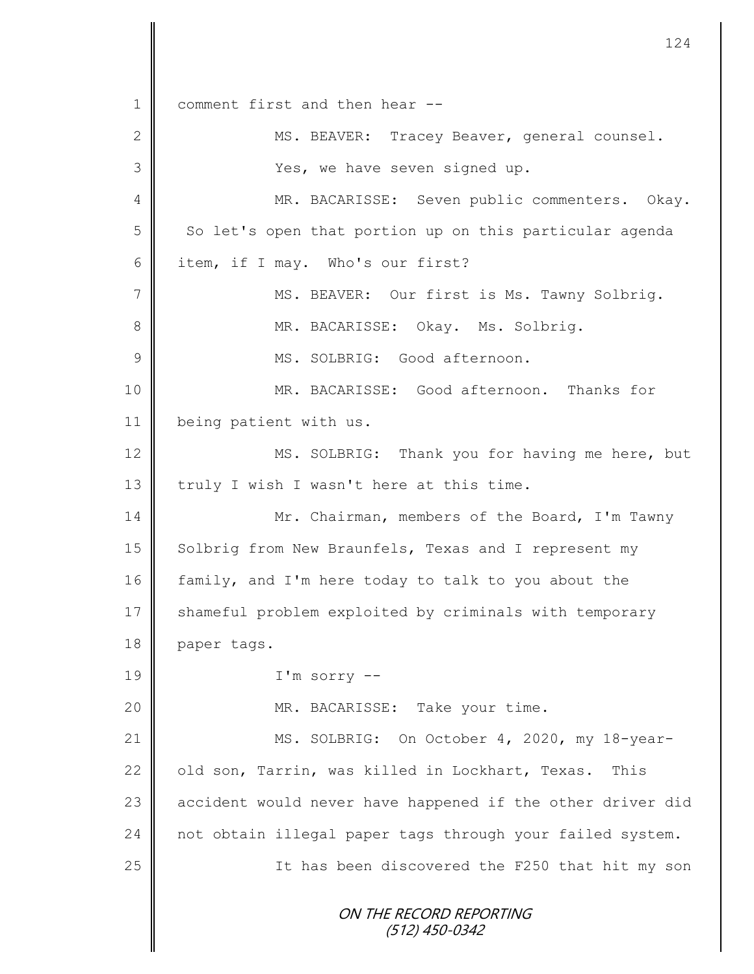ON THE RECORD REPORTING (512) 450-0342 1 comment first and then hear --2 || MS. BEAVER: Tracey Beaver, general counsel. 3 | Yes, we have seven signed up. 4 MR. BACARISSE: Seven public commenters. Okay. 5 | So let's open that portion up on this particular agenda 6 item, if I may. Who's our first? 7 || MS. BEAVER: Our first is Ms. Tawny Solbrig. 8 MR. BACARISSE: Okay. Ms. Solbrig. 9  $\parallel$  MS. SOLBRIG: Good afternoon. 10 MR. BACARISSE: Good afternoon. Thanks for 11 | being patient with us. 12 MS. SOLBRIG: Thank you for having me here, but 13  $\parallel$  truly I wish I wasn't here at this time. 14 | Mr. Chairman, members of the Board, I'm Tawny 15 Solbrig from New Braunfels, Texas and I represent my 16 family, and I'm here today to talk to you about the 17 Shameful problem exploited by criminals with temporary 18 paper tags. 19 I'm sorry -- 20 || MR. BACARISSE: Take your time. 21 MS. SOLBRIG: On October 4, 2020, my 18-year-22 | old son, Tarrin, was killed in Lockhart, Texas. This 23 accident would never have happened if the other driver did 24 not obtain illegal paper tags through your failed system. 25 | Thas been discovered the F250 that hit my son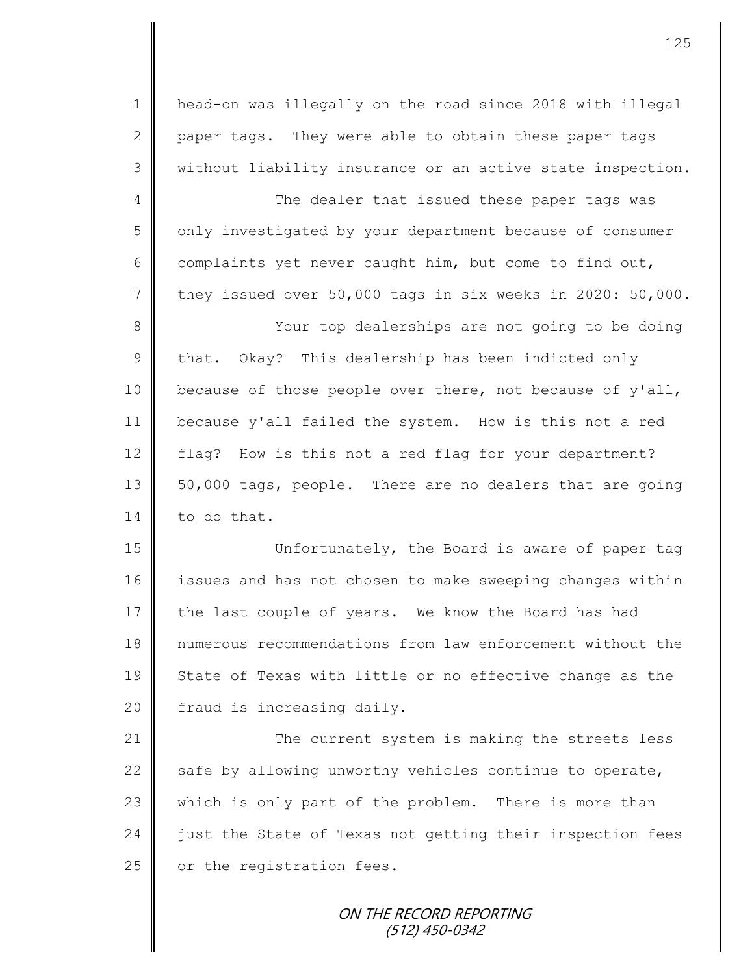1 head-on was illegally on the road since 2018 with illegal 2 paper tags. They were able to obtain these paper tags 3 || without liability insurance or an active state inspection.

4 The dealer that issued these paper tags was 5 | only investigated by your department because of consumer 6 complaints yet never caught him, but come to find out, 7 they issued over 50,000 tags in six weeks in 2020: 50,000.

8 || Your top dealerships are not going to be doing  $9 \parallel$  that. Okay? This dealership has been indicted only 10 because of those people over there, not because of y'all, 11 because y'all failed the system. How is this not a red 12 flag? How is this not a red flag for your department? 13 | 50,000 tags, people. There are no dealers that are going  $14 \parallel$  to do that.

15 Unfortunately, the Board is aware of paper tag 16 issues and has not chosen to make sweeping changes within 17 the last couple of years. We know the Board has had 18 numerous recommendations from law enforcement without the 19 || State of Texas with little or no effective change as the 20  $\parallel$  fraud is increasing daily.

21 | The current system is making the streets less 22  $\parallel$  safe by allowing unworthy vehicles continue to operate, 23 which is only part of the problem. There is more than 24 iust the State of Texas not getting their inspection fees 25 or the registration fees.

> ON THE RECORD REPORTING (512) 450-0342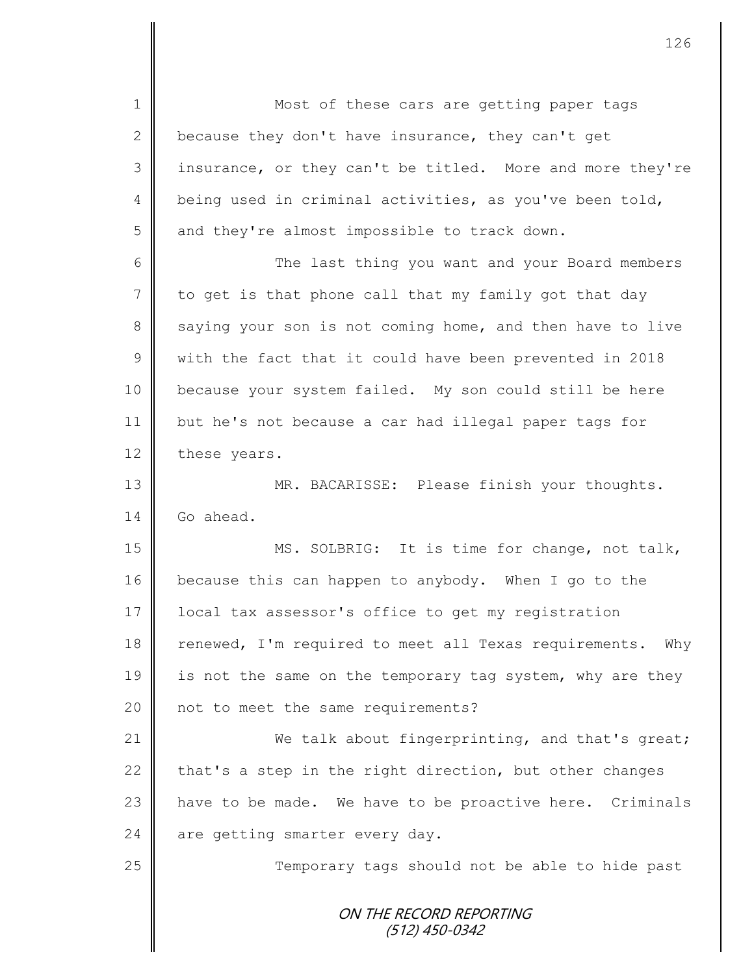ON THE RECORD REPORTING (512) 450-0342 1 || Most of these cars are getting paper tags 2 because they don't have insurance, they can't get 3 | insurance, or they can't be titled. More and more they're 4 being used in criminal activities, as you've been told,  $5 \parallel$  and they're almost impossible to track down. 6 The last thing you want and your Board members 7 to get is that phone call that my family got that day 8 saying your son is not coming home, and then have to live 9 with the fact that it could have been prevented in 2018 10 because your system failed. My son could still be here 11 but he's not because a car had illegal paper tags for 12 these years. 13 || MR. BACARISSE: Please finish your thoughts. 14 Go ahead. 15 || MS. SOLBRIG: It is time for change, not talk, 16 because this can happen to anybody. When I go to the 17 | local tax assessor's office to get my registration 18 renewed, I'm required to meet all Texas requirements. Why 19  $\parallel$  is not the same on the temporary tag system, why are they 20 | not to meet the same requirements? 21 We talk about fingerprinting, and that's great; 22 that's a step in the right direction, but other changes 23 | have to be made. We have to be proactive here. Criminals 24  $\parallel$  are getting smarter every day. 25 || Temporary tags should not be able to hide past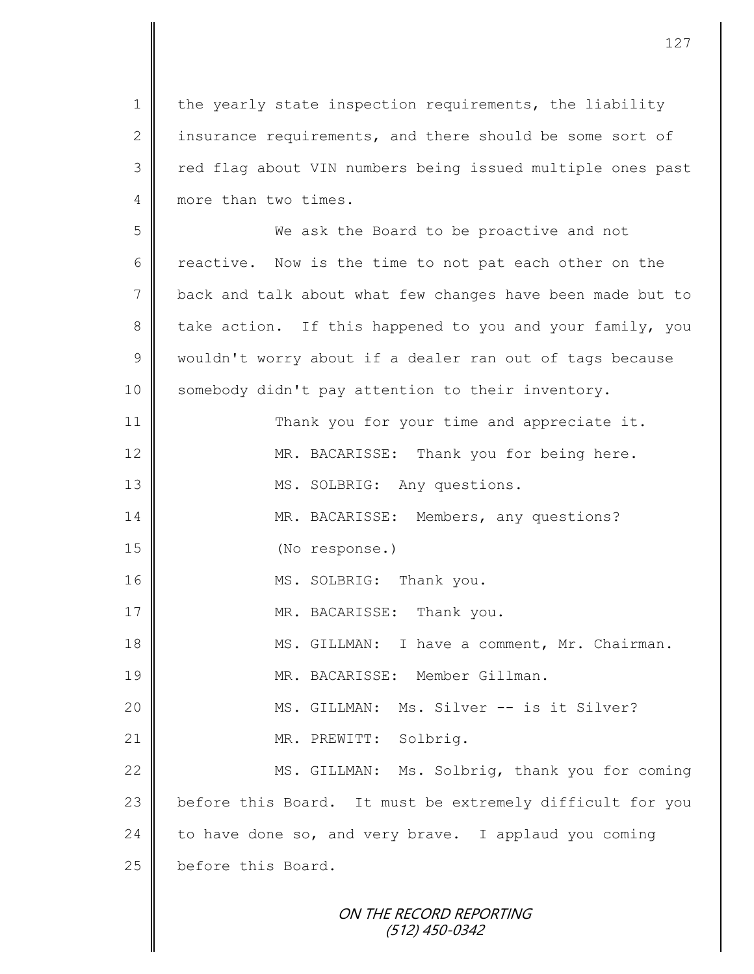1 the yearly state inspection requirements, the liability 2 insurance requirements, and there should be some sort of 3 || red flag about VIN numbers being issued multiple ones past 4 more than two times.

5 We ask the Board to be proactive and not 6 c reactive. Now is the time to not pat each other on the 7 back and talk about what few changes have been made but to 8 take action. If this happened to you and your family, you 9 wouldn't worry about if a dealer ran out of tags because 10 | somebody didn't pay attention to their inventory.

11 | Thank you for your time and appreciate it. 12 MR. BACARISSE: Thank you for being here. 13 || MS. SOLBRIG: Any questions. 14 MR. BACARISSE: Members, any questions? 15 || (No response.) 16 || MS. SOLBRIG: Thank you. 17 || MR. BACARISSE: Thank you. 18 || MS. GILLMAN: I have a comment, Mr. Chairman. 19 MR. BACARISSE: Member Gillman. 20 || MS. GILLMAN: Ms. Silver -- is it Silver? 21 || MR. PREWITT: Solbrig. 22 MS. GILLMAN: Ms. Solbrig, thank you for coming

23 before this Board. It must be extremely difficult for you  $24$  to have done so, and very brave. I applaud you coming 25 before this Board.

> ON THE RECORD REPORTING (512) 450-0342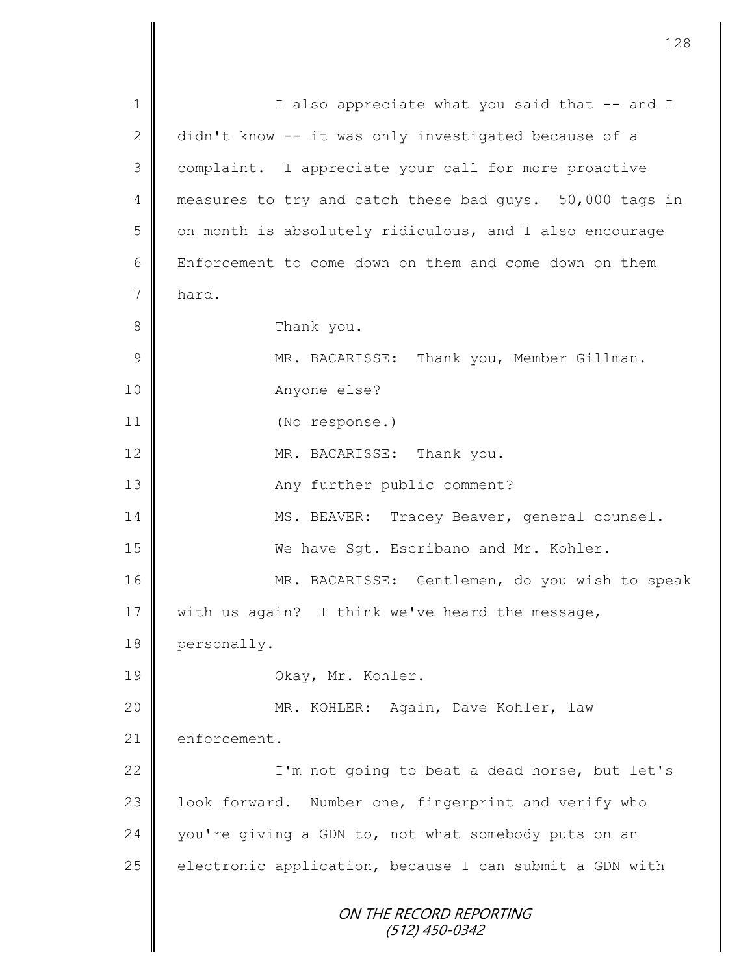ON THE RECORD REPORTING (512) 450-0342 1 || I also appreciate what you said that -- and I 2 didn't know -- it was only investigated because of a 3 complaint. I appreciate your call for more proactive 4 measures to try and catch these bad guys. 50,000 tags in  $5 \parallel$  on month is absolutely ridiculous, and I also encourage 6 Enforcement to come down on them and come down on them 7 hard. 8 Thank you. 9 || MR. BACARISSE: Thank you, Member Gillman. 10 Anyone else? 11 (No response.) 12 MR. BACARISSE: Thank you. 13 || Any further public comment? 14 | MS. BEAVER: Tracey Beaver, general counsel. 15 We have Sgt. Escribano and Mr. Kohler. 16 MR. BACARISSE: Gentlemen, do you wish to speak 17  $\parallel$  with us again? I think we've heard the message, 18 personally. 19 **Okay, Mr. Kohler.** 20 MR. KOHLER: Again, Dave Kohler, law 21 enforcement. 22 | I'm not going to beat a dead horse, but let's 23 | look forward. Number one, fingerprint and verify who 24  $\parallel$  you're giving a GDN to, not what somebody puts on an  $25$  electronic application, because I can submit a GDN with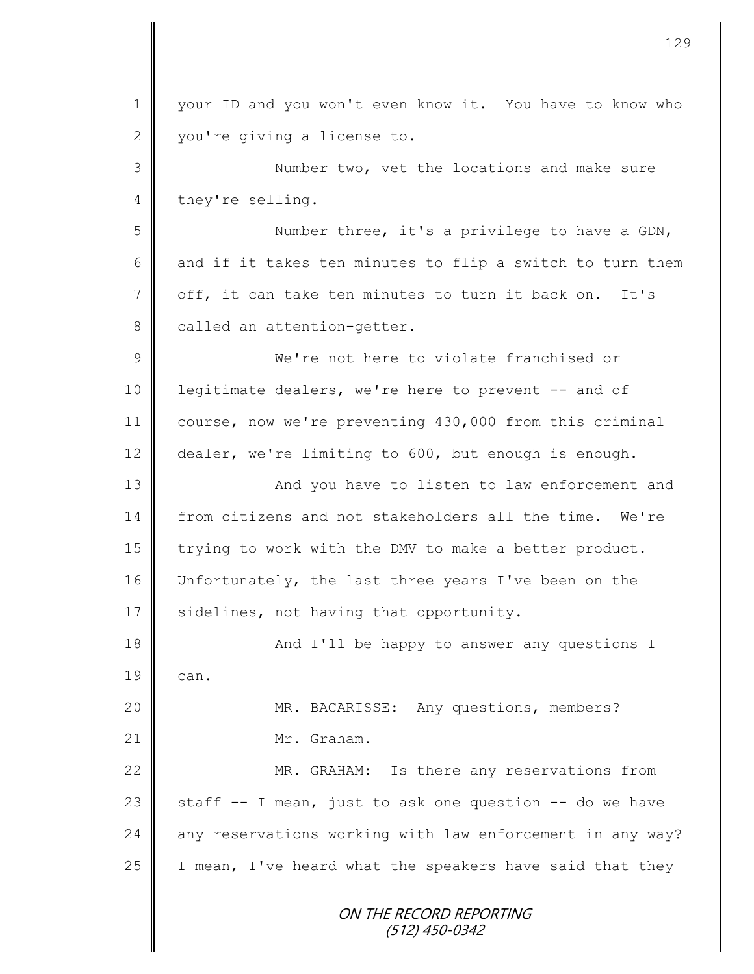| $\mathbf 1$    | your ID and you won't even know it. You have to know who  |
|----------------|-----------------------------------------------------------|
| $\mathbf{2}$   | you're giving a license to.                               |
| 3              | Number two, vet the locations and make sure               |
| $\overline{4}$ | they're selling.                                          |
| 5              | Number three, it's a privilege to have a GDN,             |
| 6              | and if it takes ten minutes to flip a switch to turn them |
| $7\phantom{.}$ | off, it can take ten minutes to turn it back on. It's     |
| $8\,$          | called an attention-getter.                               |
| $\mathcal{G}$  | We're not here to violate franchised or                   |
| 10             | legitimate dealers, we're here to prevent -- and of       |
| 11             | course, now we're preventing 430,000 from this criminal   |
| 12             | dealer, we're limiting to 600, but enough is enough.      |
| 13             | And you have to listen to law enforcement and             |
| 14             | from citizens and not stakeholders all the time. We're    |
| 15             | trying to work with the DMV to make a better product.     |
| 16             | Unfortunately, the last three years I've been on the      |
| 17             | sidelines, not having that opportunity.                   |
| 18             | And I'll be happy to answer any questions I               |
| 19             | can.                                                      |
| 20             | MR. BACARISSE: Any questions, members?                    |
| 21             | Mr. Graham.                                               |
| 22             | MR. GRAHAM: Is there any reservations from                |
| 23             | staff -- I mean, just to ask one question -- do we have   |
| 24             | any reservations working with law enforcement in any way? |
| 25             | I mean, I've heard what the speakers have said that they  |
|                | ON THE RECORD REPORTING<br>$(512)$ 450-0342               |

II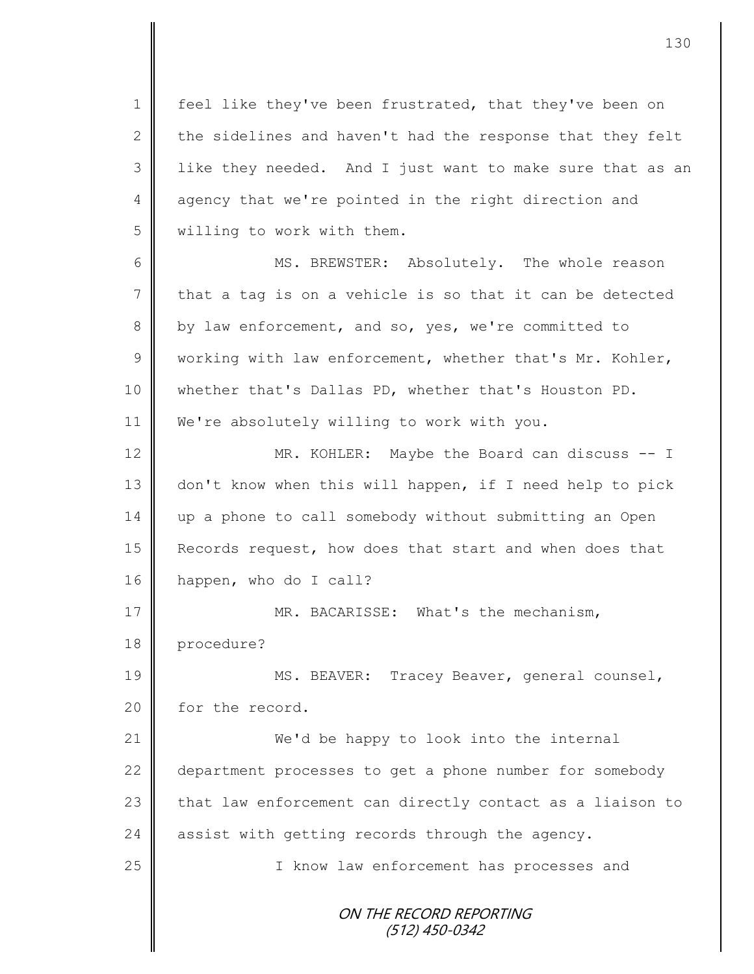1 | feel like they've been frustrated, that they've been on 2  $\parallel$  the sidelines and haven't had the response that they felt  $3$  | like they needed. And I just want to make sure that as an 4 agency that we're pointed in the right direction and 5 willing to work with them. 6 MS. BREWSTER: Absolutely. The whole reason

7 that a tag is on a vehicle is so that it can be detected 8 by law enforcement, and so, yes, we're committed to  $9 \parallel$  working with law enforcement, whether that's Mr. Kohler, 10 whether that's Dallas PD, whether that's Houston PD. 11 | We're absolutely willing to work with you.

12 || MR. KOHLER: Maybe the Board can discuss -- I 13 don't know when this will happen, if I need help to pick 14 up a phone to call somebody without submitting an Open 15 Records request, how does that start and when does that 16 happen, who do I call?

17 **MR. BACARISSE:** What's the mechanism, 18 procedure?

19 || MS. BEAVER: Tracey Beaver, general counsel, 20 for the record.

21 We'd be happy to look into the internal 22 department processes to get a phone number for somebody  $23$  that law enforcement can directly contact as a liaison to 24 assist with getting records through the agency.

25 || I know law enforcement has processes and

ON THE RECORD REPORTING (512) 450-0342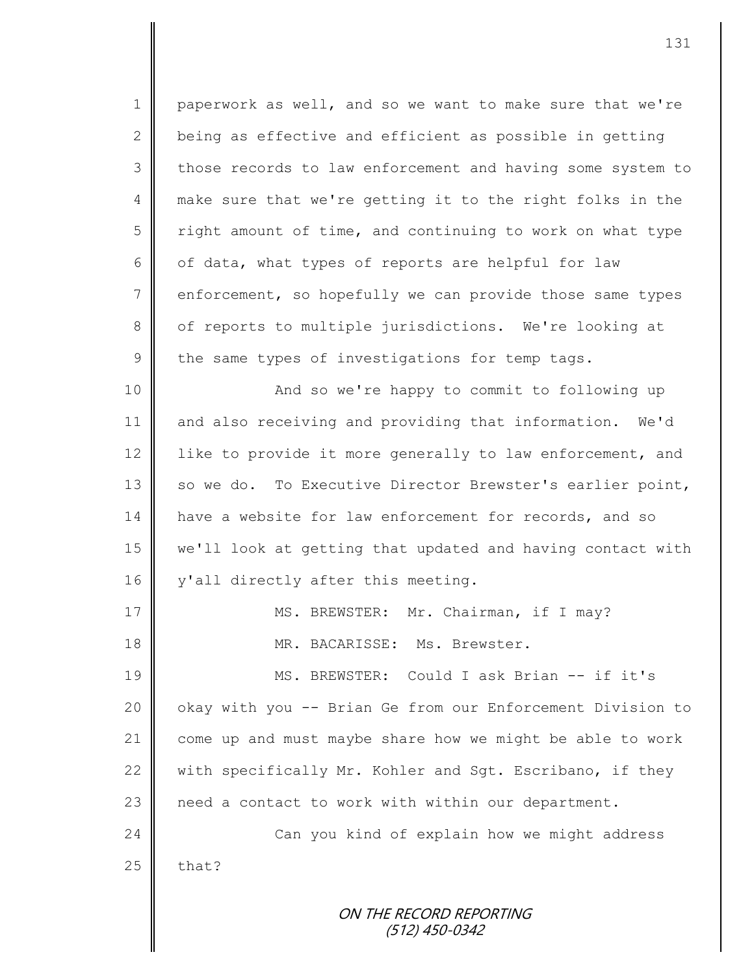ON THE RECORD REPORTING (512) 450-0342 1 paperwork as well, and so we want to make sure that we're 2  $\parallel$  being as effective and efficient as possible in getting 3 || those records to law enforcement and having some system to 4 make sure that we're getting it to the right folks in the  $5 \parallel$  right amount of time, and continuing to work on what type 6 | of data, what types of reports are helpful for law 7 enforcement, so hopefully we can provide those same types 8 | of reports to multiple jurisdictions. We're looking at  $9 \parallel$  the same types of investigations for temp tags. 10 || And so we're happy to commit to following up 11 and also receiving and providing that information. We'd 12 like to provide it more generally to law enforcement, and 13 | so we do. To Executive Director Brewster's earlier point, 14 have a website for law enforcement for records, and so 15 we'll look at getting that updated and having contact with 16 | y'all directly after this meeting. 17 || MS. BREWSTER: Mr. Chairman, if I may? 18 MR. BACARISSE: Ms. Brewster. 19 || MS. BREWSTER: Could I ask Brian -- if it's 20 | okay with you -- Brian Ge from our Enforcement Division to 21 come up and must maybe share how we might be able to work 22  $\parallel$  with specifically Mr. Kohler and Sqt. Escribano, if they 23 | need a contact to work with within our department. 24 Can you kind of explain how we might address  $25$  | that?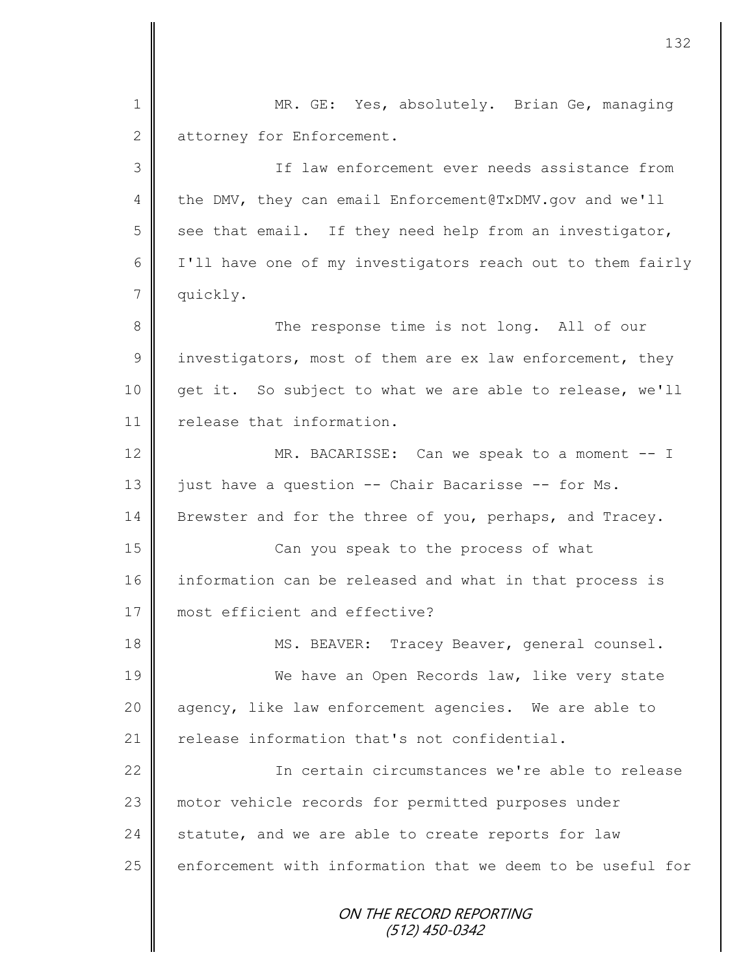| $\mathbf 1$    | MR. GE: Yes, absolutely. Brian Ge, managing                |
|----------------|------------------------------------------------------------|
| $\mathbf{2}$   | attorney for Enforcement.                                  |
| 3              | If law enforcement ever needs assistance from              |
| 4              | the DMV, they can email Enforcement@TxDMV.gov and we'll    |
| 5              | see that email. If they need help from an investigator,    |
| 6              | I'll have one of my investigators reach out to them fairly |
| $7\phantom{.}$ | quickly.                                                   |
| 8              | The response time is not long. All of our                  |
| $\mathsf 9$    | investigators, most of them are ex law enforcement, they   |
| 10             | get it. So subject to what we are able to release, we'll   |
| 11             | release that information.                                  |
| 12             | MR. BACARISSE: Can we speak to a moment -- I               |
| 13             | just have a question -- Chair Bacarisse -- for Ms.         |
| 14             | Brewster and for the three of you, perhaps, and Tracey.    |
| 15             | Can you speak to the process of what                       |
| 16             | information can be released and what in that process is    |
| 17             | most efficient and effective?                              |
| 18             | MS. BEAVER: Tracey Beaver, general counsel.                |
| 19             | We have an Open Records law, like very state               |
| 20             | agency, like law enforcement agencies. We are able to      |
| 21             | release information that's not confidential.               |
| 22             | In certain circumstances we're able to release             |
| 23             | motor vehicle records for permitted purposes under         |
| 24             | statute, and we are able to create reports for law         |
| 25             | enforcement with information that we deem to be useful for |
|                | ON THE RECORD REPORTING<br>(512) 450-0342                  |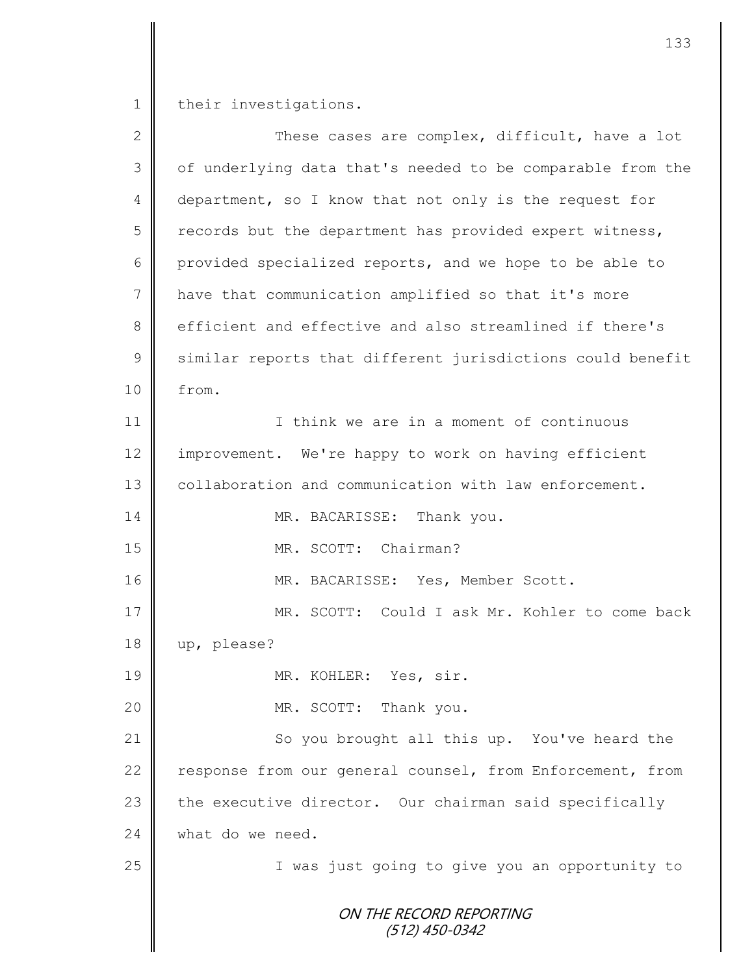1 their investigations.

| $\mathbf{2}$    | These cases are complex, difficult, have a lot             |
|-----------------|------------------------------------------------------------|
| 3               | of underlying data that's needed to be comparable from the |
| $\overline{4}$  | department, so I know that not only is the request for     |
| 5               | records but the department has provided expert witness,    |
| 6               | provided specialized reports, and we hope to be able to    |
| $7\phantom{.0}$ | have that communication amplified so that it's more        |
| 8               | efficient and effective and also streamlined if there's    |
| $\mathcal{G}$   | similar reports that different jurisdictions could benefit |
| 10              | from.                                                      |
| 11              | I think we are in a moment of continuous                   |
| 12              | improvement. We're happy to work on having efficient       |
| 13              | collaboration and communication with law enforcement.      |
| 14              | MR. BACARISSE: Thank you.                                  |
| 15              | MR. SCOTT: Chairman?                                       |
| 16              | MR. BACARISSE: Yes, Member Scott.                          |
| 17              | MR. SCOTT: Could I ask Mr. Kohler to come back             |
| 18              | up, please?                                                |
| 19              | MR. KOHLER: Yes, sir.                                      |
| 20              | MR. SCOTT: Thank you.                                      |
| 21              | So you brought all this up. You've heard the               |
| 22              | response from our general counsel, from Enforcement, from  |
| 23              | the executive director. Our chairman said specifically     |
| 24              | what do we need.                                           |
| 25              | I was just going to give you an opportunity to             |
|                 | ON THE RECORD REPORTING<br>$(512)$ 450-0342                |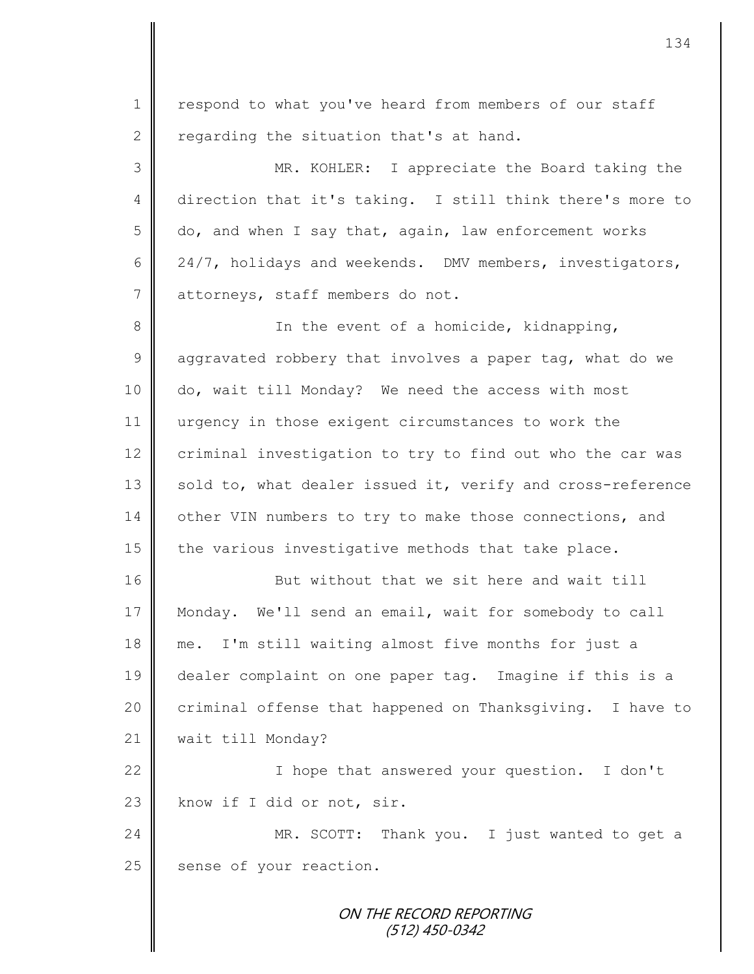ON THE RECORD REPORTING 1 | respond to what you've heard from members of our staff 2 regarding the situation that's at hand. 3 MR. KOHLER: I appreciate the Board taking the 4 direction that it's taking. I still think there's more to  $5 \parallel$  do, and when I say that, again, law enforcement works 6  $\parallel$  24/7, holidays and weekends. DMV members, investigators, 7 dttorneys, staff members do not. 8 **I** In the event of a homicide, kidnapping, 9  $\parallel$  aggravated robbery that involves a paper tag, what do we 10 do, wait till Monday? We need the access with most 11 urgency in those exigent circumstances to work the 12 criminal investigation to try to find out who the car was 13 sold to, what dealer issued it, verify and cross-reference 14 other VIN numbers to try to make those connections, and 15  $\parallel$  the various investigative methods that take place. 16 But without that we sit here and wait till 17 Monday. We'll send an email, wait for somebody to call 18 me. I'm still waiting almost five months for just a 19 dealer complaint on one paper tag. Imagine if this is a 20 criminal offense that happened on Thanksgiving. I have to 21 | wait till Monday? 22 | I hope that answered your question. I don't 23 know if I did or not, sir. 24 MR. SCOTT: Thank you. I just wanted to get a 25 sense of your reaction.

## (512) 450-0342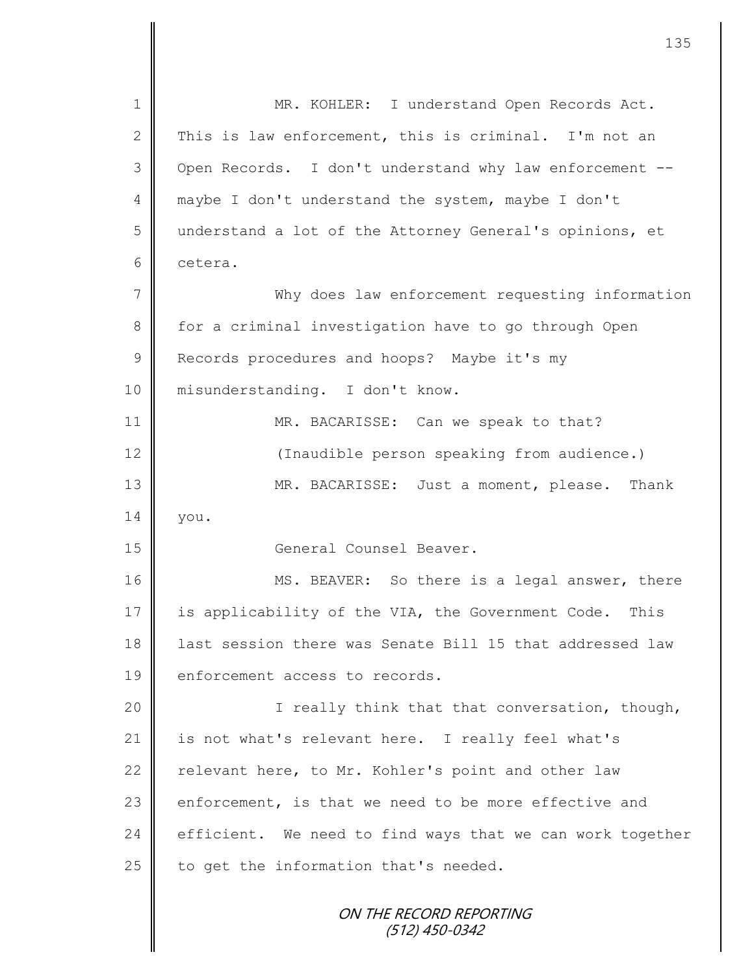| $\mathbf 1$  | MR. KOHLER: I understand Open Records Act.                |
|--------------|-----------------------------------------------------------|
| $\mathbf{2}$ | This is law enforcement, this is criminal. I'm not an     |
| 3            | Open Records. I don't understand why law enforcement --   |
| 4            | maybe I don't understand the system, maybe I don't        |
| 5            | understand a lot of the Attorney General's opinions, et   |
| 6            | cetera.                                                   |
| 7            | Why does law enforcement requesting information           |
| $8\,$        | for a criminal investigation have to go through Open      |
| $\mathsf 9$  | Records procedures and hoops? Maybe it's my               |
| 10           | misunderstanding. I don't know.                           |
| 11           | MR. BACARISSE: Can we speak to that?                      |
| 12           | (Inaudible person speaking from audience.)                |
| 13           | MR. BACARISSE: Just a moment, please. Thank               |
| 14           | you.                                                      |
| 15           | General Counsel Beaver.                                   |
| 16           | MS. BEAVER: So there is a legal answer, there             |
| 17           | is applicability of the VIA, the Government Code.<br>This |
| 18           | last session there was Senate Bill 15 that addressed law  |
| 19           | enforcement access to records.                            |
| 20           | I really think that that conversation, though,            |
| 21           | is not what's relevant here. I really feel what's         |
| 22           | relevant here, to Mr. Kohler's point and other law        |
| 23           | enforcement, is that we need to be more effective and     |
| 24           | efficient. We need to find ways that we can work together |
| 25           | to get the information that's needed.                     |
|              | ON THE RECORD REPORTING<br>(512) 450-0342                 |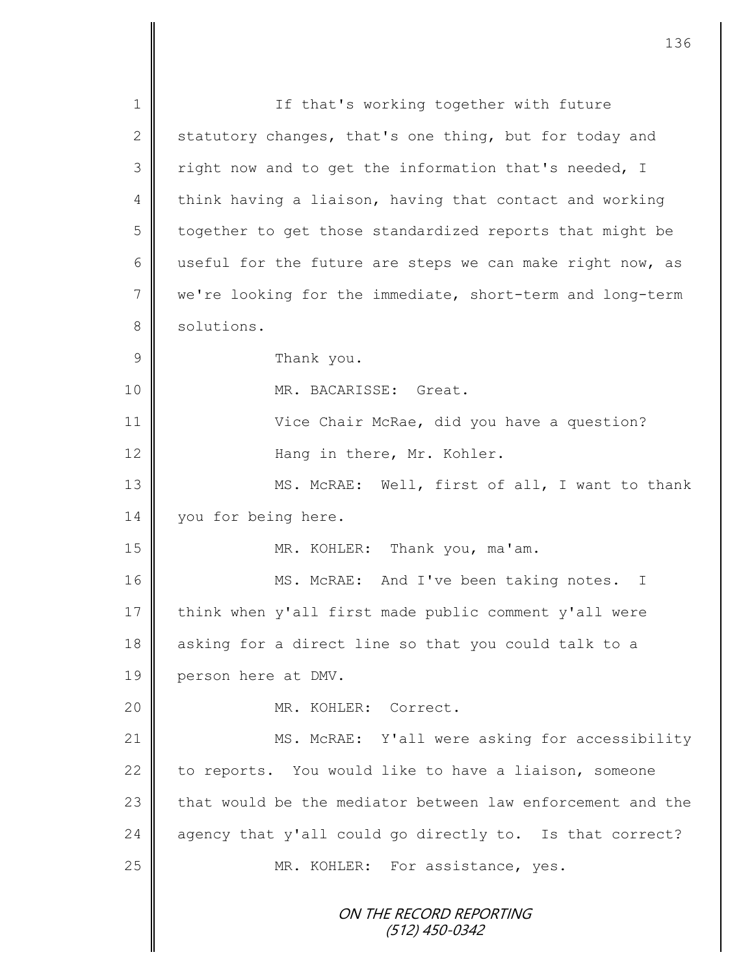ON THE RECORD REPORTING (512) 450-0342 1 || If that's working together with future 2 statutory changes, that's one thing, but for today and  $3 \parallel$  right now and to get the information that's needed, I  $4 \parallel$  think having a liaison, having that contact and working 5 | together to get those standardized reports that might be 6 useful for the future are steps we can make right now, as 7 we're looking for the immediate, short-term and long-term 8 solutions. 9 **B** Thank you. 10 NR. BACARISSE: Great. 11 Vice Chair McRae, did you have a question? 12 || **Hang in there, Mr. Kohler.** 13 MS. McRAE: Well, first of all, I want to thank 14 | you for being here. 15 || MR. KOHLER: Thank you, ma'am. 16 || MS. McRAE: And I've been taking notes. I 17 | think when y'all first made public comment y'all were 18 asking for a direct line so that you could talk to a 19 person here at DMV. 20 || MR. KOHLER: Correct. 21 MS. McRAE: Y'all were asking for accessibility 22 to reports. You would like to have a liaison, someone 23  $\parallel$  that would be the mediator between law enforcement and the  $24$  agency that y'all could go directly to. Is that correct? 25 MR. KOHLER: For assistance, yes.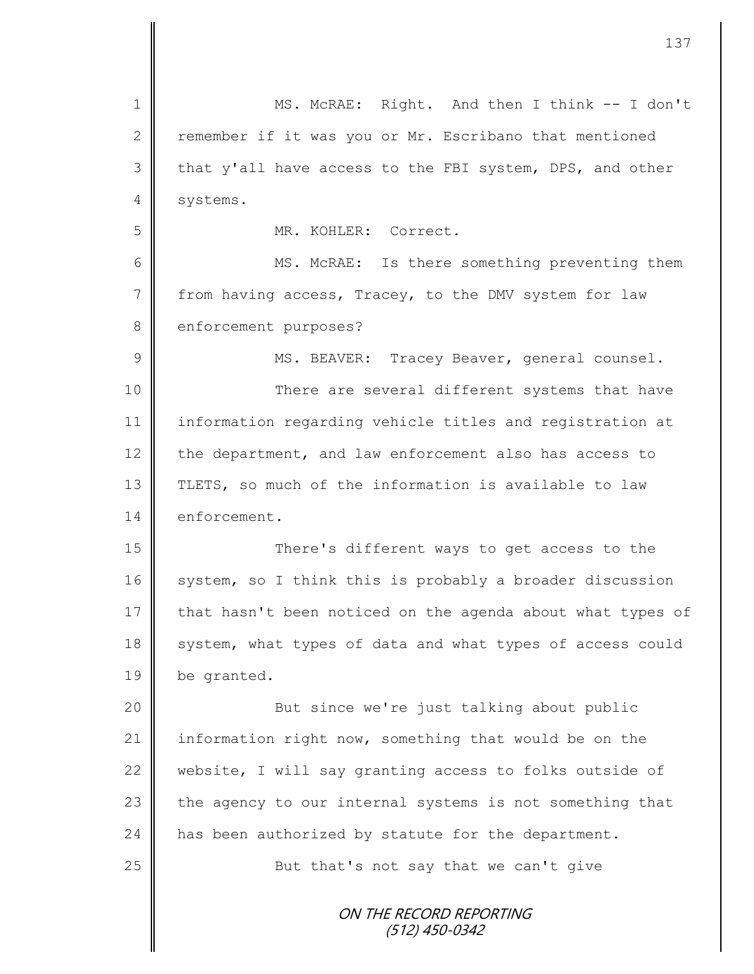| 1              | MS. McRAE: Right. And then I think -- I don't              |
|----------------|------------------------------------------------------------|
| $\mathbf{2}$   | remember if it was you or Mr. Escribano that mentioned     |
| 3              | that y'all have access to the FBI system, DPS, and other   |
| 4              | systems.                                                   |
| 5              | MR. KOHLER: Correct.                                       |
| 6              | MS. McRAE: Is there something preventing them              |
| $\overline{7}$ | from having access, Tracey, to the DMV system for law      |
| 8              | enforcement purposes?                                      |
| $\mathcal{G}$  | MS. BEAVER: Tracey Beaver, general counsel.                |
| 10             | There are several different systems that have              |
| 11             | information regarding vehicle titles and registration at   |
| 12             | the department, and law enforcement also has access to     |
| 13             | TLETS, so much of the information is available to law      |
| 14             | enforcement.                                               |
| 15             | There's different ways to get access to the                |
| 16             | system, so I think this is probably a broader discussion   |
| 17             | that hasn't been noticed on the agenda about what types of |
| 18             | system, what types of data and what types of access could  |
| 19             | be granted.                                                |
| 20             | But since we're just talking about public                  |
| 21             | information right now, something that would be on the      |
| 22             | website, I will say granting access to folks outside of    |
| 23             | the agency to our internal systems is not something that   |
| 24             | has been authorized by statute for the department.         |
| 25             | But that's not say that we can't give                      |
|                | ON THE RECORD REPORTING                                    |
|                | $(512)$ 450-0342                                           |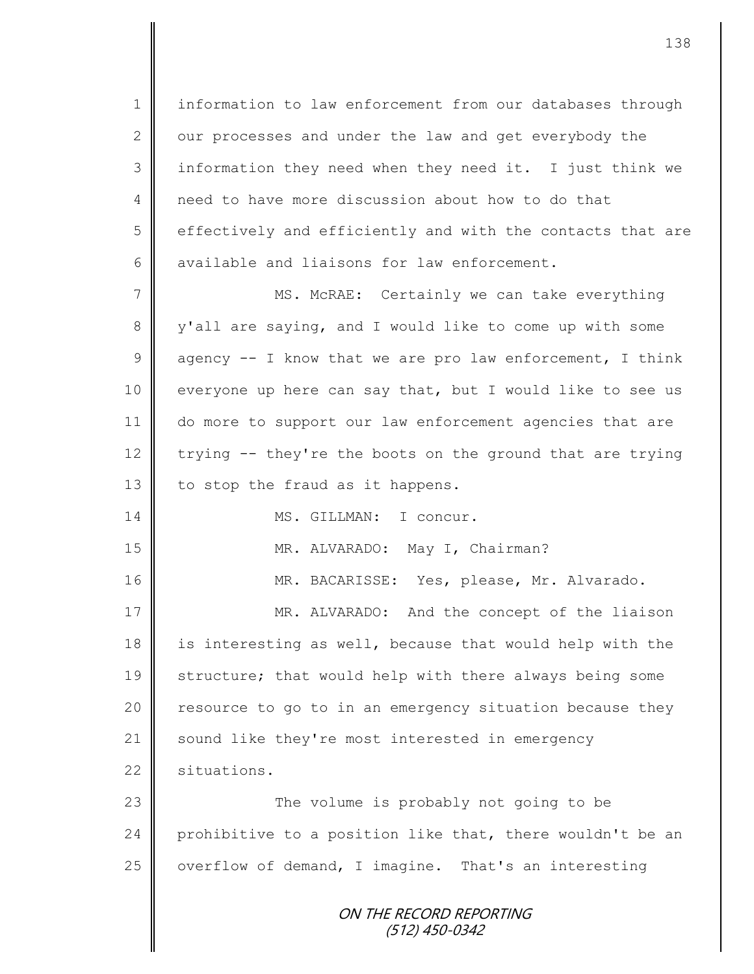1 information to law enforcement from our databases through 2  $\parallel$  our processes and under the law and get everybody the 3 || information they need when they need it. I just think we 4 need to have more discussion about how to do that 5 effectively and efficiently and with the contacts that are 6 available and liaisons for law enforcement.

7 || MS. McRAE: Certainly we can take everything 8 y'all are saying, and I would like to come up with some 9 agency  $-$  I know that we are pro law enforcement, I think 10 everyone up here can say that, but I would like to see us 11 do more to support our law enforcement agencies that are 12 trying -- they're the boots on the ground that are trying 13 to stop the fraud as it happens.

14 MS. GILLMAN: I concur.

15 || MR. ALVARADO: May I, Chairman?

16 MR. BACARISSE: Yes, please, Mr. Alvarado.

17 || MR. ALVARADO: And the concept of the liaison 18 is interesting as well, because that would help with the 19 Structure; that would help with there always being some 20 || resource to go to in an emergency situation because they 21 sound like they're most interested in emergency 22 situations.

23 || The volume is probably not going to be 24 prohibitive to a position like that, there wouldn't be an 25  $\parallel$  overflow of demand, I imagine. That's an interesting

> ON THE RECORD REPORTING (512) 450-0342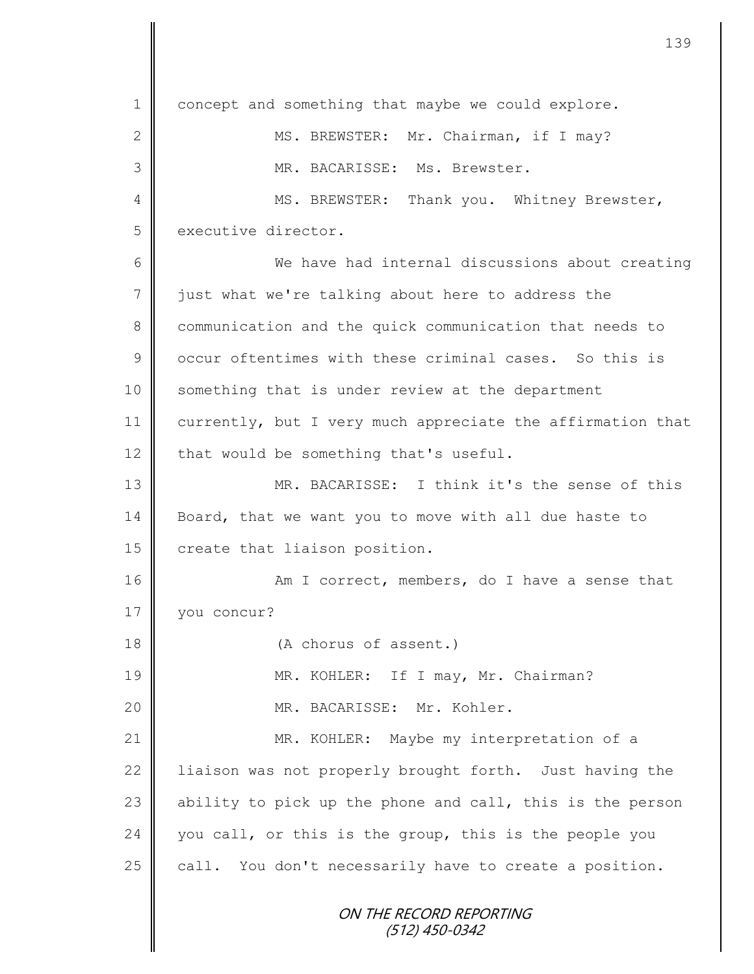ON THE RECORD REPORTING (512) 450-0342 1 concept and something that maybe we could explore. 2 MS. BREWSTER: Mr. Chairman, if I may? 3 || MR. BACARISSE: Ms. Brewster. 4 MS. BREWSTER: Thank you. Whitney Brewster, 5 executive director. 6 We have had internal discussions about creating 7 iust what we're talking about here to address the 8 communication and the quick communication that needs to 9 | occur oftentimes with these criminal cases. So this is 10 Something that is under review at the department 11 | currently, but I very much appreciate the affirmation that  $12$  that would be something that's useful. 13 MR. BACARISSE: I think it's the sense of this 14 Board, that we want you to move with all due haste to 15 create that liaison position. 16 | Man I correct, members, do I have a sense that 17 | vou concur? 18 (A chorus of assent.) 19 MR. KOHLER: If I may, Mr. Chairman? 20  $\parallel$  MR. BACARISSE: Mr. Kohler. 21 || MR. KOHLER: Maybe my interpretation of a 22 | liaison was not properly brought forth. Just having the 23  $\parallel$  ability to pick up the phone and call, this is the person  $24$  you call, or this is the group, this is the people you 25  $\parallel$  call. You don't necessarily have to create a position.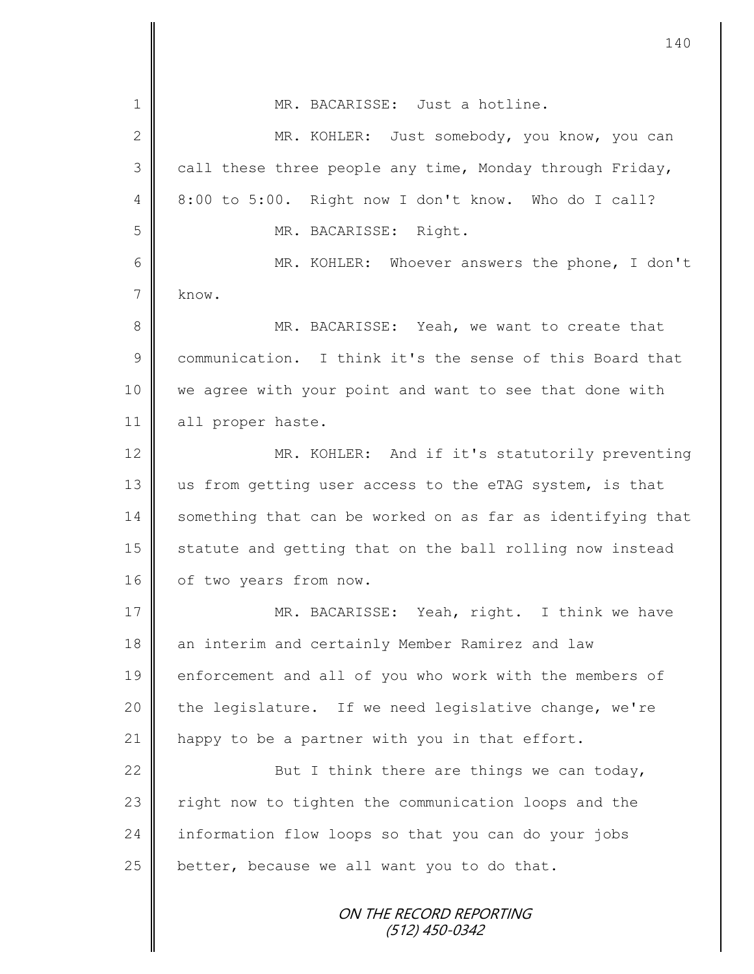|                 | 140                                                        |
|-----------------|------------------------------------------------------------|
| 1               | MR. BACARISSE: Just a hotline.                             |
| $\mathbf{2}$    | MR. KOHLER: Just somebody, you know, you can               |
| 3               | call these three people any time, Monday through Friday,   |
| 4               | 8:00 to 5:00. Right now I don't know. Who do I call?       |
| 5               | MR. BACARISSE: Right.                                      |
| 6               | MR. KOHLER: Whoever answers the phone, I don't             |
| $7\phantom{.0}$ | know.                                                      |
| 8               | MR. BACARISSE: Yeah, we want to create that                |
| 9               | communication. I think it's the sense of this Board that   |
| 10              | we agree with your point and want to see that done with    |
| 11              | all proper haste.                                          |
| 12              | MR. KOHLER: And if it's statutorily preventing             |
| 13              | us from getting user access to the eTAG system, is that    |
| 14              | something that can be worked on as far as identifying that |
| 15              | statute and getting that on the ball rolling now instead   |
| 16              | of two years from now.                                     |
| 17              | MR. BACARISSE: Yeah, right. I think we have                |
| 18              | an interim and certainly Member Ramirez and law            |
| 19              | enforcement and all of you who work with the members of    |
| 20              | the legislature. If we need legislative change, we're      |
| 21              | happy to be a partner with you in that effort.             |
| 22              | But I think there are things we can today,                 |
| 23              | right now to tighten the communication loops and the       |
| 24              | information flow loops so that you can do your jobs        |
| 25              | better, because we all want you to do that.                |
|                 | ON THE RECORD REPORTING<br>(512) 450-0342                  |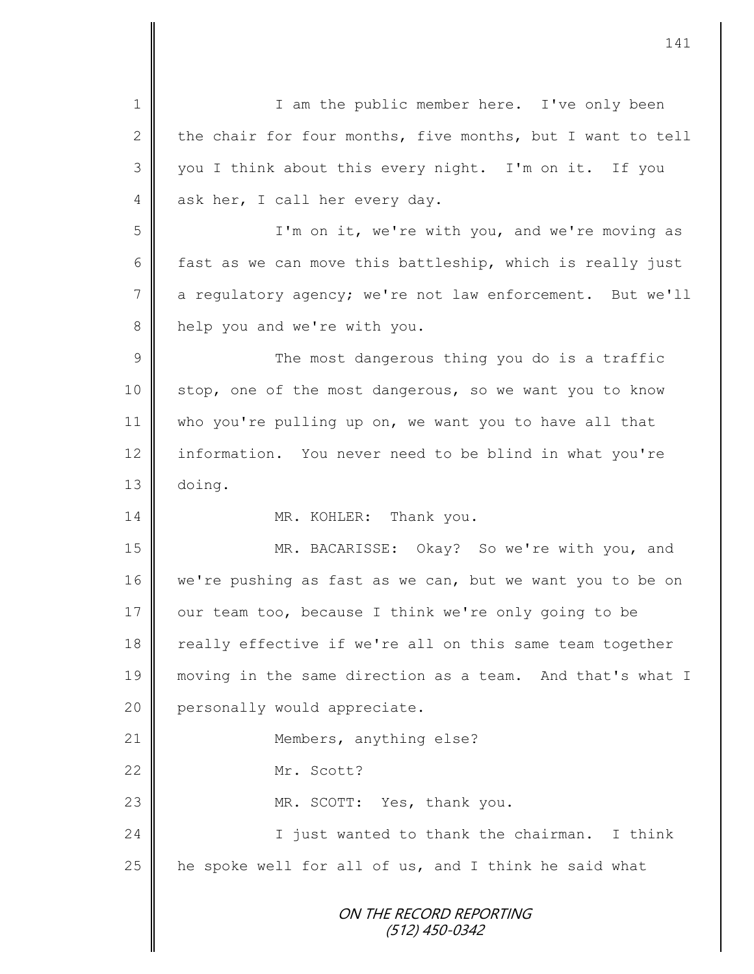ON THE RECORD REPORTING (512) 450-0342 1 || I am the public member here. I've only been 2 the chair for four months, five months, but I want to tell 3 || you I think about this every night. I'm on it. If you 4 ask her, I call her every day. 5 I'm on it, we're with you, and we're moving as 6 fast as we can move this battleship, which is really just  $7 \parallel$  a regulatory agency; we're not law enforcement. But we'll 8 help you and we're with you. 9 || The most dangerous thing you do is a traffic 10 | stop, one of the most dangerous, so we want you to know 11 || who you're pulling up on, we want you to have all that 12 information. You never need to be blind in what you're 13 doing. 14 MR. KOHLER: Thank you. 15 MR. BACARISSE: Okay? So we're with you, and 16 we're pushing as fast as we can, but we want you to be on 17 | our team too, because I think we're only going to be 18 || really effective if we're all on this same team together 19 moving in the same direction as a team. And that's what I 20 **personally would appreciate.** 21 | Members, anything else? 22 Mr. Scott? 23 || MR. SCOTT: Yes, thank you. 24 || I just wanted to thank the chairman. I think 25  $\parallel$  he spoke well for all of us, and I think he said what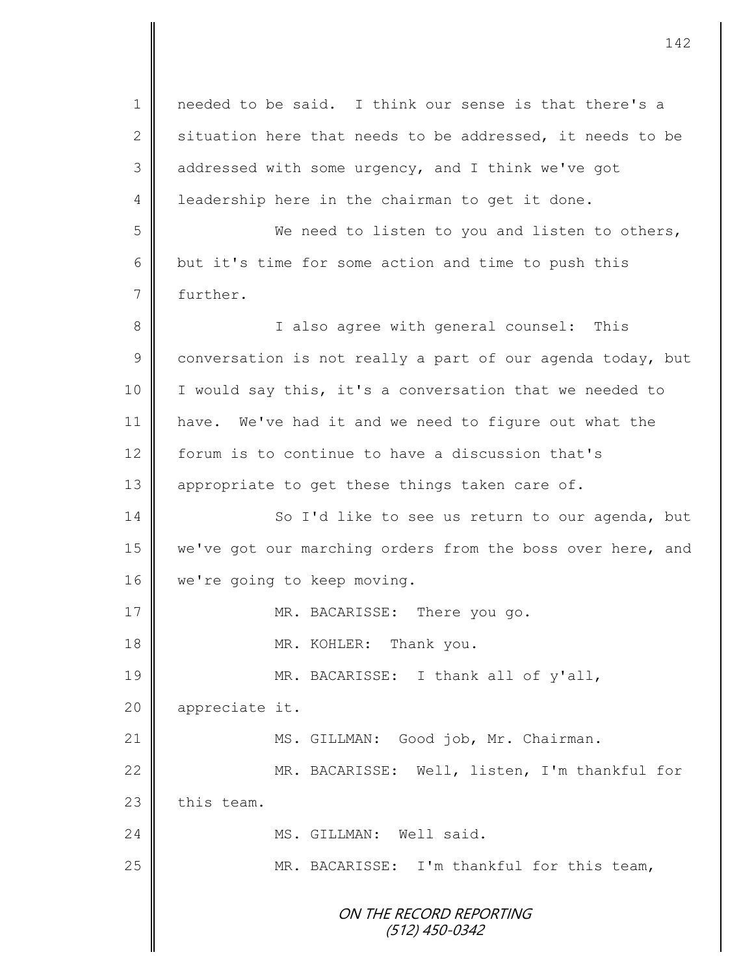ON THE RECORD REPORTING (512) 450-0342 1 || needed to be said. I think our sense is that there's a 2 situation here that needs to be addressed, it needs to be 3 addressed with some urgency, and I think we've got 4 | leadership here in the chairman to get it done. 5 We need to listen to you and listen to others,  $6 \parallel$  but it's time for some action and time to push this 7 further. 8 || I also agree with general counsel: This  $9 \parallel$  conversation is not really a part of our agenda today, but 10 | I would say this, it's a conversation that we needed to 11 have. We've had it and we need to figure out what the 12 forum is to continue to have a discussion that's 13  $\parallel$  appropriate to get these things taken care of. 14 So I'd like to see us return to our agenda, but 15 we've got our marching orders from the boss over here, and 16 | we're going to keep moving. 17 || MR. BACARISSE: There you go. 18 MR. KOHLER: Thank you. 19 MR. BACARISSE: I thank all of y'all, 20 appreciate it. 21 | MS. GILLMAN: Good job, Mr. Chairman. 22 MR. BACARISSE: Well, listen, I'm thankful for  $23$   $\parallel$  this team. 24 | MS. GILLMAN: Well said. 25 | MR. BACARISSE: I'm thankful for this team,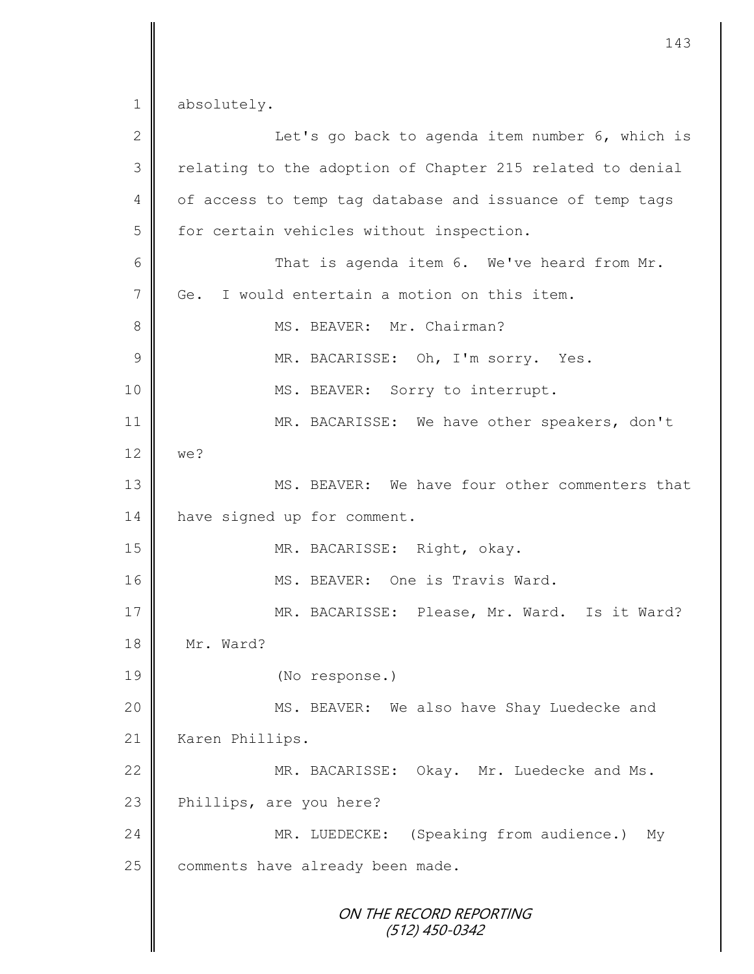ON THE RECORD REPORTING (512) 450-0342 1 absolutely. 2 || Let's go back to agenda item number 6, which is 3 || relating to the adoption of Chapter 215 related to denial 4 of access to temp tag database and issuance of temp tags 5 for certain vehicles without inspection. 6 || That is agenda item 6. We've heard from Mr. 7 Ge. I would entertain a motion on this item. 8 || MS. BEAVER: Mr. Chairman? 9 MR. BACARISSE: Oh, I'm sorry. Yes. 10 | MS. BEAVER: Sorry to interrupt. 11 MR. BACARISSE: We have other speakers, don't 12 we? 13 MS. BEAVER: We have four other commenters that 14 have signed up for comment. 15 || MR. BACARISSE: Right, okay. 16 || MS. BEAVER: One is Travis Ward. 17 MR. BACARISSE: Please, Mr. Ward. Is it Ward? 18 Mr. Ward? 19 (No response.) 20 | MS. BEAVER: We also have Shay Luedecke and 21 | Karen Phillips. 22 MR. BACARISSE: Okay. Mr. Luedecke and Ms. 23 Phillips, are you here? 24 | MR. LUEDECKE: (Speaking from audience.) My 25 comments have already been made.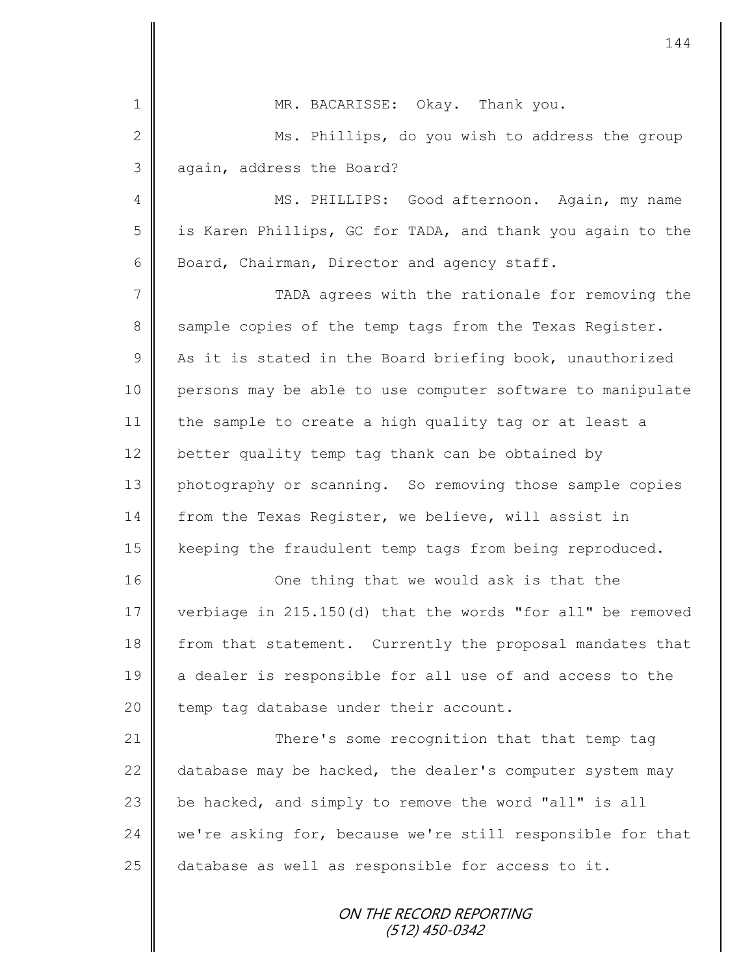|                | 144                                                        |
|----------------|------------------------------------------------------------|
| $\mathbf 1$    | MR. BACARISSE: Okay. Thank you.                            |
| $\mathbf{2}$   | Ms. Phillips, do you wish to address the group             |
| $\mathfrak{Z}$ | again, address the Board?                                  |
| 4              | MS. PHILLIPS: Good afternoon. Again, my name               |
| 5              | is Karen Phillips, GC for TADA, and thank you again to the |
| 6              | Board, Chairman, Director and agency staff.                |
| 7              | TADA agrees with the rationale for removing the            |
| 8              | sample copies of the temp tags from the Texas Register.    |
| $\mathcal{G}$  | As it is stated in the Board briefing book, unauthorized   |
| 10             | persons may be able to use computer software to manipulate |
| 11             | the sample to create a high quality tag or at least a      |
| 12             | better quality temp tag thank can be obtained by           |
| 13             | photography or scanning. So removing those sample copies   |
| 14             | from the Texas Register, we believe, will assist in        |
| 15             | keeping the fraudulent temp tags from being reproduced.    |
| 16             | One thing that we would ask is that the                    |
| 17             | verbiage in 215.150(d) that the words "for all" be removed |
| 18             | from that statement. Currently the proposal mandates that  |
| 19             | a dealer is responsible for all use of and access to the   |
| 20             | temp tag database under their account.                     |
| 21             | There's some recognition that that temp tag                |
| 22             | database may be hacked, the dealer's computer system may   |
| 23             | be hacked, and simply to remove the word "all" is all      |
| 24             | we're asking for, because we're still responsible for that |
| 25             | database as well as responsible for access to it.          |
|                | ON THE RECORD REPORTING<br>(512) 450-0342                  |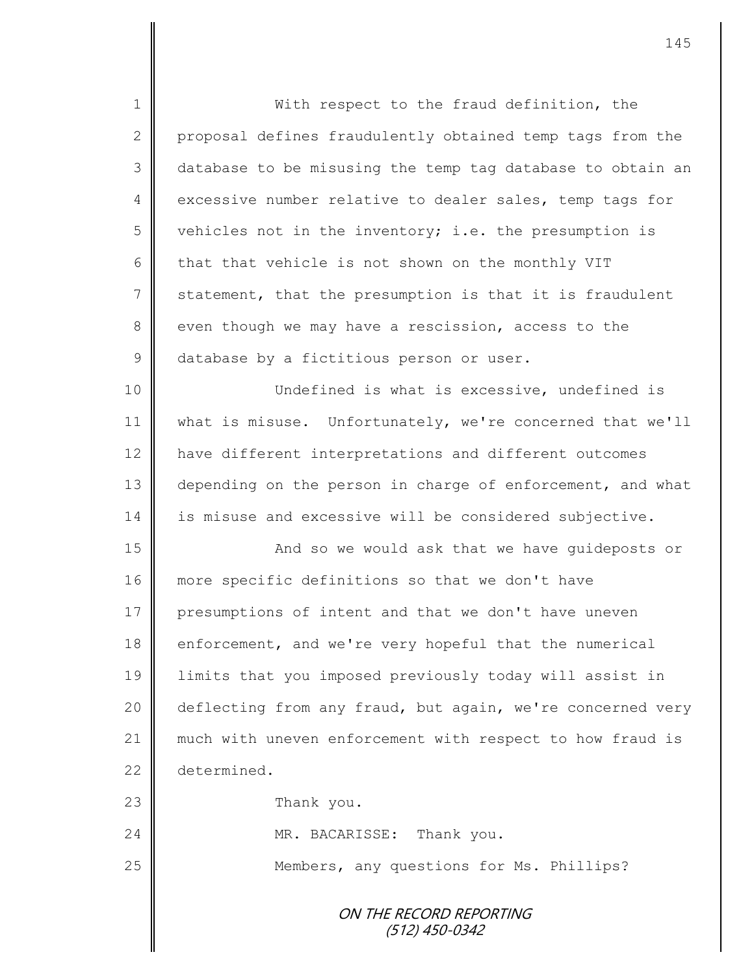ON THE RECORD REPORTING (512) 450-0342 1 || With respect to the fraud definition, the 2 proposal defines fraudulently obtained temp tags from the 3 database to be misusing the temp tag database to obtain an 4 excessive number relative to dealer sales, temp tags for 5 vehicles not in the inventory; i.e. the presumption is 6  $\parallel$  that that vehicle is not shown on the monthly VIT  $7 \parallel$  statement, that the presumption is that it is fraudulent 8 even though we may have a rescission, access to the 9 database by a fictitious person or user. 10 || Undefined is what is excessive, undefined is 11 what is misuse. Unfortunately, we're concerned that we'll 12 | have different interpretations and different outcomes 13 depending on the person in charge of enforcement, and what 14 is misuse and excessive will be considered subjective. 15 || And so we would ask that we have quideposts or 16 more specific definitions so that we don't have 17 presumptions of intent and that we don't have uneven 18 enforcement, and we're very hopeful that the numerical 19 limits that you imposed previously today will assist in 20 deflecting from any fraud, but again, we're concerned very 21 | much with uneven enforcement with respect to how fraud is 22 determined. 23 **Thank** you. 24 MR. BACARISSE: Thank you. 25 | Members, any questions for Ms. Phillips?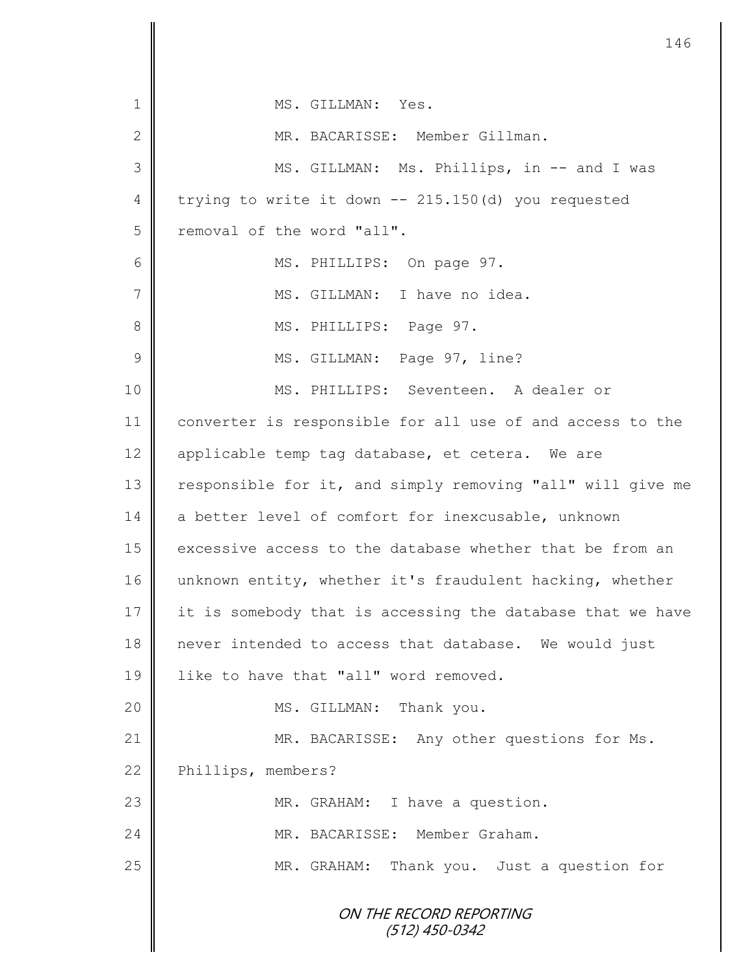ON THE RECORD REPORTING (512) 450-0342 1 || MS. GILLMAN: Yes. 2 MR. BACARISSE: Member Gillman. 3 MS. GILLMAN: Ms. Phillips, in -- and I was 4 trying to write it down  $-215.150(d)$  you requested 5 Temoval of the word "all". 6 || MS. PHILLIPS: On page 97. 7 | MS. GILLMAN: I have no idea. 8 || MS. PHILLIPS: Page 97. 9 | MS. GILLMAN: Page 97, line? 10 MS. PHILLIPS: Seventeen. A dealer or 11 converter is responsible for all use of and access to the 12 | applicable temp tag database, et cetera. We are 13 | responsible for it, and simply removing "all" will give me 14 a better level of comfort for inexcusable, unknown 15  $\parallel$  excessive access to the database whether that be from an 16 unknown entity, whether it's fraudulent hacking, whether 17 it is somebody that is accessing the database that we have 18 never intended to access that database. We would just 19 **l** like to have that "all" word removed. 20 || MS. GILLMAN: Thank you. 21 | MR. BACARISSE: Any other questions for Ms. 22 Phillips, members? 23 | MR. GRAHAM: I have a question. 24 MR. BACARISSE: Member Graham. 25 MR. GRAHAM: Thank you. Just a question for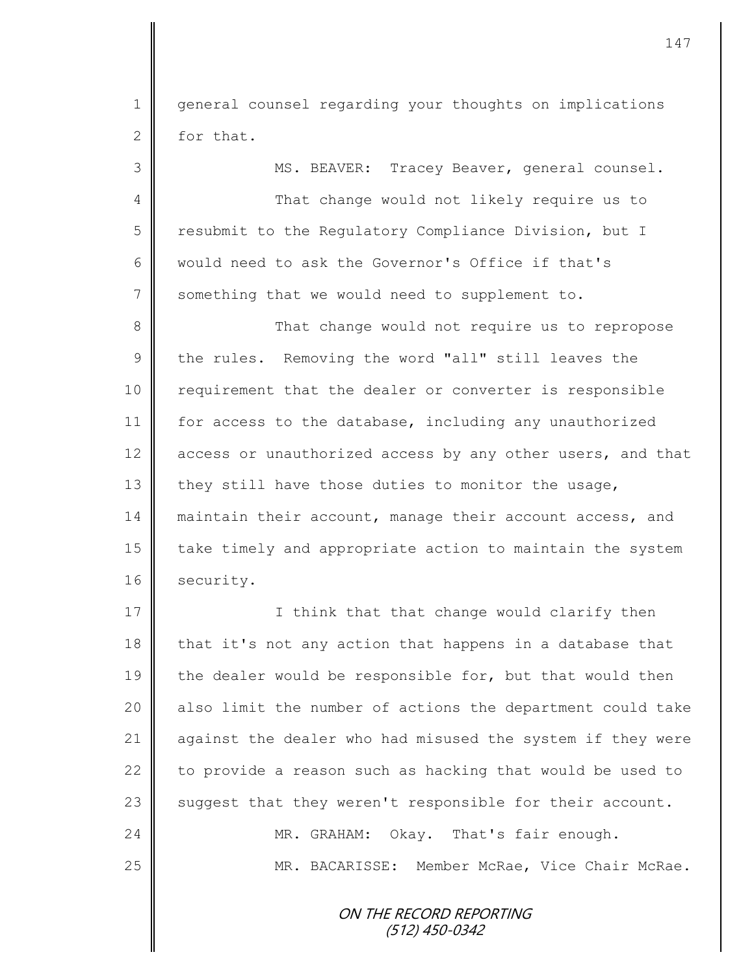1 || general counsel regarding your thoughts on implications  $2 \parallel$  for that.

3 MS. BEAVER: Tracey Beaver, general counsel. 4 That change would not likely require us to 5 | resubmit to the Regulatory Compliance Division, but I 6 would need to ask the Governor's Office if that's 7 Something that we would need to supplement to. 8 That change would not require us to repropose 9 the rules. Removing the word "all" still leaves the 10 | requirement that the dealer or converter is responsible 11 for access to the database, including any unauthorized 12 access or unauthorized access by any other users, and that 13 they still have those duties to monitor the usage, 14 maintain their account, manage their account access, and 15 | take timely and appropriate action to maintain the system 16 security.

17 | Chink that that change would clarify then  $18$  | that it's not any action that happens in a database that 19  $\parallel$  the dealer would be responsible for, but that would then 20 | also limit the number of actions the department could take 21 against the dealer who had misused the system if they were 22  $\parallel$  to provide a reason such as hacking that would be used to 23  $\parallel$  suggest that they weren't responsible for their account. 24 MR. GRAHAM: Okay. That's fair enough. 25 | MR. BACARISSE: Member McRae, Vice Chair McRae.

> ON THE RECORD REPORTING (512) 450-0342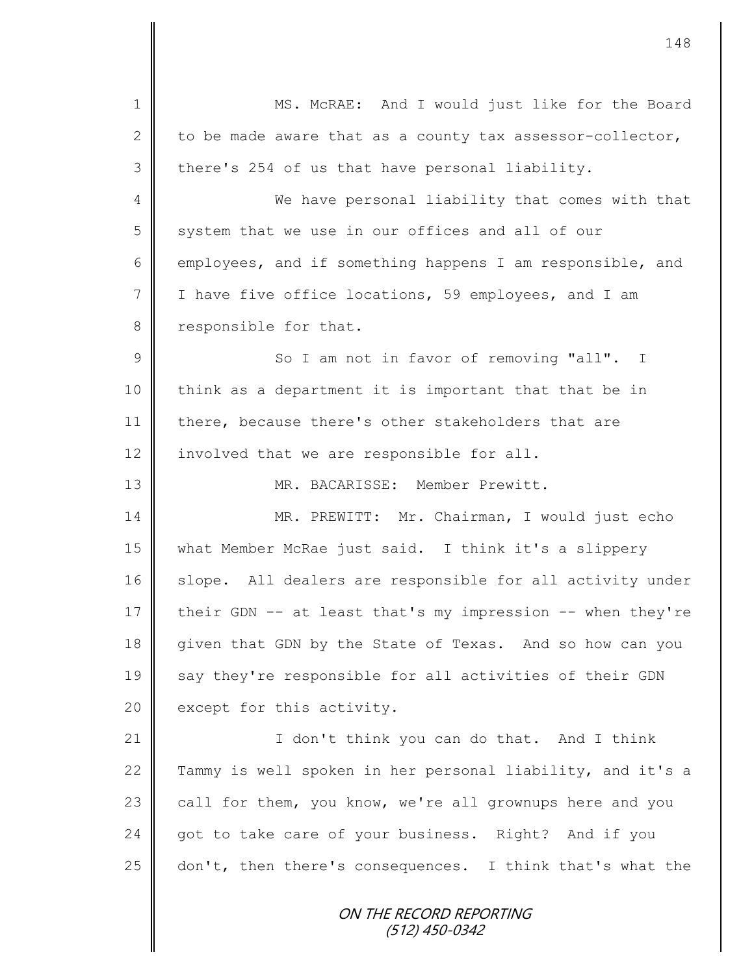ON THE RECORD REPORTING (512) 450-0342 1 || MS. McRAE: And I would just like for the Board 2 to be made aware that as a county tax assessor-collector,  $3 \parallel$  there's 254 of us that have personal liability. 4 We have personal liability that comes with that  $5 \parallel$  system that we use in our offices and all of our 6 employees, and if something happens I am responsible, and 7 I I have five office locations, 59 employees, and I am 8 responsible for that. 9 || So I am not in favor of removing "all". I 10 || think as a department it is important that that be in 11 there, because there's other stakeholders that are  $12$  | involved that we are responsible for all. 13 MR. BACARISSE: Member Prewitt. 14 MR. PREWITT: Mr. Chairman, I would just echo 15 what Member McRae just said. I think it's a slippery 16 slope. All dealers are responsible for all activity under 17 their GDN -- at least that's my impression -- when they're 18 given that GDN by the State of Texas. And so how can you 19 say they're responsible for all activities of their GDN 20  $\parallel$  except for this activity. 21 | Con't think you can do that. And I think 22 Tammy is well spoken in her personal liability, and it's a  $23$  call for them, you know, we're all grownups here and you 24 got to take care of your business. Right? And if you  $25$  don't, then there's consequences. I think that's what the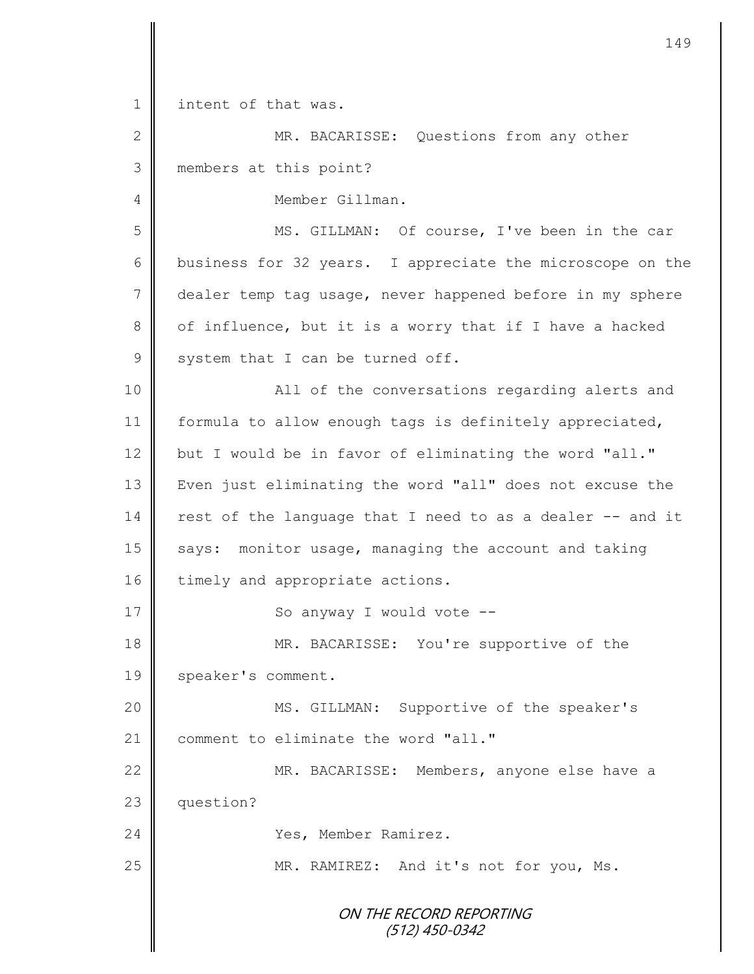1 | intent of that was.

2 || MR. BACARISSE: Questions from any other 3 members at this point? 4 Member Gillman. 5 || MS. GILLMAN: Of course, I've been in the car 6 business for 32 years. I appreciate the microscope on the 7 dealer temp tag usage, never happened before in my sphere  $8 \parallel$  of influence, but it is a worry that if I have a hacked

 $9 \parallel$  system that I can be turned off. 10 || All of the conversations regarding alerts and 11 | formula to allow enough tags is definitely appreciated,

12 but I would be in favor of eliminating the word "all." 13 | Even just eliminating the word "all" does not excuse the  $14$  rest of the language that I need to as a dealer  $-$  and it 15 says: monitor usage, managing the account and taking 16 timely and appropriate actions.

17 || So anyway I would vote --

18 MR. BACARISSE: You're supportive of the 19 | speaker's comment.

20 || MS. GILLMAN: Supportive of the speaker's 21 comment to eliminate the word "all."

22 | MR. BACARISSE: Members, anyone else have a 23 **question?** 

24 | Yes, Member Ramirez.

25 | MR. RAMIREZ: And it's not for you, Ms.

ON THE RECORD REPORTING (512) 450-0342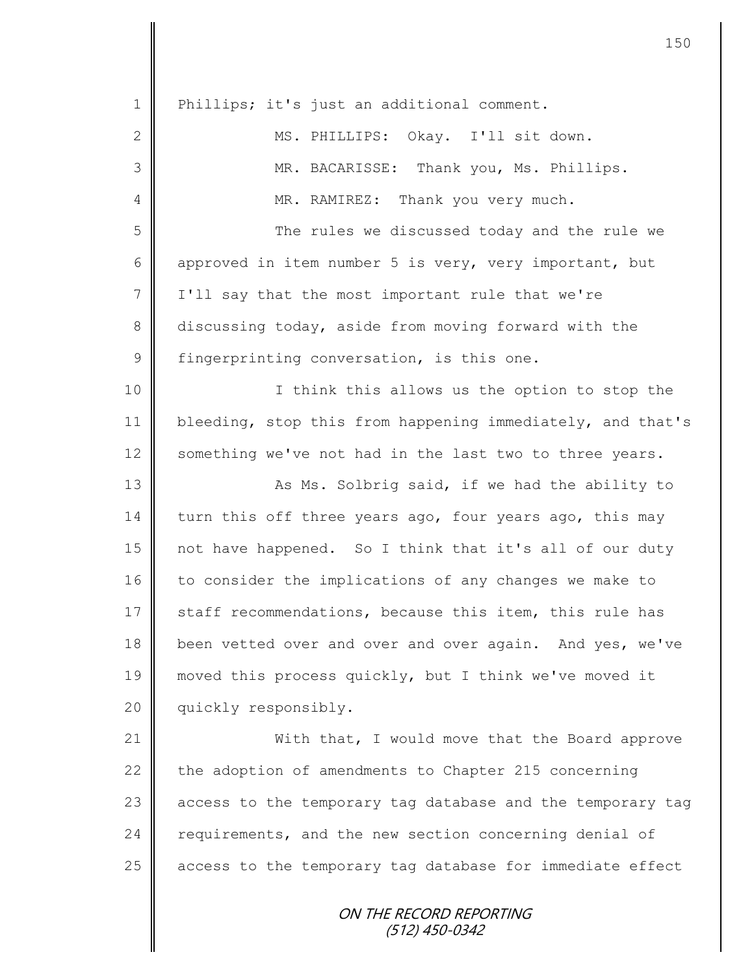| $\mathbf 1$    | Phillips; it's just an additional comment.                 |
|----------------|------------------------------------------------------------|
| $\mathbf{2}$   | MS. PHILLIPS: Okay. I'll sit down.                         |
| 3              | MR. BACARISSE: Thank you, Ms. Phillips.                    |
| $\overline{4}$ | MR. RAMIREZ: Thank you very much.                          |
| 5              | The rules we discussed today and the rule we               |
| 6              | approved in item number 5 is very, very important, but     |
| $7\phantom{.}$ | I'll say that the most important rule that we're           |
| 8              | discussing today, aside from moving forward with the       |
| $\mathsf 9$    | fingerprinting conversation, is this one.                  |
| 10             | I think this allows us the option to stop the              |
| 11             | bleeding, stop this from happening immediately, and that's |
| 12             | something we've not had in the last two to three years.    |
| 13             | As Ms. Solbrig said, if we had the ability to              |
| 14             | turn this off three years ago, four years ago, this may    |
| 15             | not have happened. So I think that it's all of our duty    |
| 16             | to consider the implications of any changes we make to     |
| 17             | staff recommendations, because this item, this rule has    |
| 18             | been vetted over and over and over again. And yes, we've   |
| 19             | moved this process quickly, but I think we've moved it     |
| 20             | quickly responsibly.                                       |
| 21             | With that, I would move that the Board approve             |
| 22             | the adoption of amendments to Chapter 215 concerning       |
| 23             | access to the temporary tag database and the temporary tag |
| 24             | requirements, and the new section concerning denial of     |
| 25             | access to the temporary tag database for immediate effect  |
|                |                                                            |

ON THE RECORD REPORTING (512) 450-0342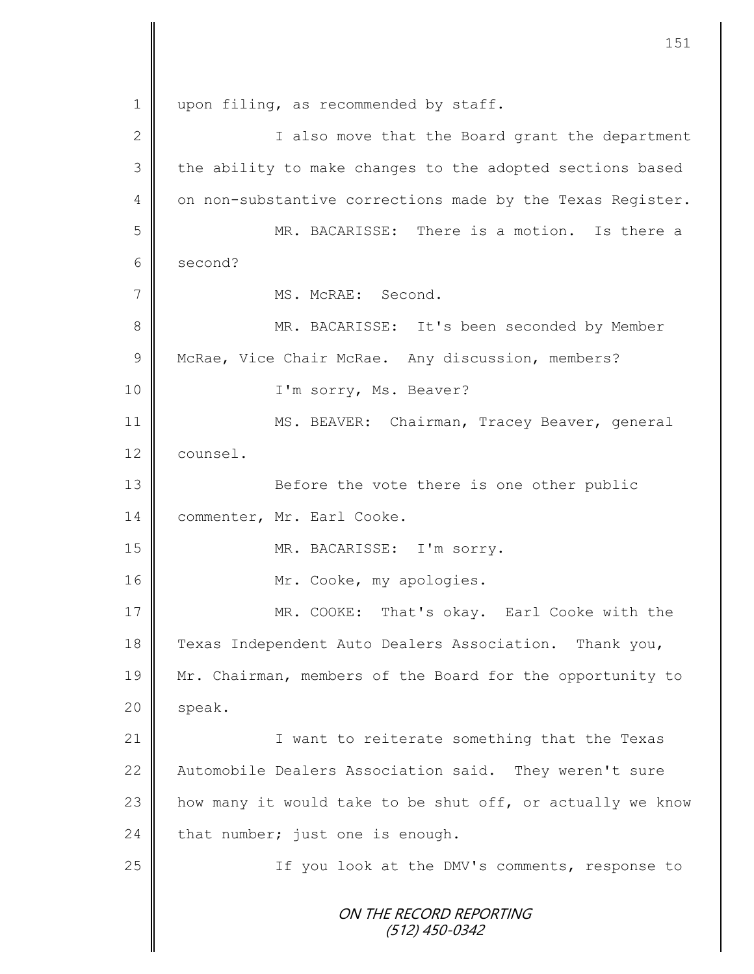ON THE RECORD REPORTING (512) 450-0342 1 | upon filing, as recommended by staff. 2 || I also move that the Board grant the department 3 || the ability to make changes to the adopted sections based 4 | on non-substantive corrections made by the Texas Register. 5 MR. BACARISSE: There is a motion. Is there a 6 second? 7 || MS. McRAE: Second. 8 || MR. BACARISSE: It's been seconded by Member 9 | McRae, Vice Chair McRae. Any discussion, members? 10 || I'm sorry, Ms. Beaver? 11 | MS. BEAVER: Chairman, Tracey Beaver, general 12 counsel. 13 || Before the vote there is one other public 14 | commenter, Mr. Earl Cooke. 15 MR. BACARISSE: I'm sorry. 16 || Mr. Cooke, my apologies. 17 || MR. COOKE: That's okay. Earl Cooke with the 18 Texas Independent Auto Dealers Association. Thank you, 19 Mr. Chairman, members of the Board for the opportunity to  $20$  | speak. 21 | Twant to reiterate something that the Texas 22 | Automobile Dealers Association said. They weren't sure 23  $\parallel$  how many it would take to be shut off, or actually we know 24 that number; just one is enough. 25 || If you look at the DMV's comments, response to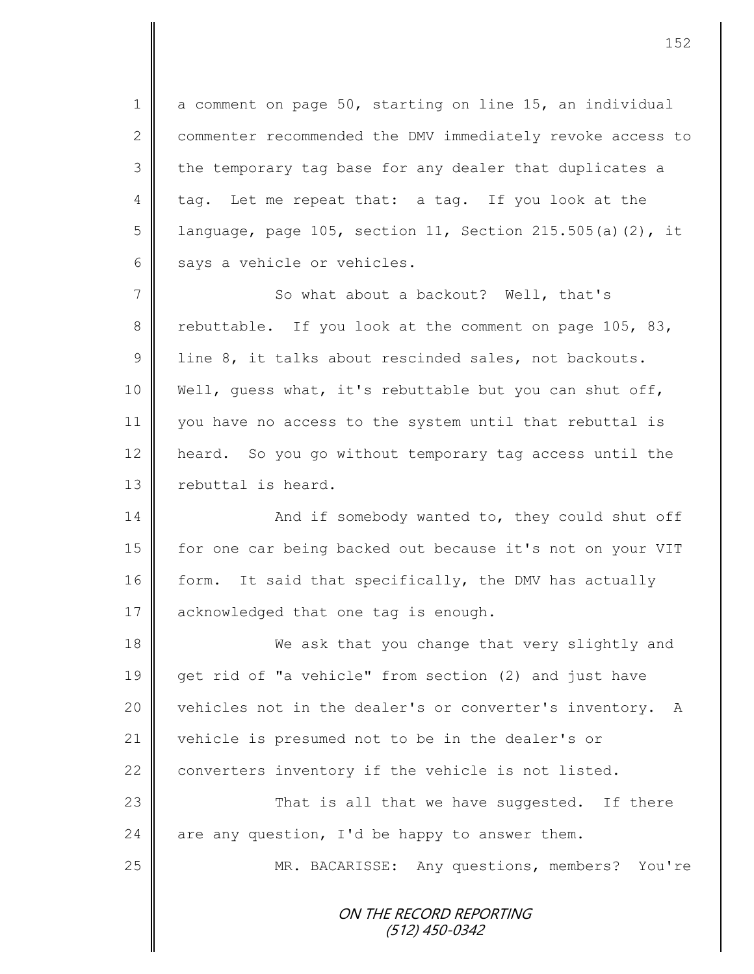1 a comment on page 50, starting on line 15, an individual 2 commenter recommended the DMV immediately revoke access to 3 the temporary tag base for any dealer that duplicates a 4 tag. Let me repeat that: a tag. If you look at the 5 | language, page 105, section 11, Section 215.505(a)(2), it  $6 \parallel$  says a vehicle or vehicles.

7 So what about a backout? Well, that's 8 rebuttable. If you look at the comment on page 105, 83, 9 | line 8, it talks about rescinded sales, not backouts. 10 Well, guess what, it's rebuttable but you can shut off, 11 you have no access to the system until that rebuttal is 12 heard. So you go without temporary tag access until the 13 rebuttal is heard.

14 And if somebody wanted to, they could shut off 15 | for one car being backed out because it's not on your VIT 16 form. It said that specifically, the DMV has actually 17  $\parallel$  acknowledged that one tag is enough.

18 We ask that you change that very slightly and 19 get rid of "a vehicle" from section (2) and just have 20 vehicles not in the dealer's or converter's inventory. A 21 vehicle is presumed not to be in the dealer's or 22 converters inventory if the vehicle is not listed. 23 || That is all that we have suggested. If there 24 are any question, I'd be happy to answer them.

25 | MR. BACARISSE: Any questions, members? You're

ON THE RECORD REPORTING (512) 450-0342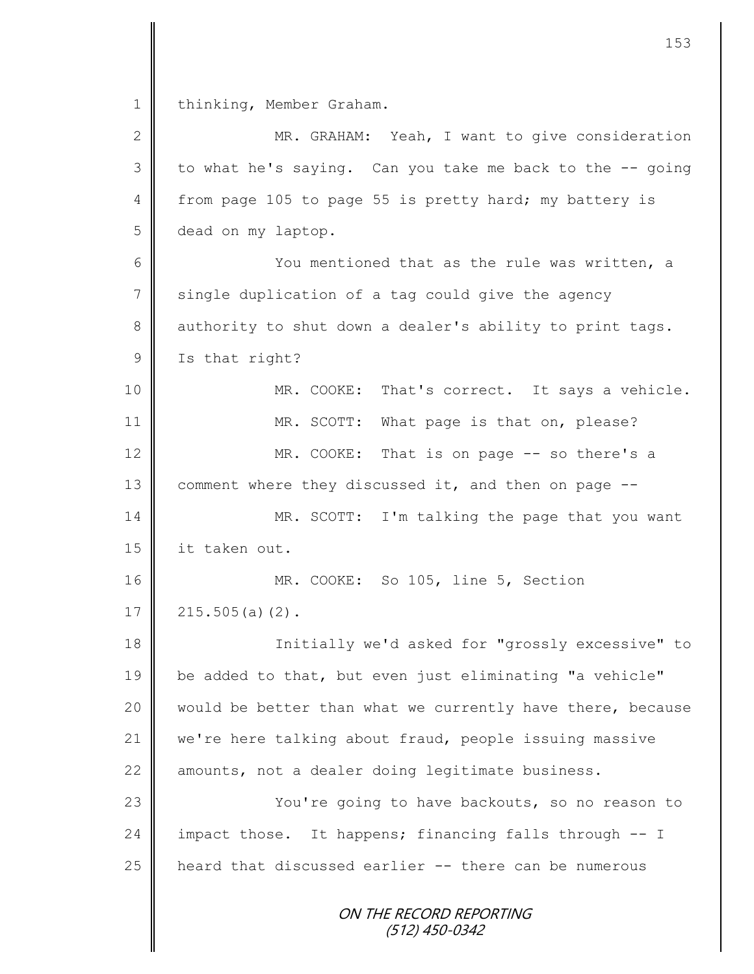1 thinking, Member Graham.

| $\mathbf{2}$  | MR. GRAHAM: Yeah, I want to give consideration             |
|---------------|------------------------------------------------------------|
| 3             | to what he's saying. Can you take me back to the -- going  |
| 4             | from page 105 to page 55 is pretty hard; my battery is     |
| 5             | dead on my laptop.                                         |
| 6             | You mentioned that as the rule was written, a              |
| 7             | single duplication of a tag could give the agency          |
| 8             | authority to shut down a dealer's ability to print tags.   |
| $\mathcal{G}$ | Is that right?                                             |
| 10            | MR. COOKE:<br>That's correct. It says a vehicle.           |
| 11            | MR. SCOTT: What page is that on, please?                   |
| 12            | MR. COOKE: That is on page -- so there's a                 |
| 13            | comment where they discussed it, and then on page --       |
| 14            | MR. SCOTT: I'm talking the page that you want              |
| 15            | it taken out.                                              |
| 16            | MR. COOKE: So 105, line 5, Section                         |
| 17            | $215.505(a)$ (2).                                          |
| 18            | Initially we'd asked for "grossly excessive" to            |
| 19            | be added to that, but even just eliminating "a vehicle"    |
| 20            | would be better than what we currently have there, because |
| 21            | we're here talking about fraud, people issuing massive     |
| 22            | amounts, not a dealer doing legitimate business.           |
| 23            | You're going to have backouts, so no reason to             |
| 24            | impact those. It happens; financing falls through -- I     |
| 25            | heard that discussed earlier -- there can be numerous      |
|               | ON THE RECORD REPORTING<br>(512) 450-0342                  |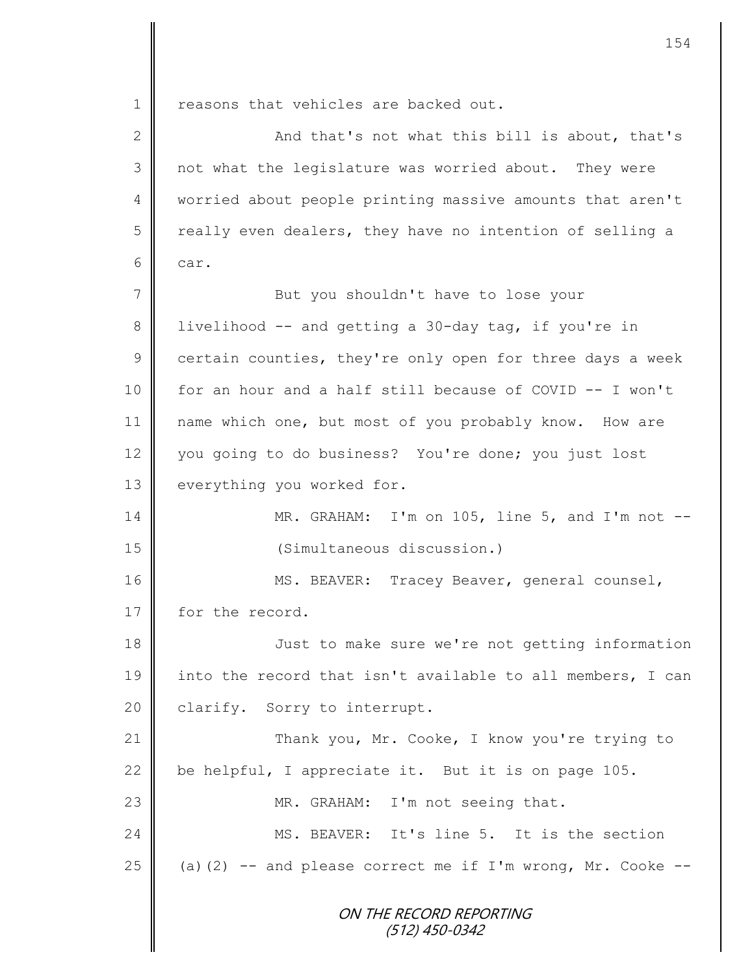1 reasons that vehicles are backed out.

II

| $\overline{2}$  | And that's not what this bill is about, that's                |
|-----------------|---------------------------------------------------------------|
| 3               | not what the legislature was worried about. They were         |
| $\overline{4}$  | worried about people printing massive amounts that aren't     |
| 5               | really even dealers, they have no intention of selling a      |
| 6               | car.                                                          |
| $7\phantom{.0}$ | But you shouldn't have to lose your                           |
| 8               | livelihood -- and getting a 30-day tag, if you're in          |
| 9               | certain counties, they're only open for three days a week     |
| 10              | for an hour and a half still because of COVID -- I won't      |
| 11              | name which one, but most of you probably know. How are        |
| 12              | you going to do business? You're done; you just lost          |
| 13              | everything you worked for.                                    |
| 14              | MR. GRAHAM: I'm on 105, line 5, and I'm not $--$              |
| 15              | (Simultaneous discussion.)                                    |
| 16              | MS. BEAVER: Tracey Beaver, general counsel,                   |
| 17              | for the record.                                               |
| 18              | Just to make sure we're not getting information               |
| 19              | into the record that isn't available to all members, I can    |
| 20              | clarify. Sorry to interrupt.                                  |
| 21              | Thank you, Mr. Cooke, I know you're trying to                 |
| 22              | be helpful, I appreciate it. But it is on page 105.           |
| 23              | MR. GRAHAM: I'm not seeing that.                              |
| 24              | MS. BEAVER: It's line 5. It is the section                    |
| 25              | (a) $(2)$ -- and please correct me if I'm wrong, Mr. Cooke -- |
|                 | ON THE RECORD REPORTING<br>(512) 450-0342                     |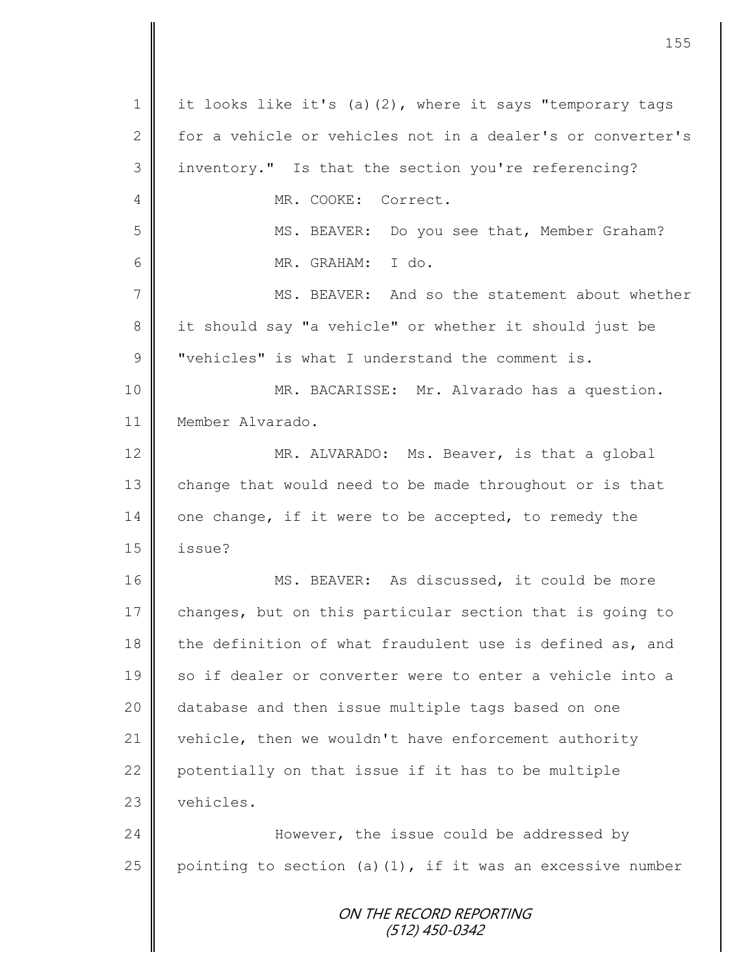ON THE RECORD REPORTING (512) 450-0342 1 | it looks like it's (a)(2), where it says "temporary tags 2 for a vehicle or vehicles not in a dealer's or converter's 3 inventory." Is that the section you're referencing? 4 MR. COOKE: Correct. 5 MS. BEAVER: Do you see that, Member Graham? 6 MR. GRAHAM: I do. 7 MS. BEAVER: And so the statement about whether 8 it should say "a vehicle" or whether it should just be  $9 \parallel$  "vehicles" is what I understand the comment is. 10 || MR. BACARISSE: Mr. Alvarado has a question. 11 Member Alvarado. 12 MR. ALVARADO: Ms. Beaver, is that a global 13 change that would need to be made throughout or is that 14 one change, if it were to be accepted, to remedy the 15 issue? 16 MS. BEAVER: As discussed, it could be more 17 changes, but on this particular section that is going to 18 the definition of what fraudulent use is defined as, and 19 || so if dealer or converter were to enter a vehicle into a 20 | database and then issue multiple tags based on one 21 vehicle, then we wouldn't have enforcement authority 22  $\parallel$  potentially on that issue if it has to be multiple 23 vehicles. 24 **However,** the issue could be addressed by 25 pointing to section (a)(1), if it was an excessive number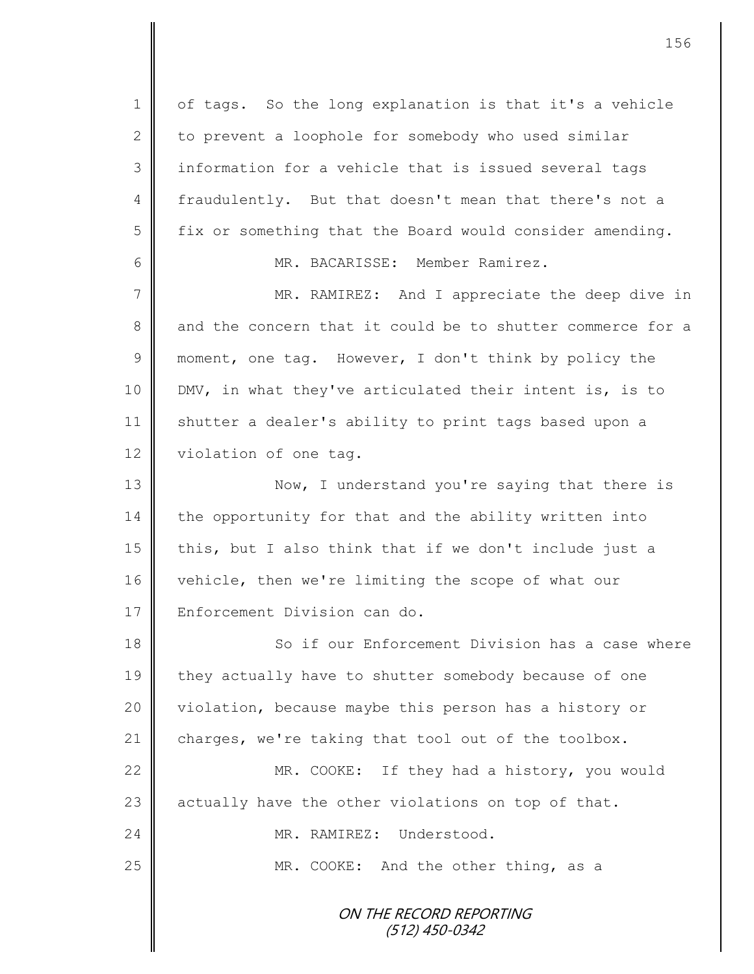ON THE RECORD REPORTING (512) 450-0342 1 | of tags. So the long explanation is that it's a vehicle 2 to prevent a loophole for somebody who used similar  $3$  information for a vehicle that is issued several tags 4 fraudulently. But that doesn't mean that there's not a  $5 \parallel$  fix or something that the Board would consider amending. 6 MR. BACARISSE: Member Ramirez. 7 || MR. RAMIREZ: And I appreciate the deep dive in 8 and the concern that it could be to shutter commerce for a 9 moment, one tag. However, I don't think by policy the 10 DMV, in what they've articulated their intent is, is to 11 Shutter a dealer's ability to print tags based upon a 12 violation of one tag. 13 || Now, I understand you're saying that there is  $14$  the opportunity for that and the ability written into 15 this, but I also think that if we don't include just a 16 vehicle, then we're limiting the scope of what our 17 Enforcement Division can do. 18 So if our Enforcement Division has a case where 19 they actually have to shutter somebody because of one 20 | violation, because maybe this person has a history or 21 charges, we're taking that tool out of the toolbox. 22 MR. COOKE: If they had a history, you would 23 actually have the other violations on top of that. 24 | MR. RAMIREZ: Understood. 25 MR. COOKE: And the other thing, as a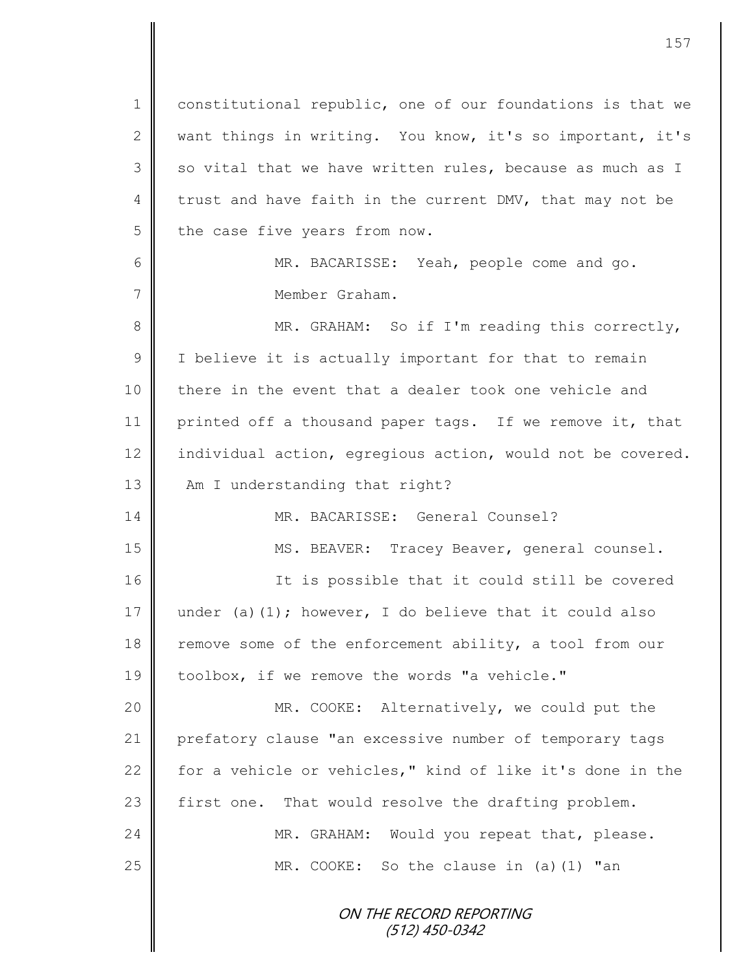ON THE RECORD REPORTING 1 constitutional republic, one of our foundations is that we 2 || want things in writing. You know, it's so important, it's  $3 \parallel$  so vital that we have written rules, because as much as I 4 trust and have faith in the current DMV, that may not be  $5 \parallel$  the case five years from now. 6 MR. BACARISSE: Yeah, people come and go. 7 Member Graham. 8 || MR. GRAHAM: So if I'm reading this correctly, 9 | I believe it is actually important for that to remain 10 there in the event that a dealer took one vehicle and 11 printed off a thousand paper tags. If we remove it, that 12 individual action, egregious action, would not be covered. 13 **Am** I understanding that right? 14 MR. BACARISSE: General Counsel? 15 || MS. BEAVER: Tracey Beaver, general counsel. 16 || The is possible that it could still be covered 17 under (a)(1); however, I do believe that it could also 18 remove some of the enforcement ability, a tool from our 19 toolbox, if we remove the words "a vehicle." 20 MR. COOKE: Alternatively, we could put the 21 prefatory clause "an excessive number of temporary tags 22  $\parallel$  for a vehicle or vehicles," kind of like it's done in the 23 first one. That would resolve the drafting problem. 24 MR. GRAHAM: Would you repeat that, please. 25 MR. COOKE: So the clause in (a)(1) "an

(512) 450-0342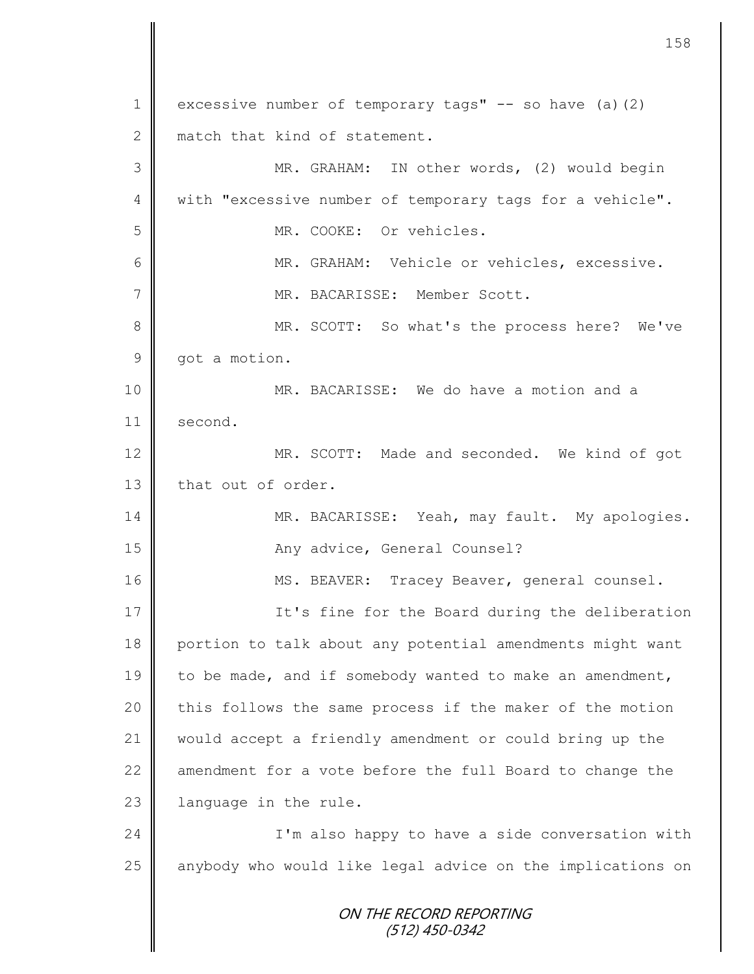ON THE RECORD REPORTING (512) 450-0342 1 excessive number of temporary tags"  $-$  so have (a)(2) 2 match that kind of statement. 3 || MR. GRAHAM: IN other words, (2) would begin 4 With "excessive number of temporary tags for a vehicle". 5 MR. COOKE: Or vehicles. 6 || MR. GRAHAM: Vehicle or vehicles, excessive. 7 MR. BACARISSE: Member Scott. 8 MR. SCOTT: So what's the process here? We've 9 | got a motion. 10 || MR. BACARISSE: We do have a motion and a 11 second. 12 MR. SCOTT: Made and seconded. We kind of got 13 that out of order. 14 | MR. BACARISSE: Yeah, may fault. My apologies. 15 || Any advice, General Counsel? 16 | MS. BEAVER: Tracey Beaver, general counsel. 17 | It's fine for the Board during the deliberation 18 portion to talk about any potential amendments might want 19 to be made, and if somebody wanted to make an amendment, 20 | this follows the same process if the maker of the motion 21 would accept a friendly amendment or could bring up the 22  $\parallel$  amendment for a vote before the full Board to change the 23 | language in the rule. 24 | I'm also happy to have a side conversation with 25 anybody who would like legal advice on the implications on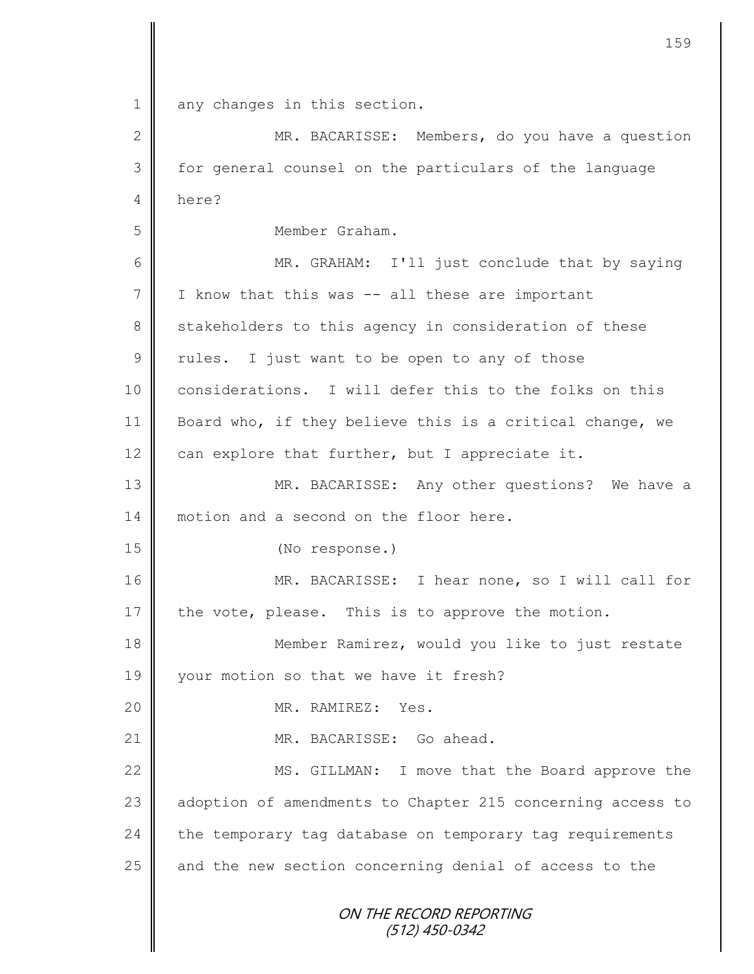ON THE RECORD REPORTING (512) 450-0342 1 || any changes in this section. 2 MR. BACARISSE: Members, do you have a question 3 for general counsel on the particulars of the language 4 here? 5 Member Graham. 6 || MR. GRAHAM: I'll just conclude that by saying  $7$  I know that this was  $-$  all these are important 8 stakeholders to this agency in consideration of these  $9 \parallel$  rules. I just want to be open to any of those 10 considerations. I will defer this to the folks on this 11 Board who, if they believe this is a critical change, we 12  $\parallel$  can explore that further, but I appreciate it. 13 MR. BACARISSE: Any other questions? We have a 14 motion and a second on the floor here. 15 (No response.) 16 MR. BACARISSE: I hear none, so I will call for 17 the vote, please. This is to approve the motion. 18 **Member Ramirez, would you like to just restate** 19 | your motion so that we have it fresh? 20 || MR. RAMIREZ: Yes. 21 | MR. BACARISSE: Go ahead. 22 MS. GILLMAN: I move that the Board approve the 23 adoption of amendments to Chapter 215 concerning access to  $24$  the temporary tag database on temporary tag requirements  $25$  and the new section concerning denial of access to the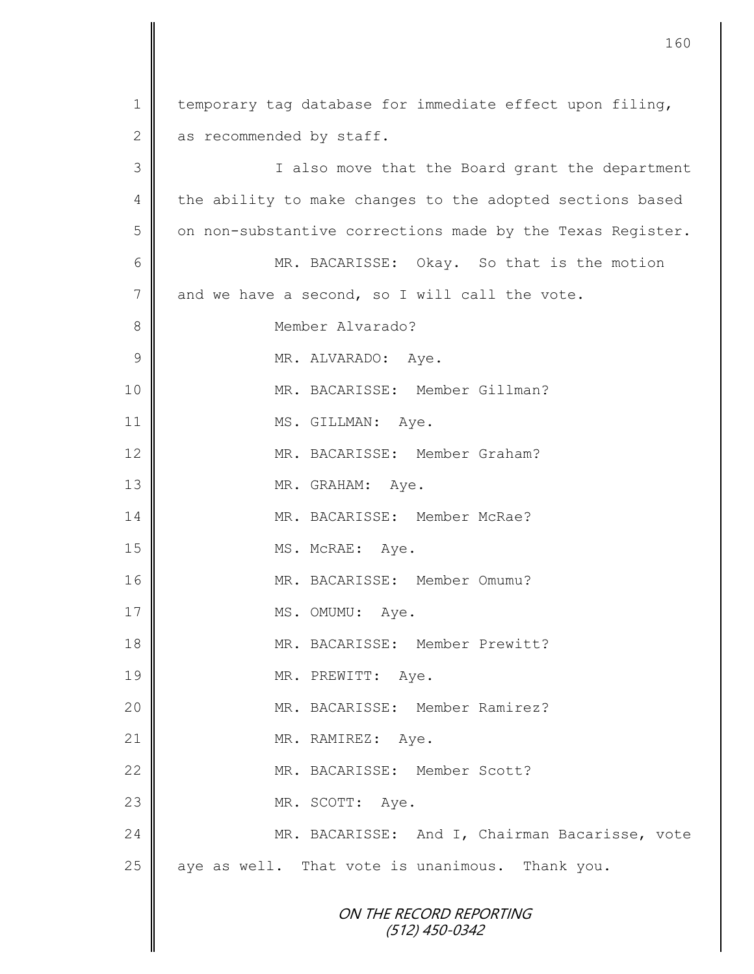| $\mathbf 1$     | temporary tag database for immediate effect upon filing,   |
|-----------------|------------------------------------------------------------|
| $\mathbf 2$     | as recommended by staff.                                   |
| 3               | I also move that the Board grant the department            |
| 4               | the ability to make changes to the adopted sections based  |
| 5               | on non-substantive corrections made by the Texas Register. |
| 6               | MR. BACARISSE: Okay. So that is the motion                 |
| $7\phantom{.0}$ | and we have a second, so I will call the vote.             |
| $8\,$           | Member Alvarado?                                           |
| $\mathcal{G}$   | MR. ALVARADO: Aye.                                         |
| 10              | MR. BACARISSE: Member Gillman?                             |
| 11              | MS. GILLMAN: Aye.                                          |
| 12              | MR. BACARISSE: Member Graham?                              |
| 13              | MR. GRAHAM: Aye.                                           |
| 14              | MR. BACARISSE: Member McRae?                               |
| 15              | MS. McRAE: Aye.                                            |
| 16              | MR. BACARISSE: Member Omumu?                               |
| 17              | MS. OMUMU: Aye.                                            |
| 18              | MR. BACARISSE: Member Prewitt?                             |
| 19              | MR. PREWITT: Aye.                                          |
| 20              | MR. BACARISSE: Member Ramirez?                             |
| 21              | MR. RAMIREZ: Aye.                                          |
| 22              | MR. BACARISSE: Member Scott?                               |
| 23              | MR. SCOTT: Aye.                                            |
| 24              | MR. BACARISSE: And I, Chairman Bacarisse, vote             |
| 25              | aye as well. That vote is unanimous. Thank you.            |
|                 | ON THE RECORD REPORTING<br>$(512)$ 450-0342                |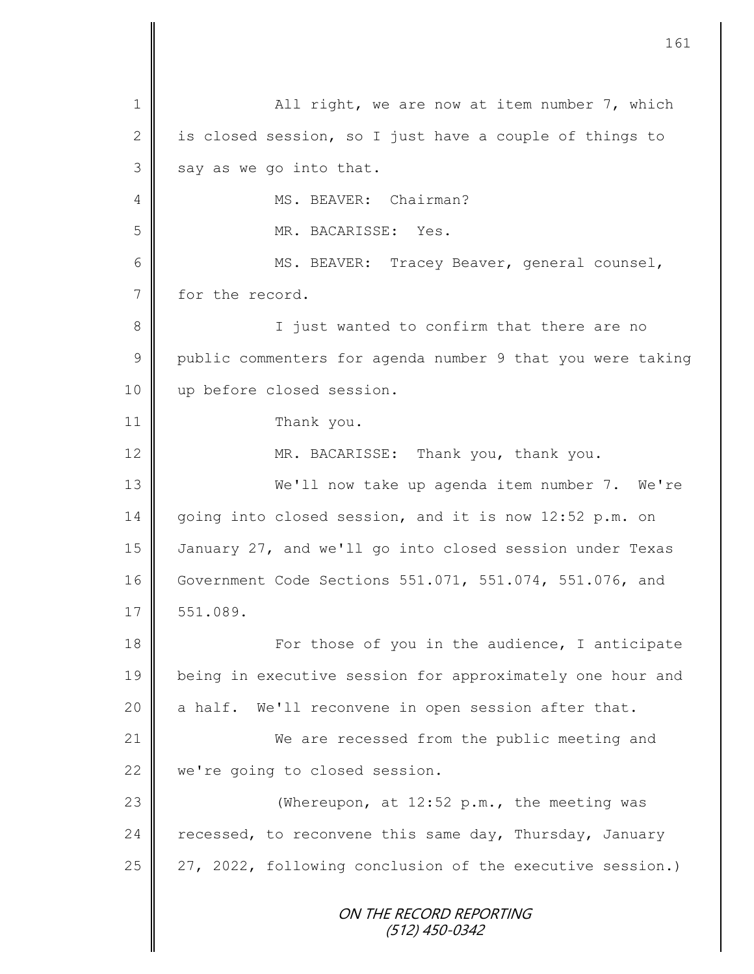ON THE RECORD REPORTING (512) 450-0342 1 || All right, we are now at item number 7, which 2 is closed session, so I just have a couple of things to  $3 \parallel$  say as we go into that. 4 | MS. BEAVER: Chairman? 5 MR. BACARISSE: Yes. 6 || MS. BEAVER: Tracey Beaver, general counsel, 7 for the record. 8 || I just wanted to confirm that there are no 9 public commenters for agenda number 9 that you were taking 10 || up before closed session. 11 Thank you. 12 MR. BACARISSE: Thank you, thank you. 13 We'll now take up agenda item number 7. We're 14 going into closed session, and it is now 12:52 p.m. on 15 January 27, and we'll go into closed session under Texas 16 Government Code Sections 551.071, 551.074, 551.076, and  $17 \parallel 551.089.$ 18 For those of you in the audience, I anticipate 19 being in executive session for approximately one hour and 20  $\parallel$  a half. We'll reconvene in open session after that. 21 We are recessed from the public meeting and 22 we're going to closed session. 23 || (Whereupon, at 12:52 p.m., the meeting was 24 recessed, to reconvene this same day, Thursday, January 25 | 27, 2022, following conclusion of the executive session.)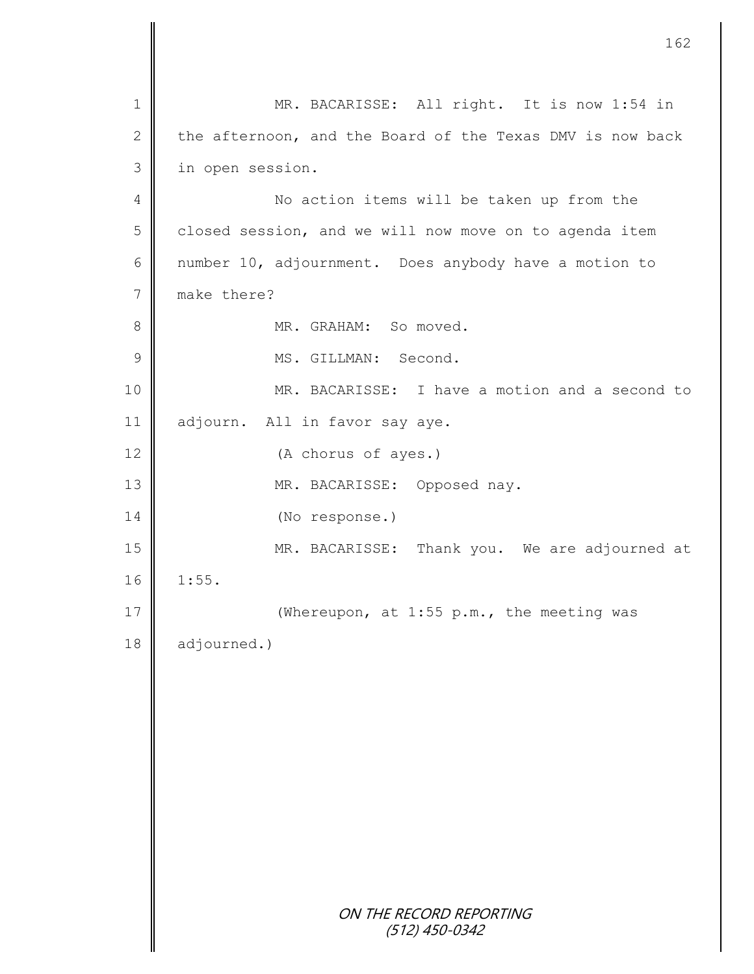|                | 162                                                       |
|----------------|-----------------------------------------------------------|
| $\mathbf 1$    | MR. BACARISSE: All right. It is now 1:54 in               |
| $\mathbf{2}$   | the afternoon, and the Board of the Texas DMV is now back |
| 3              | in open session.                                          |
| $\overline{4}$ | No action items will be taken up from the                 |
| 5              | closed session, and we will now move on to agenda item    |
| $6\,$          | number 10, adjournment. Does anybody have a motion to     |
| $\overline{7}$ | make there?                                               |
| 8              | MR. GRAHAM: So moved.                                     |
| $\mathcal{G}$  | MS. GILLMAN: Second.                                      |
| 10             | MR. BACARISSE: I have a motion and a second to            |
| 11             | adjourn. All in favor say aye.                            |
| 12             | (A chorus of ayes.)                                       |
| 13             | MR. BACARISSE: Opposed nay.                               |
| 14             | (No response.)                                            |
| 15             | MR. BACARISSE: Thank you. We are adjourned at             |
| 16             | 1:55.                                                     |
| $17$           | (Whereupon, at 1:55 p.m., the meeting was                 |
| 18             | adjourned.)                                               |
|                |                                                           |
|                |                                                           |
|                |                                                           |
|                |                                                           |
|                |                                                           |
|                |                                                           |
|                |                                                           |
|                | ON THE RECORD REPORTING<br>$(512)$ 450-0342               |